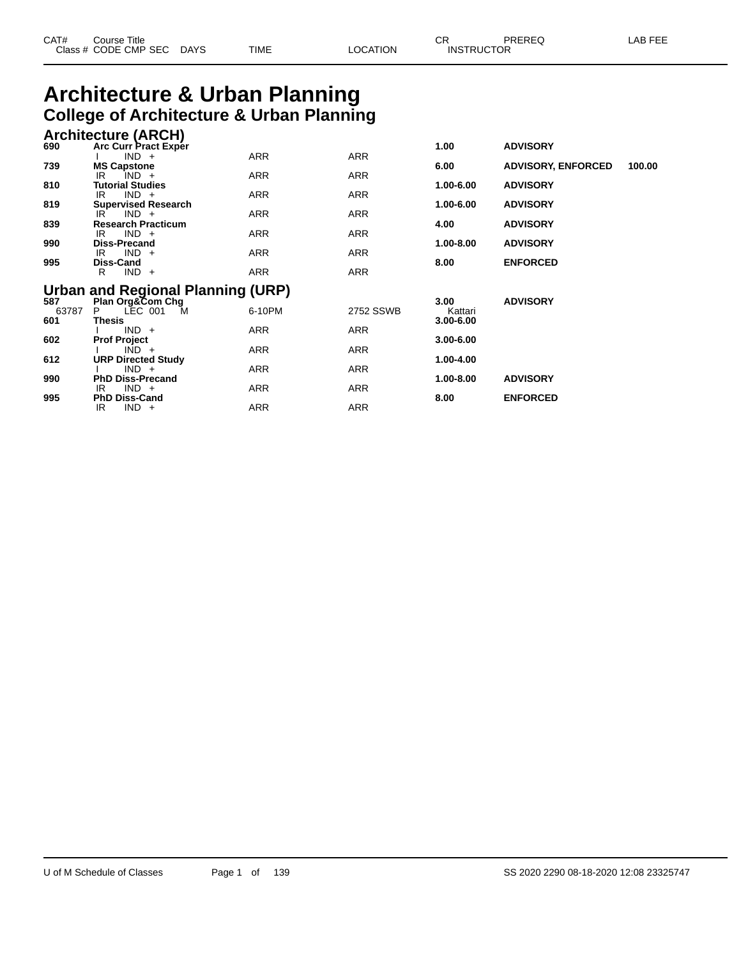| CAT# | Title<br>Course<br>Class # CODE CMP SEC | DAYS | TIME | LOCATION | ΩD.<br>◡<br><b>INSTRUCTOR</b> | PREREQ | . EEF<br>AR |
|------|-----------------------------------------|------|------|----------|-------------------------------|--------|-------------|
|      |                                         |      |      |          |                               |        |             |

## **Architecture & Urban Planning College of Architecture & Urban Planning**

IR IND + ARR ARR ARR

|       | Conege of Architecture & Orban Flammig     |            |            |               |                           |        |
|-------|--------------------------------------------|------------|------------|---------------|---------------------------|--------|
|       | <b>Architecture (ARCH)</b>                 |            |            |               |                           |        |
| 690   | <b>Arc Curr Pract Exper</b>                |            |            | 1.00          | <b>ADVISORY</b>           |        |
|       | $IND +$                                    | <b>ARR</b> | <b>ARR</b> |               |                           |        |
| 739   | <b>MS Capstone</b><br>$IND +$<br>IR        | ARR        | ARR        | 6.00          | <b>ADVISORY, ENFORCED</b> | 100.00 |
| 810   | <b>Tutorial Studies</b>                    |            |            | 1.00-6.00     | <b>ADVISORY</b>           |        |
|       | $IND +$<br>IR                              | ARR        | ARR        |               |                           |        |
| 819   | <b>Supervised Research</b>                 |            |            | 1.00-6.00     | <b>ADVISORY</b>           |        |
| 839   | $IND +$<br>IR<br><b>Research Practicum</b> | ARR        | ARR        | 4.00          | <b>ADVISORY</b>           |        |
|       | $IND +$<br>IR                              | ARR        | ARR        |               |                           |        |
| 990   | <b>Diss-Precand</b>                        |            |            | $1.00 - 8.00$ | <b>ADVISORY</b>           |        |
|       | $IND +$<br>IR                              | ARR        | <b>ARR</b> |               |                           |        |
| 995   | Diss-Cand                                  |            |            | 8.00          | <b>ENFORCED</b>           |        |
|       | $IND +$<br>R                               | ARR        | <b>ARR</b> |               |                           |        |
|       | Urban and Regional Planning (URP)          |            |            |               |                           |        |
| 587   | Plan Org&Com Chg                           |            |            | 3.00          | <b>ADVISORY</b>           |        |
| 63787 | LEC 001<br>P.<br><b>M</b>                  | 6-10PM     | 2752 SSWB  | Kattari       |                           |        |
| 601   | <b>Thesis</b>                              |            |            | $3.00 - 6.00$ |                           |        |
| 602   | $IND +$<br><b>Prof Project</b>             | ARR        | ARR        | $3.00 - 6.00$ |                           |        |
|       | $IND +$                                    | ARR        | ARR        |               |                           |        |
| 612   | <b>URP Directed Study</b>                  |            |            | 1.00-4.00     |                           |        |
|       | $IND +$                                    | ARR        | ARR        |               |                           |        |
| 990   | <b>PhD Diss-Precand</b>                    |            |            | $1.00 - 8.00$ | <b>ADVISORY</b>           |        |
| 995   | $IND +$<br>IR<br><b>PhD Diss-Cand</b>      | ARR        | <b>ARR</b> | 8.00          | <b>ENFORCED</b>           |        |
|       |                                            |            |            |               |                           |        |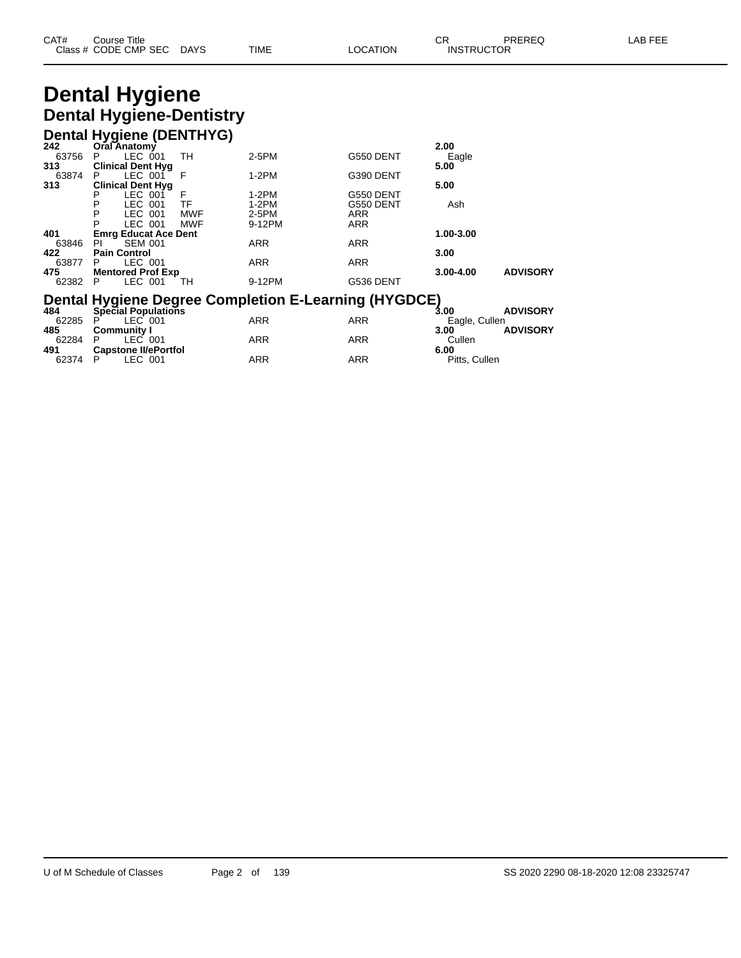| CAT# | Title<br>Course      |      |      |          | Ωn<br>◡∩          | PREREQ | . EEF<br>AR. |
|------|----------------------|------|------|----------|-------------------|--------|--------------|
|      | Class # CODE CMP SEC | DAYS | TIME | LOCATION | <b>INSTRUCTOR</b> |        |              |

# **Dental Hygiene Dental Hygiene-Dentistry**

#### **Dental Hygiene (DENTHYG)**

| 242   | Oral Anatomy                       |            |                                                             |            | 2.00           |                 |
|-------|------------------------------------|------------|-------------------------------------------------------------|------------|----------------|-----------------|
| 63756 | LEC 001<br>P                       | TН         | 2-5PM                                                       | G550 DENT  | Eagle          |                 |
| 313   | <b>Clinical Dent Hyg</b>           |            |                                                             |            | 5.00           |                 |
| 63874 | LEC 001<br>P.                      | F          | $1-2PM$                                                     | G390 DENT  |                |                 |
| 313   | <b>Clinical Dent Hyg</b>           |            |                                                             |            | 5.00           |                 |
|       | LEC 001<br>Р                       | F          | $1-2PM$                                                     | G550 DENT  |                |                 |
|       | LEC 001<br>P                       | TF         | $1-2PM$                                                     | G550 DENT  | Ash            |                 |
|       | P<br>LEC 001                       | <b>MWF</b> | 2-5PM                                                       | <b>ARR</b> |                |                 |
|       | P<br>LEC 001                       | <b>MWF</b> | 9-12PM                                                      | <b>ARR</b> |                |                 |
| 401   | <b>Emrg Educat Ace Dent</b>        |            |                                                             |            | 1.00-3.00      |                 |
| 63846 | <b>SEM 001</b><br>PL               |            | <b>ARR</b>                                                  | <b>ARR</b> |                |                 |
| 422   | <b>Pain Control</b>                |            |                                                             |            | 3.00           |                 |
| 63877 | LEC 001<br>P.                      |            | <b>ARR</b>                                                  | <b>ARR</b> |                |                 |
| 475   | <b>Mentored Prof Exp</b>           |            |                                                             |            | $3.00 - 4.00$  | <b>ADVISORY</b> |
| 62382 | LEC 001<br>P                       | TH         | 9-12PM                                                      | G536 DENT  |                |                 |
|       |                                    |            | <b>Dental Hygiene Degree Completion E-Learning (HYGDCE)</b> |            |                |                 |
| 484   | Special Populations                |            |                                                             |            | 3.00           | <b>ADVISORY</b> |
| 62285 | LEC 001<br>P                       |            | <b>ARR</b>                                                  | <b>ARR</b> |                |                 |
| 485   |                                    |            |                                                             |            | Eagle, Cullen  | <b>ADVISORY</b> |
| 62284 | <b>Community I</b><br>LEC 001<br>P |            | <b>ARR</b>                                                  | <b>ARR</b> | 3.00<br>Cullen |                 |

**Capstone II/ePortfol 6.00**

P LEC 001 ARR ARR Pitts, Cullen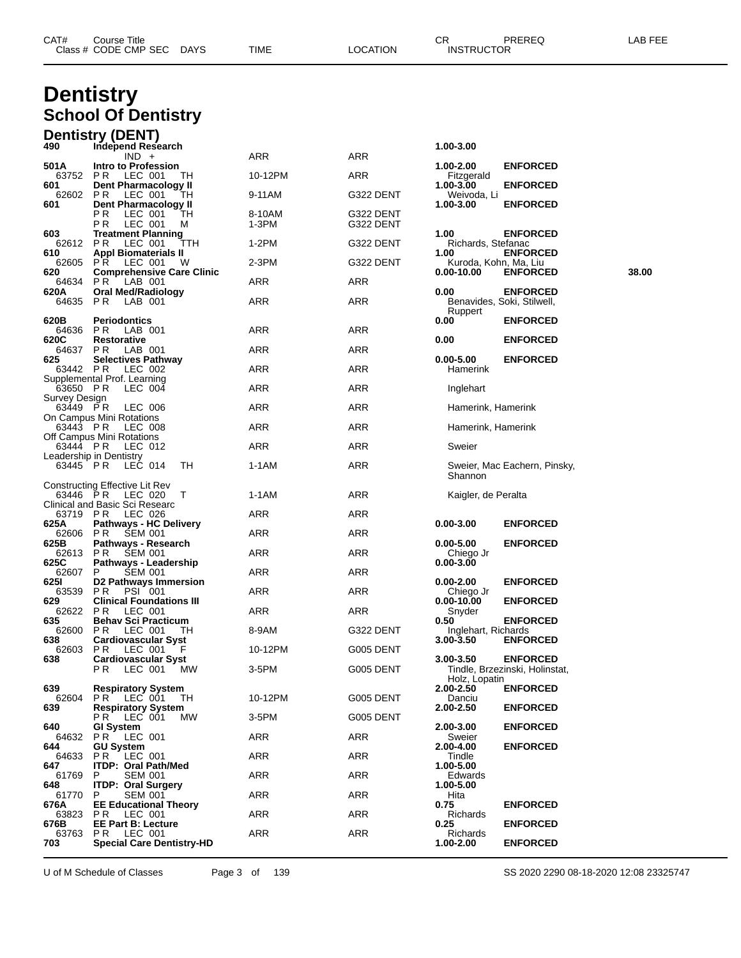| CAT# | Title<br>.ourseٽ     |                        |      |         | <b>^^</b><br><b>UN</b>    | PREREC<br>یب∟د<br>∼ | ----<br>Δ Η<br>--- |
|------|----------------------|------------------------|------|---------|---------------------------|---------------------|--------------------|
|      | Class # CODE CMP SEC | <b>DAYS</b><br>_______ | TIME | OCATION | <b>INSTRUCTOR</b><br>____ |                     |                    |

### **Dentistry School Of Dentistry**

|                           | <b>Dentistry (DENT)</b>                                               |                 |                        |                               |                                                   |       |
|---------------------------|-----------------------------------------------------------------------|-----------------|------------------------|-------------------------------|---------------------------------------------------|-------|
| 490                       | Independ Research<br>$IND +$                                          | ARR             | <b>ARR</b>             | 1.00-3.00                     |                                                   |       |
| 501 A                     | Intro to Profession                                                   |                 |                        | 1.00-2.00                     | <b>ENFORCED</b>                                   |       |
| 63752<br>601              | PR.<br>LEC 001<br>TH.<br>Dent Pharmacology II                         | 10-12PM         | <b>ARR</b>             | Fitzgerald<br>1.00-3.00       | <b>ENFORCED</b>                                   |       |
| 62602<br>601              | P R<br>LEC 001<br>TН<br>Dent Pharmacology II                          | 9-11AM          | G322 DENT              | Weivoda, Li<br>1.00-3.00      | <b>ENFORCED</b>                                   |       |
|                           | P R<br>LEC 001<br>ТH<br>P R<br>LEC 001<br>м                           | 8-10AM<br>1-3PM | G322 DENT<br>G322 DENT |                               |                                                   |       |
| 603<br>62612              | <b>Treatment Planning</b><br>LEC 001<br>P R<br>TTH                    | 1-2PM           | G322 DENT              | 1.00<br>Richards, Stefanac    | <b>ENFORCED</b>                                   |       |
| 610<br>62605              | <b>Appl Biomaterials II</b><br><b>PR LEC 001</b><br>W                 | $2-3PM$         | G322 DENT              | 1.00<br>Kuroda, Kohn, Ma, Liu | <b>ENFORCED</b>                                   |       |
| 620<br>64634              | <b>Comprehensive Care Clinic</b><br>PR.<br>LAB 001                    | ARR             | ARR                    | $0.00 - 10.00$                | <b>ENFORCED</b>                                   | 38.00 |
| 620A<br>64635 PR          | <b>Oral Med/Radiology</b><br>LAB 001                                  | ARR             | <b>ARR</b>             | 0.00                          | <b>ENFORCED</b><br>Benavides, Soki, Stilwell,     |       |
| 620B<br>64636             | <b>Periodontics</b><br>PR LAB 001                                     | ARR             | ARR                    | Ruppert<br>0.00               | <b>ENFORCED</b>                                   |       |
| 620C                      | <b>Restorative</b>                                                    |                 |                        | 0.00                          | <b>ENFORCED</b>                                   |       |
| 64637<br>625              | PR.<br>LAB 001<br><b>Selectives Pathway</b>                           | ARR             | ARR                    | $0.00 - 5.00$                 | <b>ENFORCED</b>                                   |       |
| 63442 PR                  | LEC 002<br>Supplemental Prof. Learning                                | ARR             | ARR                    | Hamerink                      |                                                   |       |
| 63650 PR<br>Survey Design | LEC 004                                                               | ARR             | ARR                    | Inglehart                     |                                                   |       |
| 63449 PR                  | LEC 006<br>On Campus Mini Rotations                                   | ARR             | <b>ARR</b>             | Hamerink, Hamerink            |                                                   |       |
| 63443 PR                  | LEC 008                                                               | ARR             | ARR                    | Hamerink, Hamerink            |                                                   |       |
| 63444 PR                  | Off Campus Mini Rotations<br>LEC 012                                  | ARR             | ARR                    | Sweier                        |                                                   |       |
| 63445 PR                  | Leadership in Dentistry<br>LEC 014<br>TН                              | 1-1AM           | ARR                    | Shannon                       | Sweier, Mac Eachern, Pinsky,                      |       |
|                           | Constructing Effective Lit Rev                                        |                 |                        |                               |                                                   |       |
| 63446 PR                  | LEC 020<br>T<br>Clinical and Basic Sci Researc                        | 1-1AM           | <b>ARR</b>             | Kaigler, de Peralta           |                                                   |       |
| 63719 PR<br>625A          | LEC 026<br><b>Pathways - HC Delivery</b>                              | ARR             | ARR                    | $0.00 - 3.00$                 | <b>ENFORCED</b>                                   |       |
| 62606 PR<br>625B          | <b>SEM 001</b><br>Pathways - Research                                 | ARR             | <b>ARR</b>             | $0.00 - 5.00$                 | <b>ENFORCED</b>                                   |       |
| 62613<br>625C             | PR.<br><b>SEM 001</b><br>Pathways - Leadership                        | ARR             | <b>ARR</b>             | Chiego Jr<br>$0.00 - 3.00$    |                                                   |       |
| 62607                     | <b>SEM 001</b><br>P.                                                  | ARR             | ARR                    |                               |                                                   |       |
| 625I<br>63539             | D2 Pathways Immersion<br><b>PSI 001</b><br>PR.                        | ARR             | ARR                    | $0.00 - 2.00$<br>Chiego Jr    | <b>ENFORCED</b>                                   |       |
| 629<br>62622              | <b>Clinical Foundations III</b><br>PR.<br>LEC 001                     | ARR             | ARR                    | 0.00-10.00<br>Snyder          | <b>ENFORCED</b>                                   |       |
| 635<br>62600              | <b>Behav Sci Practicum</b><br>P <sub>R</sub><br>LEC 001<br>ΤH         | 8-9AM           | G322 DENT              | 0.50<br>Inglehart, Richards   | <b>ENFORCED</b>                                   |       |
| 638<br>62603              | <b>Cardiovascular Syst</b><br>P R<br>LEC 001                          | 10-12PM         | G005 DENT              | 3.00-3.50                     | <b>ENFORCED</b>                                   |       |
| 638                       | <b>Cardiovascular Syst</b><br><b>LEC 001</b><br>MW <sub></sub><br>PR. | 3-5PM           | G005 DENT              | 3.00-3.50<br>Holz, Lopatin    | <b>ENFORCED</b><br>Tindle, Brzezinski, Holinstat, |       |
| 639<br>62604              | <b>Respiratory System</b><br><b>PR LEC 001</b><br>TH.                 | 10-12PM         | <b>G005 DENT</b>       | 2.00-2.50<br>Danciu           | <b>ENFORCED</b>                                   |       |
| 639                       | <b>Respiratory System</b><br>PR.<br>LEC 001<br>МW                     | 3-5PM           | G005 DENT              | 2.00-2.50                     | <b>ENFORCED</b>                                   |       |
| 640<br>64632              | <b>GI System</b>                                                      | ARR             | ARR                    | 2.00-3.00                     | <b>ENFORCED</b>                                   |       |
| 644                       | <b>PR LEC 001</b><br><b>GU System</b>                                 |                 |                        | Sweier<br>2.00-4.00           | <b>ENFORCED</b>                                   |       |
| 64633<br>647              | PR.<br>LEC 001<br><b>ITDP: Oral Path/Med</b>                          | ARR             | ARR                    | Tindle<br>1.00-5.00           |                                                   |       |
| 61769<br>648              | <b>SEM 001</b><br>P.<br><b>ITDP: Oral Surgery</b>                     | ARR             | <b>ARR</b>             | Edwards<br>1.00-5.00          |                                                   |       |
| 61770<br>676A             | P<br>SEM 001<br><b>EE Educational Theory</b>                          | <b>ARR</b>      | <b>ARR</b>             | Hita<br>0.75                  | <b>ENFORCED</b>                                   |       |
| 63823<br>676B             | <b>PR LEC 001</b><br><b>EE Part B: Lecture</b>                        | ARR             | ARR                    | Richards<br>0.25              | <b>ENFORCED</b>                                   |       |
| 63763                     | PR.<br>LEC 001                                                        | ARR             | ARR                    | Richards                      |                                                   |       |
| 703                       | <b>Special Care Dentistry-HD</b>                                      |                 |                        | 1.00-2.00                     | <b>ENFORCED</b>                                   |       |

U of M Schedule of Classes Page 3 of 139 SS 2020 2290 08-18-2020 12:08 23325747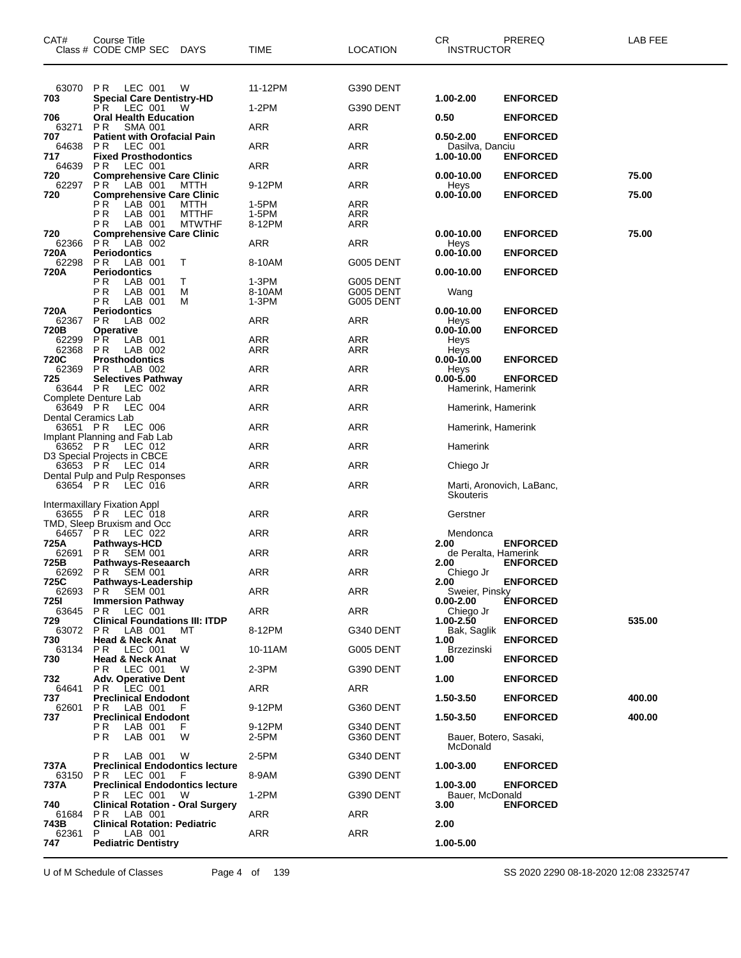| CAT#                            | Course Title<br>Class # CODE CMP SEC DAYS                           | <b>TIME</b>       | <b>LOCATION</b>        | СR<br><b>INSTRUCTOR</b>             | PREREQ                    | LAB FEE |
|---------------------------------|---------------------------------------------------------------------|-------------------|------------------------|-------------------------------------|---------------------------|---------|
| 63070                           | LEC 001<br>PR<br>W                                                  | 11-12PM           | G390 DENT              |                                     |                           |         |
| 703                             | <b>Special Care Dentistry-HD</b><br>LEC 001<br>PR.<br>W             | 1-2PM             | G390 DENT              | 1.00-2.00                           | <b>ENFORCED</b>           |         |
| 706<br>63271                    | <b>Oral Health Education</b><br>P R<br><b>SMA 001</b>               | ARR               | ARR                    | 0.50                                | <b>ENFORCED</b>           |         |
| 707<br>64638                    | <b>Patient with Orofacial Pain</b><br>LEC 001<br>PR.                | <b>ARR</b>        | <b>ARR</b>             | $0.50 - 2.00$<br>Dasilva, Danciu    | <b>ENFORCED</b>           |         |
| 717<br>64639                    | <b>Fixed Prosthodontics</b><br>LEC 001<br>P R                       | <b>ARR</b>        | <b>ARR</b>             | 1.00-10.00                          | <b>ENFORCED</b>           |         |
| 720                             | <b>Comprehensive Care Clinic</b>                                    |                   |                        | 0.00-10.00                          | <b>ENFORCED</b>           | 75.00   |
| 62297<br>720                    | PR.<br>LAB 001<br>MTTH<br><b>Comprehensive Care Clinic</b>          | 9-12PM            | <b>ARR</b>             | Heys<br>0.00-10.00                  | <b>ENFORCED</b>           | 75.00   |
|                                 | РR<br>LAB 001<br>MTTH<br>ΡR<br>LAB 001<br><b>MTTHF</b>              | 1-5PM<br>1-5PM    | <b>ARR</b><br>ARR      |                                     |                           |         |
| 720                             | LAB 001<br><b>MTWTHF</b><br>P R<br><b>Comprehensive Care Clinic</b> | 8-12PM            | ARR                    | 0.00-10.00                          | <b>ENFORCED</b>           | 75.00   |
| 62366                           | LAB 002<br>PR.                                                      | <b>ARR</b>        | <b>ARR</b>             | Heys                                |                           |         |
| 720A<br>62298                   | <b>Periodontics</b><br>LAB 001<br>PR.<br>т                          | 8-10AM            | G005 DENT              | 0.00-10.00                          | <b>ENFORCED</b>           |         |
| 720A                            | <b>Periodontics</b><br>LAB 001<br>P R<br>Т                          | 1-3PM             | G005 DENT              | 0.00-10.00                          | <b>ENFORCED</b>           |         |
|                                 | ΡR<br>LAB 001<br>М<br>P R<br>LAB 001<br>М                           | 8-10AM<br>1-3PM   | G005 DENT<br>G005 DENT | Wang                                |                           |         |
| 720A                            | <b>Periodontics</b>                                                 |                   |                        | 0.00-10.00                          | <b>ENFORCED</b>           |         |
| 62367<br>720B                   | LAB 002<br>P R<br><b>Operative</b>                                  | <b>ARR</b>        | ARR                    | Heys<br>0.00-10.00                  | <b>ENFORCED</b>           |         |
| 62299<br>62368                  | P <sub>R</sub><br>LAB 001<br><b>PR</b><br>LAB 002                   | <b>ARR</b><br>ARR | <b>ARR</b><br>ARR      | Heys<br>Heys                        |                           |         |
| 720C<br>62369                   | <b>Prosthodontics</b><br>LAB 002<br>P R                             | <b>ARR</b>        | ARR                    | 0.00-10.00<br>Heys                  | <b>ENFORCED</b>           |         |
| 725<br>63644 PR                 | <b>Selectives Pathway</b><br>LEC 002                                | <b>ARR</b>        | <b>ARR</b>             | $0.00 - 5.00$<br>Hamerink, Hamerink | <b>ENFORCED</b>           |         |
|                                 | Complete Denture Lab                                                |                   |                        |                                     |                           |         |
| 63649 PR<br>Dental Ceramics Lab | LEC 004                                                             | ARR               | <b>ARR</b>             | Hamerink, Hamerink                  |                           |         |
| 63651 PR                        | LEC 006<br>Implant Planning and Fab Lab                             | <b>ARR</b>        | ARR                    | Hamerink, Hamerink                  |                           |         |
| 63652 PR                        | LEC 012<br>D3 Special Projects in CBCE                              | <b>ARR</b>        | <b>ARR</b>             | Hamerink                            |                           |         |
| 63653 PR                        | LEC 014<br>Dental Pulp and Pulp Responses                           | <b>ARR</b>        | <b>ARR</b>             | Chiego Jr                           |                           |         |
| 63654 PR                        | LEC 016                                                             | <b>ARR</b>        | <b>ARR</b>             | <b>Skouteris</b>                    | Marti, Aronovich, LaBanc, |         |
| 63655 PR                        | Intermaxillary Fixation Appl<br>LEC 018                             | <b>ARR</b>        | ARR                    | Gerstner                            |                           |         |
| 64657 PR                        | TMD, Sleep Bruxism and Occ<br>LEC 022                               | <b>ARR</b>        | ARR                    | Mendonca                            |                           |         |
| 725A<br>62691 PR                | Pathways-HCD<br><b>SEM 001</b>                                      | ARR               | ARR                    | 2.00<br>de Peralta, Hamerink        | <b>ENFORCED</b>           |         |
| 725B                            | Pathways-Reseaarch<br>62692 PR SEM 001                              | ARR               | ARR                    | 2.00<br>Chiego Jr                   | <b>ENFORCED</b>           |         |
| 725C<br>62693                   | Pathways-Leadership<br>PR.<br><b>SEM 001</b>                        | <b>ARR</b>        | <b>ARR</b>             | 2.00<br>Sweier, Pinsky              | <b>ENFORCED</b>           |         |
| <b>7251</b>                     | <b>Immersion Pathway</b>                                            |                   |                        | 0.00-2.00                           | <b>ÉNFORCED</b>           |         |
| 63645<br>729                    | PR.<br>LEC 001<br><b>Clinical Foundations III: ITDP</b>             | ARR               | ARR                    | Chiego Jr<br>1.00-2.50              | <b>ENFORCED</b>           | 535.00  |
| 63072<br>730                    | LAB 001<br>МT<br>PR.<br><b>Head &amp; Neck Anat</b>                 | 8-12PM            | G340 DENT              | Bak, Saglik<br>1.00                 | <b>ENFORCED</b>           |         |
| 63134<br>730                    | LEC 001<br>PR.<br>W<br><b>Head &amp; Neck Anat</b>                  | 10-11AM           | G005 DENT              | Brzezinski<br>1.00                  | <b>ENFORCED</b>           |         |
|                                 | LEC 001<br>P R<br>W                                                 | 2-3PM             | G390 DENT              |                                     |                           |         |
| 732<br>64641                    | <b>Adv. Operative Dent</b><br><b>PR LEC 001</b>                     | <b>ARR</b>        | ARR                    | 1.00                                | <b>ENFORCED</b>           |         |
| 737<br>62601                    | <b>Preclinical Endodont</b><br>PR.<br>LAB 001<br>F                  | 9-12PM            | G360 DENT              | 1.50-3.50                           | <b>ENFORCED</b>           | 400.00  |
| 737                             | <b>Preclinical Endodont</b><br>ΡR<br>LAB 001<br>F                   | 9-12PM            | G340 DENT              | 1.50-3.50                           | <b>ENFORCED</b>           | 400.00  |
|                                 | P R<br>LAB 001<br>W                                                 | 2-5PM             | G360 DENT              | Bauer, Botero, Sasaki,<br>McDonald  |                           |         |
| 737A                            | P R<br>LAB 001<br>W<br><b>Preclinical Endodontics lecture</b>       | 2-5PM             | G340 DENT              | 1.00-3.00                           | <b>ENFORCED</b>           |         |
| 63150<br>737A                   | <b>PR LEC 001</b><br>- F<br><b>Preclinical Endodontics lecture</b>  | 8-9AM             | G390 DENT              | 1.00-3.00                           | <b>ENFORCED</b>           |         |
|                                 | LEC 001<br>P R .<br>- W                                             | $1-2PM$           | G390 DENT              | Bauer, McDonald                     |                           |         |
| 740<br>61684                    | <b>Clinical Rotation - Oral Surgery</b><br>LAB 001<br>PR.           | ARR               | ARR                    | 3.00                                | <b>ENFORCED</b>           |         |
| 743B<br>62361                   | <b>Clinical Rotation: Pediatric</b><br>LAB 001<br>P                 | <b>ARR</b>        | ARR                    | 2.00                                |                           |         |
| 747                             | <b>Pediatric Dentistry</b>                                          |                   |                        | 1.00-5.00                           |                           |         |

U of M Schedule of Classes Page 4 of 139 SS 2020 2290 08-18-2020 12:08 23325747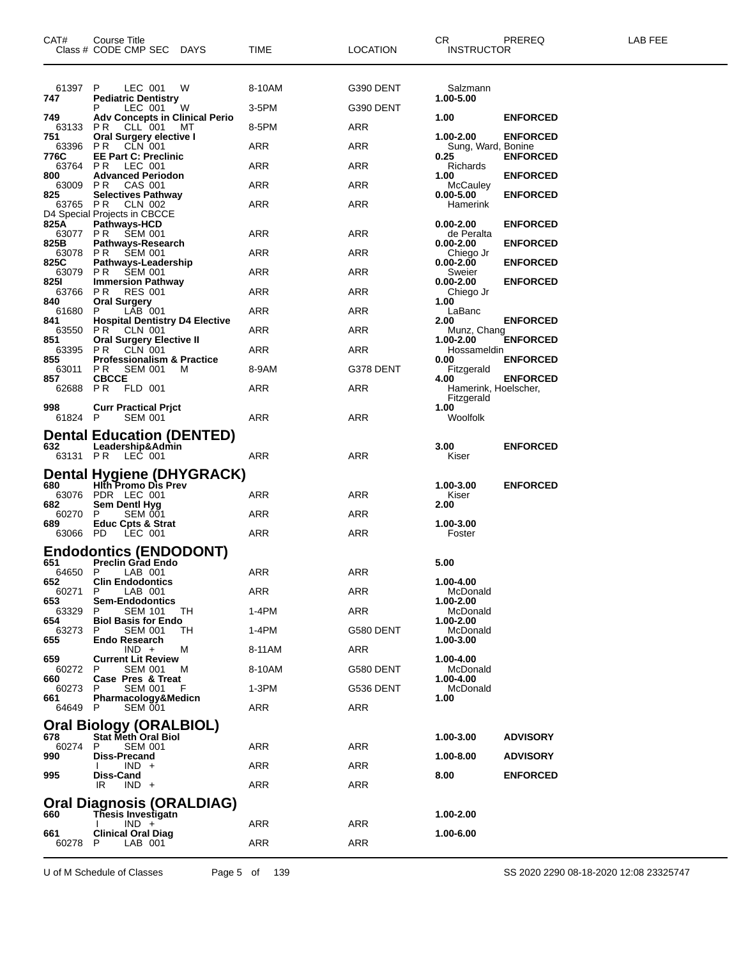| CAT#             | Course Title<br>Class # CODE CMP SEC DAYS                                | TIME       | <b>LOCATION</b> | CR.<br><b>INSTRUCTOR</b>           | PREREQ          | LAB FEE |
|------------------|--------------------------------------------------------------------------|------------|-----------------|------------------------------------|-----------------|---------|
| 61397<br>747     | P<br>LEC 001<br>W<br><b>Pediatric Dentistry</b>                          | 8-10AM     | G390 DENT       | Salzmann<br>1.00-5.00              |                 |         |
| 749              | P<br>LEC 001<br>W<br><b>Adv Concepts in Clinical Perio</b>               | 3-5PM      | G390 DENT       | 1.00                               | <b>ENFORCED</b> |         |
| 63133 PR<br>751  | CLL 001<br>МT<br>Oral Surgery elective I                                 | 8-5PM      | ARR             | 1.00-2.00                          | <b>ENFORCED</b> |         |
| 63396<br>776C    | PR CLN 001<br><b>EE Part C: Preclinic</b>                                | ARR        | ARR             | Sung, Ward, Bonine<br>0.25         | <b>ENFORCED</b> |         |
| 63764<br>800     | <b>PR LEC 001</b>                                                        | ARR        | ARR             | Richards                           |                 |         |
| 63009 PR         | <b>Advanced Periodon</b><br>CAS 001                                      | ARR        | ARR             | 1.00<br>McCauley                   | <b>ENFORCED</b> |         |
| 825<br>63765 PR  | <b>Selectives Pathway</b><br>CLN 002<br>D4 Special Projects in CBCCE     | ARR        | ARR             | $0.00 - 5.00$<br>Hamerink          | <b>ENFORCED</b> |         |
| 825A             | <b>Pathways-HCD</b><br>63077 PR SEM 001                                  | ARR        | ARR             | $0.00 - 2.00$<br>de Peralta        | <b>ENFORCED</b> |         |
| 825B<br>63078 PR | Pathways-Research<br><b>SEM 001</b>                                      | ARR        | ARR             | $0.00 - 2.00$<br>Chiego Jr         | <b>ENFORCED</b> |         |
| 825C<br>63079 PR | Pathways-Leadership<br><b>SEM 001</b>                                    | ARR        | ARR             | $0.00 - 2.00$<br>Sweier            | <b>ENFORCED</b> |         |
| 8251<br>63766    | <b>Immersion Pathway</b><br><b>RES 001</b><br>P R                        | ARR        | ARR             | $0.00 - 2.00$<br>Chiego Jr         | <b>ENFORCED</b> |         |
| 840<br>61680     | <b>Oral Surgery</b><br>$LAB$ 001<br>P                                    | ARR        | ARR             | 1.00<br>LaBanc                     |                 |         |
| 841<br>63550     | <b>Hospital Dentistry D4 Elective</b>                                    | ARR        | ARR             | 2.00                               | <b>ENFORCED</b> |         |
| 851              | <b>PR CLN 001</b><br><b>Oral Surgery Elective II</b>                     |            |                 | Munz, Chang<br>1.00-2.00           | <b>ENFORCED</b> |         |
| 63395<br>855     | <b>PR CLN 001</b><br><b>Professionalism &amp; Practice</b>               | ARR        | ARR             | Hossameldin<br>0.00                | <b>ENFORCED</b> |         |
| 63011<br>857     | PR<br><b>SEM 001</b><br>м<br><b>CBCCE</b>                                | 8-9AM      | G378 DENT       | Fitzgerald<br>4.00                 | <b>ENFORCED</b> |         |
| 62688 PR         | FLD 001                                                                  | ARR        | ARR             | Hamerink, Hoelscher,<br>Fitzgerald |                 |         |
| 998<br>61824 P   | <b>Curr Practical Prict</b><br><b>SEM 001</b>                            | ARR        | ARR             | 1.00<br>Woolfolk                   |                 |         |
| 632              | <b>Dental Education (DENTED)</b><br>Leadership&Admin<br>63131 PR LEC 001 | ARR        | ARR             | 3.00<br>Kiser                      | <b>ENFORCED</b> |         |
| 680              | <b>Dental Hygiene (DHYGRACK)</b><br><b>Hith Promo Dis Prev</b>           |            |                 | 1.00-3.00                          | <b>ENFORCED</b> |         |
| 63076            | PDR LEC 001                                                              | ARR        | ARR             | Kiser                              |                 |         |
| 682<br>60270     | Sem Dentl Hyg<br>P<br><b>SEM 001</b>                                     | ARR        | ARR             | 2.00                               |                 |         |
| 689<br>63066 PD  | Educ Cpts & Strat<br>LEC 001                                             | ARR        | ARR             | 1.00-3.00<br>Foster                |                 |         |
| 651              | <b>Endodontics (ENDODONT)</b><br><b>Preclin Grad Endo</b>                |            |                 | 5.00                               |                 |         |
| 64650 P          | LAB 001                                                                  | <b>ARR</b> | <b>ARR</b>      |                                    |                 |         |
| 652<br>60271     | <b>Clin Endodontics</b><br>P.<br>LAB 001                                 | ARR        | ARR             | 1.00-4.00<br>McDonald              |                 |         |
| 653<br>63329     | <b>Sem-Endodontics</b><br><b>SEM 101</b><br>P<br>TН                      | 1-4PM      | ARR             | 1.00-2.00<br>McDonald              |                 |         |
| 654<br>63273     | <b>Biol Basis for Endo</b><br>TН<br>P<br><b>SEM 001</b>                  | 1-4PM      | G580 DENT       | 1.00-2.00<br>McDonald              |                 |         |
| 655              | <b>Endo Research</b><br>$IND +$<br>м                                     | 8-11AM     | ARR             | 1.00-3.00                          |                 |         |
| 659<br>60272     | <b>Current Lit Review</b><br><b>SEM 001</b><br>P<br>м                    | 8-10AM     | G580 DENT       | 1.00-4.00<br>McDonald              |                 |         |
| 660<br>60273     | Case Pres & Treat<br>P<br>SEM 001                                        | 1-3PM      | G536 DENT       | 1.00-4.00<br>McDonald              |                 |         |
| 661<br>64649 P   | Pharmacology&Medicn<br>SEM 001                                           | ARR        | ARR             | 1.00                               |                 |         |
|                  | <b>Oral Biology (ORALBIOL)</b>                                           |            |                 |                                    |                 |         |
| 678              | Stat Meth Oral Biol                                                      |            |                 | 1.00-3.00                          | <b>ADVISORY</b> |         |
| 60274<br>990     | <b>SEM 001</b><br>P<br>Diss-Precand                                      | ARR        | <b>ARR</b>      | 1.00-8.00                          | <b>ADVISORY</b> |         |
| 995              | $IND +$<br>Diss-Cand                                                     | ARR        | <b>ARR</b>      | 8.00                               | <b>ENFORCED</b> |         |
|                  | IR.<br>$IND +$                                                           | ARR        | ARR             |                                    |                 |         |
| 660              | <b>Oral Diagnosis (ORALDIAG)</b><br>Thesis Investigatn                   |            |                 | 1.00-2.00                          |                 |         |
| 661              | $IND +$<br><b>Clinical Oral Diag</b>                                     | ARR        | ARR             | 1.00-6.00                          |                 |         |
| 60278            | P<br>LAB 001                                                             | ARR        | <b>ARR</b>      |                                    |                 |         |

U of M Schedule of Classes Page 5 of 139 SS 2020 2290 08-18-2020 12:08 23325747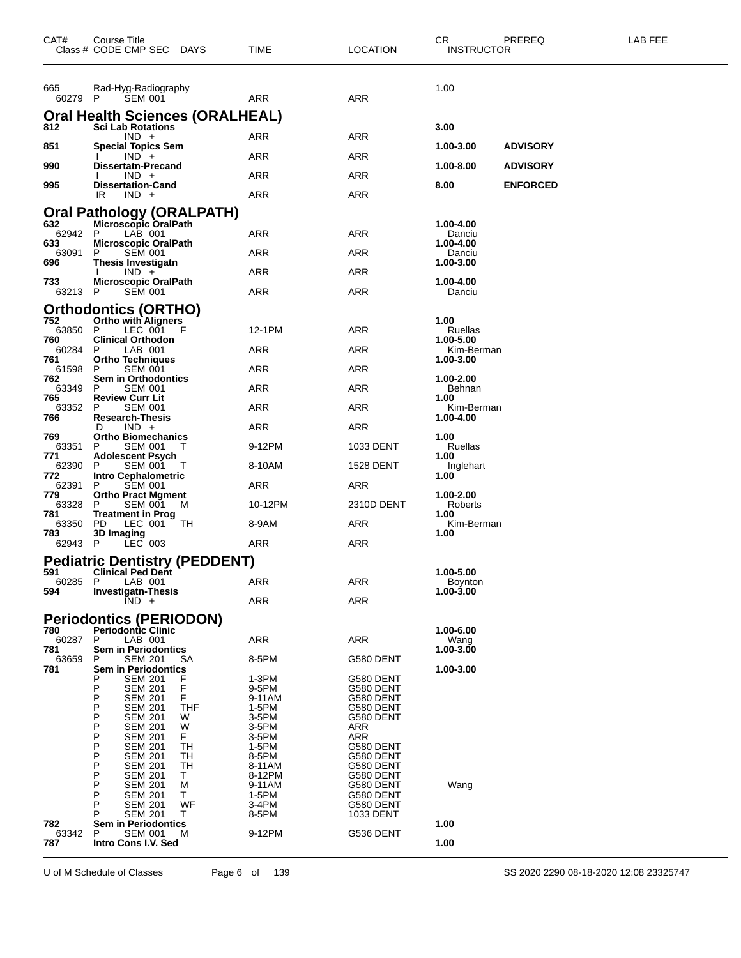| CAT#           | Course Title<br>Class # CODE CMP SEC<br><b>DAYS</b>               | TIME             | <b>LOCATION</b>         | CR.<br>PREREQ<br><b>INSTRUCTOR</b> | LAB FEE |
|----------------|-------------------------------------------------------------------|------------------|-------------------------|------------------------------------|---------|
| 665<br>60279 P | Rad-Hyg-Radiography<br><b>SEM 001</b>                             | ARR              | ARR                     | 1.00                               |         |
|                | <b>Oral Health Sciences (ORALHEAL)</b>                            |                  |                         |                                    |         |
| 812            | Sci Lab Rotations<br>$IND +$                                      | ARR              | ARR                     | 3.00                               |         |
| 851            | <b>Special Topics Sem</b>                                         | ARR              | ARR                     | <b>ADVISORY</b><br>1.00-3.00       |         |
| 990            | $IND +$<br>Dissertatn-Precand                                     |                  |                         | 1.00-8.00<br><b>ADVISORY</b>       |         |
| 995            | $IND +$<br><b>Dissertation-Cand</b>                               | ARR              | ARR                     | 8.00<br><b>ENFORCED</b>            |         |
|                | IR<br>$IND +$                                                     | ARR              | ARR                     |                                    |         |
| 632            | <b>Oral Pathology (ORALPATH)</b><br>Microscopic OralPath          |                  |                         | 1.00-4.00                          |         |
| 62942          | LAB 001<br>P                                                      | ARR              | ARR                     | Danciu                             |         |
| 633<br>63091   | Microscopic OralPath<br>P<br><b>SEM 001</b>                       | ARR              | ARR                     | 1.00-4.00<br>Danciu                |         |
| 696            | <b>Thesis Investigatn</b><br>$IND +$                              | ARR              | ARR                     | 1.00-3.00                          |         |
| 733            | Microscopic OralPath                                              |                  |                         | 1.00-4.00                          |         |
| 63213 P        | <b>SEM 001</b>                                                    | ARR              | ARR                     | Danciu                             |         |
| 752            | <b>Orthodontics (ORTHO)</b><br><b>Ortho with Aligners</b>         |                  |                         | 1.00                               |         |
| 63850<br>760   | LEC 001<br>P<br>F<br><b>Clinical Orthodon</b>                     | 12-1PM           | ARR                     | Ruellas<br>1.00-5.00               |         |
| 60284          | P<br>LAB 001                                                      | ARR              | ARR                     | Kim-Berman                         |         |
| 761<br>61598   | Ortho Techniques<br>P<br><b>SEM 001</b>                           | ARR              | ARR                     | 1.00-3.00                          |         |
| 762<br>63349   | <b>Sem in Orthodontics</b><br><b>SEM 001</b><br>P                 | ARR              | ARR                     | 1.00-2.00<br>Behnan                |         |
| 765<br>63352   | <b>Review Curr Lit</b><br>P<br><b>SEM 001</b>                     | ARR              | ARR                     | 1.00<br>Kim-Berman                 |         |
| 766            | <b>Research-Thesis</b>                                            |                  |                         | 1.00-4.00                          |         |
| 769            | $IND +$<br>D<br><b>Ortho Biomechanics</b>                         | ARR              | ARR                     | 1.00                               |         |
| 63351<br>771   | P<br>SEM 001<br><b>Adolescent Psych</b>                           | 9-12PM           | 1033 DENT               | Ruellas<br>1.00                    |         |
| 62390<br>772   | P<br><b>SEM 001</b><br>$\mathbf{I}$<br><b>Intro Cephalometric</b> | 8-10AM           | <b>1528 DENT</b>        | Inglehart<br>1.00                  |         |
| 62391<br>779   | P<br><b>SEM 001</b><br><b>Ortho Pract Mgment</b>                  | ARR              | ARR                     | 1.00-2.00                          |         |
| 63328          | SEM 001<br>P<br>M                                                 | 10-12PM          | 2310D DENT              | Roberts                            |         |
| 781<br>63350   | <b>Treatment in Prog</b><br>PD<br>LEC 001<br>TН                   | 8-9AM            | ARR                     | 1.00<br>Kim-Berman                 |         |
| 783<br>62943   | 3D Imaging<br>$LEC$ 003<br>P                                      | ARR              | ARR                     | 1.00                               |         |
|                | <b>Pediatric Dentistry (PEDDENT)</b>                              |                  |                         |                                    |         |
| 591            | <b>Clinical Ped Dent</b>                                          |                  |                         | 1.00-5.00                          |         |
| 60285<br>594   | P<br>LAB 001<br><b>Investigatn-Thesis</b>                         | ARR              | ARR                     | Boynton<br>$1.00 - 3.00$           |         |
|                | $IND +$                                                           | <b>ARR</b>       | <b>ARR</b>              |                                    |         |
| 780            | <b>Periodontics (PERIODON)</b><br><b>Periodontic Clinic</b>       |                  |                         | 1.00-6.00                          |         |
| 60287          | P<br>LAB 001                                                      | <b>ARR</b>       | ARR                     | Wang                               |         |
| 781<br>63659   | <b>Sem in Periodontics</b><br>P<br><b>SEM 201</b><br>SА           | 8-5PM            | G580 DENT               | 1.00-3.00                          |         |
| 781            | Sem in Periodontics<br><b>SEM 201</b><br>F<br>P                   | 1-3PM            | G580 DENT               | 1.00-3.00                          |         |
|                | F<br>Ρ<br><b>SEM 201</b><br>F<br>Ρ<br><b>SEM 201</b>              | 9-5PM<br>9-11AM  | G580 DENT<br>G580 DENT  |                                    |         |
|                | P<br><b>THF</b><br><b>SEM 201</b>                                 | 1-5PM            | G580 DENT               |                                    |         |
|                | Ρ<br>SEM 201<br>W<br>P<br>W<br>SEM 201                            | 3-5PM<br>3-5PM   | G580 DENT<br><b>ARR</b> |                                    |         |
|                | P<br>F.<br>SEM 201<br>P<br>TH<br>SEM 201                          | 3-5PM<br>1-5PM   | <b>ARR</b><br>G580 DENT |                                    |         |
|                | P<br>SEM 201<br>TН<br>P<br><b>TH</b>                              | 8-5PM            | G580 DENT               |                                    |         |
|                | SEM 201<br>Ρ<br>Τ<br>SEM 201                                      | 8-11AM<br>8-12PM | G580 DENT<br>G580 DENT  |                                    |         |
|                | P<br>SEM 201<br>M<br>P<br>SEM 201<br>Т                            | 9-11AM<br>1-5PM  | G580 DENT<br>G580 DENT  | Wang                               |         |
|                | P<br>WF<br>SEM 201<br>SEM 201<br>т                                | 3-4PM<br>8-5PM   | G580 DENT<br>1033 DENT  |                                    |         |
| 782            | <b>Sem in Periodontics</b>                                        |                  |                         | 1.00                               |         |
| 63342<br>787   | <b>SEM 001</b><br>P<br>M<br>Intro Cons I.V. Sed                   | 9-12PM           | G536 DENT               | 1.00                               |         |
|                |                                                                   |                  |                         |                                    |         |

U of M Schedule of Classes Page 6 of 139 SS 2020 2290 08-18-2020 12:08 23325747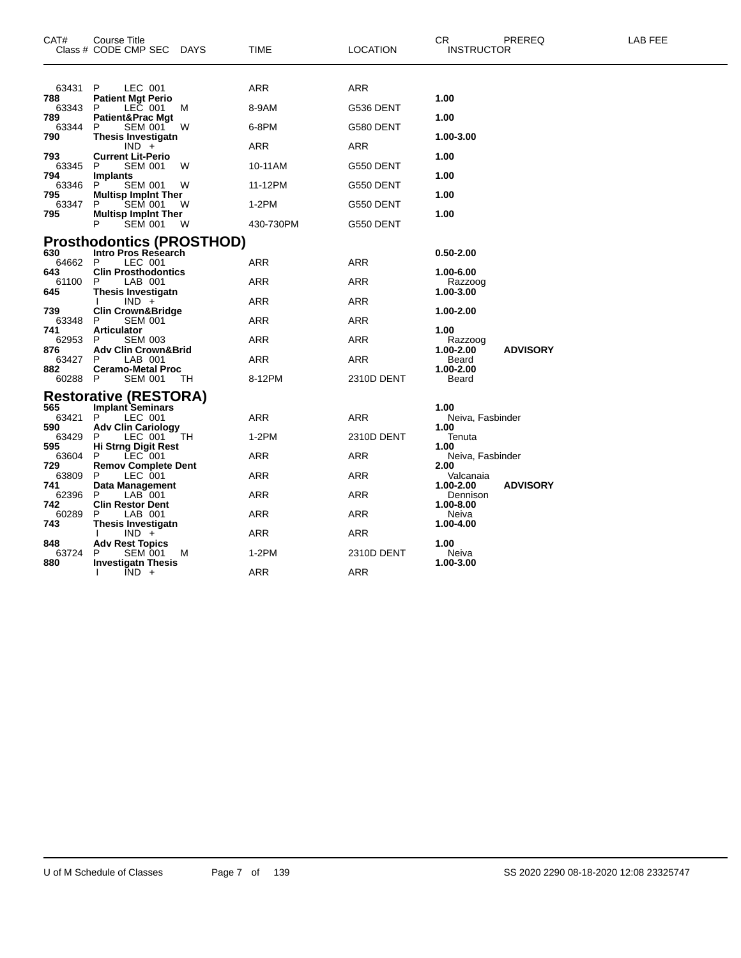| CAT#         | Course Title<br>Class # CODE CMP SEC DAYS           |    | TIME       | <b>LOCATION</b> | <b>CR</b><br><b>INSTRUCTOR</b> | PREREQ          | LAB FEE |
|--------------|-----------------------------------------------------|----|------------|-----------------|--------------------------------|-----------------|---------|
| 63431        | P<br>LEC 001                                        |    | ARR        | <b>ARR</b>      |                                |                 |         |
| 788<br>63343 | <b>Patient Mgt Perio</b><br>LEC 001<br>P            | M  | 8-9AM      | G536 DENT       | 1.00                           |                 |         |
| 789<br>63344 | Patient&Prac Mgt<br><b>SEM 001</b><br>P             | W  | 6-8PM      | G580 DENT       | 1.00                           |                 |         |
| 790          | <b>Thesis Investigatn</b>                           |    |            |                 | 1.00-3.00                      |                 |         |
| 793          | $IND +$<br><b>Current Lit-Perio</b>                 |    | ARR        | <b>ARR</b>      | 1.00                           |                 |         |
| 63345<br>794 | <b>SEM 001</b><br>P<br>Implants                     | W  | 10-11AM    | G550 DENT       | 1.00                           |                 |         |
| 63346        | P<br><b>SEM 001</b>                                 | W  | 11-12PM    | G550 DENT       |                                |                 |         |
| 795<br>63347 | <b>Multisp Implnt Ther</b><br>P<br><b>SEM 001</b>   | W  | $1-2PM$    | G550 DENT       | 1.00                           |                 |         |
| 795          | <b>Multisp Implnt Ther</b><br>SEM 001<br>P          | W  | 430-730PM  | G550 DENT       | 1.00                           |                 |         |
|              | <b>Prosthodontics (PROSTHOD)</b>                    |    |            |                 |                                |                 |         |
| 630          | <b>Intro Pros Research</b>                          |    |            |                 | $0.50 - 2.00$                  |                 |         |
| 64662<br>643 | LEC 001<br>P<br><b>Clin Prosthodontics</b>          |    | ARR        | ARR             | 1.00-6.00                      |                 |         |
| 61100<br>645 | P<br>LAB 001<br>Thesis Investigatn                  |    | <b>ARR</b> | <b>ARR</b>      | Razzoog<br>1.00-3.00           |                 |         |
|              | $IND +$                                             |    | ARR        | ARR             |                                |                 |         |
| 739<br>63348 | <b>Clin Crown&amp;Bridge</b><br><b>SEM 001</b><br>P |    | ARR        | ARR             | 1.00-2.00                      |                 |         |
| 741<br>62953 | <b>Articulator</b><br><b>SEM 003</b><br>P           |    | ARR        | ARR             | 1.00<br>Razzoog                |                 |         |
| 876          | <b>Adv Clin Crown&amp;Brid</b>                      |    |            |                 | 1.00-2.00                      | <b>ADVISORY</b> |         |
| 63427<br>882 | LAB 001<br>P<br><b>Ceramo-Metal Proc</b>            |    | ARR        | ARR             | Beard<br>1.00-2.00             |                 |         |
| 60288        | P<br><b>SEM 001</b>                                 | ТH | 8-12PM     | 2310D DENT      | Beard                          |                 |         |
| 565          | <b>Restorative (RESTORA)</b>                        |    |            |                 | 1.00                           |                 |         |
| 63421        | <b>Implant Seminars</b><br>P<br>LEC 001             |    | ARR        | ARR             | Neiva, Fasbinder               |                 |         |
| 590<br>63429 | <b>Adv Clin Cariology</b><br>P<br>LEC 001           | TН | $1-2PM$    | 2310D DENT      | 1.00<br>Tenuta                 |                 |         |
| 595<br>63604 | <b>Hi Strng Digit Rest</b><br>$LEC$ 001<br>P        |    | ARR        | ARR             | 1.00<br>Neiva, Fasbinder       |                 |         |
| 729          | <b>Remov Complete Dent</b>                          |    |            |                 | 2.00                           |                 |         |
| 63809<br>741 | LEC 001<br>P<br>Data Management                     |    | ARR        | <b>ARR</b>      | Valcanaia<br>1.00-2.00         | <b>ADVISORY</b> |         |
| 62396<br>742 | LAB 001<br>P<br><b>Clin Restor Dent</b>             |    | ARR        | ARR             | Dennison<br>1.00-8.00          |                 |         |
| 60289        | P<br>LAB 001                                        |    | ARR        | ARR             | Neiva                          |                 |         |
| 743          | Thesis Investigatn<br>$IND +$                       |    | ARR        | ARR             | 1.00-4.00                      |                 |         |
| 848<br>63724 | <b>Adv Rest Topics</b><br><b>SEM 001</b><br>Р       | м  | 1-2PM      | 2310D DENT      | 1.00<br>Neiva                  |                 |         |
| 880          | <b>Investigatn Thesis</b>                           |    |            |                 | 1.00-3.00                      |                 |         |
|              | $IND +$<br>I.                                       |    | <b>ARR</b> | <b>ARR</b>      |                                |                 |         |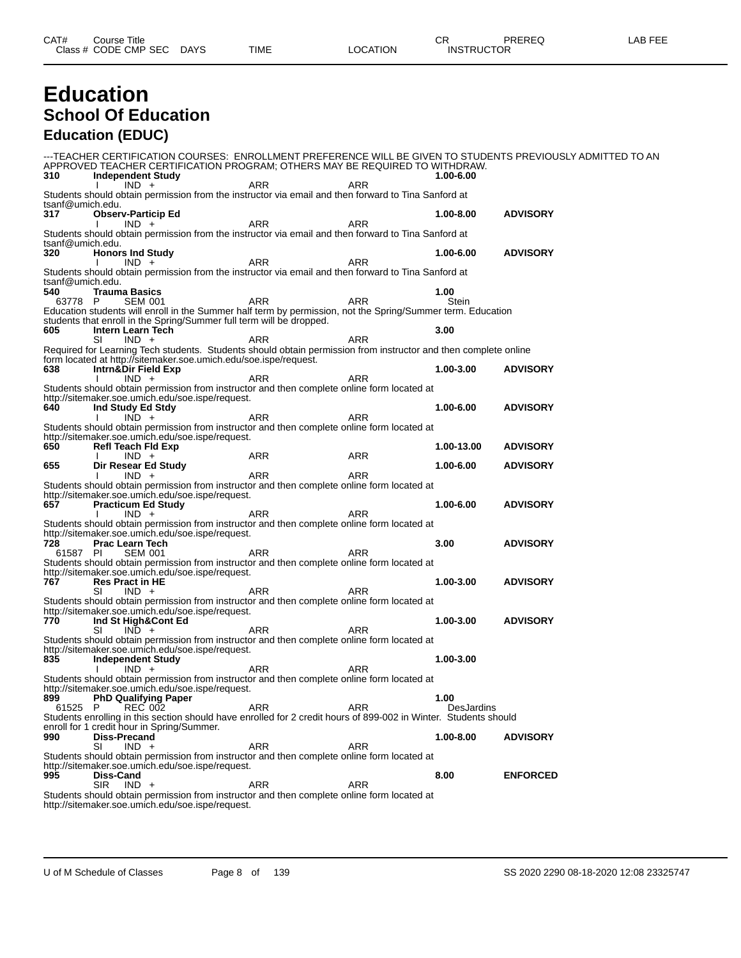#### **Education School Of Education Education (EDUC)**

-TEACHER CERTIFICATION COURSES: ENROLLMENT PREFERENCE WILL BE GIVEN TO STUDENTS PREVIOUSLY ADMITTED TO AN APPROVED TEACHER CERTIFICATION PROGRAM; OTHERS MAY BE REQUIRED TO WITHDRAW.<br>310 Independent Study **310 Independent Study 1.00-6.00** I IND + ARR ARR ARR Students should obtain permission from the instructor via email and then forward to Tina Sanford at tsanf@umich.edu.<br>317 Obser **317 Observ-Particip Ed 1.00-8.00 ADVISORY** I IND + ARR ARR ARR Students should obtain permission from the instructor via email and then forward to Tina Sanford at tsanf@umich.edu.<br>320 Honor **320 Honors Ind Study 1.00-6.00 ADVISORY** I IND + ARR ARR ARR Students should obtain permission from the instructor via email and then forward to Tina Sanford at tsanf@umich.edu.<br>540 Traum **540 Trauma Basics 1.00** 63778 P SEM 001 ARR ARR Stein Education students will enroll in the Summer half term by permission, not the Spring/Summer term. Education students that enroll in the Spring/Summer full term will be dropped.<br>605 **Intern Learn Tech findern Learn Tech 6**<br> **605 IND** + **605 ARR ARR ARR ARR 3.00** SI IND + ARR ARR ARR Required for Learning Tech students. Students should obtain permission from instructor and then complete online form located at http://sitemaker.soe.umich.edu/soe.ispe/request.<br>638 **Intrn&Dir Field Exp 638 Intrn&Dir Field Exp 1.00-3.00 ADVISORY** I IND + ARR ARR ARR Students should obtain permission from instructor and then complete online form located at http://sitemaker.soe.umich.edu/soe.ispe/request. **640 Ind Study Ed Stdy 1.00-6.00 ADVISORY** I IND + ARR ARR ARR Students should obtain permission from instructor and then complete online form located at http://sitemaker.soe.umich.edu/soe.ispe/request.<br>650 **Refl Teach Fid Exp 650 Refl Teach Fld Exp 1.00-13.00 ADVISORY** I IND + ARR ARR ARR **655 Dir Resear Ed Study 1.00-6.00 ADVISORY** I IND + ARR ARR ARR Students should obtain permission from instructor and then complete online form located at http://sitemaker.soe.umich.edu/soe.ispe/request. **657 Practicum Ed Study 1.00-6.00 ADVISORY** I IND + ARR ARR ARR Students should obtain permission from instructor and then complete online form located at http://sitemaker.soe.umich.edu/soe.ispe/request.<br>728 Prac Learn Tech **728 Prac Learn Tech 3.00 ADVISORY** 61587 PI SEM 001 ARR ARR Students should obtain permission from instructor and then complete online form located at http://sitemaker.soe.umich.edu/soe.ispe/request. **767 Res Pract in HE 1.00-3.00 ADVISORY** SI IND + ARR ARR ARR Students should obtain permission from instructor and then complete online form located at http://sitemaker.soe.umich.edu/soe.ispe/request. **770 Ind St High&Cont Ed 1.00-3.00 ADVISORY** SI IND + ARR ARR ARR Students should obtain permission from instructor and then complete online form located at http://sitemaker.soe.umich.edu/soe.ispe/request.<br>835 **Independent Study 835 Independent Study 1.00-3.00** I IND + ARR ARR ARR Students should obtain permission from instructor and then complete online form located at http://sitemaker.soe.umich.edu/soe.ispe/request.<br>899 PhD Qualifying Paper **8999 PhD Qualifying Paper**<br> **8999 PhD Qualifying Paper**<br> **81525 P** REC 002 ARR ARR PREC 1002 61525 P REC 002 ARR ARR DesJardins Students enrolling in this section should have enrolled for 2 credit hours of 899-002 in Winter. Students should enroll for 1 credit hour in Spring/Summer. **990 Diss-Precand 1.00-8.00 ADVISORY** SI IND + ARR ARR ARR Students should obtain permission from instructor and then complete online form located at http://sitemaker.soe.umich.edu/soe.ispe/request.<br>995 **Diss-Cand 995 Diss-Cand 8.00 ENFORCED** SIR IND + ARR ARR ARR Students should obtain permission from instructor and then complete online form located at http://sitemaker.soe.umich.edu/soe.ispe/request.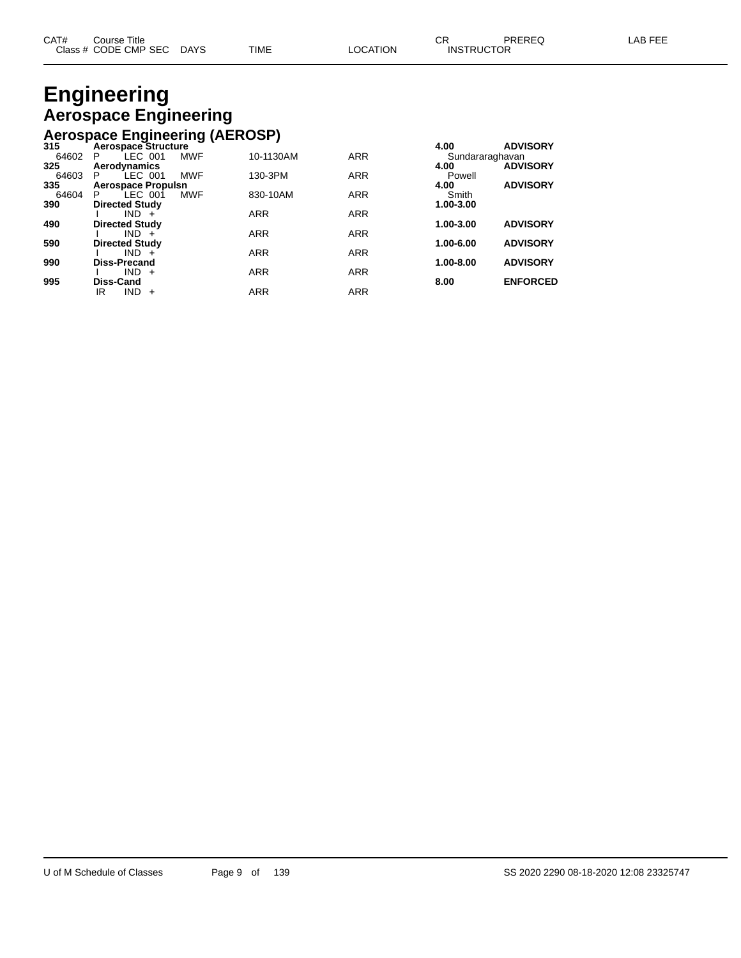# **Engineering Aerospace Engineering**

## **Aerospace Engineering (AEROSP) 315 Aerospace Structure 4.00 ADVISORY**

| 315   | Aerospace Structure         |            |            | 4.UU            | <b>ADVISORT</b> |
|-------|-----------------------------|------------|------------|-----------------|-----------------|
| 64602 | LEC 001<br><b>MWF</b><br>P  | 10-1130AM  | <b>ARR</b> | Sundararaghavan |                 |
| 325   | Aerodynamics                |            |            | 4.00            | <b>ADVISORY</b> |
| 64603 | LEC 001<br><b>MWF</b><br>P  | 130-3PM    | <b>ARR</b> | Powell          |                 |
| 335   | <b>Aerospace Propulsn</b>   |            |            | 4.00            | <b>ADVISORY</b> |
| 64604 | <b>MWF</b><br>LEC 001<br>P. | 830-10AM   | <b>ARR</b> | Smith           |                 |
| 390   | <b>Directed Study</b>       |            |            | 1.00-3.00       |                 |
|       | $IND +$                     | <b>ARR</b> | <b>ARR</b> |                 |                 |
| 490   | <b>Directed Study</b>       |            |            | 1.00-3.00       | <b>ADVISORY</b> |
|       | $IND +$                     | <b>ARR</b> | <b>ARR</b> |                 |                 |
| 590   | <b>Directed Study</b>       |            |            | $1.00 - 6.00$   | <b>ADVISORY</b> |
|       | $IND +$                     | <b>ARR</b> | <b>ARR</b> |                 |                 |
| 990   | <b>Diss-Precand</b>         |            |            | 1.00-8.00       | <b>ADVISORY</b> |
|       | $IND +$                     | <b>ARR</b> | <b>ARR</b> |                 |                 |
| 995   | Diss-Cand                   |            |            | 8.00            | <b>ENFORCED</b> |
|       | $IND +$<br>ΙR               | <b>ARR</b> | <b>ARR</b> |                 |                 |
|       |                             |            |            |                 |                 |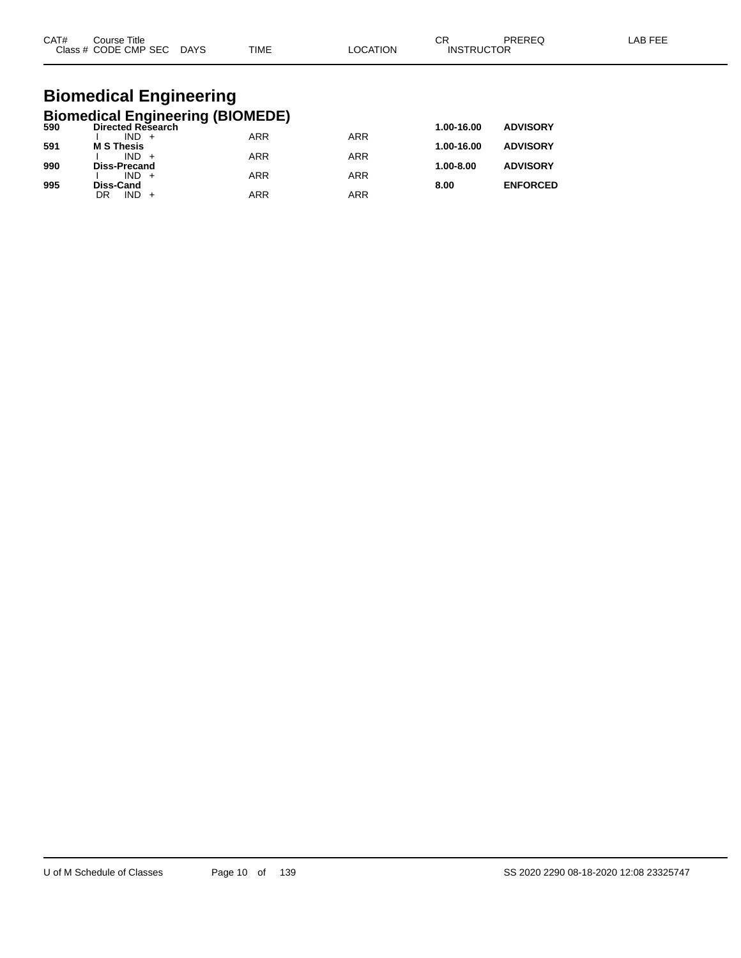| CAT#<br>C <sub>base</sub> | Title<br>Course<br>CODE CMP SEC<br>__ | <b>DAYS</b><br>$\sim$ | <b>TIME</b> | ΙOΝ | ⌒г<br>◡<br><b>CTOR</b><br>INS<br>וופד | _____ |  |
|---------------------------|---------------------------------------|-----------------------|-------------|-----|---------------------------------------|-------|--|
|                           |                                       |                       |             |     |                                       |       |  |

# **Biomedical Engineering**

|     | <b>Biomedical Engineering (BIOMEDE)</b> |            |                 |               |                 |
|-----|-----------------------------------------|------------|-----------------|---------------|-----------------|
| 590 | <b>Directed Research</b>                | 1.00-16.00 | <b>ADVISORY</b> |               |                 |
|     | $IND +$                                 | ARR        | <b>ARR</b>      |               |                 |
| 591 | <b>M S Thesis</b>                       |            |                 | 1.00-16.00    | <b>ADVISORY</b> |
| 990 | $IND +$<br><b>Diss-Precand</b>          | <b>ARR</b> | <b>ARR</b>      | $1.00 - 8.00$ | <b>ADVISORY</b> |
|     | $IND +$                                 | <b>ARR</b> | ARR             |               |                 |
| 995 | Diss-Cand                               |            |                 | 8.00          | <b>ENFORCED</b> |
|     | $IND +$<br>DR                           | <b>ARR</b> | ARR             |               |                 |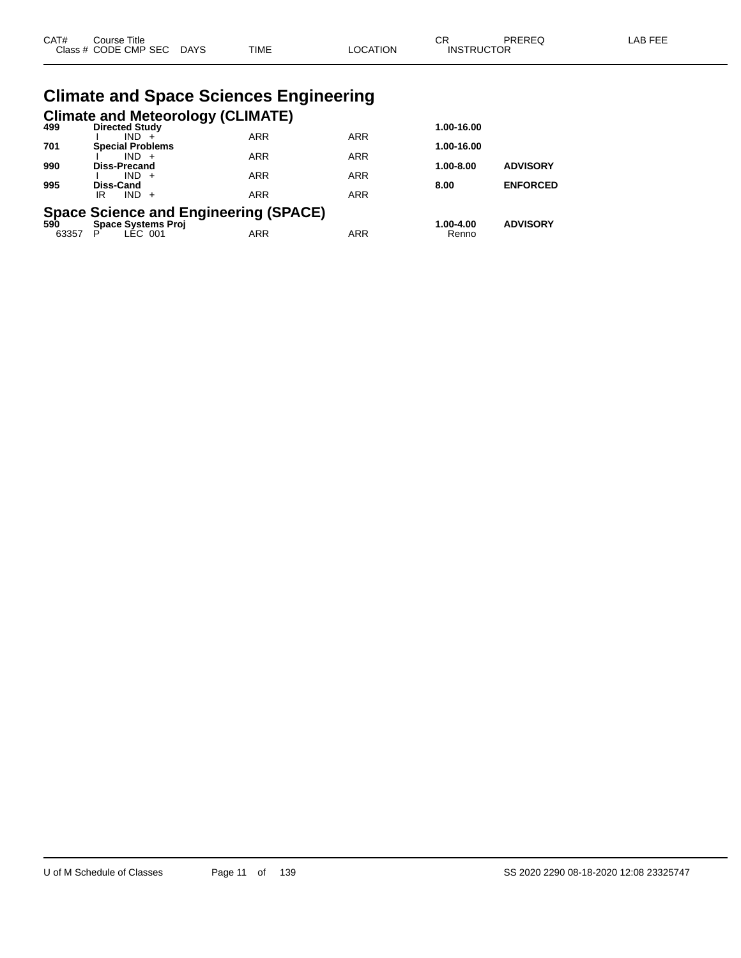| CAT# | Course Title<br>Class # CODE CMP SEC DAYS                          | <b>TIME</b> | <b>LOCATION</b> | <b>CR</b><br><b>INSTRUCTOR</b> | PREREQ          | <b>LAB FEE</b> |
|------|--------------------------------------------------------------------|-------------|-----------------|--------------------------------|-----------------|----------------|
|      | <b>Climate and Space Sciences Engineering</b>                      |             |                 |                                |                 |                |
| 499  | <b>Climate and Meteorology (CLIMATE)</b><br><b>Directed Study</b>  |             |                 | 1.00-16.00                     |                 |                |
| 701  | $IND +$<br><b>Special Problems</b>                                 | <b>ARR</b>  | <b>ARR</b>      | 1.00-16.00                     |                 |                |
|      | $IND +$                                                            | <b>ARR</b>  | <b>ARR</b>      |                                |                 |                |
| 990  | Diss-Precand<br>$IND +$                                            | <b>ARR</b>  | <b>ARR</b>      | 1.00-8.00                      | <b>ADVISORY</b> |                |
| 995  | Diss-Cand                                                          |             |                 | 8.00                           | <b>ENFORCED</b> |                |
|      | $IND +$<br>IR.                                                     | <b>ARR</b>  | <b>ARR</b>      |                                |                 |                |
| 590  | Space Science and Engineering (SPACE)<br><b>Space Systems Proj</b> |             |                 | 1.00-4.00                      | <b>ADVISORY</b> |                |

63357 P LEC 001 ARR ARR Renno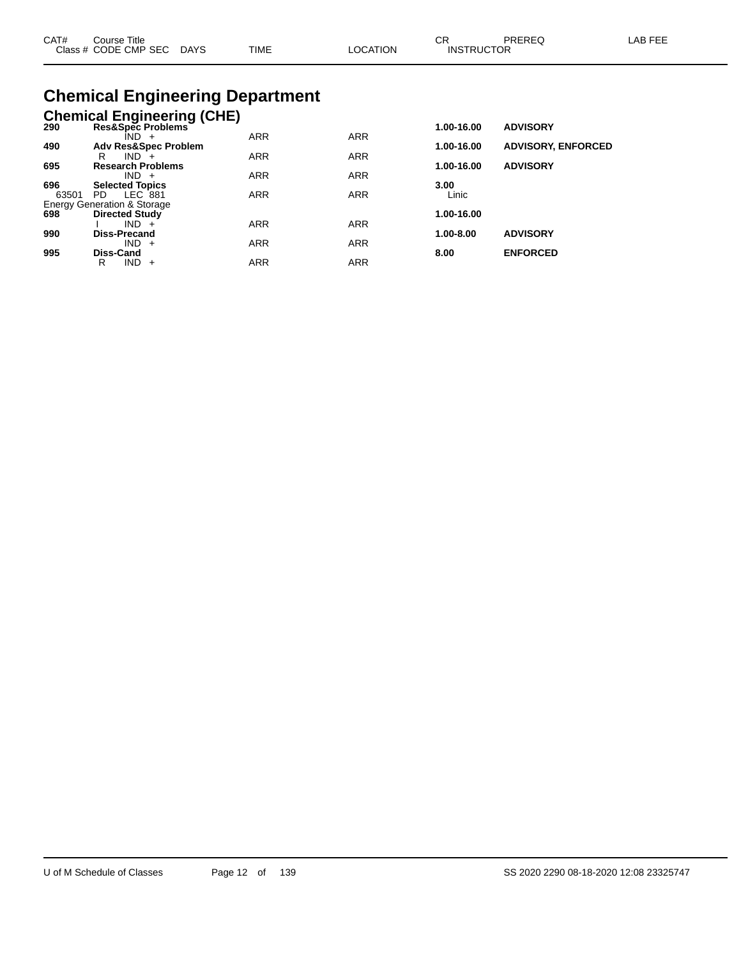| CAT# | Course Title              |             |                 |                   | PREREQ | LAB FEE |
|------|---------------------------|-------------|-----------------|-------------------|--------|---------|
|      | Class # CODE CMP SEC DAYS | <b>TIME</b> | <b>LOCATION</b> | <b>INSTRUCTOR</b> |        |         |
|      |                           |             |                 |                   |        |         |

# **Chemical Engineering Department**

|       | <b>Chemical Engineering (CHE)</b>      |            |            |               |                           |
|-------|----------------------------------------|------------|------------|---------------|---------------------------|
| 290   | Res&Spec Problems                      |            |            | 1.00-16.00    | <b>ADVISORY</b>           |
|       | $IND +$                                | <b>ARR</b> | <b>ARR</b> |               |                           |
| 490   | <b>Adv Res&amp;Spec Problem</b>        |            |            | 1.00-16.00    | <b>ADVISORY, ENFORCED</b> |
|       | IND.<br>R<br>$\div$                    | <b>ARR</b> | <b>ARR</b> |               |                           |
| 695   | <b>Research Problems</b><br>$IND +$    | <b>ARR</b> | <b>ARR</b> | 1.00-16.00    | <b>ADVISORY</b>           |
| 696   | <b>Selected Topics</b>                 |            |            | 3.00          |                           |
| 63501 | LEC 881<br>PD.                         | <b>ARR</b> | <b>ARR</b> | Linic         |                           |
|       | <b>Energy Generation &amp; Storage</b> |            |            |               |                           |
| 698   | <b>Directed Study</b>                  |            |            | 1.00-16.00    |                           |
|       | $IND +$                                | <b>ARR</b> | <b>ARR</b> |               |                           |
| 990   | <b>Diss-Precand</b>                    |            |            | $1.00 - 8.00$ | <b>ADVISORY</b>           |
|       | $IND +$                                | <b>ARR</b> | <b>ARR</b> |               |                           |
| 995   | <b>Diss-Cand</b>                       |            |            | 8.00          | <b>ENFORCED</b>           |
|       | IND.<br>R<br>$\ddot{}$                 | ARR        | <b>ARR</b> |               |                           |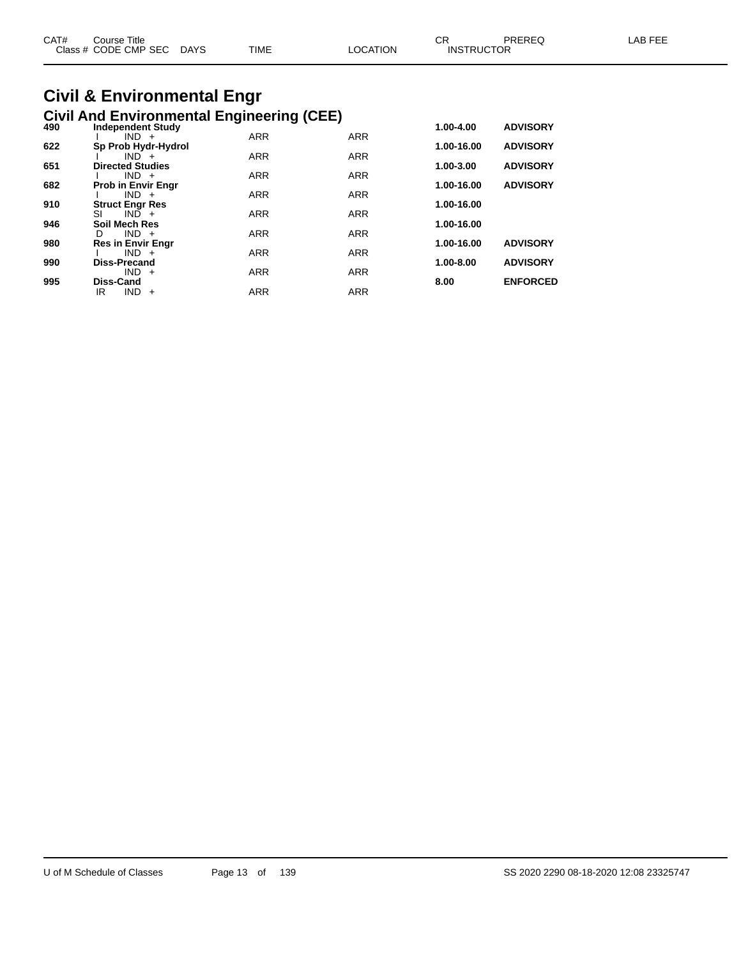| CAT# | Course Title<br>Class # CODE CMP SEC DAYS | <b>TIME</b> | LOCATION | СR<br><b>INSTRUCTOR</b> | PREREQ | LAB FEE |
|------|-------------------------------------------|-------------|----------|-------------------------|--------|---------|
|      |                                           |             |          |                         |        |         |

# **Civil & Environmental Engr**

|     | <b>Civil And Environmental Engineering (CEE)</b> |            |            |            |                 |
|-----|--------------------------------------------------|------------|------------|------------|-----------------|
| 490 | <b>Independent Study</b>                         |            |            | 1.00-4.00  | <b>ADVISORY</b> |
|     | $IND +$                                          | <b>ARR</b> | <b>ARR</b> |            |                 |
| 622 | Sp Prob Hydr-Hydrol                              |            |            | 1.00-16.00 | <b>ADVISORY</b> |
|     | $IND +$                                          | <b>ARR</b> | <b>ARR</b> |            |                 |
| 651 | <b>Directed Studies</b>                          |            |            | 1.00-3.00  | <b>ADVISORY</b> |
|     | $IND +$                                          | <b>ARR</b> | <b>ARR</b> |            |                 |
| 682 | <b>Prob in Envir Engr</b>                        |            |            | 1.00-16.00 | <b>ADVISORY</b> |
|     | $IND +$                                          | <b>ARR</b> | <b>ARR</b> |            |                 |
| 910 | <b>Struct Engr Res</b>                           |            |            | 1.00-16.00 |                 |
|     | $IND +$<br>SI                                    | <b>ARR</b> | <b>ARR</b> |            |                 |
| 946 | <b>Soil Mech Res</b>                             |            |            | 1.00-16.00 |                 |
|     | $IND +$<br>D                                     | <b>ARR</b> | <b>ARR</b> |            |                 |
| 980 | <b>Res in Envir Engr</b>                         |            |            | 1.00-16.00 | <b>ADVISORY</b> |
|     | $IND +$                                          | <b>ARR</b> | <b>ARR</b> |            |                 |
| 990 | <b>Diss-Precand</b>                              |            |            | 1.00-8.00  | <b>ADVISORY</b> |
|     | $IND +$                                          | <b>ARR</b> | <b>ARR</b> |            |                 |
| 995 | <b>Diss-Cand</b>                                 |            |            | 8.00       | <b>ENFORCED</b> |
|     | IR<br><b>IND</b><br>$+$                          | <b>ARR</b> | <b>ARR</b> |            |                 |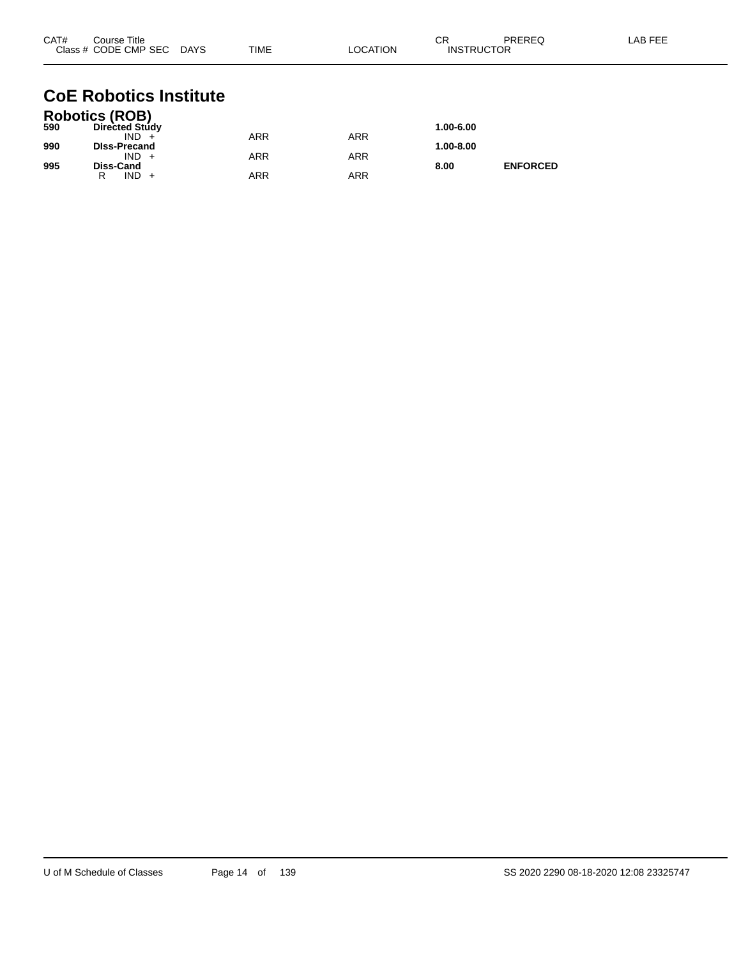| CAT# | Course Title<br>Class # CODE CMP SEC DAYS | TIME       | <b>LOCATION</b> | CR<br><b>INSTRUCTOR</b> | PREREQ          | LAB FEE |
|------|-------------------------------------------|------------|-----------------|-------------------------|-----------------|---------|
|      | <b>CoE Robotics Institute</b>             |            |                 |                         |                 |         |
| 590  | Robotics (ROB)<br>Directed Study          |            |                 | 1.00-6.00               |                 |         |
|      | $IND +$                                   | <b>ARR</b> | <b>ARR</b>      |                         |                 |         |
| 990  | <b>DIss-Precand</b>                       |            |                 | 1.00-8.00               |                 |         |
| 995  | $IND +$<br>Diss-Cand                      | <b>ARR</b> | <b>ARR</b>      | 8.00                    | <b>ENFORCED</b> |         |

R IND + ARR ARR ARR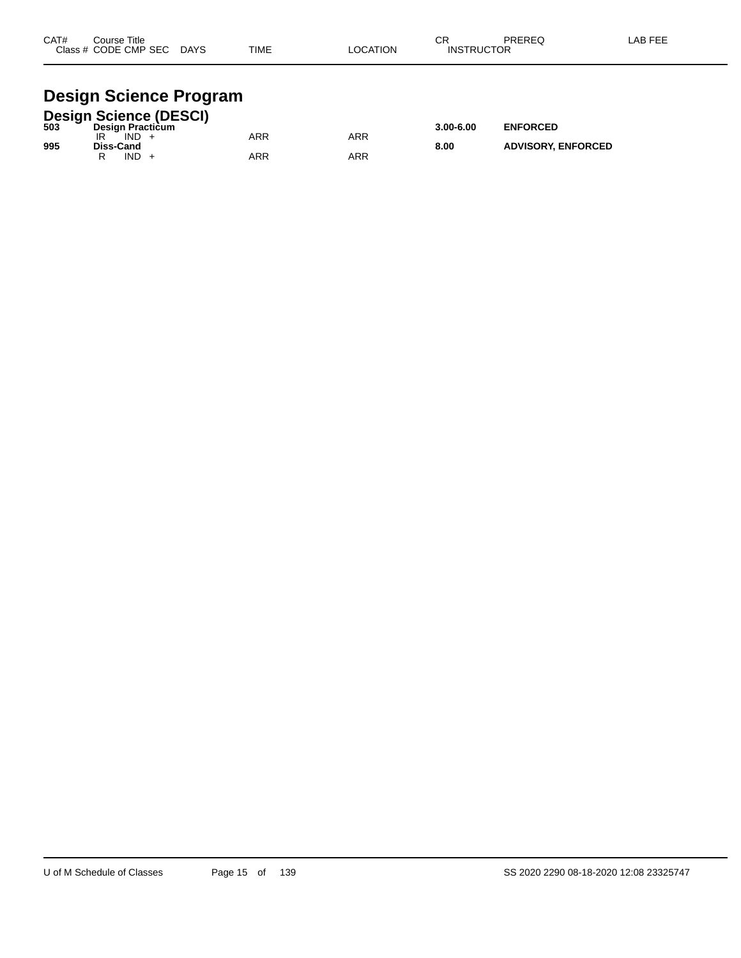| CAT# | Course Title<br>Class # CODE CMP SEC | <b>DAYS</b> | <b>TIME</b> | LOCATION | ◠г<br>. اب<br><b>INSTRUCTOR</b> | PREREQ | LAB FEE |
|------|--------------------------------------|-------------|-------------|----------|---------------------------------|--------|---------|
|      |                                      |             |             |          |                                 |        |         |

#### **Design Science Program**

|     |           |      | <b>Design Science (DESCI)</b> |     |     |               |                           |
|-----|-----------|------|-------------------------------|-----|-----|---------------|---------------------------|
| 503 |           |      | <b>Design Practicum</b>       |     |     | $3.00 - 6.00$ | <b>ENFORCED</b>           |
|     |           | IND. |                               | ARR | ARR |               |                           |
| 995 | Diss-Cand | IND. |                               | ARR | ARR | 8.00          | <b>ADVISORY, ENFORCED</b> |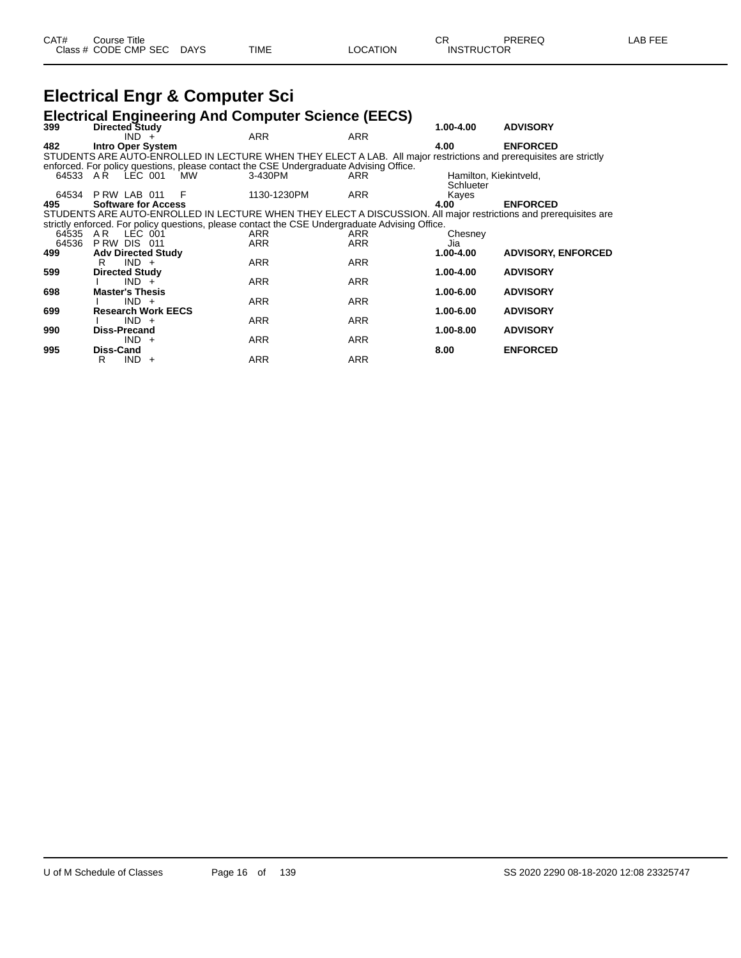## **Electrical Engr & Computer Sci**

|          |                                |     | <b>Electrical Engineering And Computer Science (EECS)</b>                                      |            |                        |                                                                                                                    |
|----------|--------------------------------|-----|------------------------------------------------------------------------------------------------|------------|------------------------|--------------------------------------------------------------------------------------------------------------------|
| 399      | Directed Study                 |     |                                                                                                |            | 1.00-4.00              | <b>ADVISORY</b>                                                                                                    |
|          | $IND +$                        |     | <b>ARR</b>                                                                                     | <b>ARR</b> |                        |                                                                                                                    |
| 482      | <b>Intro Oper System</b>       |     |                                                                                                |            | 4.00                   | <b>ENFORCED</b>                                                                                                    |
|          |                                |     |                                                                                                |            |                        | STUDENTS ARE AUTO-ENROLLED IN LECTURE WHEN THEY ELECT A LAB. All major restrictions and prerequisites are strictly |
|          |                                |     | enforced. For policy questions, please contact the CSE Undergraduate Advising Office.          |            |                        |                                                                                                                    |
| 64533 AR | LEC 001                        | MW. | 3-430PM                                                                                        | ARR        | Hamilton, Kiekintveld, |                                                                                                                    |
|          | 64534 P RW LAB 011             | - F | 1130-1230PM                                                                                    | <b>ARR</b> | Schlueter              |                                                                                                                    |
| 495      | <b>Software for Access</b>     |     |                                                                                                |            | Kayes<br>4.00          | <b>ENFORCED</b>                                                                                                    |
|          |                                |     |                                                                                                |            |                        | STUDENTS ARE AUTO-ENROLLED IN LECTURE WHEN THEY ELECT A DISCUSSION. All major restrictions and prerequisites are   |
|          |                                |     | strictly enforced. For policy questions, please contact the CSE Undergraduate Advising Office. |            |                        |                                                                                                                    |
| 64535    | AR LEC 001                     |     | <b>ARR</b>                                                                                     | <b>ARR</b> | Chesney                |                                                                                                                    |
| 64536    | PRW DIS 011                    |     | <b>ARR</b>                                                                                     | <b>ARR</b> | Jia                    |                                                                                                                    |
| 499      | <b>Adv Directed Study</b>      |     |                                                                                                |            | 1.00-4.00              | <b>ADVISORY, ENFORCED</b>                                                                                          |
|          | $IND +$<br>R                   |     | <b>ARR</b>                                                                                     | ARR        |                        |                                                                                                                    |
| 599      | <b>Directed Study</b>          |     |                                                                                                |            | $1.00 - 4.00$          | <b>ADVISORY</b>                                                                                                    |
|          | $IND +$                        |     | <b>ARR</b>                                                                                     | <b>ARR</b> |                        |                                                                                                                    |
| 698      | <b>Master's Thesis</b>         |     |                                                                                                |            | 1.00-6.00              | <b>ADVISORY</b>                                                                                                    |
|          | $IND +$                        |     | <b>ARR</b>                                                                                     | ARR        |                        |                                                                                                                    |
| 699      | <b>Research Work EECS</b>      |     |                                                                                                |            | 1.00-6.00              | <b>ADVISORY</b>                                                                                                    |
| 990      | $IND +$<br><b>Diss-Precand</b> |     | <b>ARR</b>                                                                                     | <b>ARR</b> | 1.00-8.00              | <b>ADVISORY</b>                                                                                                    |
|          | $IND +$                        |     | <b>ARR</b>                                                                                     | <b>ARR</b> |                        |                                                                                                                    |
| 995      | <b>Diss-Cand</b>               |     |                                                                                                |            | 8.00                   | <b>ENFORCED</b>                                                                                                    |
|          | $IND +$<br>R                   |     | <b>ARR</b>                                                                                     | <b>ARR</b> |                        |                                                                                                                    |
|          |                                |     |                                                                                                |            |                        |                                                                                                                    |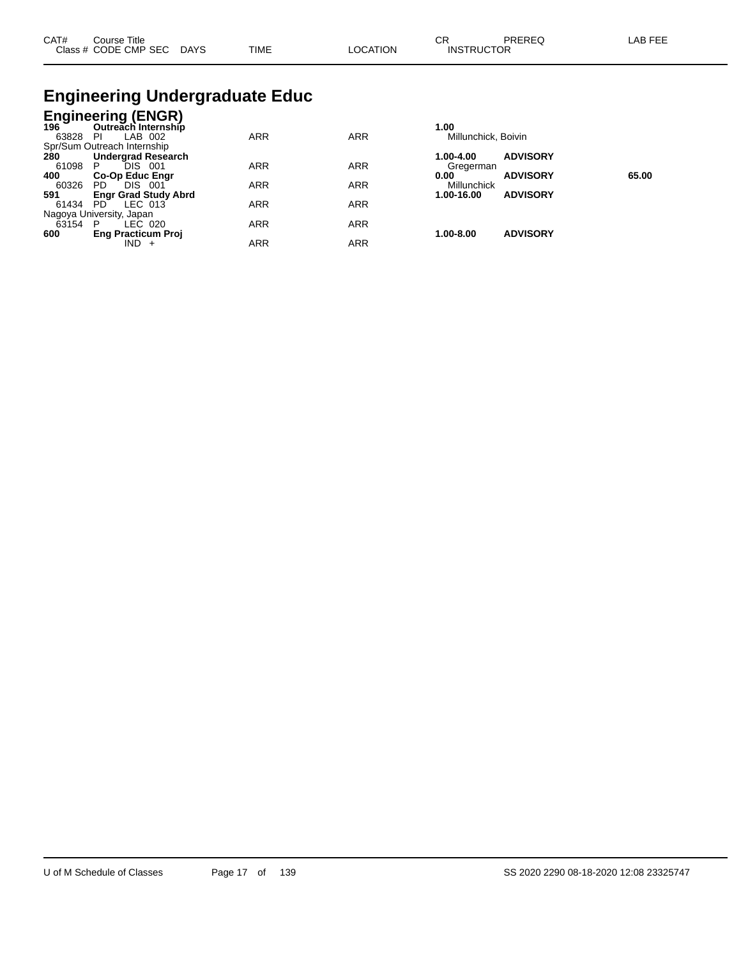| CAT# | Course Title              |      |          | $\cap$<br>◡⊓      | PREREQ | ∟AB FEE |
|------|---------------------------|------|----------|-------------------|--------|---------|
|      | Class # CODE CMP SEC DAYS | TIME | LOCATION | <b>INSTRUCTOR</b> |        |         |

# **Engineering Undergraduate Educ**

|       | <b>Engineering (ENGR)</b><br>196 Outreach Internship      |            |            |                     |                 |       |
|-------|-----------------------------------------------------------|------------|------------|---------------------|-----------------|-------|
|       | Outreach Internship                                       |            |            | 1.00                |                 |       |
| 63828 | LAB 002<br>-PI                                            | <b>ARR</b> | <b>ARR</b> | Millunchick, Boivin |                 |       |
|       | Spr/Sum Outreach Internship<br>280 <b>Undergrad Resea</b> |            |            |                     |                 |       |
|       | <b>Undergrad Research</b>                                 |            |            | 1.00-4.00           | <b>ADVISORY</b> |       |
| 61098 | <b>DIS</b><br>P.<br>-001                                  | <b>ARR</b> | <b>ARR</b> | Gregerman           |                 |       |
| 400   | <b>Co-Op Educ Engr</b>                                    |            |            | 0.00                | <b>ADVISORY</b> | 65.00 |
| 60326 | DIS.<br>PD.<br>- 001                                      | <b>ARR</b> | <b>ARR</b> | Millunchick         |                 |       |
| 591   | <b>Engr Grad Study Abrd</b>                               |            |            | 1.00-16.00          | <b>ADVISORY</b> |       |
| 61434 | LEC 013<br>PD.                                            | <b>ARR</b> | <b>ARR</b> |                     |                 |       |
|       | Nagoya University, Japan                                  |            |            |                     |                 |       |
| 63154 | - P<br>LEC 020                                            | <b>ARR</b> | <b>ARR</b> |                     |                 |       |
| 600   | <b>Eng Practicum Proj</b>                                 |            |            | 1.00-8.00           | <b>ADVISORY</b> |       |
|       | IND -                                                     | <b>ARR</b> | <b>ARR</b> |                     |                 |       |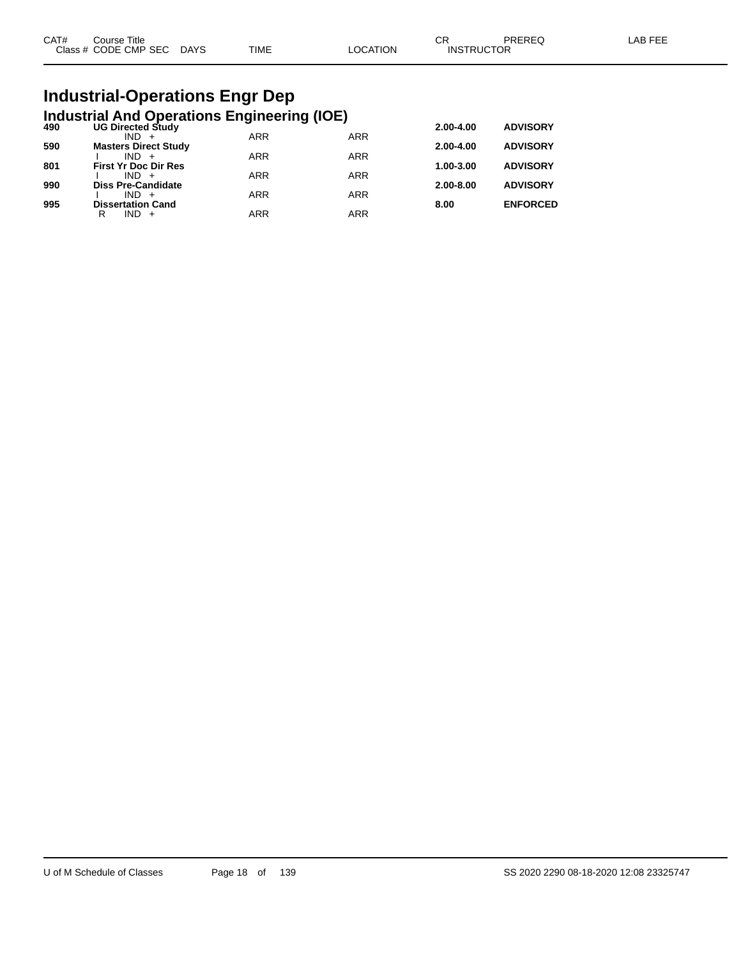| CAT# | Course Title              |      |          | ∩⊓<br>- UN        | PREREQ | _AB FEE |
|------|---------------------------|------|----------|-------------------|--------|---------|
|      | Class # CODE CMP SEC DAYS | TIME | LOCATION | <b>INSTRUCTOR</b> |        |         |

# **Industrial-Operations Engr Dep**

| <b>UG Directed Study</b>    |                                                   |                                 | 2.00-4.00                                                                                    | <b>ADVISORY</b> |
|-----------------------------|---------------------------------------------------|---------------------------------|----------------------------------------------------------------------------------------------|-----------------|
|                             |                                                   |                                 |                                                                                              |                 |
|                             |                                                   |                                 |                                                                                              | <b>ADVISORY</b> |
| <b>First Yr Doc Dir Res</b> |                                                   |                                 | 1.00-3.00                                                                                    | <b>ADVISORY</b> |
| $IND +$                     | <b>ARR</b>                                        | <b>ARR</b>                      |                                                                                              |                 |
| <b>Diss Pre-Candidate</b>   |                                                   |                                 | $2.00 - 8.00$                                                                                | <b>ADVISORY</b> |
| $IND +$                     | <b>ARR</b>                                        | <b>ARR</b>                      |                                                                                              |                 |
| <b>Dissertation Cand</b>    |                                                   |                                 | 8.00                                                                                         | <b>ENFORCED</b> |
| $IND +$<br>R                |                                                   |                                 |                                                                                              |                 |
|                             | $IND +$<br><b>Masters Direct Study</b><br>$IND +$ | <b>ARR</b><br><b>ARR</b><br>ARR | <b>Industrial And Operations Engineering (IOE)</b><br><b>ARR</b><br><b>ARR</b><br><b>ARR</b> | 2.00-4.00       |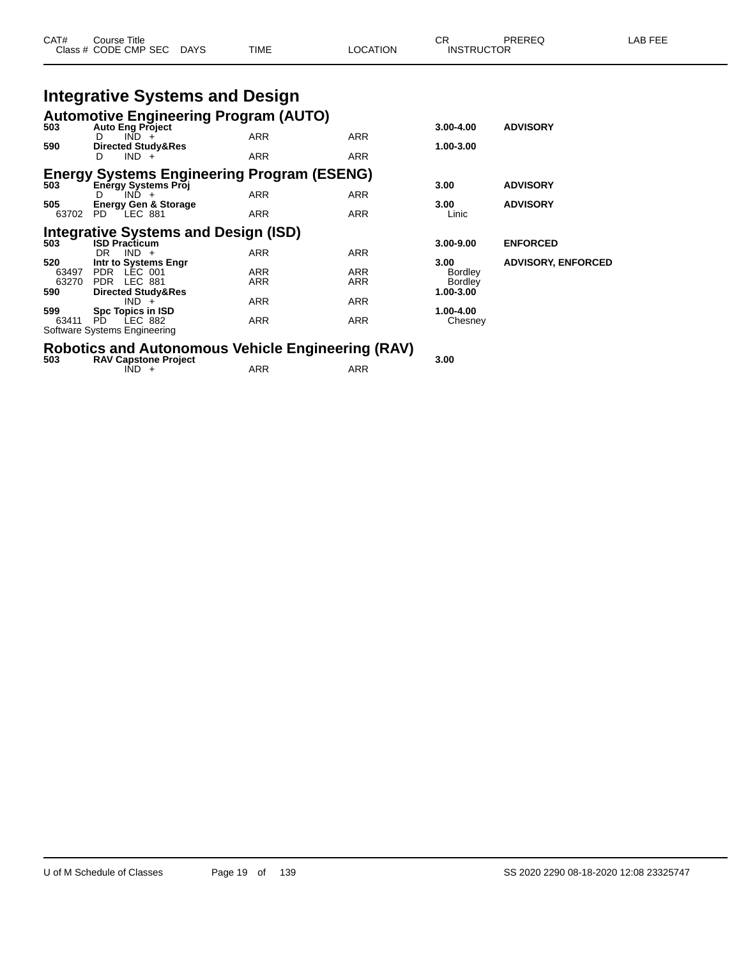| CAT#         | Course Title<br>Class # CODE CMP SEC DAYS                               | TIME       | LOCATION                    | <b>CR</b><br><b>INSTRUCTOR</b> | PREREQ                    | LAB FEE |
|--------------|-------------------------------------------------------------------------|------------|-----------------------------|--------------------------------|---------------------------|---------|
|              | <b>Integrative Systems and Design</b>                                   |            |                             |                                |                           |         |
| 503          | <b>Automotive Engineering Program (AUTO)</b><br><b>Auto Eng Project</b> |            |                             | $3.00 - 4.00$                  | <b>ADVISORY</b>           |         |
|              | $IND +$<br>D.                                                           | <b>ARR</b> | ARR                         |                                |                           |         |
| 590          | Directed Study&Res<br>$IND +$                                           | ARR        | ARR                         | 1.00-3.00                      |                           |         |
|              | <b>Energy Systems Engineering Program (ESENG)</b>                       |            |                             |                                |                           |         |
| 503          | <b>Energy Systems Proj</b>                                              |            |                             | 3.00                           | <b>ADVISORY</b>           |         |
| 505          | $IND +$<br><b>Energy Gen &amp; Storage</b>                              | ARR        | ARR                         | 3.00                           | <b>ADVISORY</b>           |         |
| 63702 PD     | $LEC$ 881                                                               | <b>ARR</b> | ARR                         | Linic                          |                           |         |
|              | <b>Integrative Systems and Design (ISD)</b>                             |            |                             |                                |                           |         |
| 503          | <b>ISD Practicum</b>                                                    |            |                             | $3.00 - 9.00$                  | <b>ENFORCED</b>           |         |
|              | $IND +$<br>DR.                                                          | ARR        | <b>ARR</b>                  |                                |                           |         |
| 520<br>63497 | Intr to Systems Engr<br>PDR LEC 001                                     | ARR        | ARR                         | 3.00<br><b>Bordley</b>         | <b>ADVISORY, ENFORCED</b> |         |
| 63270        | PDR LEC 881                                                             | ARR        | ARR                         | <b>Bordley</b>                 |                           |         |
| 590          | <b>Directed Study&amp;Res</b>                                           |            |                             | 1.00-3.00                      |                           |         |
|              | $IND +$                                                                 | ARR        | ARR                         |                                |                           |         |
| 599          | Spc Topics in ISD                                                       |            |                             | 1.00-4.00                      |                           |         |
| 63411        | LEC 882<br>PD.                                                          | ARR        | ARR                         | Chesney                        |                           |         |
|              | Software Systems Engineering                                            |            |                             |                                |                           |         |
|              |                                                                         | .          | $\sim$ $\sim$ $\sim$ $\sim$ |                                |                           |         |

## **Robotics and Autonomous Vehicle Engineering (RAV) 503 RAV Capstone Project 3.00**

 $\overline{N}$  +  $\overline{R}$  ARR  $\overline{R}$  ARR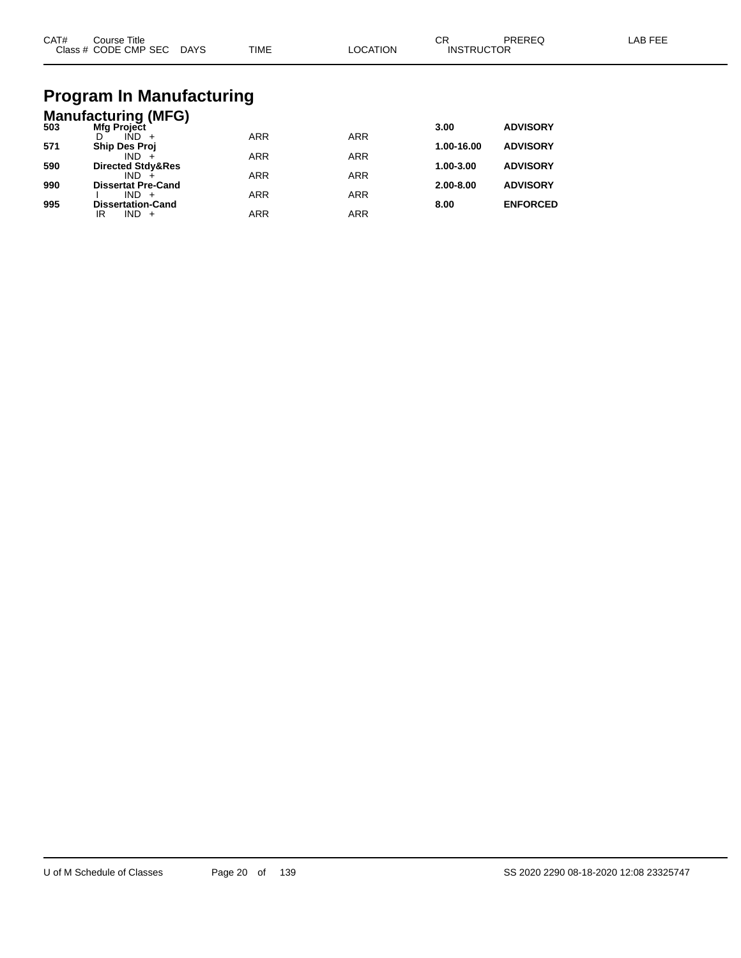| CAT#<br>Course Title<br>Class # CODE CMP SEC DAYS | TIME | LOCATION | CR<br><b>INSTRUCTOR</b> | PREREQ | LAB FEE |
|---------------------------------------------------|------|----------|-------------------------|--------|---------|
| Draaram In Manufacturing                          |      |          |                         |        |         |

#### **Program In Manufacturing Manufacturing (MFG)**

| 503 | Mfg Project                  |            |            | 3.00          | <b>ADVISORY</b> |
|-----|------------------------------|------------|------------|---------------|-----------------|
|     | $IND +$                      | <b>ARR</b> | <b>ARR</b> |               |                 |
| 571 | <b>Ship Des Proj</b>         |            |            | 1.00-16.00    | <b>ADVISORY</b> |
|     | $IND +$                      | <b>ARR</b> | <b>ARR</b> |               |                 |
| 590 | <b>Directed Stdy&amp;Res</b> |            |            | 1.00-3.00     | <b>ADVISORY</b> |
|     | IND.                         | <b>ARR</b> | <b>ARR</b> |               |                 |
| 990 | <b>Dissertat Pre-Cand</b>    |            |            | $2.00 - 8.00$ | <b>ADVISORY</b> |
|     | $IND +$                      | <b>ARR</b> | ARR        |               |                 |
| 995 | <b>Dissertation-Cand</b>     |            |            | 8.00          | <b>ENFORCED</b> |
|     | IND.<br>IR                   | ARR        | ARR        |               |                 |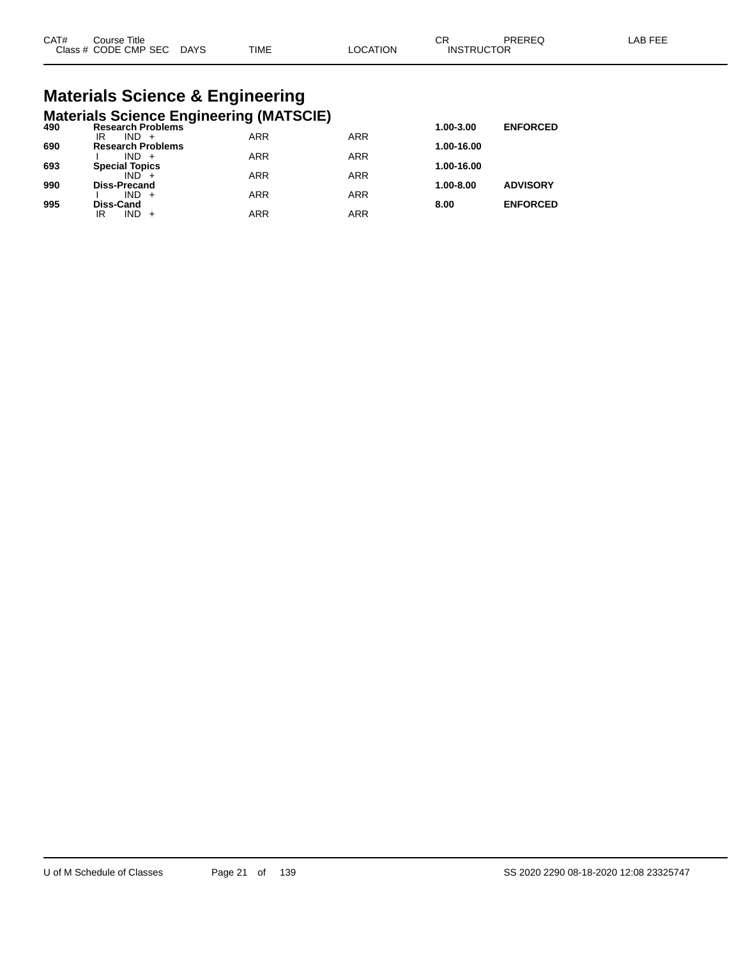# **Materials Science & Engineering**

|     | <b>Materials Science Engineering (MATSCIE)</b> |            |            |            |                 |
|-----|------------------------------------------------|------------|------------|------------|-----------------|
| 490 | <b>Research Problems</b>                       |            |            | 1.00-3.00  | <b>ENFORCED</b> |
|     | $IND +$<br>IR                                  | <b>ARR</b> | <b>ARR</b> |            |                 |
| 690 | <b>Research Problems</b>                       |            |            | 1.00-16.00 |                 |
|     | $IND +$                                        | <b>ARR</b> | <b>ARR</b> |            |                 |
| 693 | <b>Special Topics</b>                          |            |            | 1.00-16.00 |                 |
|     | $IND +$                                        | <b>ARR</b> | <b>ARR</b> |            |                 |
| 990 | <b>Diss-Precand</b>                            |            |            | 1.00-8.00  | <b>ADVISORY</b> |
|     | $IND +$                                        | <b>ARR</b> | <b>ARR</b> |            |                 |
| 995 | <b>Diss-Cand</b>                               |            |            | 8.00       | <b>ENFORCED</b> |
|     | $IND +$<br>IR                                  | <b>ARR</b> | ARR        |            |                 |
|     |                                                |            |            |            |                 |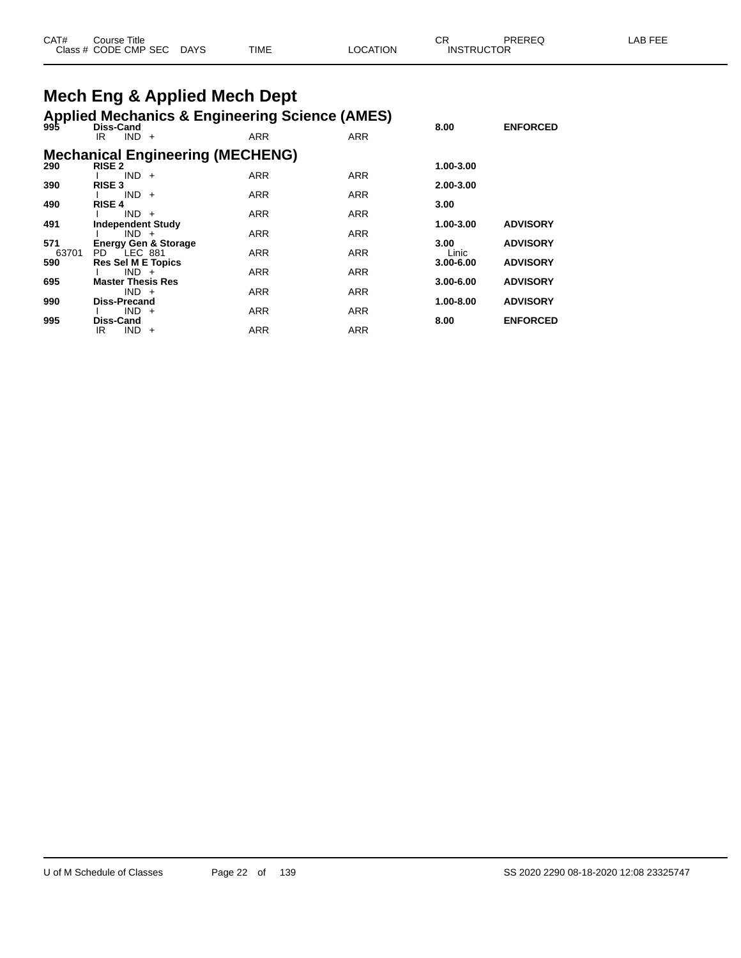| CAT# | Title<br>Course      |             |             |          | СF                | PREREQ | AB FFF |
|------|----------------------|-------------|-------------|----------|-------------------|--------|--------|
|      | Class # CODE CMP SEC | <b>DAYS</b> | <b>TIME</b> | _OCATION | <b>INSTRUCTOR</b> |        |        |

# **Mech Eng & Applied Mech Dept**

| 995          | Diss-Cand                                                   |                                         | <b>Applied Mechanics &amp; Engineering Science (AMES)</b> |            | 8.00          | <b>ENFORCED</b> |
|--------------|-------------------------------------------------------------|-----------------------------------------|-----------------------------------------------------------|------------|---------------|-----------------|
|              | $IND +$<br>IR.                                              |                                         | <b>ARR</b>                                                | <b>ARR</b> |               |                 |
| 290          | <b>RISE 2</b>                                               | <b>Mechanical Engineering (MECHENG)</b> |                                                           |            | 1.00-3.00     |                 |
|              | $IND +$                                                     |                                         | <b>ARR</b>                                                | <b>ARR</b> |               |                 |
| 390          | <b>RISE 3</b><br>$IND +$                                    |                                         | <b>ARR</b>                                                | <b>ARR</b> | 2.00-3.00     |                 |
| 490          | <b>RISE 4</b>                                               |                                         |                                                           |            | 3.00          |                 |
| 491          | $IND +$<br><b>Independent Study</b>                         |                                         | <b>ARR</b>                                                | <b>ARR</b> | 1.00-3.00     | <b>ADVISORY</b> |
|              | $IND +$                                                     |                                         | <b>ARR</b>                                                | <b>ARR</b> |               |                 |
| 571<br>63701 | <b>Energy Gen &amp; Storage</b><br>$\degree$ LEC 881<br>PD. |                                         | <b>ARR</b>                                                | <b>ARR</b> | 3.00<br>Linic | <b>ADVISORY</b> |
| 590          | <b>Res Sel M E Topics</b>                                   |                                         |                                                           | <b>ARR</b> | $3.00 - 6.00$ | <b>ADVISORY</b> |
| 695          | $IND +$<br><b>Master Thesis Res</b>                         |                                         | <b>ARR</b>                                                |            | 3.00-6.00     | <b>ADVISORY</b> |
| 990          | $IND +$<br>Diss-Precand                                     |                                         | <b>ARR</b>                                                | <b>ARR</b> | 1.00-8.00     | <b>ADVISORY</b> |
|              | $IND +$                                                     |                                         | ARR                                                       | <b>ARR</b> |               |                 |
| 995          | <b>Diss-Cand</b><br>IND.<br>IR<br>$+$                       |                                         | ARR                                                       | <b>ARR</b> | 8.00          | <b>ENFORCED</b> |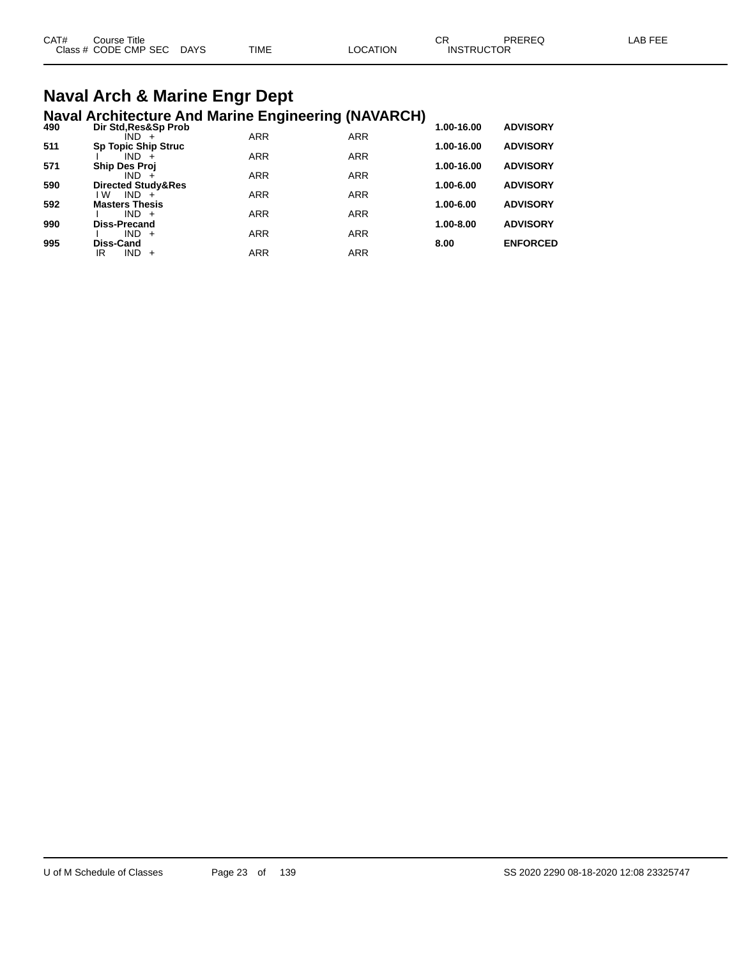| CAT# | Course Title              |             |          | ◠◻<br>◡◚          | PREREQ | LAB FEE |
|------|---------------------------|-------------|----------|-------------------|--------|---------|
|      | Class # CODE CMP SEC DAYS | <b>TIME</b> | LOCATION | <b>INSTRUCTOR</b> |        |         |
|      |                           |             |          |                   |        |         |

#### **Naval Arch & Marine Engr Dept Naval Architecture And Marine Engineering (NAVARCH)**

| 490 | Dir Std, Res&Sp Prob          |            |            | 1.00-16.00    | <b>ADVISORY</b> |
|-----|-------------------------------|------------|------------|---------------|-----------------|
|     | IND +                         | <b>ARR</b> | <b>ARR</b> |               |                 |
| 511 | <b>Sp Topic Ship Struc</b>    |            |            | 1.00-16.00    | <b>ADVISORY</b> |
|     | $IND +$                       | <b>ARR</b> | <b>ARR</b> |               |                 |
| 571 | <b>Ship Des Proj</b>          | <b>ARR</b> |            | 1.00-16.00    | <b>ADVISORY</b> |
| 590 | $IND +$<br>Directed Study&Res |            | <b>ARR</b> | 1.00-6.00     | <b>ADVISORY</b> |
|     | l W<br>$IND +$                | <b>ARR</b> | <b>ARR</b> |               |                 |
| 592 | <b>Masters Thesis</b>         |            |            | 1.00-6.00     | <b>ADVISORY</b> |
|     | $IND +$                       | <b>ARR</b> | <b>ARR</b> |               |                 |
| 990 | <b>Diss-Precand</b>           |            |            | $1.00 - 8.00$ | <b>ADVISORY</b> |
|     | $IND +$                       | <b>ARR</b> | <b>ARR</b> |               |                 |
| 995 | Diss-Cand                     |            |            | 8.00          | <b>ENFORCED</b> |
|     | IR<br>$IND +$                 | ARR        | <b>ARR</b> |               |                 |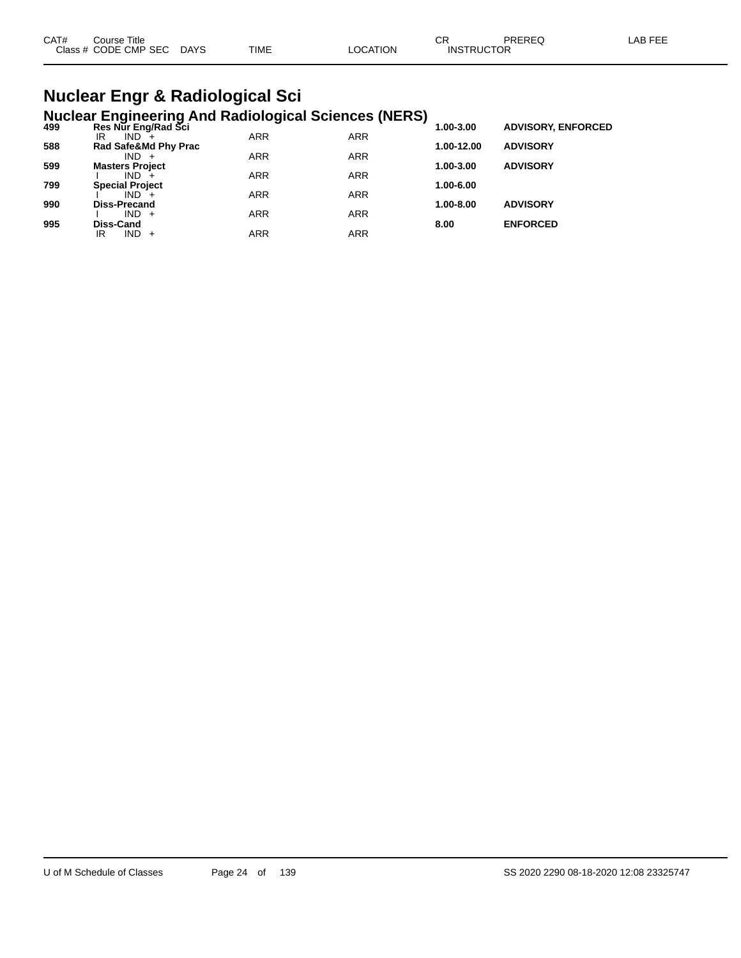| TIME<br>Class # CODE CMP SEC<br><b>DAYS</b><br>LOCATION<br><b>INSTRUCTOR</b> |  |
|------------------------------------------------------------------------------|--|
|                                                                              |  |

#### **Nuclear Engr & Radiological Sci Nuclear Engineering And Radiological Sciences (NERS)**

| 499 | Res Nur Eng/Rad Sci    | ~          |            | 1.00-3.00  | <b>ADVISORY, ENFORCED</b> |
|-----|------------------------|------------|------------|------------|---------------------------|
|     | $IND^{-}$<br>IR        | <b>ARR</b> | <b>ARR</b> |            |                           |
| 588 | Rad Safe&Md Phy Prac   |            |            | 1.00-12.00 | <b>ADVISORY</b>           |
|     | $IND +$                | <b>ARR</b> | <b>ARR</b> |            |                           |
| 599 | <b>Masters Project</b> |            |            | 1.00-3.00  | <b>ADVISORY</b>           |
|     | IND.                   | <b>ARR</b> | <b>ARR</b> |            |                           |
| 799 | <b>Special Project</b> |            |            | 1.00-6.00  |                           |
|     | $IND +$                | <b>ARR</b> | <b>ARR</b> |            |                           |
| 990 | <b>Diss-Precand</b>    |            |            | 1.00-8.00  | <b>ADVISORY</b>           |
|     | $IND +$                | <b>ARR</b> | <b>ARR</b> |            |                           |
| 995 | <b>Diss-Cand</b>       |            |            | 8.00       | <b>ENFORCED</b>           |
|     | $IND +$<br>IR          | ARR        | ARR        |            |                           |
|     |                        |            |            |            |                           |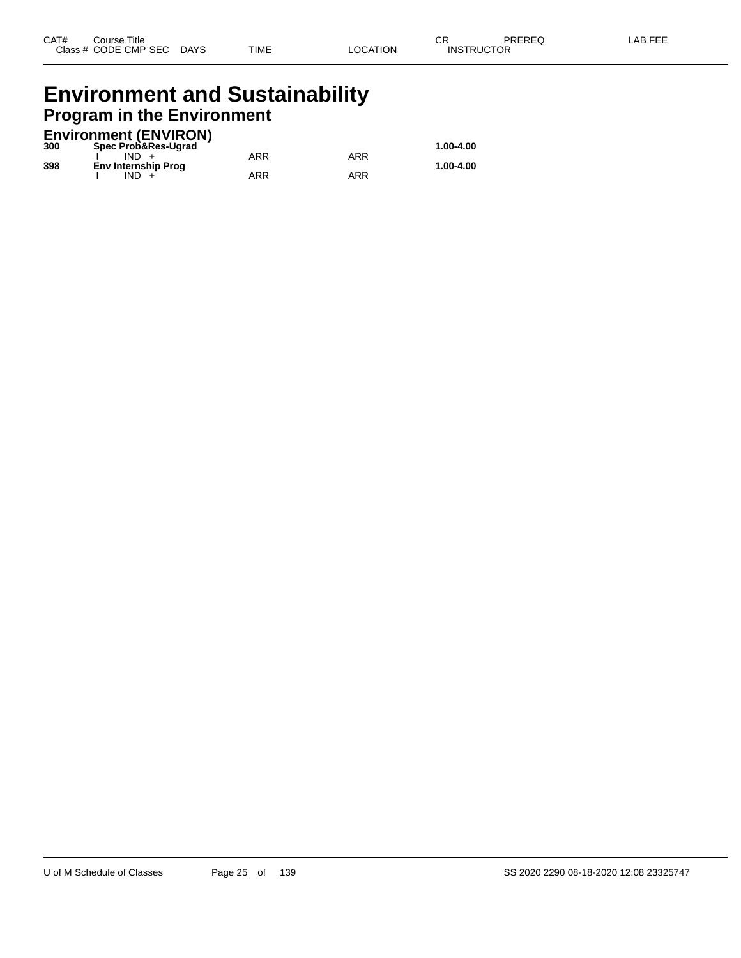#### **Environment and Sustainability Program in the Environment**

#### **Environment (ENVIRON)**

| 300 | Spec Prob&Res-Ugrad        |     |     | 1.00-4.00 |
|-----|----------------------------|-----|-----|-----------|
|     | IND.                       | ARR | ARR |           |
| 398 | <b>Env Internship Prog</b> |     |     | 1.00-4.00 |
|     | IND.                       | ARR | ARR |           |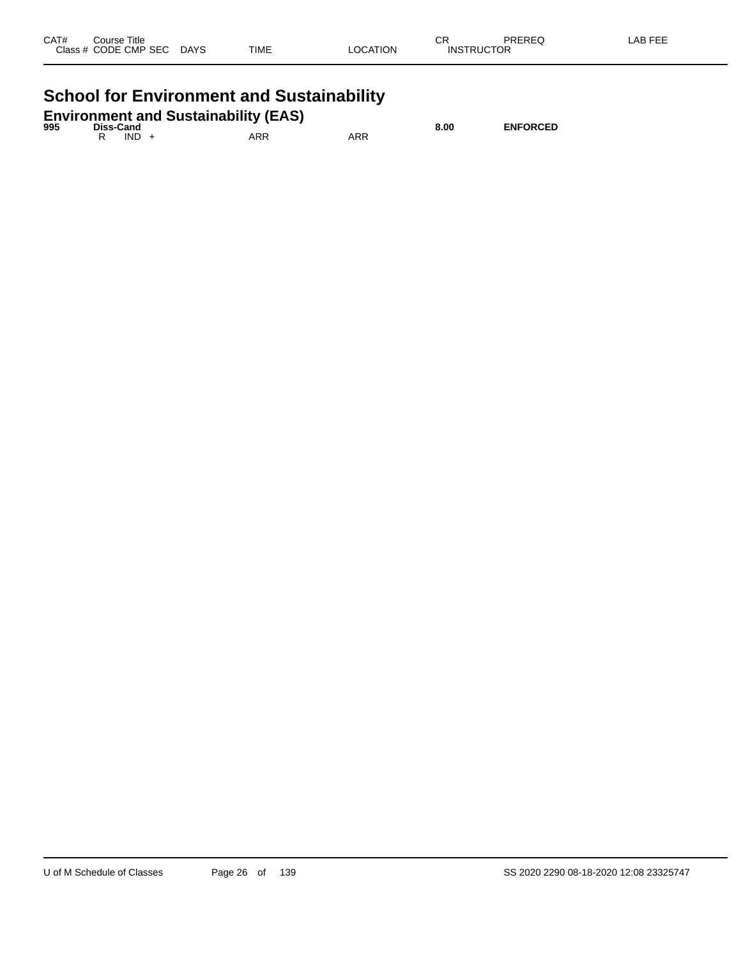| CAT#<br>C <sub>2</sub> | Title<br>`ourse<br>ODE CMP:<br><b>SEC</b><br>__ | <b>DAYS</b><br>$\sim$ | <b>TIME</b> | TION<br>٦r | СF<br>.NE | םמ<br>OR. |  |
|------------------------|-------------------------------------------------|-----------------------|-------------|------------|-----------|-----------|--|
|------------------------|-------------------------------------------------|-----------------------|-------------|------------|-----------|-----------|--|

# **School for Environment and Sustainability**

|     |  | <b>Environment and Sustainability (EAS)</b> |  |
|-----|--|---------------------------------------------|--|
| --- |  |                                             |  |

| 995 | <b>Diss-Cand</b> |     |     | 8.00 | <b>ENFORCED</b> |
|-----|------------------|-----|-----|------|-----------------|
|     | <b>IND</b>       | ARR | ARR |      |                 |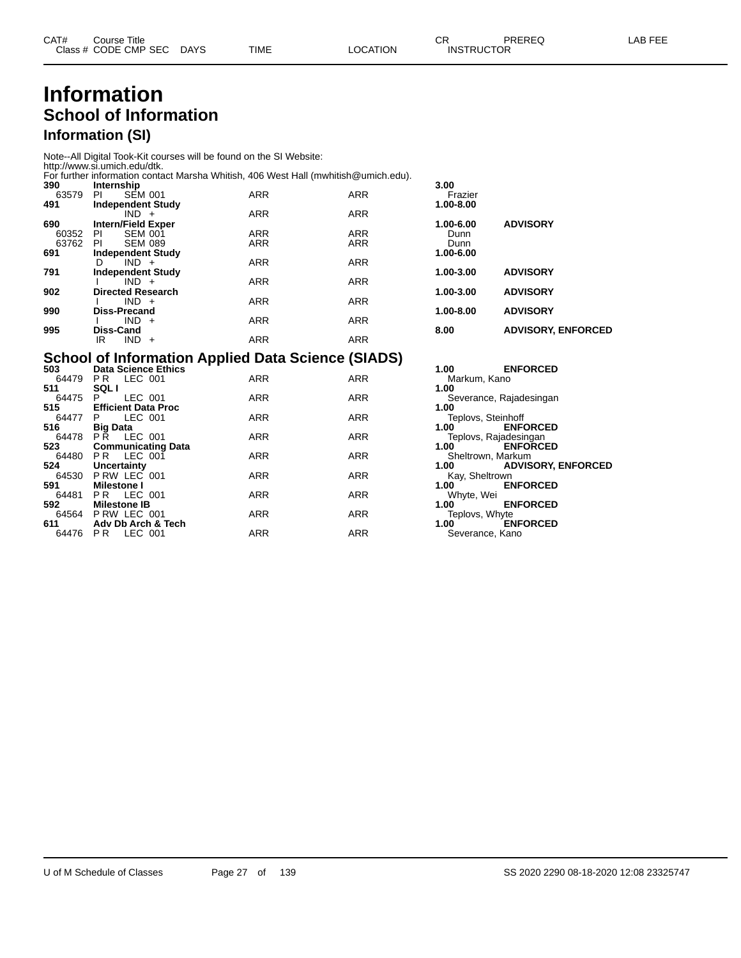#### **Information School of Information Information (SI)**

Note--All Digital Took-Kit courses will be found on the SI Website:

http://www.si.umich.edu/dtk. For further information contact Marsha Whitish, 406 West Hall (mwhitish@umich.edu).

| <b>ARR</b><br><b>ARR</b><br>63579<br>PI<br><b>SEM 001</b><br>Frazier<br>491<br><b>Independent Study</b><br>1.00-8.00<br><b>ARR</b><br><b>ARR</b><br>$IND +$<br>690<br><b>Intern/Field Exper</b><br><b>ADVISORY</b><br>1.00-6.00<br><b>ARR</b><br><b>ARR</b><br>60352<br><b>SEM 001</b><br>ΡI<br>Dunn<br><b>ARR</b><br><b>ARR</b><br>63762<br><b>SEM 089</b><br>PI<br>Dunn<br>691<br>1.00-6.00<br><b>Independent Study</b><br><b>ARR</b><br><b>ARR</b><br>$IND +$<br>D<br>791<br><b>ADVISORY</b><br>1.00-3.00<br><b>Independent Study</b><br><b>ARR</b><br><b>ARR</b><br>$IND +$<br>902<br><b>ADVISORY</b><br><b>Directed Research</b><br>1.00-3.00<br><b>ARR</b><br><b>ARR</b><br>$IND +$<br>990<br><b>ADVISORY</b><br><b>Diss-Precand</b><br>1.00-8.00<br><b>ARR</b><br><b>ARR</b><br>$IND +$<br>995<br><b>ADVISORY, ENFORCED</b><br>Diss-Cand<br>8.00<br>ARR<br><b>ARR</b><br>IND.<br>IR<br>$+$ | 390 | Internship |  | 3.00 |  |
|---------------------------------------------------------------------------------------------------------------------------------------------------------------------------------------------------------------------------------------------------------------------------------------------------------------------------------------------------------------------------------------------------------------------------------------------------------------------------------------------------------------------------------------------------------------------------------------------------------------------------------------------------------------------------------------------------------------------------------------------------------------------------------------------------------------------------------------------------------------------------------------------------|-----|------------|--|------|--|
|                                                                                                                                                                                                                                                                                                                                                                                                                                                                                                                                                                                                                                                                                                                                                                                                                                                                                                   |     |            |  |      |  |
|                                                                                                                                                                                                                                                                                                                                                                                                                                                                                                                                                                                                                                                                                                                                                                                                                                                                                                   |     |            |  |      |  |
|                                                                                                                                                                                                                                                                                                                                                                                                                                                                                                                                                                                                                                                                                                                                                                                                                                                                                                   |     |            |  |      |  |
|                                                                                                                                                                                                                                                                                                                                                                                                                                                                                                                                                                                                                                                                                                                                                                                                                                                                                                   |     |            |  |      |  |
|                                                                                                                                                                                                                                                                                                                                                                                                                                                                                                                                                                                                                                                                                                                                                                                                                                                                                                   |     |            |  |      |  |
|                                                                                                                                                                                                                                                                                                                                                                                                                                                                                                                                                                                                                                                                                                                                                                                                                                                                                                   |     |            |  |      |  |
|                                                                                                                                                                                                                                                                                                                                                                                                                                                                                                                                                                                                                                                                                                                                                                                                                                                                                                   |     |            |  |      |  |
|                                                                                                                                                                                                                                                                                                                                                                                                                                                                                                                                                                                                                                                                                                                                                                                                                                                                                                   |     |            |  |      |  |
|                                                                                                                                                                                                                                                                                                                                                                                                                                                                                                                                                                                                                                                                                                                                                                                                                                                                                                   |     |            |  |      |  |
|                                                                                                                                                                                                                                                                                                                                                                                                                                                                                                                                                                                                                                                                                                                                                                                                                                                                                                   |     |            |  |      |  |
|                                                                                                                                                                                                                                                                                                                                                                                                                                                                                                                                                                                                                                                                                                                                                                                                                                                                                                   |     |            |  |      |  |
|                                                                                                                                                                                                                                                                                                                                                                                                                                                                                                                                                                                                                                                                                                                                                                                                                                                                                                   |     |            |  |      |  |
|                                                                                                                                                                                                                                                                                                                                                                                                                                                                                                                                                                                                                                                                                                                                                                                                                                                                                                   |     |            |  |      |  |
|                                                                                                                                                                                                                                                                                                                                                                                                                                                                                                                                                                                                                                                                                                                                                                                                                                                                                                   |     |            |  |      |  |
|                                                                                                                                                                                                                                                                                                                                                                                                                                                                                                                                                                                                                                                                                                                                                                                                                                                                                                   |     |            |  |      |  |
|                                                                                                                                                                                                                                                                                                                                                                                                                                                                                                                                                                                                                                                                                                                                                                                                                                                                                                   |     |            |  |      |  |

# **School of Information Applied Data Science (SIADS) 503 Data Science Ethics 1.00 ENFORCED**

| วบง   | Data Science Ethics        |            |            | UU.I<br>ENFURCED                  |
|-------|----------------------------|------------|------------|-----------------------------------|
| 64479 | LEC 001<br>P R             | <b>ARR</b> | <b>ARR</b> | Markum, Kano                      |
| 511   | <b>SQLI</b>                |            |            | 1.00                              |
| 64475 | LEC 001<br>P.              | ARR        | <b>ARR</b> | Severance, Rajadesingan           |
| 515   | <b>Efficient Data Proc</b> |            |            | 1.00                              |
| 64477 | LEC 001<br>P.              | <b>ARR</b> | <b>ARR</b> | Teplovs, Steinhoff                |
| 516   | <b>Big Data</b>            |            |            | <b>ENFORCED</b><br>1.00           |
| 64478 | LEC 001<br>PR.             | <b>ARR</b> | <b>ARR</b> | Teplovs, Rajadesingan             |
| 523   | <b>Communicating Data</b>  |            |            | <b>ENFORCED</b><br>1.00           |
| 64480 | PR LEC 001                 | <b>ARR</b> | <b>ARR</b> | Sheltrown, Markum                 |
| 524   | Uncertainty                |            |            | <b>ADVISORY, ENFORCED</b><br>1.00 |
| 64530 | P RW LEC 001               | <b>ARR</b> | <b>ARR</b> | Kay, Sheltrown                    |
| 591   | <b>Milestone I</b>         |            |            | <b>ENFORCED</b><br>1.00           |
| 64481 | <b>PR LEC 001</b>          | <b>ARR</b> | <b>ARR</b> | Whyte, Wei                        |
| 592   | <b>Milestone IB</b>        |            |            | <b>ENFORCED</b><br>1.00           |
| 64564 | PRW LEC 001                | <b>ARR</b> | <b>ARR</b> | Teplovs, Whyte                    |
| 611   | Adv Db Arch & Tech         |            |            | <b>ENFORCED</b><br>1.00           |
| 64476 | LEC 001<br>P <sub>R</sub>  | <b>ARR</b> | <b>ARR</b> | Severance, Kano                   |
|       |                            |            |            |                                   |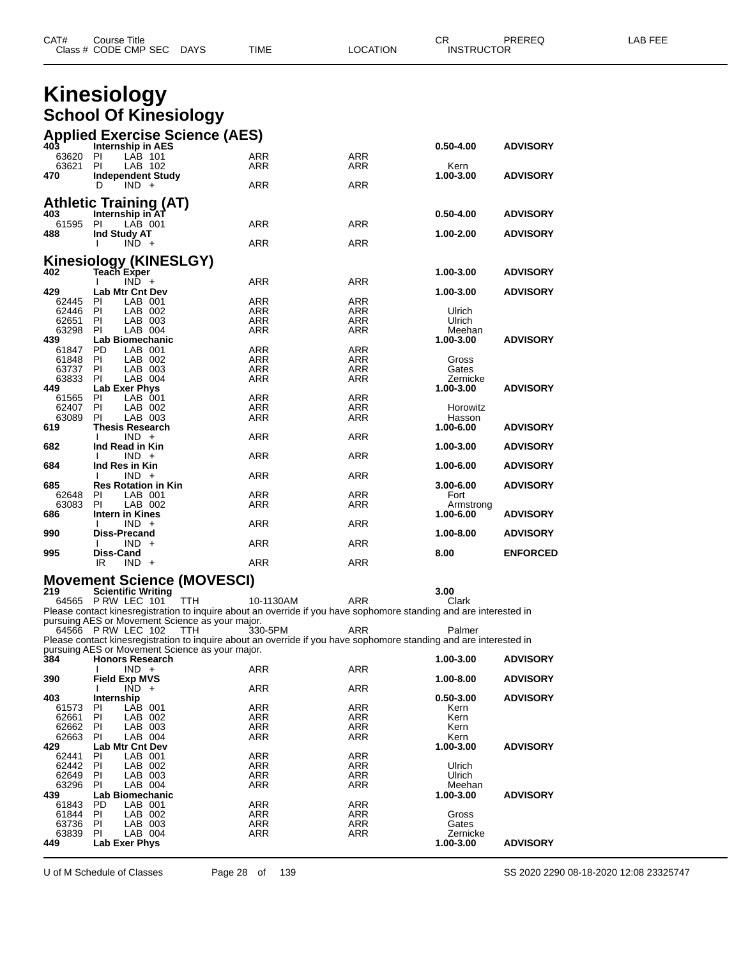|                   | Class # CODE CMP SEC<br>DAYS                                   | TIME                                                                                                                          | LOCATION          | <b>INSTRUCTOR</b>   |                 |  |
|-------------------|----------------------------------------------------------------|-------------------------------------------------------------------------------------------------------------------------------|-------------------|---------------------|-----------------|--|
|                   |                                                                |                                                                                                                               |                   |                     |                 |  |
|                   | <b>Kinesiology</b>                                             |                                                                                                                               |                   |                     |                 |  |
|                   | <b>School Of Kinesiology</b>                                   |                                                                                                                               |                   |                     |                 |  |
|                   | <b>Applied Exercise Science (AES)</b>                          |                                                                                                                               |                   |                     |                 |  |
| 403<br>63620      | <b>Internship in AES</b><br>LAB 101<br>PI                      | ARR                                                                                                                           | <b>ARR</b>        | $0.50 - 4.00$       | <b>ADVISORY</b> |  |
| 63621             | LAB 102<br>- PI                                                | ARR                                                                                                                           | ARR               | Kern                |                 |  |
| 470               | <b>Independent Study</b><br>D<br>$IND +$                       | ARR                                                                                                                           | <b>ARR</b>        | 1.00-3.00           | <b>ADVISORY</b> |  |
|                   | <b>Athletic Training (AT)</b>                                  |                                                                                                                               |                   |                     |                 |  |
| 403               | Internship in AT                                               |                                                                                                                               |                   | $0.50 - 4.00$       | <b>ADVISORY</b> |  |
| 61595 PI<br>488   | LAB 001<br>Ind Study AT                                        | ARR                                                                                                                           | ARR               | 1.00-2.00           | <b>ADVISORY</b> |  |
|                   | $IND +$                                                        | ARR                                                                                                                           | ARR               |                     |                 |  |
|                   | Kinesiology (KINESLGY)<br>402 Teach Exper                      |                                                                                                                               |                   |                     |                 |  |
|                   | $IND +$                                                        | ARR                                                                                                                           | ARR               | 1.00-3.00           | <b>ADVISORY</b> |  |
| 429<br>62445      | <b>Lab Mtr Cnt Dev</b><br><b>PI</b><br>LAB 001                 | <b>ARR</b>                                                                                                                    | <b>ARR</b>        | 1.00-3.00           | <b>ADVISORY</b> |  |
| 62446 PI          | LAB 002                                                        | ARR                                                                                                                           | ARR               | Ulrich              |                 |  |
| 62651<br>63298    | <b>PI</b><br>LAB 003<br>LAB 004<br>PI                          | ARR<br><b>ARR</b>                                                                                                             | ARR<br><b>ARR</b> | Ulrich<br>Meehan    |                 |  |
| 439               | Lab Biomechanic                                                |                                                                                                                               |                   | 1.00-3.00           | <b>ADVISORY</b> |  |
| 61847<br>61848    | LAB 001<br>PD.<br>PI<br>LAB 002                                | ARR<br><b>ARR</b>                                                                                                             | ARR<br><b>ARR</b> | Gross               |                 |  |
| 63737 PI<br>63833 | LAB 003<br>LAB 004<br>PI                                       | ARR<br>ARR                                                                                                                    | ARR<br><b>ARR</b> | Gates<br>Zernicke   |                 |  |
| 449               | Lab Exer Phys                                                  |                                                                                                                               |                   | 1.00-3.00           | <b>ADVISORY</b> |  |
| 61565<br>62407    | - PI<br>LAB 001<br><b>PI</b><br>LAB 002                        | ARR<br>ARR                                                                                                                    | ARR<br>ARR        | Horowitz            |                 |  |
| 63089<br>619      | PI<br>LAB 003<br><b>Thesis Research</b>                        | <b>ARR</b>                                                                                                                    | ARR               | Hasson<br>1.00-6.00 | <b>ADVISORY</b> |  |
|                   | $IND +$                                                        | ARR                                                                                                                           | ARR               |                     |                 |  |
| 682               | Ind Read in Kin<br>$IND +$                                     | ARR                                                                                                                           | ARR               | 1.00-3.00           | <b>ADVISORY</b> |  |
| 684               | Ind Res in Kin<br>$IND +$                                      | ARR                                                                                                                           | ARR               | 1.00-6.00           | <b>ADVISORY</b> |  |
| 685               | <b>Res Rotation in Kin</b>                                     |                                                                                                                               |                   | 3.00-6.00           | <b>ADVISORY</b> |  |
| 62648<br>63083    | PI<br>LAB 001<br>PI<br>LAB 002                                 | ARR<br>ARR                                                                                                                    | ARR<br><b>ARR</b> | Fort<br>Armstrong   |                 |  |
| 686               | Intern in Kines<br>$IND +$                                     | ARR                                                                                                                           | ARR               | 1.00-6.00           | <b>ADVISORY</b> |  |
| 990               | Diss-Precand<br>$IND +$                                        | ARR                                                                                                                           | ARR               | 1.00-8.00           | <b>ADVISORY</b> |  |
| 995               | Diss-Cand                                                      |                                                                                                                               |                   | 8.00                | <b>ENFORCED</b> |  |
|                   | $IND +$<br>IR                                                  | ARR                                                                                                                           | <b>ARR</b>        |                     |                 |  |
| 219               | <b>Movement Science (MOVESCI)</b><br><b>Scientific Writing</b> |                                                                                                                               |                   | 3.00                |                 |  |
|                   | 64565 P RW LEC 101<br>TTH                                      | 10-1130AM                                                                                                                     | ARR               | Clark               |                 |  |
|                   | pursuing AES or Movement Science as your major.                | Please contact kinesregistration to inquire about an override if you have sophomore standing and are interested in            |                   |                     |                 |  |
|                   | 64566 P RW LEC 102<br>TTH                                      | 330-5PM<br>Please contact kinesregistration to inquire about an override if you have sophomore standing and are interested in | ARR               | Palmer              |                 |  |
|                   | pursuing AES or Movement Science as your major.                |                                                                                                                               |                   |                     |                 |  |
| 384               | <b>Honors Research</b><br>$IND +$                              | <b>ARR</b>                                                                                                                    | ARR               | 1.00-3.00           | <b>ADVISORY</b> |  |
| 390               | <b>Field Exp MVS</b><br>$IND +$                                | ARR                                                                                                                           | ARR               | 1.00-8.00           | <b>ADVISORY</b> |  |
| 403               | Internship                                                     |                                                                                                                               |                   | $0.50 - 3.00$       | <b>ADVISORY</b> |  |
| 61573<br>62661    | LAB 001<br><b>PI</b><br>PI<br>LAB 002                          | ARR<br>ARR                                                                                                                    | ARR<br>ARR        | Kern<br>Kern        |                 |  |
| 62662<br>62663    | <b>PI</b><br>LAB 003<br>PI<br>LAB 004                          | ARR<br><b>ARR</b>                                                                                                             | ARR<br><b>ARR</b> | Kern<br>Kern        |                 |  |
| 429               | <b>Lab Mtr Cnt Dev</b>                                         |                                                                                                                               |                   | 1.00-3.00           | <b>ADVISORY</b> |  |
| 62441<br>62442    | LAB 001<br>PI<br>- PI<br>LAB 002                               | ARR<br><b>ARR</b>                                                                                                             | ARR<br><b>ARR</b> | Ulrich              |                 |  |
| 62649<br>63296    | LAB 003<br><b>PI</b><br>LAB 004<br>PI                          | ARR<br>ARR                                                                                                                    | ARR<br>ARR        | Ulrich<br>Meehan    |                 |  |
| 439               | Lab Biomechanic                                                |                                                                                                                               |                   | 1.00-3.00           | <b>ADVISORY</b> |  |
| 61843<br>61844    | PD.<br>LAB 001<br>LAB 002<br>PI                                | ARR<br>ARR                                                                                                                    | <b>ARR</b><br>ARR | Gross               |                 |  |
| 63736<br>63839    | <b>PI</b><br>LAB 003<br>LAB 004<br>PI.                         | ARR<br>ARR                                                                                                                    | <b>ARR</b><br>ARR | Gates<br>Zernicke   |                 |  |
| 449               | Lab Exer Phys                                                  |                                                                                                                               |                   | 1.00-3.00           | <b>ADVISORY</b> |  |
|                   |                                                                |                                                                                                                               |                   |                     |                 |  |

CAT# Course Title Case CR PREREQ LAB FEE

U of M Schedule of Classes Page 28 of 139 SS 2020 2290 08-18-2020 12:08 23325747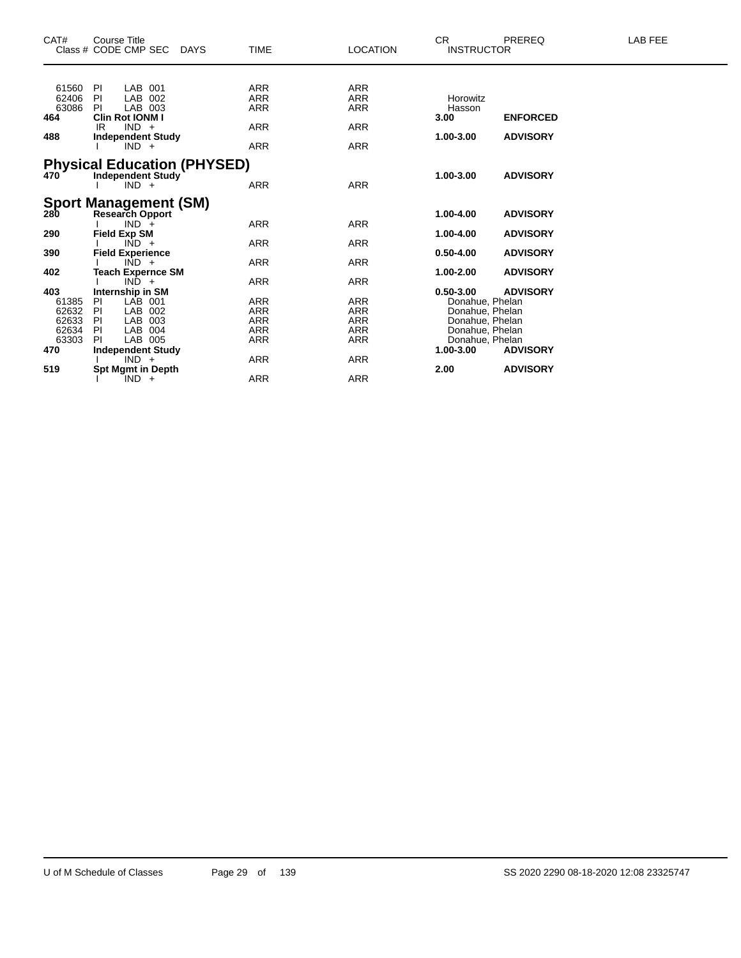| CAT#  | <b>Course Title</b> |                              |                                    |             |                 | CR.               | PREREQ          | LAB FEE |
|-------|---------------------|------------------------------|------------------------------------|-------------|-----------------|-------------------|-----------------|---------|
|       |                     | Class # CODE CMP SEC DAYS    |                                    | <b>TIME</b> | <b>LOCATION</b> | <b>INSTRUCTOR</b> |                 |         |
| 61560 | PI                  | LAB 001                      |                                    | ARR         | ARR             |                   |                 |         |
| 62406 | PI                  | LAB 002                      |                                    | ARR         | <b>ARR</b>      | Horowitz          |                 |         |
| 63086 | PL                  | LAB 003                      |                                    | <b>ARR</b>  | <b>ARR</b>      | Hasson            |                 |         |
| 464   |                     | <b>Clin Rot IONM I</b>       |                                    |             |                 | 3.00              | <b>ENFORCED</b> |         |
|       | IR.                 | $IND +$                      |                                    | <b>ARR</b>  | <b>ARR</b>      |                   |                 |         |
| 488   |                     | <b>Independent Study</b>     |                                    |             |                 | 1.00-3.00         | <b>ADVISORY</b> |         |
|       |                     | $IND +$                      |                                    | <b>ARR</b>  | ARR             |                   |                 |         |
|       |                     |                              |                                    |             |                 |                   |                 |         |
|       |                     |                              | <b>Physical Education (PHYSED)</b> |             |                 |                   |                 |         |
| 470   |                     | <b>Independent Study</b>     |                                    |             |                 | 1.00-3.00         | <b>ADVISORY</b> |         |
|       |                     | $IND +$                      |                                    | <b>ARR</b>  | <b>ARR</b>      |                   |                 |         |
|       |                     | <b>Sport Management (SM)</b> |                                    |             |                 |                   |                 |         |
| 280   |                     | <b>Research Opport</b>       |                                    |             |                 | 1.00-4.00         | <b>ADVISORY</b> |         |
|       |                     | $IND +$                      |                                    | <b>ARR</b>  | ARR             |                   |                 |         |
| 290   | <b>Field Exp SM</b> |                              |                                    |             |                 | 1.00-4.00         | <b>ADVISORY</b> |         |
|       |                     | $\overline{IND}$ +           |                                    | <b>ARR</b>  | <b>ARR</b>      |                   |                 |         |
| 390   |                     | <b>Field Experience</b>      |                                    |             |                 | $0.50 - 4.00$     | <b>ADVISORY</b> |         |
|       |                     | $IND +$                      |                                    | ARR         | <b>ARR</b>      |                   |                 |         |
| 402   |                     | Teach Expernce SM            |                                    |             |                 | 1.00-2.00         | <b>ADVISORY</b> |         |
|       |                     | $IND +$                      |                                    | ARR         | ARR             |                   |                 |         |
| 403   |                     | <b>Internship in SM</b>      |                                    |             |                 | $0.50 - 3.00$     | <b>ADVISORY</b> |         |
| 61385 | PI                  | LAB 001                      |                                    | ARR         | ARR             | Donahue, Phelan   |                 |         |
| 62632 | PI                  | LAB 002                      |                                    | ARR         | <b>ARR</b>      | Donahue, Phelan   |                 |         |
| 62633 | PI                  | LAB 003                      |                                    | ARR         | <b>ARR</b>      | Donahue, Phelan   |                 |         |
| 62634 | PI                  | LAB 004                      |                                    | ARR         | ARR             | Donahue, Phelan   |                 |         |
| 63303 | PI                  | LAB 005                      |                                    | <b>ARR</b>  | <b>ARR</b>      | Donahue, Phelan   |                 |         |
| 470   |                     | <b>Independent Study</b>     |                                    |             |                 | 1.00-3.00         | <b>ADVISORY</b> |         |
|       |                     | $IND +$                      |                                    | ARR         | <b>ARR</b>      |                   |                 |         |
| 519   |                     | <b>Spt Mgmt in Depth</b>     |                                    |             |                 | 2.00              | <b>ADVISORY</b> |         |
|       |                     | $IND +$                      |                                    | ARR         | <b>ARR</b>      |                   |                 |         |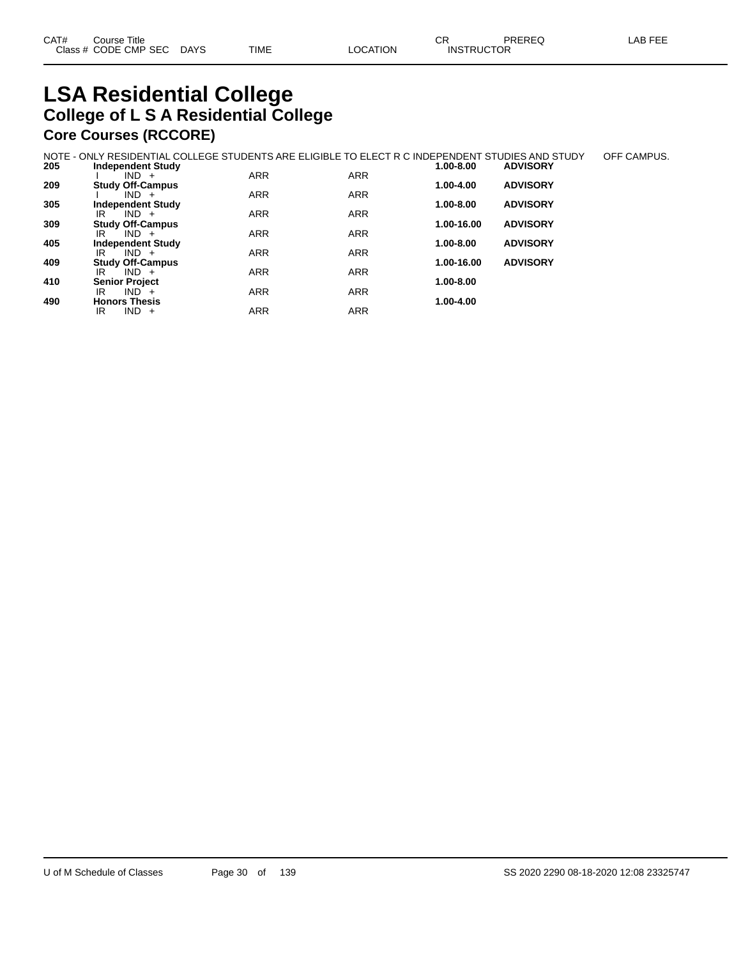#### **LSA Residential College College of L S A Residential College Core Courses (RCCORE)**

|     | NOTE - ONLY RESIDENTIAL COLLEGE STUDENTS ARE ELIGIBLE TO ELECT R C INDEPENDENT STUDIES AND STUDY |            |            |               |                 | OFF CAMPUS. |
|-----|--------------------------------------------------------------------------------------------------|------------|------------|---------------|-----------------|-------------|
| 205 | <b>Independent Study</b>                                                                         |            |            | 1.00-8.00     | <b>ADVISORY</b> |             |
|     | $IND +$                                                                                          | <b>ARR</b> | <b>ARR</b> |               |                 |             |
| 209 | <b>Study Off-Campus</b>                                                                          |            |            | $1.00 - 4.00$ | <b>ADVISORY</b> |             |
|     | $IND +$                                                                                          | <b>ARR</b> | <b>ARR</b> |               |                 |             |
| 305 | <b>Independent Study</b>                                                                         |            |            | 1.00-8.00     | <b>ADVISORY</b> |             |
|     | $IND +$<br>IR                                                                                    | <b>ARR</b> | <b>ARR</b> |               |                 |             |
| 309 | <b>Study Off-Campus</b>                                                                          |            |            | 1.00-16.00    | <b>ADVISORY</b> |             |
|     | $IND +$<br>IR                                                                                    | <b>ARR</b> | <b>ARR</b> |               |                 |             |
| 405 | <b>Independent Study</b>                                                                         |            |            | 1.00-8.00     | <b>ADVISORY</b> |             |
|     | $IND +$<br>IR                                                                                    | <b>ARR</b> | <b>ARR</b> |               |                 |             |
| 409 | <b>Study Off-Campus</b>                                                                          |            |            | 1.00-16.00    | <b>ADVISORY</b> |             |
|     | IR<br>$IND +$                                                                                    | <b>ARR</b> | <b>ARR</b> |               |                 |             |
| 410 | <b>Senior Project</b>                                                                            |            |            | 1.00-8.00     |                 |             |
|     | $IND +$<br>IR                                                                                    | <b>ARR</b> | <b>ARR</b> |               |                 |             |
| 490 | <b>Honors Thesis</b>                                                                             |            |            | $1.00 - 4.00$ |                 |             |
|     | $IND +$<br>IR                                                                                    | <b>ARR</b> | <b>ARR</b> |               |                 |             |
|     |                                                                                                  |            |            |               |                 |             |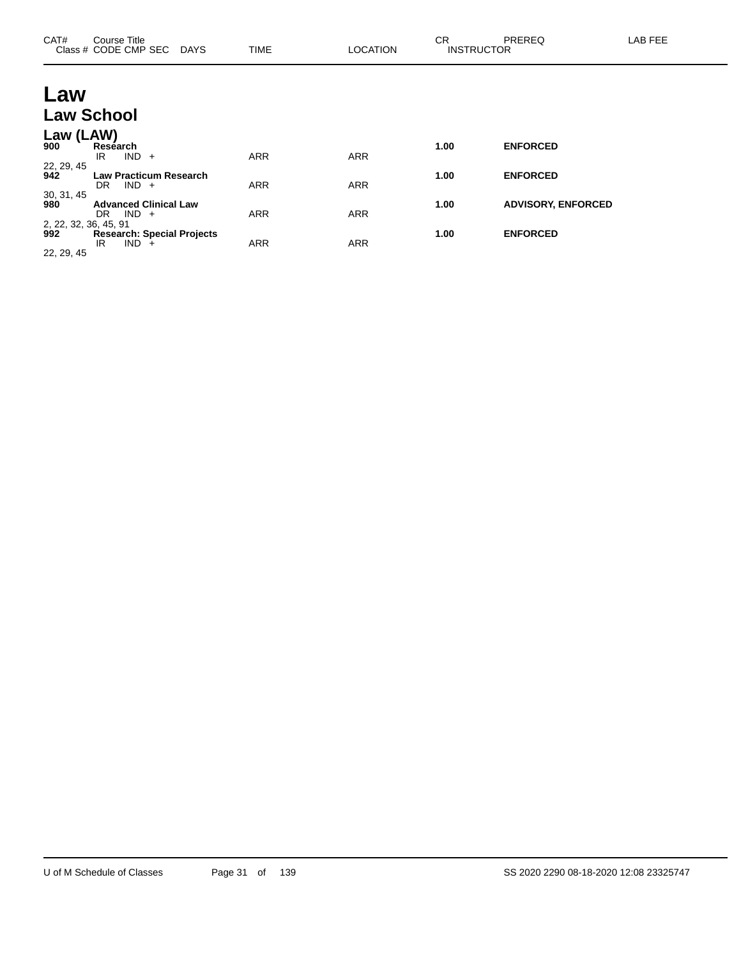| CAT#                         | Course Title<br>Class # CODE CMP SEC DAYS              | <b>TIME</b> | <b>LOCATION</b> | <b>CR</b><br><b>INSTRUCTOR</b> | PREREQ                    | LAB FEE |
|------------------------------|--------------------------------------------------------|-------------|-----------------|--------------------------------|---------------------------|---------|
| Law                          |                                                        |             |                 |                                |                           |         |
|                              | <b>Law School</b>                                      |             |                 |                                |                           |         |
| Law (LAW)<br>900             | Research<br>$IND +$<br>IR                              | <b>ARR</b>  | <b>ARR</b>      | 1.00                           | <b>ENFORCED</b>           |         |
| 22, 29, 45<br>942            | <b>Law Practicum Research</b><br>$IND +$<br>DR.        | <b>ARR</b>  | <b>ARR</b>      | 1.00                           | <b>ENFORCED</b>           |         |
| 30, 31, 45<br>980            | <b>Advanced Clinical Law</b><br>$IND +$<br>DR.         | <b>ARR</b>  | <b>ARR</b>      | 1.00                           | <b>ADVISORY, ENFORCED</b> |         |
| 2, 22, 32, 36, 45, 91<br>992 | <b>Research: Special Projects</b><br>IND.<br>IR<br>$+$ | <b>ARR</b>  | <b>ARR</b>      | 1.00                           | <b>ENFORCED</b>           |         |

22, 29, 45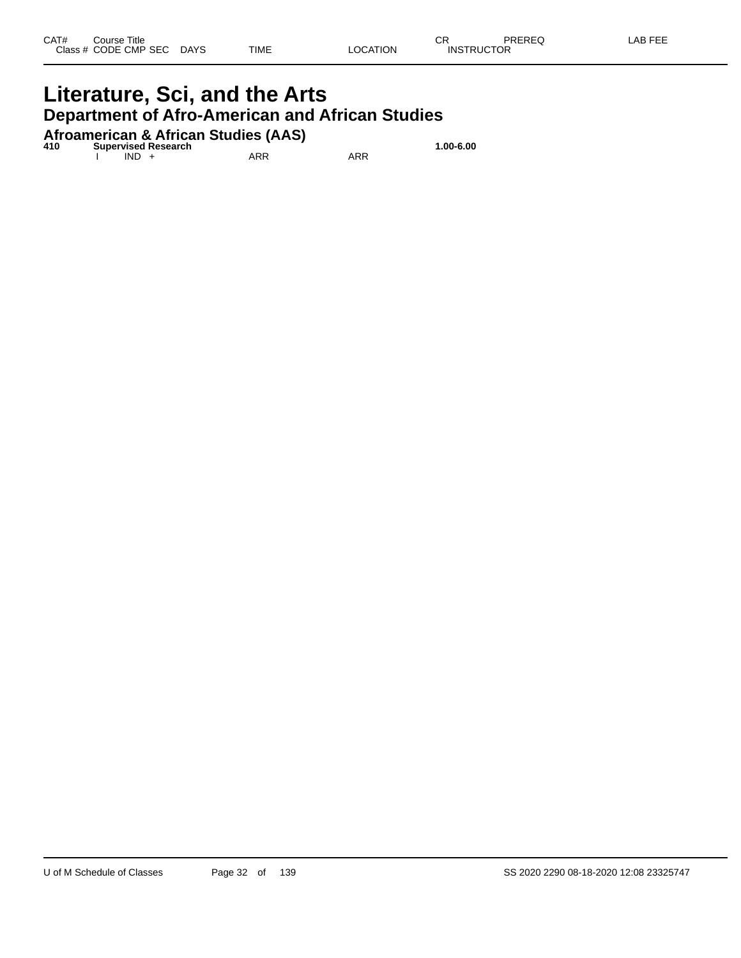### **Literature, Sci, and the Arts Department of Afro-American and African Studies**

**Afroamerican & African Studies (AAS) 410 Supervised Research 1.00-6.00**

I IND + ARR ARR ARR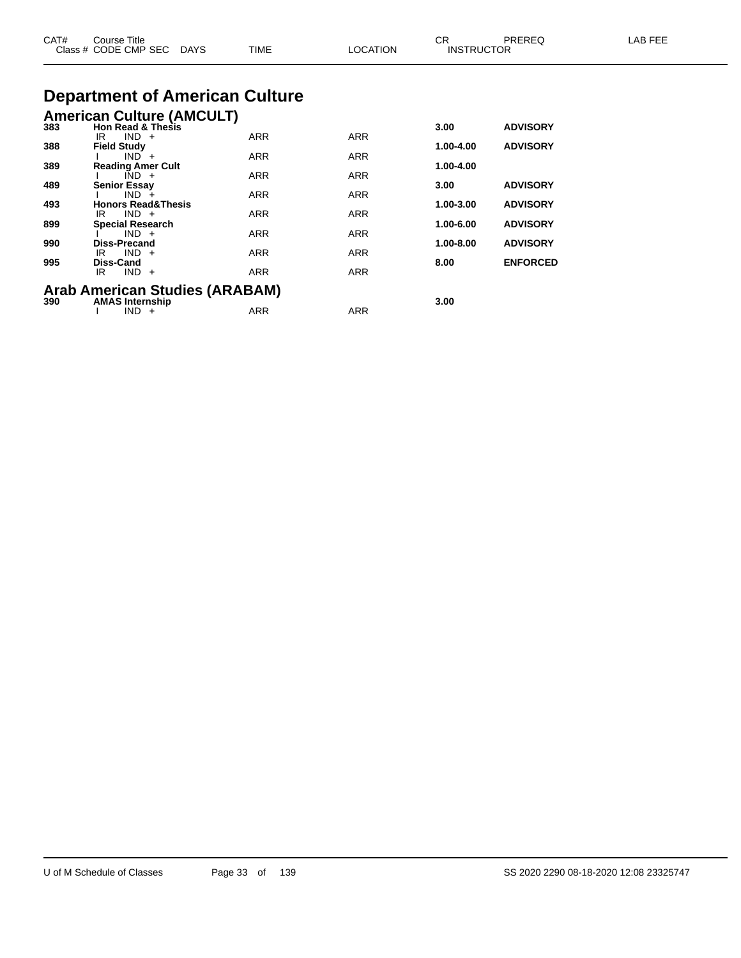| CAT# | Course Title<br>Class # CODE CMP SEC<br>DAYS | TIME       | <b>LOCATION</b> | CR.<br><b>INSTRUCTOR</b> | PREREQ          | LAB FEE |
|------|----------------------------------------------|------------|-----------------|--------------------------|-----------------|---------|
|      | <b>Department of American Culture</b>        |            |                 |                          |                 |         |
|      | <b>American Culture (AMCULT)</b>             |            |                 |                          |                 |         |
| 383  | <b>Hon Read &amp; Thesis</b>                 |            |                 | 3.00                     | <b>ADVISORY</b> |         |
| 388  | $IND +$<br>IR<br><b>Field Study</b>          | <b>ARR</b> | <b>ARR</b>      | 1.00-4.00                | <b>ADVISORY</b> |         |
|      | $IND +$                                      | ARR        | ARR             |                          |                 |         |
| 389  | <b>Reading Amer Cult</b>                     |            |                 | 1.00-4.00                |                 |         |
| 489  | $IND +$<br><b>Senior Essay</b>               | <b>ARR</b> | <b>ARR</b>      | 3.00                     | <b>ADVISORY</b> |         |
|      | $IND +$                                      | ARR        | <b>ARR</b>      |                          |                 |         |
| 493  | <b>Honors Read&amp;Thesis</b>                |            |                 | 1.00-3.00                | <b>ADVISORY</b> |         |
| 899  | $IND +$<br>IR<br><b>Special Research</b>     | ARR        | <b>ARR</b>      | 1.00-6.00                | <b>ADVISORY</b> |         |
|      | $IND +$                                      | ARR        | <b>ARR</b>      |                          |                 |         |
| 990  | <b>Diss-Precand</b><br>$IND +$<br>IR         | <b>ARR</b> | <b>ARR</b>      | 1.00-8.00                | <b>ADVISORY</b> |         |
| 995  | Diss-Cand                                    |            |                 | 8.00                     | <b>ENFORCED</b> |         |
|      | $IND +$<br>IR                                | <b>ARR</b> | <b>ARR</b>      |                          |                 |         |
|      | <b>Arab American Studies (ARABAM)</b>        |            |                 |                          |                 |         |
| 390  | <b>AMAS Internship</b>                       |            |                 | 3.00                     |                 |         |
|      | $IND +$                                      | <b>ARR</b> | ARR             |                          |                 |         |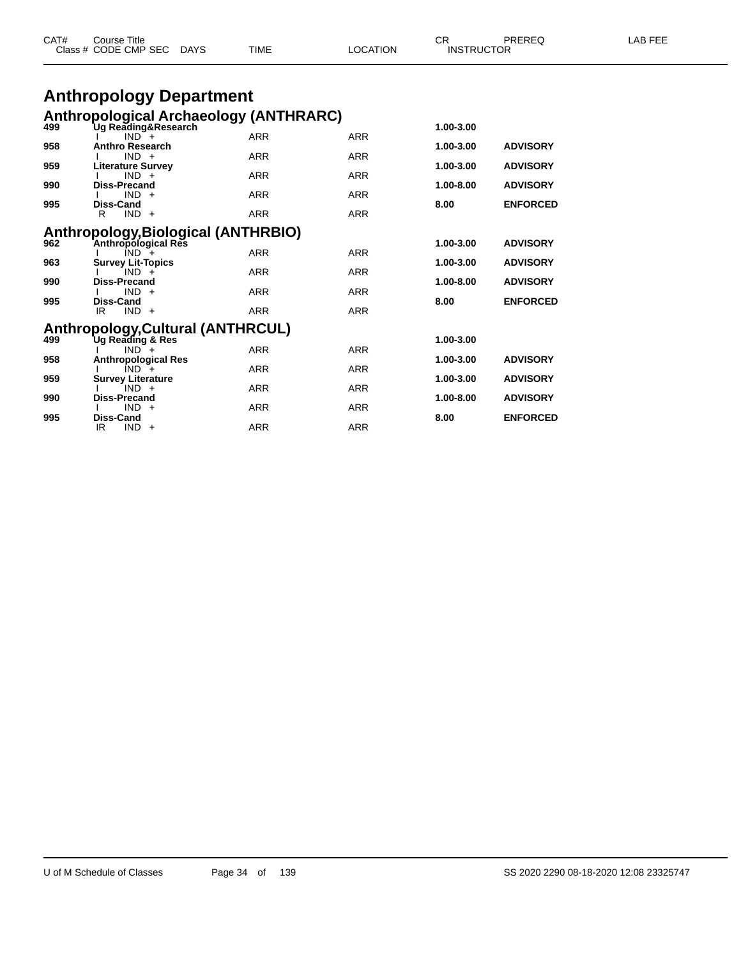|     | Class # CODE CMP SEC DAYS                                            | TIME       | LOCATION   | <b>INSTRUCTOR</b> |                 |  |
|-----|----------------------------------------------------------------------|------------|------------|-------------------|-----------------|--|
|     | <b>Anthropology Department</b>                                       |            |            |                   |                 |  |
|     |                                                                      |            |            |                   |                 |  |
| 499 | <b>Anthropological Archaeology (ANTHRARC)</b><br>Ug Reading&Research | 1.00-3.00  |            |                   |                 |  |
|     | $IND^-$ +                                                            | <b>ARR</b> | <b>ARR</b> |                   |                 |  |
| 958 | <b>Anthro Research</b><br>$IND +$                                    |            |            | 1.00-3.00         | <b>ADVISORY</b> |  |
| 959 | <b>Literature Survey</b>                                             | <b>ARR</b> | <b>ARR</b> | 1.00-3.00         | <b>ADVISORY</b> |  |
|     | $IND +$                                                              | <b>ARR</b> | <b>ARR</b> |                   |                 |  |
| 990 | Diss-Precand<br>$IND +$                                              | <b>ARR</b> | <b>ARR</b> | 1.00-8.00         | <b>ADVISORY</b> |  |
| 995 | Diss-Cand                                                            |            |            | 8.00              | <b>ENFORCED</b> |  |
|     | $IND +$<br>R                                                         | <b>ARR</b> | <b>ARR</b> |                   |                 |  |
|     | Anthropology, Biological (ANTHRBIO)                                  |            |            |                   |                 |  |
| 962 | Anthropological Res                                                  |            |            | 1.00-3.00         | <b>ADVISORY</b> |  |
|     | $IND +$                                                              | <b>ARR</b> | <b>ARR</b> |                   |                 |  |
| 963 | <b>Survey Lit-Topics</b><br>$IND +$                                  | <b>ARR</b> | <b>ARR</b> | 1.00-3.00         | <b>ADVISORY</b> |  |
| 990 | Diss-Precand                                                         |            |            | 1.00-8.00         | <b>ADVISORY</b> |  |
|     | $IND +$                                                              | <b>ARR</b> | <b>ARR</b> |                   |                 |  |
| 995 | Diss-Cand<br>$IND +$<br>IR.                                          | <b>ARR</b> | <b>ARR</b> | 8.00              | <b>ENFORCED</b> |  |
|     |                                                                      |            |            |                   |                 |  |
|     | Anthropology, Cultural (ANTHRCUL)                                    |            |            |                   |                 |  |
| 499 | Ug Reading & Res<br>$IND +$                                          | <b>ARR</b> | <b>ARR</b> | 1.00-3.00         |                 |  |
| 958 | <b>Anthropological Res</b>                                           |            |            | 1.00-3.00         | <b>ADVISORY</b> |  |
|     | $IND +$                                                              | <b>ARR</b> | <b>ARR</b> |                   |                 |  |
| 959 | <b>Survey Literature</b><br>$IND +$                                  | <b>ARR</b> | <b>ARR</b> | 1.00-3.00         | <b>ADVISORY</b> |  |
| 990 | <b>Diss-Precand</b>                                                  |            |            | 1.00-8.00         | <b>ADVISORY</b> |  |
|     | $IND +$                                                              | <b>ARR</b> | <b>ARR</b> |                   |                 |  |

CAT# Course Title Case CR PREREQ LAB FEE

I IND + ARR ARR ARR

IR IND + ARR ARR ARR

**995 Diss-Cand 8.00 ENFORCED**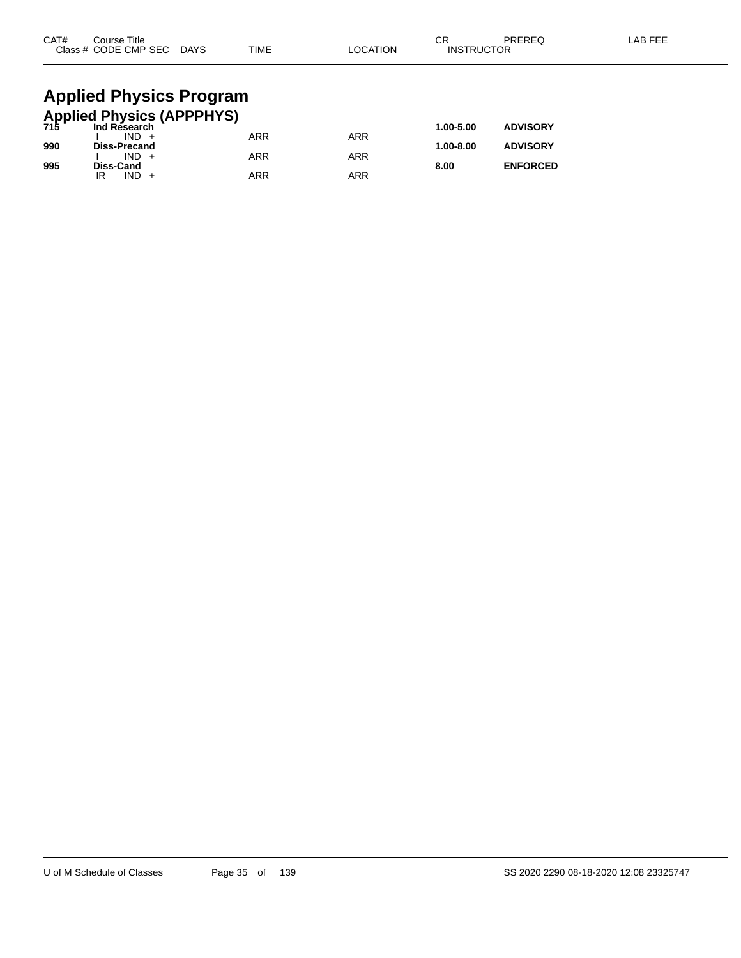| CAT# | Course Title<br>Class # CODE CMP SEC DAYS            | <b>TIME</b> | <b>LOCATION</b> | СR<br><b>INSTRUCTOR</b> | PREREQ          | LAB FEE |
|------|------------------------------------------------------|-------------|-----------------|-------------------------|-----------------|---------|
|      | <b>Applied Physics Program</b>                       |             |                 |                         |                 |         |
|      | <b>Applied Physics (APPPHYS)</b><br>715 Ind Research |             |                 |                         |                 |         |
|      | $IND +$                                              | <b>ARR</b>  | <b>ARR</b>      | 1.00-5.00               | <b>ADVISORY</b> |         |
| 990  | <b>Diss-Precand</b>                                  |             |                 | 1.00-8.00               | <b>ADVISORY</b> |         |
|      | $IND +$                                              | ARR         | <b>ARR</b>      |                         |                 |         |

**995 Diss-Cand 8.00 ENFORCED**

IR IND + ARR ARR ARR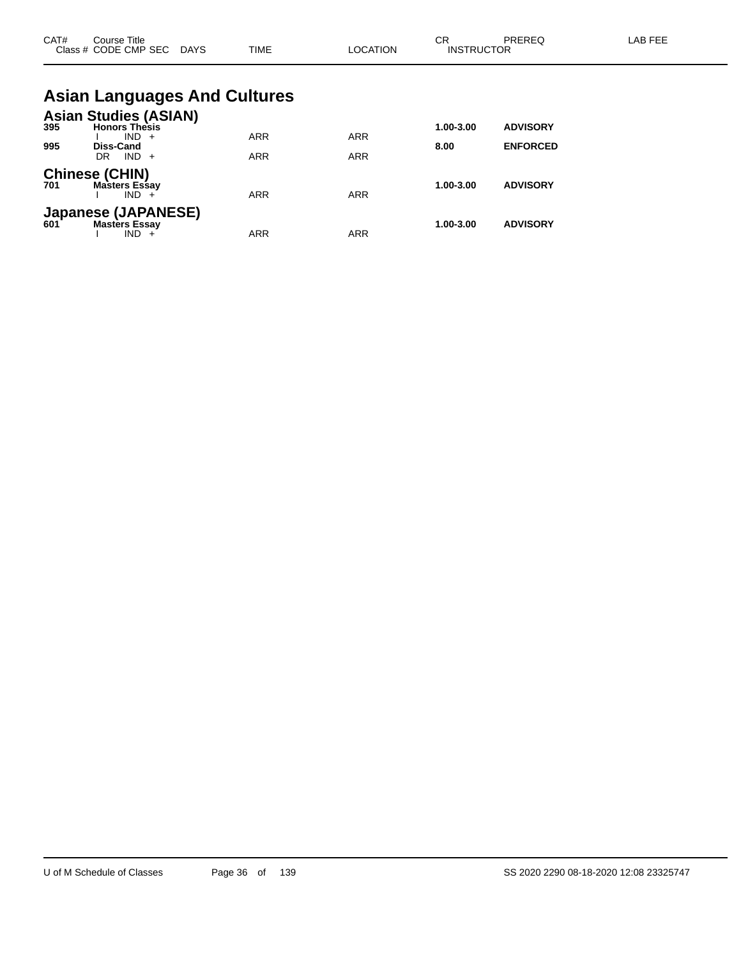| CAT# | Course Title<br>Class # CODE CMP SEC DAYS                | <b>TIME</b>                         | <b>LOCATION</b> | CR<br><b>INSTRUCTOR</b> | PREREQ          | LAB FEE |
|------|----------------------------------------------------------|-------------------------------------|-----------------|-------------------------|-----------------|---------|
|      |                                                          | <b>Asian Languages And Cultures</b> |                 |                         |                 |         |
| 395  | <b>Asian Studies (ASIAN)</b><br><b>Honors Thesis</b>     |                                     |                 | 1.00-3.00               | <b>ADVISORY</b> |         |
| 995  | $IND +$<br><b>Diss-Cand</b>                              | <b>ARR</b>                          | <b>ARR</b>      | 8.00                    | <b>ENFORCED</b> |         |
|      | $IND +$<br>DR.                                           | <b>ARR</b>                          | <b>ARR</b>      |                         |                 |         |
| 701  | <b>Chinese (CHIN)</b><br><b>Masters Essay</b><br>$IND +$ | <b>ARR</b>                          | <b>ARR</b>      | 1.00-3.00               | <b>ADVISORY</b> |         |
|      | Japanese (JAPANESE)<br>601 Masters Essav                 |                                     |                 | 1.00-3.00               | <b>ADVISORY</b> |         |

I IND + ARR ARR ARR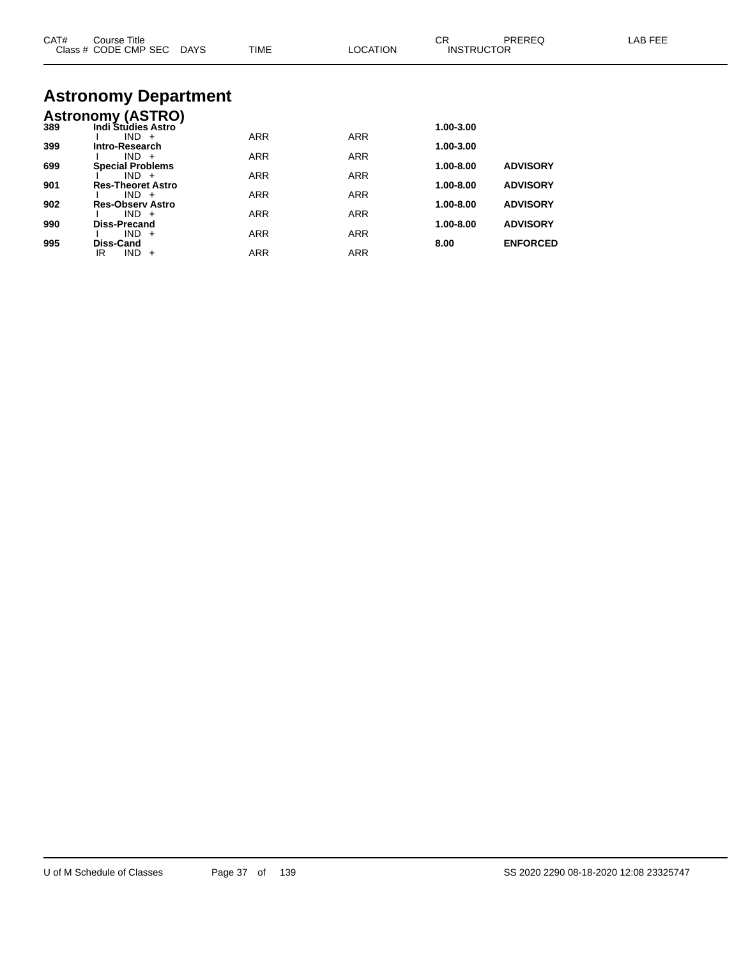| CAT# | Course Title<br>Class # CODE CMP SEC DAYS | TIME       | LOCATION   | CR.<br><b>INSTRUCTOR</b> | <b>PREREQ</b>   | LAB FEE |
|------|-------------------------------------------|------------|------------|--------------------------|-----------------|---------|
|      | <b>Astronomy Department</b>               |            |            |                          |                 |         |
|      | <b>Astronomy (ASTRO)</b>                  |            |            |                          |                 |         |
| 389  | <b>Indi Studies Astro</b>                 |            |            | 1.00-3.00                |                 |         |
| 399  | $IND +$<br>Intro-Research                 | <b>ARR</b> | <b>ARR</b> | 1.00-3.00                |                 |         |
|      | $IND +$                                   | ARR        | <b>ARR</b> |                          |                 |         |
| 699  | <b>Special Problems</b>                   |            |            | 1.00-8.00                | <b>ADVISORY</b> |         |
|      | $IND +$                                   | <b>ARR</b> | <b>ARR</b> |                          |                 |         |
| 901  | <b>Res-Theoret Astro</b><br>$IND +$       | <b>ARR</b> | <b>ARR</b> | 1.00-8.00                | <b>ADVISORY</b> |         |
| 902  | <b>Res-Observ Astro</b>                   |            |            | 1.00-8.00                | <b>ADVISORY</b> |         |
|      | $IND +$                                   | <b>ARR</b> | <b>ARR</b> |                          |                 |         |
| 990  | <b>Diss-Precand</b><br>$IND +$            |            |            | 1.00-8.00                | <b>ADVISORY</b> |         |
| 995  | Diss-Cand                                 | <b>ARR</b> | <b>ARR</b> | 8.00                     | <b>ENFORCED</b> |         |
|      | $IND +$<br>IR.                            | <b>ARR</b> | <b>ARR</b> |                          |                 |         |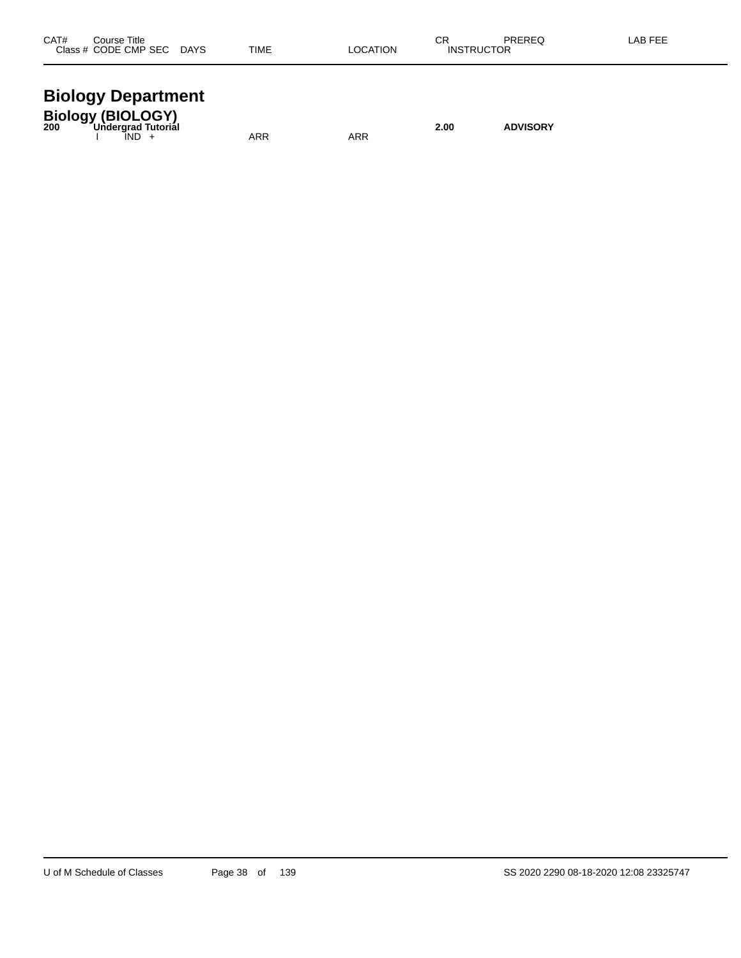| CAT#<br>Title<br>`ourse                                |                              |      |            | CR  | <b>DDEDEC</b> | ΑP |
|--------------------------------------------------------|------------------------------|------|------------|-----|---------------|----|
| ODE<br><b>CMP SEC</b><br>5E (<br>$\sim$ $\sim$<br>$ -$ | <b>DAYS</b><br>$\sim$ $\sim$ | TIME | TION<br>ΩC | ıN۶ | או<br>.       |    |
|                                                        |                              |      |            |     |               |    |

#### **Biology Department**

| <b>Biology (BIOLOGY)</b><br>200 Undergrad Tutorial |            |     | 2.00 | <b>ADVISORY</b> |
|----------------------------------------------------|------------|-----|------|-----------------|
| IND -                                              | <b>ARR</b> | ARR |      |                 |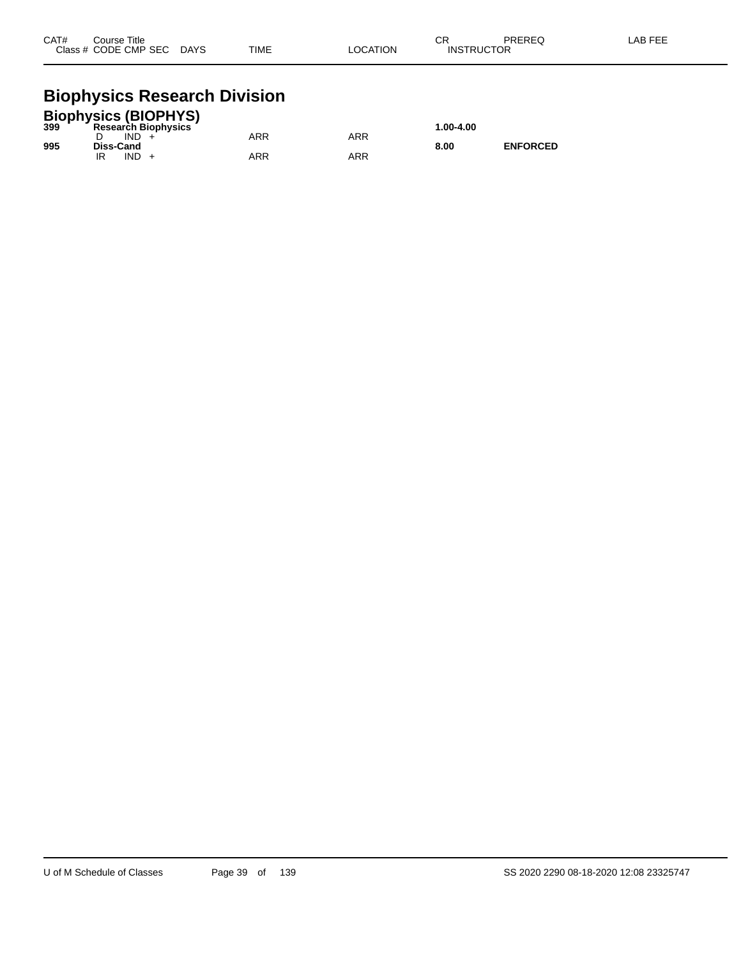| CAT#<br>Course Title |      |             |                 | ⌒冖<br>◡ | PREREQ            | LAB FEE |
|----------------------|------|-------------|-----------------|---------|-------------------|---------|
| Class # CODE CMP SEC | DAYS | <b>TIME</b> | <b>LOCATION</b> |         | <b>INSTRUCTOR</b> |         |

# **Biophysics Research Division**

| <b>Biophysics (BIOPHYS)</b> |                            |     |     |           |                 |  |  |  |
|-----------------------------|----------------------------|-----|-----|-----------|-----------------|--|--|--|
| 399                         | <b>Research Biophysics</b> |     |     | 1.00-4.00 |                 |  |  |  |
|                             | IND.                       | ARR | ARR |           |                 |  |  |  |
| 995                         | Diss-Cand                  |     |     | 8.00      | <b>ENFORCED</b> |  |  |  |
|                             | IND                        | ARR | ARR |           |                 |  |  |  |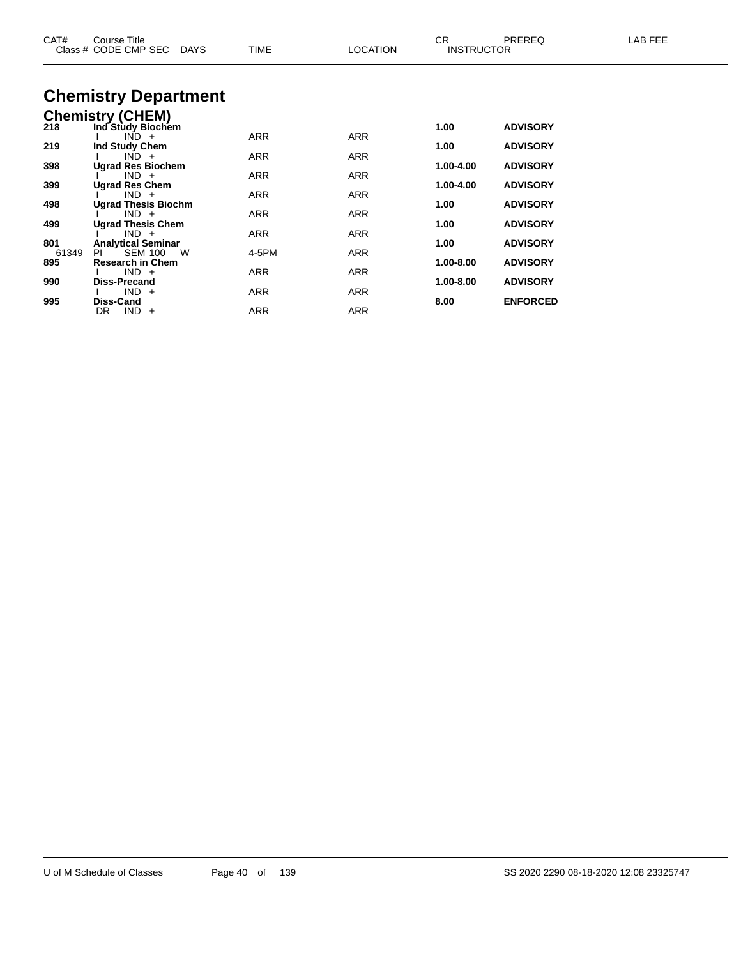| CAT#         | Course Title<br>Class # CODE CMP SEC<br>DAYS         | TIME       | <b>LOCATION</b> | CR.<br><b>INSTRUCTOR</b> | PREREQ          | LAB FEE |
|--------------|------------------------------------------------------|------------|-----------------|--------------------------|-----------------|---------|
|              | <b>Chemistry Department</b>                          |            |                 |                          |                 |         |
|              | <b>Chemistry (CHEM)</b>                              |            |                 |                          |                 |         |
| 218          | Ind Study Biochem                                    |            |                 | 1.00                     | <b>ADVISORY</b> |         |
| 219          | $IND +$                                              | <b>ARR</b> | ARR             | 1.00                     | <b>ADVISORY</b> |         |
|              | Ind Study Chem<br>$IND +$                            | ARR        | ARR             |                          |                 |         |
| 398          | <b>Ugrad Res Biochem</b>                             |            |                 | 1.00-4.00                | <b>ADVISORY</b> |         |
| 399          | $IND +$<br><b>Ugrad Res Chem</b>                     | ARR        | ARR             | 1.00-4.00                | <b>ADVISORY</b> |         |
|              | $IND +$                                              | ARR        | ARR             |                          |                 |         |
| 498          | <b>Ugrad Thesis Biochm</b>                           |            |                 | 1.00                     | <b>ADVISORY</b> |         |
| 499          | $IND +$<br><b>Ugrad Thesis Chem</b>                  | ARR        | ARR             | 1.00                     | <b>ADVISORY</b> |         |
|              | $IND +$                                              | <b>ARR</b> | ARR             |                          |                 |         |
| 801          | <b>Analytical Seminar</b>                            |            |                 | 1.00                     | <b>ADVISORY</b> |         |
| 61349<br>895 | PL<br><b>SEM 100</b><br>W<br><b>Research in Chem</b> | 4-5PM      | <b>ARR</b>      | 1.00-8.00                | <b>ADVISORY</b> |         |
|              | $IND +$                                              | <b>ARR</b> | <b>ARR</b>      |                          |                 |         |
| 990          | <b>Diss-Precand</b>                                  |            |                 | 1.00-8.00                | <b>ADVISORY</b> |         |
|              | $IND +$                                              | <b>ARR</b> | ARR             |                          |                 |         |
| 995          | Diss-Cand<br>$IND +$<br>DR                           | ARR        | <b>ARR</b>      | 8.00                     | <b>ENFORCED</b> |         |
|              |                                                      |            |                 |                          |                 |         |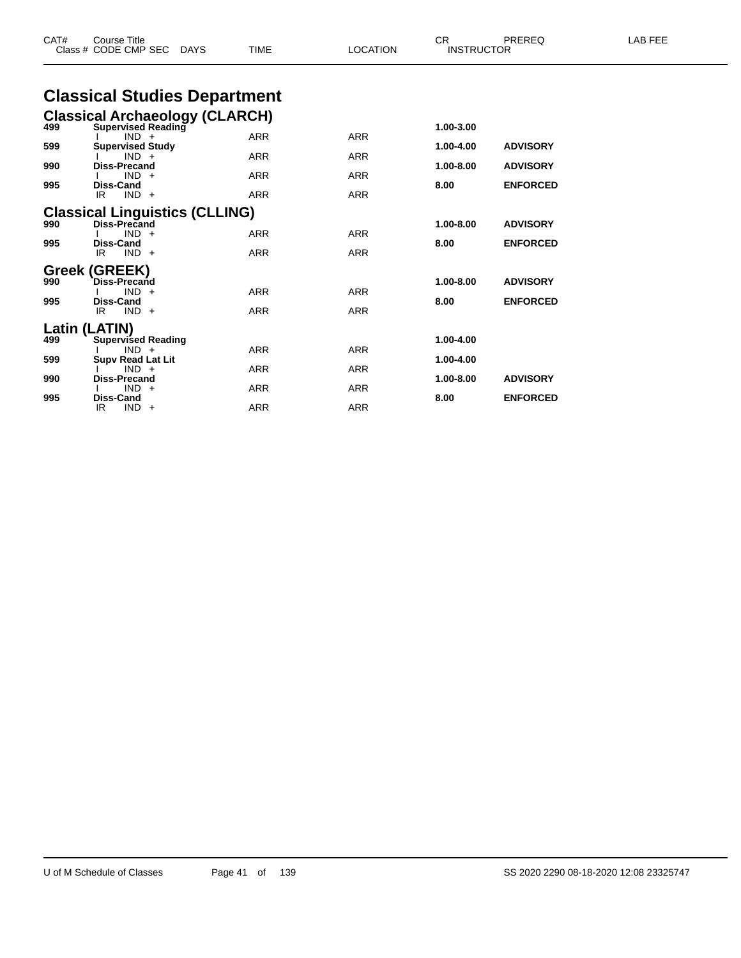| CAT# | <b>Course Title</b><br>Class # CODE CMP SEC<br>DAYS   | <b>TIME</b> | <b>LOCATION</b> | CR.<br><b>INSTRUCTOR</b> | PREREQ          | LAB FEE |
|------|-------------------------------------------------------|-------------|-----------------|--------------------------|-----------------|---------|
|      | <b>Classical Studies Department</b>                   |             |                 |                          |                 |         |
|      | <b>Classical Archaeology (CLARCH)</b>                 |             |                 |                          |                 |         |
| 499  | <b>Supervised Reading</b><br>$IND +$                  | ARR         | <b>ARR</b>      | 1.00-3.00                |                 |         |
| 599  | <b>Supervised Study</b>                               |             |                 | 1.00-4.00                | <b>ADVISORY</b> |         |
| 990  | $IND +$<br><b>Diss-Precand</b>                        | ARR         | <b>ARR</b>      | 1.00-8.00                | <b>ADVISORY</b> |         |
|      | $IND +$                                               | <b>ARR</b>  | <b>ARR</b>      |                          |                 |         |
| 995  | <b>Diss-Cand</b><br>IR.<br>$IND +$                    | <b>ARR</b>  | <b>ARR</b>      | 8.00                     | <b>ENFORCED</b> |         |
|      |                                                       |             |                 |                          |                 |         |
| 990  | <b>Classical Linguistics (CLLING)</b><br>Diss-Precand |             |                 | 1.00-8.00                | <b>ADVISORY</b> |         |
|      | $IND +$                                               | <b>ARR</b>  | <b>ARR</b>      |                          |                 |         |
| 995  | <b>Diss-Cand</b><br>IR<br>$IND +$                     | <b>ARR</b>  | ARR             | 8.00                     | <b>ENFORCED</b> |         |
|      | Greek (GREEK)                                         |             |                 |                          |                 |         |
| 990  | <b>Diss-Precand</b>                                   |             |                 | 1.00-8.00                | <b>ADVISORY</b> |         |
| 995  | $IND +$                                               | <b>ARR</b>  | ARR             | 8.00                     |                 |         |
|      | <b>Diss-Cand</b><br>$IND +$<br>IR                     | <b>ARR</b>  | ARR             |                          | <b>ENFORCED</b> |         |
|      | Latin (LATIN)                                         |             |                 |                          |                 |         |
| 499  | <b>Supervised Reading</b>                             |             |                 | 1.00-4.00                |                 |         |
| 599  | $IND +$<br><b>Supv Read Lat Lit</b>                   | <b>ARR</b>  | <b>ARR</b>      | 1.00-4.00                |                 |         |
|      | $IND +$                                               | <b>ARR</b>  | <b>ARR</b>      |                          |                 |         |
| 990  | <b>Diss-Precand</b><br>$IND +$                        | <b>ARR</b>  | <b>ARR</b>      | 1.00-8.00                | <b>ADVISORY</b> |         |
| 995  | <b>Diss-Cand</b>                                      |             |                 | 8.00                     | <b>ENFORCED</b> |         |

IR IND + ARR ARR ARR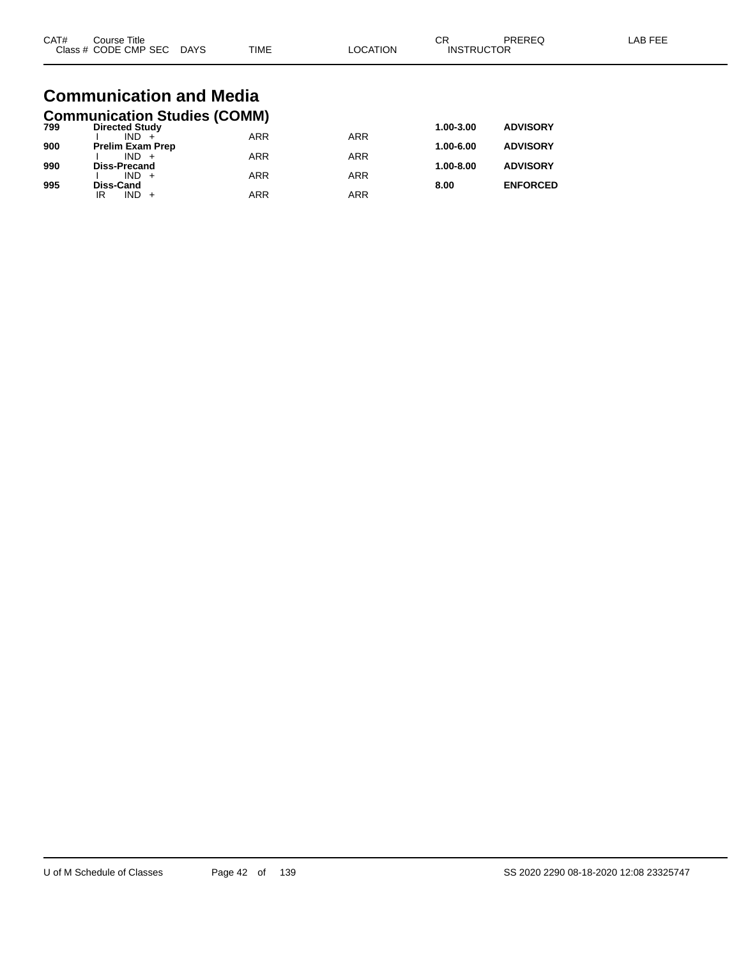| CAT#<br>Course Title<br>Class # CODE CMP SEC DAYS | TIME | LOCATION | CR<br><b>INSTRUCTOR</b> | PREREQ | LAB FEE |
|---------------------------------------------------|------|----------|-------------------------|--------|---------|
| Communication and Modia                           |      |          |                         |        |         |

#### **Communication and Media Communication Studies (COMM)**

| 799 | <b>Directed Study</b>   |            |            | $1.00 - 3.00$ | <b>ADVISORY</b> |
|-----|-------------------------|------------|------------|---------------|-----------------|
|     | $IND +$                 | <b>ARR</b> | <b>ARR</b> |               |                 |
| 900 | <b>Prelim Exam Prep</b> |            |            | $1.00 - 6.00$ | <b>ADVISORY</b> |
|     | $IND +$                 | <b>ARR</b> | <b>ARR</b> |               |                 |
| 990 | <b>Diss-Precand</b>     |            |            | $1.00 - 8.00$ | <b>ADVISORY</b> |
|     | $IND +$                 | <b>ARR</b> | <b>ARR</b> |               |                 |
| 995 | <b>Diss-Cand</b>        |            |            | 8.00          | <b>ENFORCED</b> |
|     | $IND +$<br>IR           | <b>ARR</b> | ARR        |               |                 |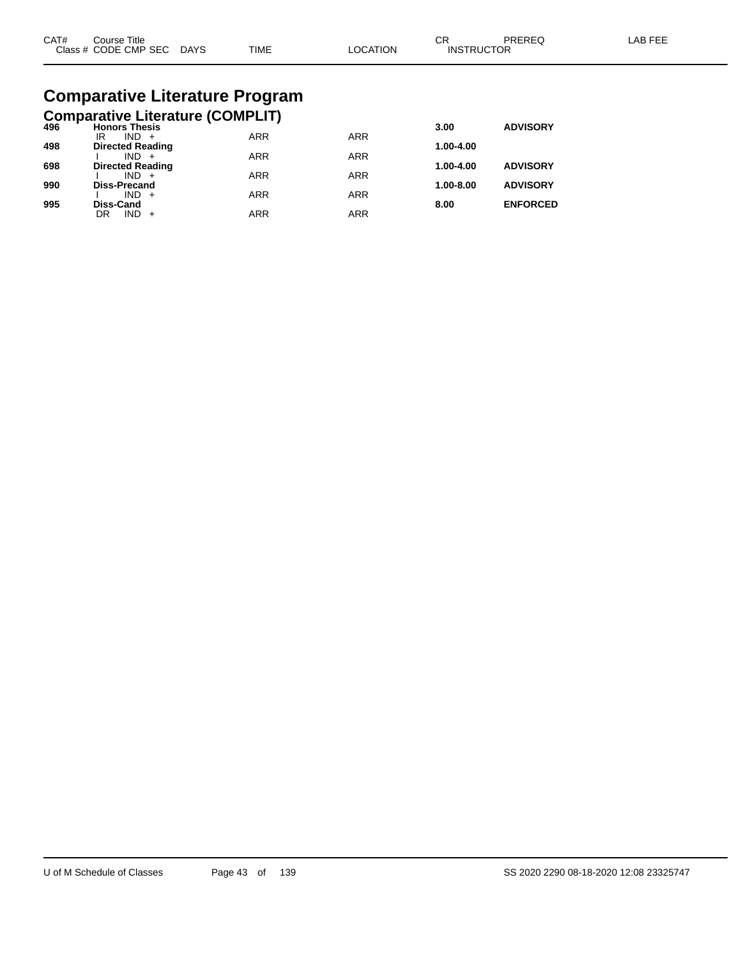| CAT# | Course Title         |             |             |         | СR                | PREREC | AB FFF |
|------|----------------------|-------------|-------------|---------|-------------------|--------|--------|
|      | Class # CODE CMP SEC | <b>DAYS</b> | <b>TIME</b> | OCATION | <b>INSTRUCTOR</b> |        |        |

# **Comparative Literature Program**

|  | <b>Comparative Literature (COMPLIT)</b> |  |
|--|-----------------------------------------|--|
|  |                                         |  |

| 496 | <b>Honors Thesis</b>               |            |            | 3.00      | <b>ADVISORY</b> |
|-----|------------------------------------|------------|------------|-----------|-----------------|
|     | $IND +$<br>IR                      | <b>ARR</b> | <b>ARR</b> |           |                 |
| 498 | <b>Directed Reading</b><br>$IND +$ | <b>ARR</b> | <b>ARR</b> | 1.00-4.00 |                 |
| 698 | <b>Directed Reading</b>            |            |            | 1.00-4.00 | <b>ADVISORY</b> |
|     | $IND +$                            | <b>ARR</b> | <b>ARR</b> |           |                 |
| 990 | <b>Diss-Precand</b>                |            |            | 1.00-8.00 | <b>ADVISORY</b> |
|     | $IND +$                            | <b>ARR</b> | <b>ARR</b> |           |                 |
| 995 | <b>Diss-Cand</b>                   |            |            | 8.00      | <b>ENFORCED</b> |
|     | $IND +$<br>DR                      | ARR        | ARR        |           |                 |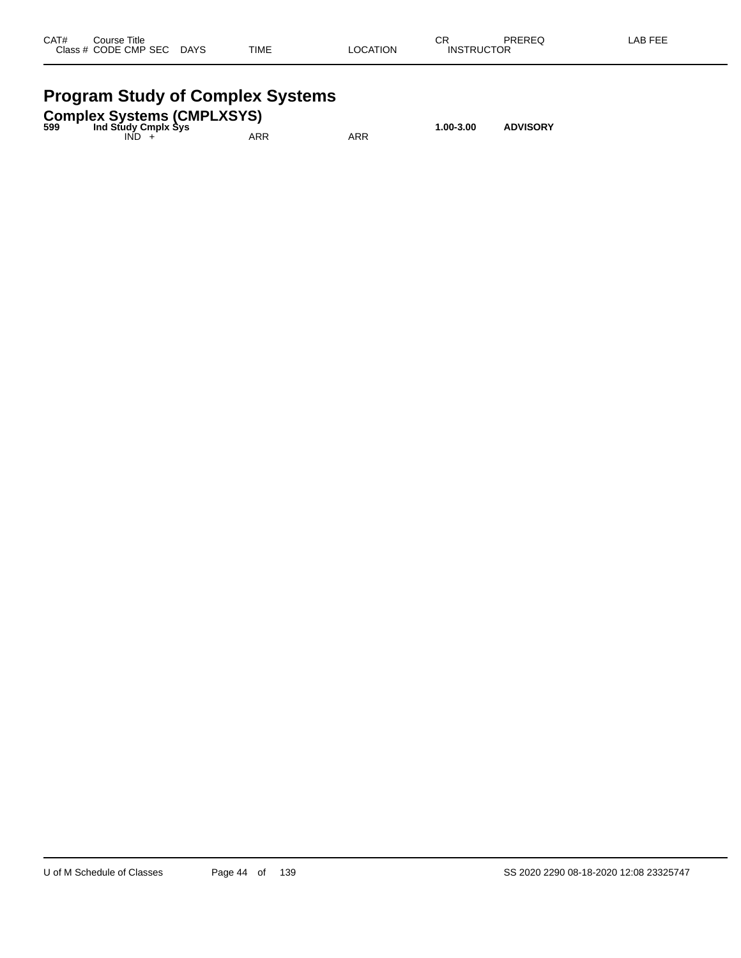| CAT#      | Title<br>Course     |             |             |                 | СR                                   | <b>DDEDEA</b> | AB FFF |
|-----------|---------------------|-------------|-------------|-----------------|--------------------------------------|---------------|--------|
| Class $#$ | <b>CODE CMP SEC</b> | <b>DAYS</b> | <b>TIME</b> | `ATION<br>_OCA` | <b>TDI ICTOD</b><br>INS <sup>-</sup> | UΚ            |        |
|           |                     |             |             |                 |                                      |               |        |

### **Program Study of Complex Systems**

| 599 | Ind Study Cmplx Sys | <b>Complex Systems (CMPLXSYS)</b> |     | 1.00-3.00 | <b>ADVISORY</b> |
|-----|---------------------|-----------------------------------|-----|-----------|-----------------|
|     | IND.                | ARR                               | ARR |           |                 |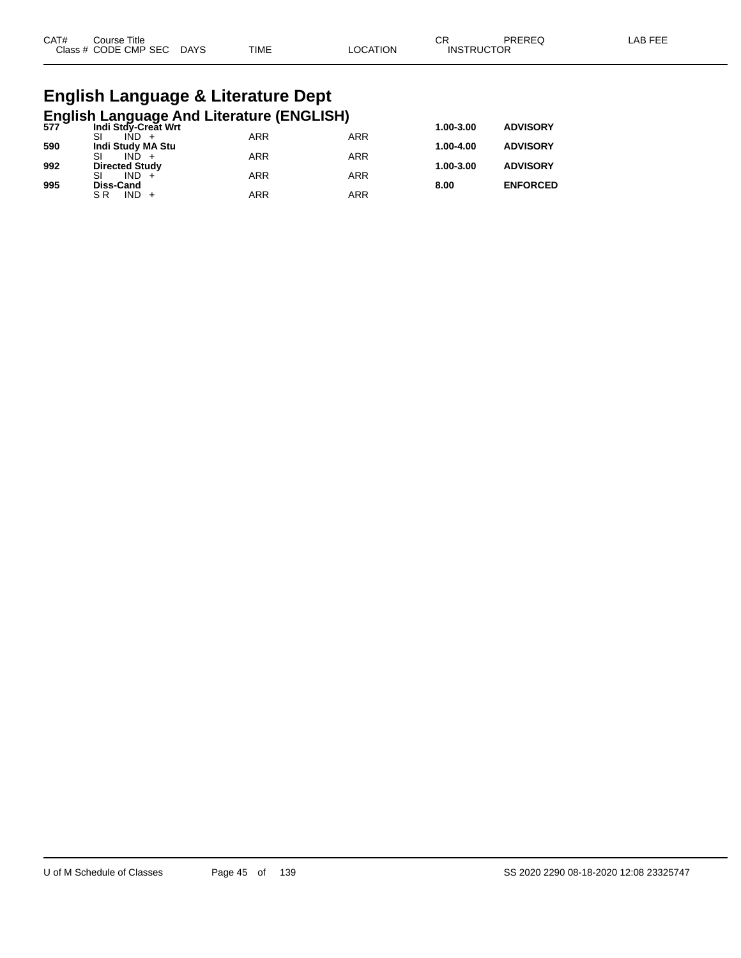| CAT# | ourse Titleٽ              |      |          | ⌒冖<br>◡ド          | PREREQ | LAB FEE |
|------|---------------------------|------|----------|-------------------|--------|---------|
|      | Class # CODE CMP SEC DAYS | TIME | LOCATION | <b>INSTRUCTOR</b> |        |         |

# **English Language & Literature Dept**

|     | English Language And Literature (ENGLISH)<br>577 Indi Stdy-Creat Wrt |            |            | 1.00-3.00 | <b>ADVISORY</b> |
|-----|----------------------------------------------------------------------|------------|------------|-----------|-----------------|
|     |                                                                      | ARR        | <b>ARR</b> |           |                 |
| 590 | Indi Study MA Stu                                                    |            |            | 1.00-4.00 | <b>ADVISORY</b> |
|     | $IND +$                                                              | <b>ARR</b> | <b>ARR</b> |           |                 |
| 992 | <b>Directed Study</b>                                                |            |            | 1.00-3.00 | <b>ADVISORY</b> |
|     | $IND +$                                                              | <b>ARR</b> | <b>ARR</b> |           |                 |
| 995 | Diss-Cand                                                            |            |            | 8.00      | <b>ENFORCED</b> |
|     | $IND +$<br>S R                                                       | ARR        | <b>ARR</b> |           |                 |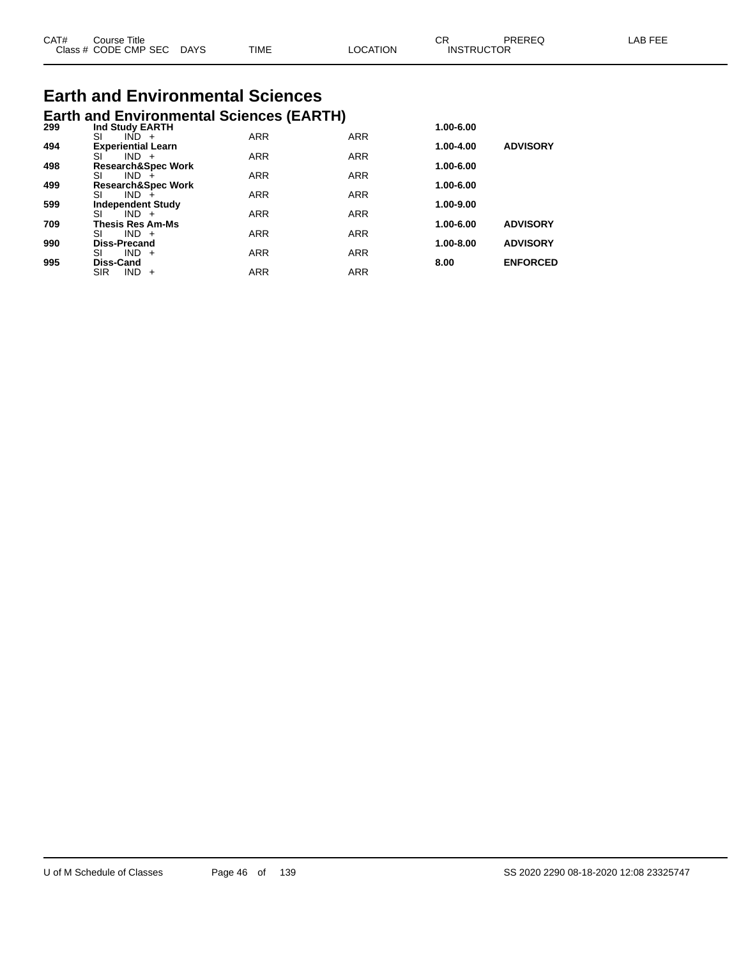| CAT# | Course Title              |      |          | ∪κ                | PREREQ | LAB FEE |
|------|---------------------------|------|----------|-------------------|--------|---------|
|      | Class # CODE CMP SEC DAYS | TIME | ∟OCATION | <b>INSTRUCTOR</b> |        |         |

# **Earth and Environmental Sciences**

|     | <b>Earth and Environmental Sciences (EARTH)</b> |            |            |               |                 |
|-----|-------------------------------------------------|------------|------------|---------------|-----------------|
| 299 | Ind Study EARTH<br>SI<br>$IND +$                | <b>ARR</b> | <b>ARR</b> | 1.00-6.00     |                 |
| 494 | <b>Experiential Learn</b>                       |            |            | $1.00 - 4.00$ | <b>ADVISORY</b> |
| 498 | SI<br>$IND +$<br><b>Research&amp;Spec Work</b>  | <b>ARR</b> | <b>ARR</b> | 1.00-6.00     |                 |
|     | SI<br>$IND +$                                   | <b>ARR</b> | <b>ARR</b> |               |                 |
| 499 | <b>Research&amp;Spec Work</b><br>SI<br>$IND +$  | <b>ARR</b> | <b>ARR</b> | 1.00-6.00     |                 |
| 599 | <b>Independent Study</b>                        |            |            | 1.00-9.00     |                 |
|     | $IND +$<br>SI                                   | <b>ARR</b> | <b>ARR</b> |               |                 |
| 709 | <b>Thesis Res Am-Ms</b><br>SI<br>$IND +$        | <b>ARR</b> | <b>ARR</b> | $1.00 - 6.00$ | <b>ADVISORY</b> |
| 990 | <b>Diss-Precand</b>                             |            |            | 1.00-8.00     | <b>ADVISORY</b> |
| 995 | $IND +$<br>SI<br><b>Diss-Cand</b>               | <b>ARR</b> | <b>ARR</b> | 8.00          | <b>ENFORCED</b> |
|     | <b>SIR</b><br><b>IND</b><br>$+$                 | <b>ARR</b> | <b>ARR</b> |               |                 |
|     |                                                 |            |            |               |                 |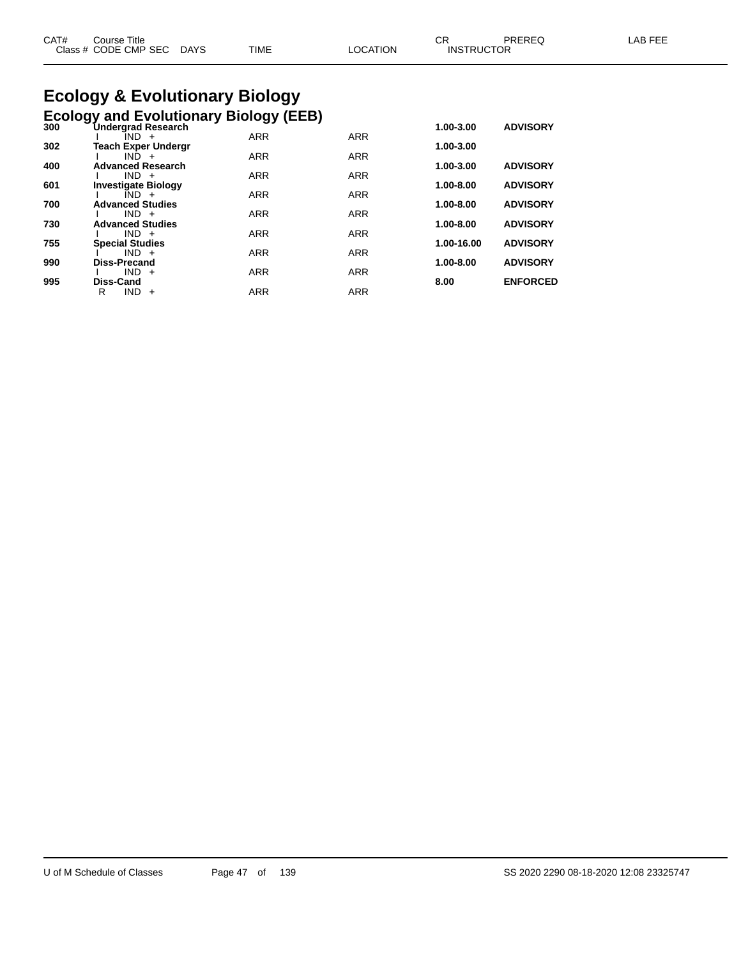| CAT# | ourse Titleٽ              |             |                 | ∼י<br>◡┍          | PREREQ | LAB FEE |
|------|---------------------------|-------------|-----------------|-------------------|--------|---------|
|      | Class # CODE CMP SEC DAYS | <b>TIME</b> | <b>LOCATION</b> | <b>INSTRUCTOR</b> |        |         |

# **Ecology & Evolutionary Biology**

|     | <b>Ecology and Evolutionary Biology (EEB)</b> |            |            |            |                 |
|-----|-----------------------------------------------|------------|------------|------------|-----------------|
| 300 | <b>Undergrad Research</b><br>IND +            | <b>ARR</b> | <b>ARR</b> | 1.00-3.00  | <b>ADVISORY</b> |
| 302 | <b>Teach Exper Undergr</b>                    |            |            | 1.00-3.00  |                 |
|     | $IND +$                                       | <b>ARR</b> | <b>ARR</b> |            |                 |
| 400 | <b>Advanced Research</b><br>$IND +$           | <b>ARR</b> | <b>ARR</b> | 1.00-3.00  | <b>ADVISORY</b> |
| 601 | <b>Investigate Biology</b>                    |            |            | 1.00-8.00  | <b>ADVISORY</b> |
|     | $IND +$                                       | <b>ARR</b> | <b>ARR</b> |            |                 |
| 700 | <b>Advanced Studies</b><br>$IND +$            | <b>ARR</b> | <b>ARR</b> | 1.00-8.00  | <b>ADVISORY</b> |
| 730 | <b>Advanced Studies</b>                       |            |            | 1.00-8.00  | <b>ADVISORY</b> |
|     | $IND +$                                       | <b>ARR</b> | <b>ARR</b> |            |                 |
| 755 | <b>Special Studies</b><br>$IND +$             | <b>ARR</b> | <b>ARR</b> | 1.00-16.00 | <b>ADVISORY</b> |
| 990 | <b>Diss-Precand</b>                           |            |            | 1.00-8.00  | <b>ADVISORY</b> |
|     | $IND +$                                       | <b>ARR</b> | <b>ARR</b> |            |                 |
| 995 | Diss-Cand                                     |            |            | 8.00       | <b>ENFORCED</b> |
|     | R<br><b>IND</b><br>$+$                        | <b>ARR</b> | <b>ARR</b> |            |                 |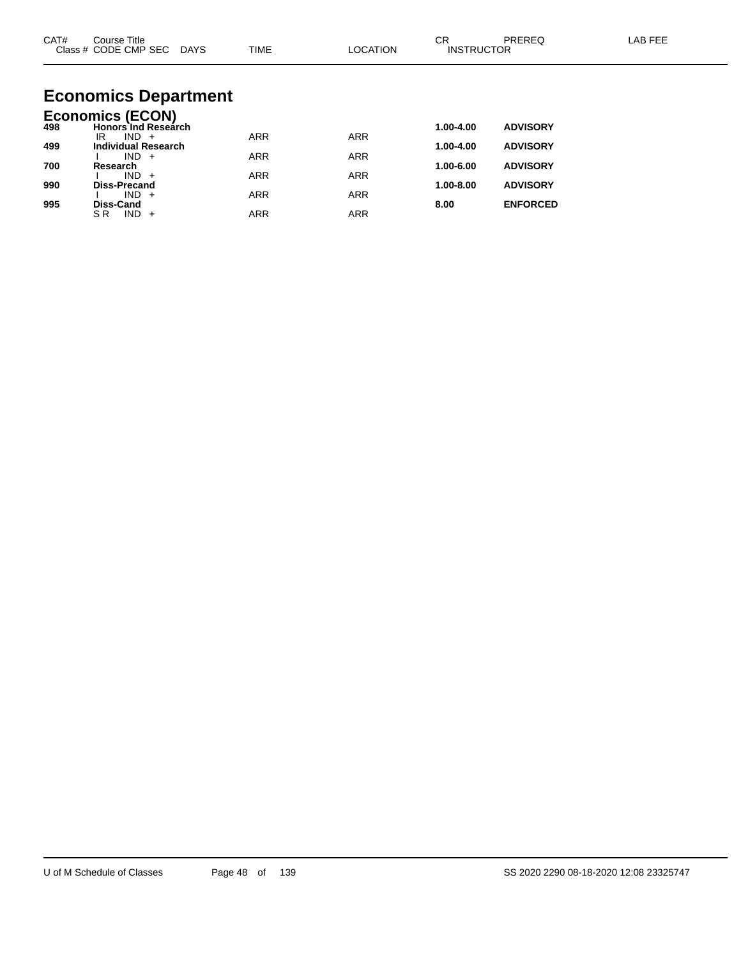| CAT#       | Course Title<br>Class # CODE CMP SEC DAYS                        | <b>TIME</b> | <b>LOCATION</b> | <b>CR</b><br><b>INSTRUCTOR</b> | <b>PREREQ</b>                      | LAB FEE |
|------------|------------------------------------------------------------------|-------------|-----------------|--------------------------------|------------------------------------|---------|
|            | <b>Economics Department</b>                                      |             |                 |                                |                                    |         |
| 498        | <b>Economics (ECON)</b><br><b>Honors Ind Research</b><br>$IND +$ | <b>ARR</b>  | <b>ARR</b>      | 1.00-4.00                      | <b>ADVISORY</b>                    |         |
| 499        | IR.<br><b>Individual Research</b><br>$IND +$                     | <b>ARR</b>  | <b>ARR</b>      | 1.00-4.00                      | <b>ADVISORY</b>                    |         |
| 700        | Research<br>$IND +$                                              | <b>ARR</b>  | <b>ARR</b>      | 1.00-6.00                      | <b>ADVISORY</b>                    |         |
| 990<br>995 | <b>Diss-Precand</b><br>$IND +$<br>Diss-Cand                      | <b>ARR</b>  | <b>ARR</b>      | 1.00-8.00<br>8.00              | <b>ADVISORY</b><br><b>ENFORCED</b> |         |

SR IND + ARR ARR ARR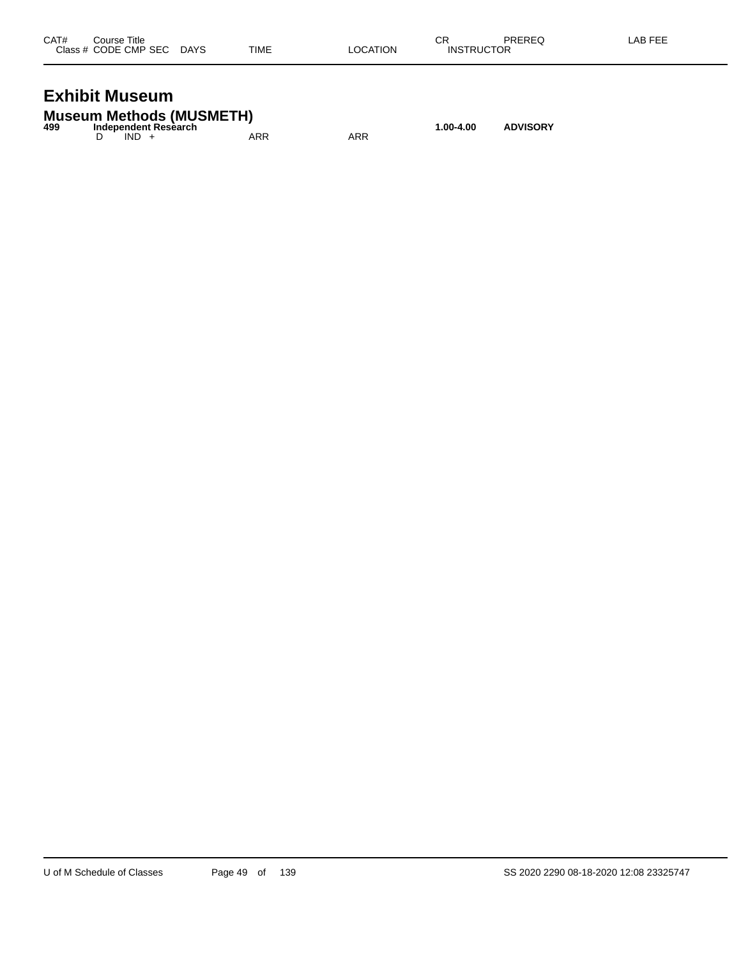| CAT# | Course Title              |      |          | СR                | PREREQ | LAB FEE |
|------|---------------------------|------|----------|-------------------|--------|---------|
|      | Class # CODE CMP SEC DAYS | TIME | LOCATION | <b>INSTRUCTOR</b> |        |         |
|      |                           |      |          |                   |        |         |

#### **Exhibit Museum**

|     | <b>Museum Methods (MUSMETH)</b> |     |     |           |                 |
|-----|---------------------------------|-----|-----|-----------|-----------------|
| 499 | Independent Research            |     |     | 1.00-4.00 | <b>ADVISORY</b> |
|     | $IND +$                         | ARR | ARR |           |                 |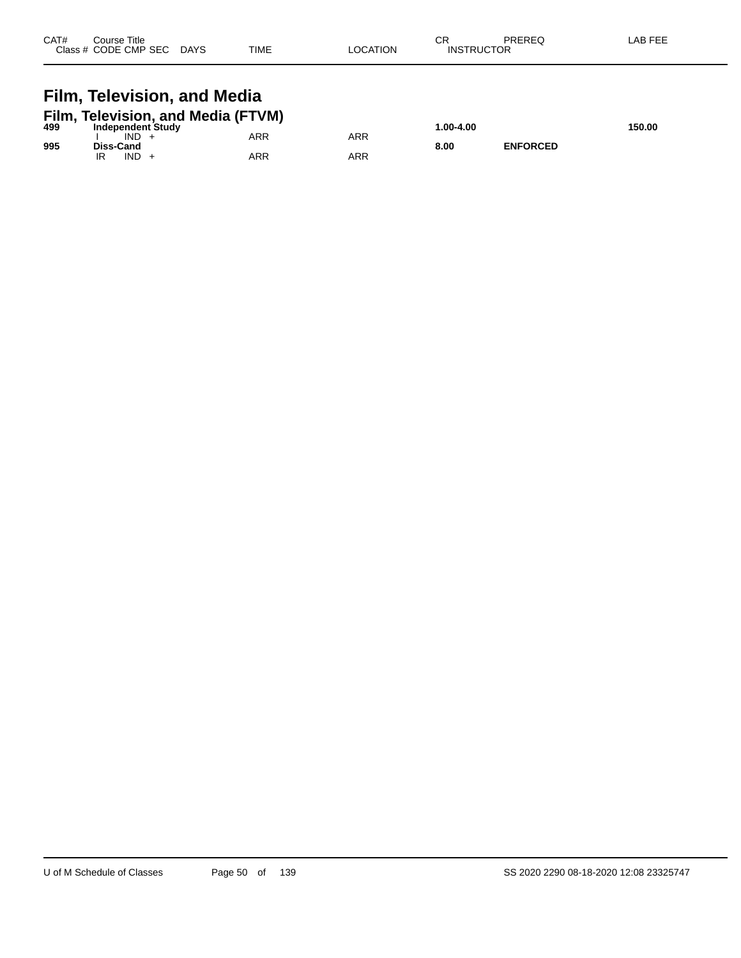| CAT# | Course Title<br>Class # CODE CMP SEC | <b>DAYS</b> | <b>TIME</b> | <b>OCATION</b> | СR<br><b>INSTRUCTOR</b> | PREREQ | AB FEE |
|------|--------------------------------------|-------------|-------------|----------------|-------------------------|--------|--------|
|      |                                      |             |             |                |                         |        |        |

# **Film, Television, and Media**

|     | Film, Television, and Media (FTVM) |     |     |            |                 |        |
|-----|------------------------------------|-----|-----|------------|-----------------|--------|
| 499 | Independent Study                  |     |     | 00-4.00. ا |                 | 150.00 |
|     | IND                                | ARR | ARR |            |                 |        |
| 995 | Diss-Cand                          |     |     | 8.00       | <b>ENFORCED</b> |        |
|     | <b>IND</b>                         | ARR | ARR |            |                 |        |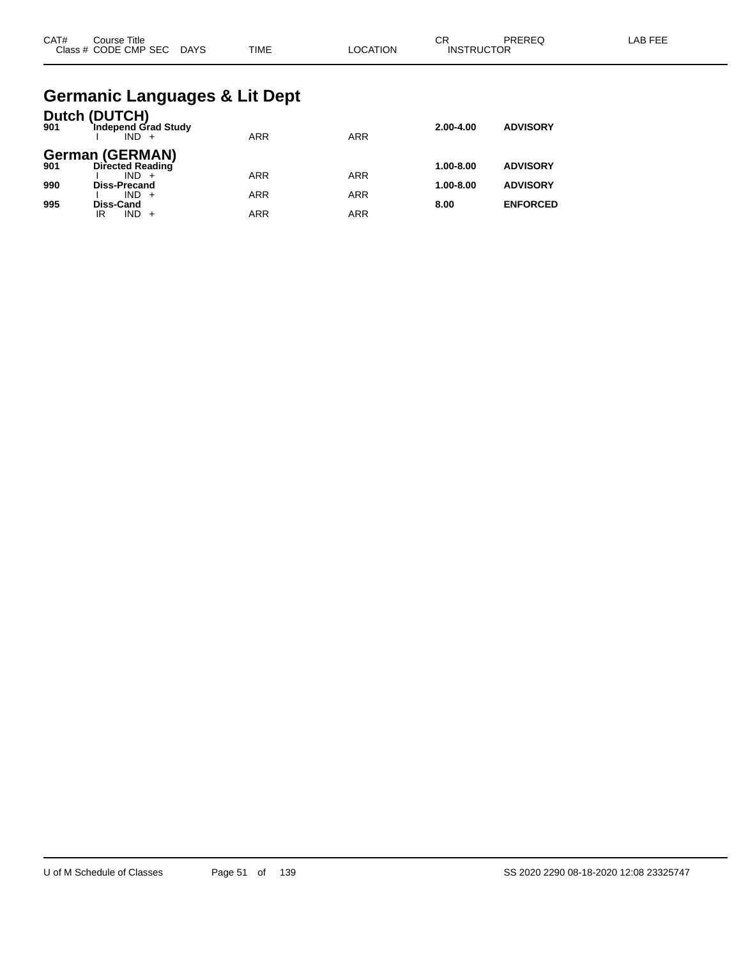| CAT# | . Title<br>Course    |             |             |                | ⌒冖<br>◡◠          | PREREQ | $AP$ $EF'$<br><b>NL</b> |
|------|----------------------|-------------|-------------|----------------|-------------------|--------|-------------------------|
|      | Class # CODE CMP SEC | <b>DAYS</b> | <b>TIME</b> | <b>OCATION</b> | <b>INSTRUCTOR</b> |        |                         |

#### **Germanic Languages & Lit Dept**

| 901 | Dutch (DUTCH)<br>Independ Grad Study<br>$IND +$ | <b>ARR</b> | <b>ARR</b> | $2.00 - 4.00$ | <b>ADVISORY</b> |
|-----|-------------------------------------------------|------------|------------|---------------|-----------------|
| 901 | <b>German (GERMAN)</b><br>Directed Reading      |            |            | $1.00 - 8.00$ | <b>ADVISORY</b> |
| 990 | $IND +$<br><b>Diss-Precand</b>                  | <b>ARR</b> | <b>ARR</b> | $1.00 - 8.00$ | <b>ADVISORY</b> |
| 995 | $IND +$<br><b>Diss-Cand</b>                     | <b>ARR</b> | <b>ARR</b> | 8.00          | <b>ENFORCED</b> |
|     | IND.<br>IR                                      | <b>ARR</b> | ARR        |               |                 |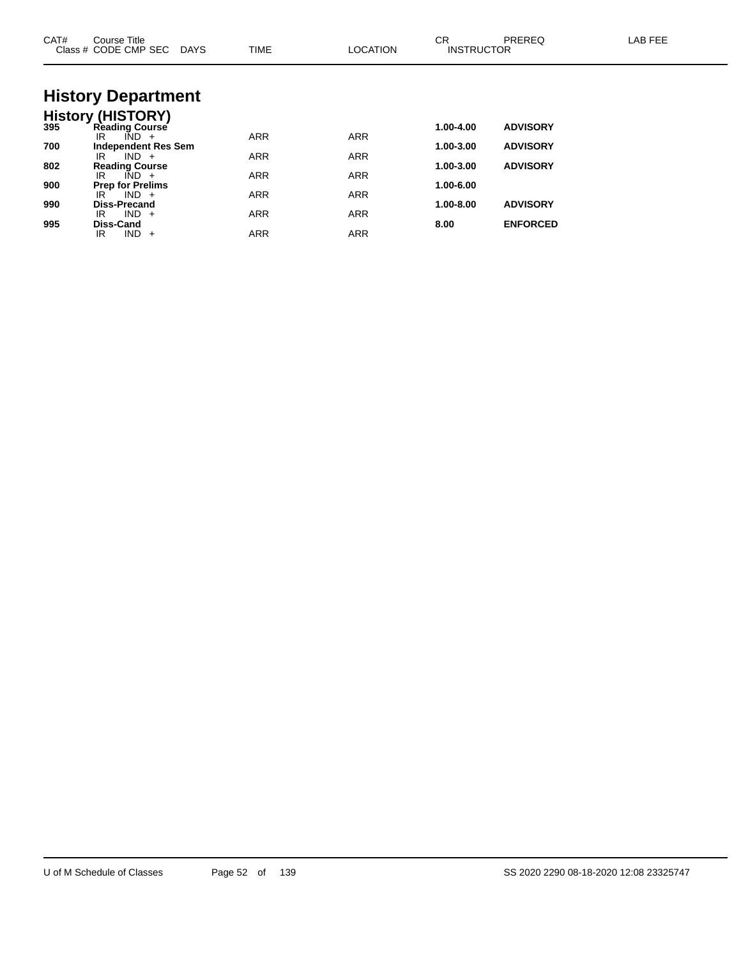| CAT# | Course Title<br>Class # CODE CMP SEC DAYS              | <b>TIME</b> | <b>LOCATION</b> | <b>CR</b><br><b>INSTRUCTOR</b> | PREREQ          | LAB FEE |
|------|--------------------------------------------------------|-------------|-----------------|--------------------------------|-----------------|---------|
|      | <b>History Department</b>                              |             |                 |                                |                 |         |
|      | <b>History (HISTORY)</b><br>395 Reading Course         |             |                 |                                |                 |         |
|      |                                                        |             |                 | 1.00-4.00                      | <b>ADVISORY</b> |         |
| 700  | $\overline{IND}$ +<br>IR<br><b>Independent Res Sem</b> | <b>ARR</b>  | <b>ARR</b>      | 1.00-3.00                      | <b>ADVISORY</b> |         |
|      | $IND +$<br>IR                                          | <b>ARR</b>  | <b>ARR</b>      |                                |                 |         |
| 802  | <b>Reading Course</b>                                  |             |                 | 1.00-3.00                      | <b>ADVISORY</b> |         |
|      | $\overline{IND}$ +<br>IR                               | <b>ARR</b>  | <b>ARR</b>      |                                |                 |         |
| 900  | <b>Prep for Prelims</b><br>$IND +$<br>IR               | <b>ARR</b>  | <b>ARR</b>      | 1.00-6.00                      |                 |         |
| 990  | Diss-Precand                                           |             |                 | 1.00-8.00                      | <b>ADVISORY</b> |         |
|      | $IND +$<br>IR                                          | <b>ARR</b>  | <b>ARR</b>      |                                |                 |         |
| 995  | Diss-Cand<br>$IND +$<br>IR                             | <b>ARR</b>  | <b>ARR</b>      | 8.00                           | <b>ENFORCED</b> |         |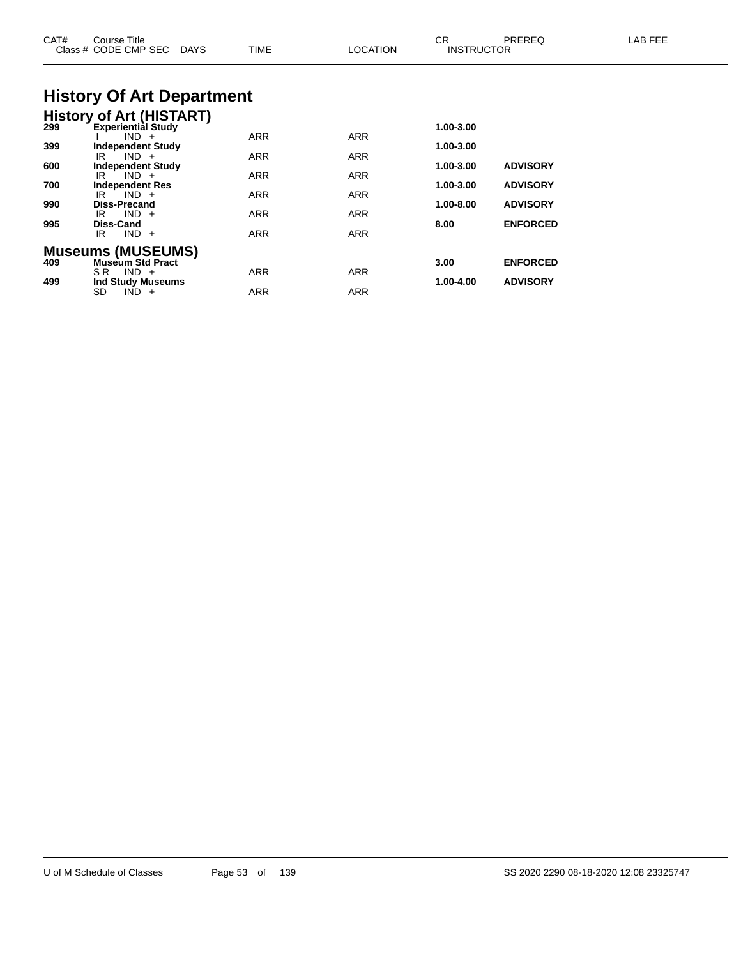| CAT#       | Course Title<br>Class # CODE CMP SEC<br><b>DAYS</b>                    | TIME                     | <b>LOCATION</b>          | CR<br><b>INSTRUCTOR</b> | PREREQ                             | LAB FEE |
|------------|------------------------------------------------------------------------|--------------------------|--------------------------|-------------------------|------------------------------------|---------|
|            | <b>History Of Art Department</b>                                       |                          |                          |                         |                                    |         |
|            | <b>History of Art (HISTART)</b><br>299 Experiential Study<br>$IND +$   | <b>ARR</b>               | <b>ARR</b>               | 1.00-3.00               |                                    |         |
| 399<br>600 | <b>Independent Study</b><br>$IND +$<br>IR.<br><b>Independent Study</b> | ARR                      | ARR                      | 1.00-3.00<br>1.00-3.00  | <b>ADVISORY</b>                    |         |
| 700        | $IND +$<br>IR<br><b>Independent Res</b><br>$IND +$<br>IR.              | ARR<br>ARR               | ARR<br><b>ARR</b>        | 1.00-3.00               | <b>ADVISORY</b>                    |         |
| 990<br>995 | <b>Diss-Precand</b><br>$IND +$<br>IR<br>Diss-Cand<br>$IND +$<br>IR.    | <b>ARR</b><br><b>ARR</b> | <b>ARR</b><br><b>ARR</b> | 1.00-8.00<br>8.00       | <b>ADVISORY</b><br><b>ENFORCED</b> |         |
| 409        | <b>Museums (MUSEUMS)</b><br><b>Museum Std Pract</b>                    |                          |                          | 3.00                    | <b>ENFORCED</b>                    |         |
| 499        | $SR$ IND $+$<br><b>Ind Study Museums</b><br>SD<br>$IND +$              | <b>ARR</b><br>ARR        | <b>ARR</b><br><b>ARR</b> | 1.00-4.00               | <b>ADVISORY</b>                    |         |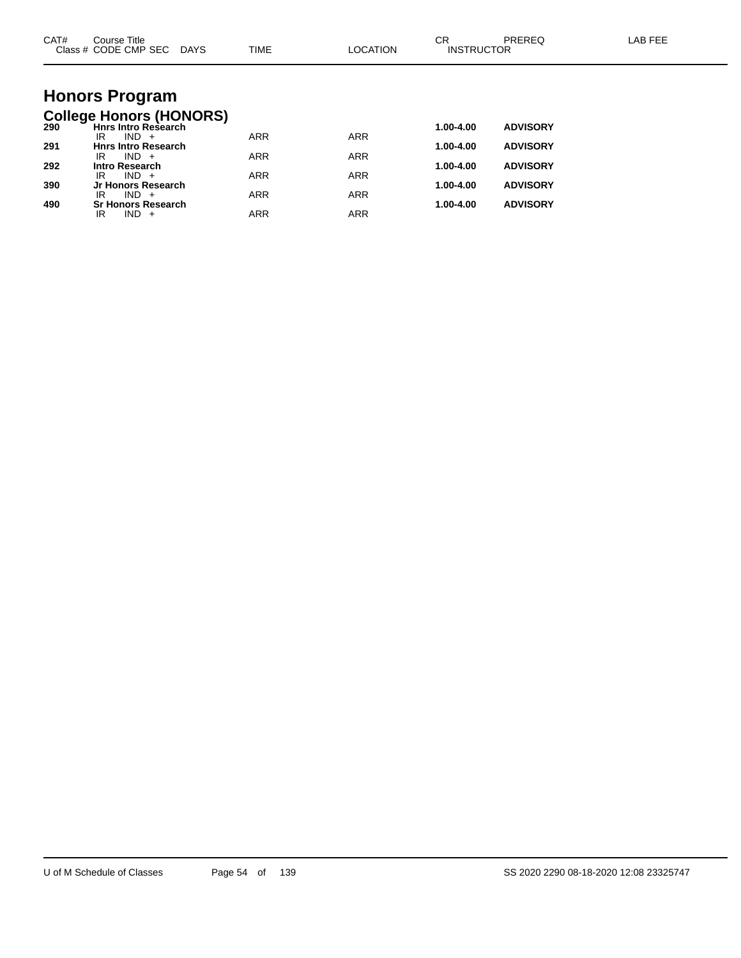| CAT# | Course Title<br>Class # CODE CMP SEC DAYS                    | TIME       | <b>LOCATION</b> | <b>CR</b><br><b>INSTRUCTOR</b> | PREREQ          | <b>LAB FEE</b> |
|------|--------------------------------------------------------------|------------|-----------------|--------------------------------|-----------------|----------------|
|      |                                                              |            |                 |                                |                 |                |
|      | <b>Honors Program</b>                                        |            |                 |                                |                 |                |
| 290  | <b>College Honors (HONORS)</b><br><b>Hnrs Intro Research</b> |            |                 | 1.00-4.00                      | <b>ADVISORY</b> |                |
| 291  | $IND +$<br>IR<br><b>Hnrs Intro Research</b>                  | <b>ARR</b> | <b>ARR</b>      | 1.00-4.00                      | <b>ADVISORY</b> |                |
| 292  | $IND +$<br>IR<br><b>Intro Research</b>                       | <b>ARR</b> | <b>ARR</b>      | 1.00-4.00                      | <b>ADVISORY</b> |                |
|      | $IND +$<br>IR                                                | <b>ARR</b> | <b>ARR</b>      |                                |                 |                |
| 390  | Jr Honors Research<br>$IND +$<br>IR                          | <b>ARR</b> | <b>ARR</b>      | 1.00-4.00                      | <b>ADVISORY</b> |                |
| 490  | <b>Sr Honors Research</b><br>$IND +$<br>IR                   | <b>ARR</b> | <b>ARR</b>      | 1.00-4.00                      | <b>ADVISORY</b> |                |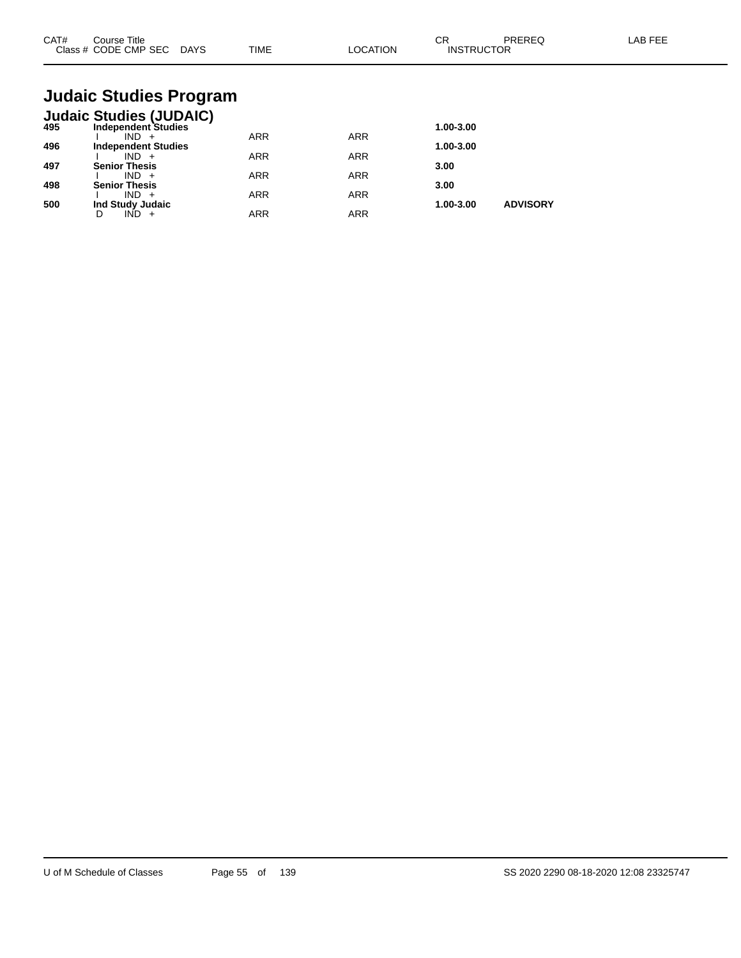| CAT#<br>Class $#$ | Course Title<br>CODE CMP SEC | <b>DAYS</b> | <b>TIME</b> | <b>OCATION</b> | $\sim$<br>◡<br><b>INSTRUCTOR</b> | PREREG | LAB FEF |
|-------------------|------------------------------|-------------|-------------|----------------|----------------------------------|--------|---------|
|                   |                              |             |             |                |                                  |        |         |

# **Judaic Studies Program**

|     | <b>Judaic Studies (JUDAIC)</b> |            |            |           |                 |
|-----|--------------------------------|------------|------------|-----------|-----------------|
| 495 | <b>Independent Studies</b>     |            |            | 1.00-3.00 |                 |
|     | $IND +$                        | <b>ARR</b> | <b>ARR</b> |           |                 |
| 496 | <b>Independent Studies</b>     |            |            | 1.00-3.00 |                 |
|     | $IND +$                        | <b>ARR</b> | <b>ARR</b> |           |                 |
| 497 | <b>Senior Thesis</b>           |            |            | 3.00      |                 |
|     | $IND +$                        | <b>ARR</b> | <b>ARR</b> |           |                 |
| 498 | <b>Senior Thesis</b>           |            |            | 3.00      |                 |
|     | $IND +$                        | <b>ARR</b> | <b>ARR</b> |           |                 |
| 500 | Ind Study Judaic               |            |            | 1.00-3.00 | <b>ADVISORY</b> |
|     | IND                            | ARR        | <b>ARR</b> |           |                 |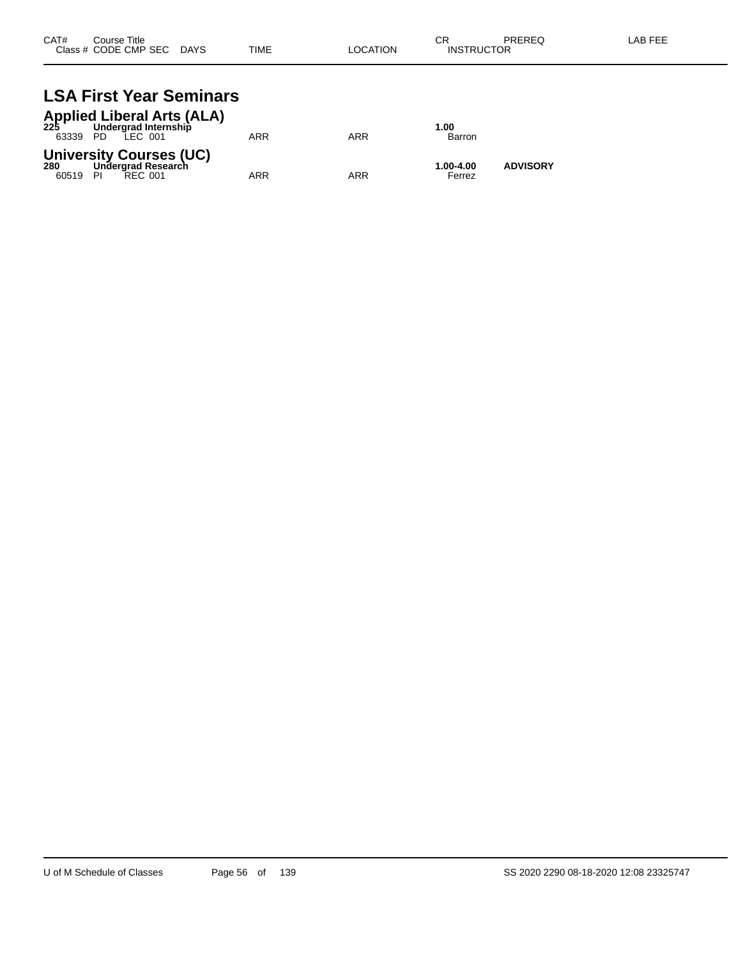| CAT# | Course Title              |      |          | СR                | PREREQ | LAB FEE |
|------|---------------------------|------|----------|-------------------|--------|---------|
|      | Class # CODE CMP SEC DAYS | TIME | LOCATION | <b>INSTRUCTOR</b> |        |         |
|      |                           |      |          |                   |        |         |

# **LSA First Year Seminars**

| 63339 PD        | <b>Applied Liberal Arts (ALA)</b><br>225 Undergrad Internship<br>LEC 001 | ARR | ARR | 1.00<br>Barron      |                 |
|-----------------|--------------------------------------------------------------------------|-----|-----|---------------------|-----------------|
| 280<br>60519 PI | <b>University Courses (UC)</b><br>Undergrad Research<br>REC 001          | ARR | ARR | 1.00-4.00<br>Ferrez | <b>ADVISORY</b> |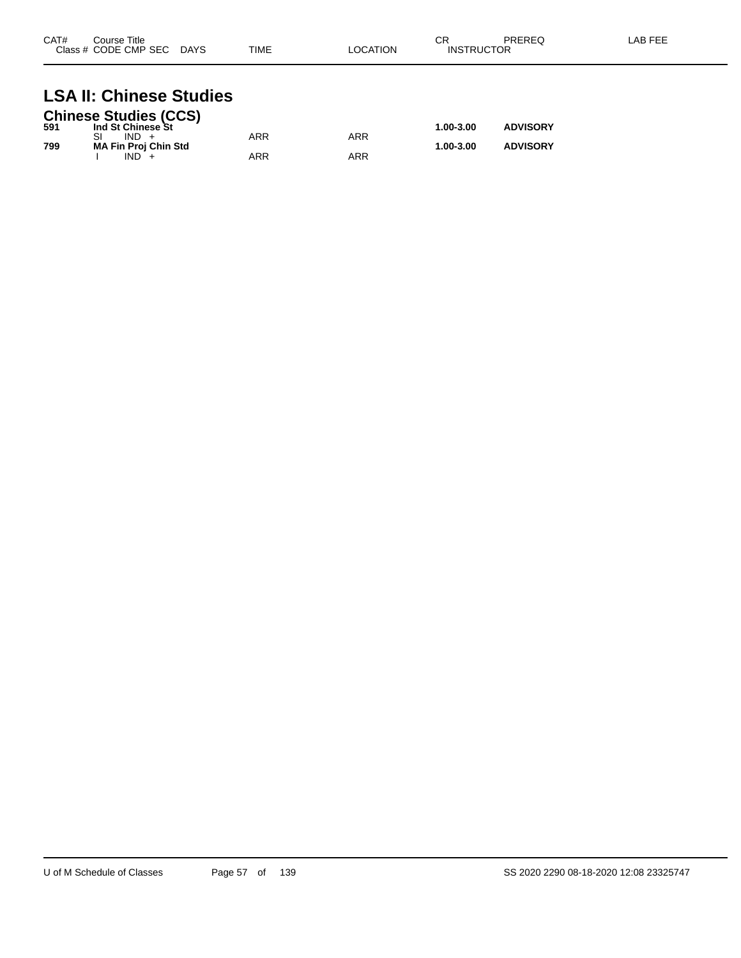| CAT#<br>Class <sub>1</sub> | Title<br>Course<br>CODE CMP SEC | <b>DAYS</b> | <b>TIME</b> | `ATION ີ<br>. $\cap$ | СR<br>TOR<br>INISTRI | <b>DDEDEC</b><br>ntntu | AB FFF |
|----------------------------|---------------------------------|-------------|-------------|----------------------|----------------------|------------------------|--------|
|                            |                                 |             |             |                      |                      |                        |        |

### **LSA II: Chinese Studies**

|     | <b>Chinese Studies (CCS)</b> |     |     |               |                 |
|-----|------------------------------|-----|-----|---------------|-----------------|
| 591 | Ind St Chinese St            |     |     | $1.00 - 3.00$ | <b>ADVISORY</b> |
|     | $IND +$                      | ARR | ARR |               |                 |
| 799 | <b>MA Fin Proj Chin Std</b>  |     |     | $1.00 - 3.00$ | <b>ADVISORY</b> |
|     | $IND +$                      | ARR | ARR |               |                 |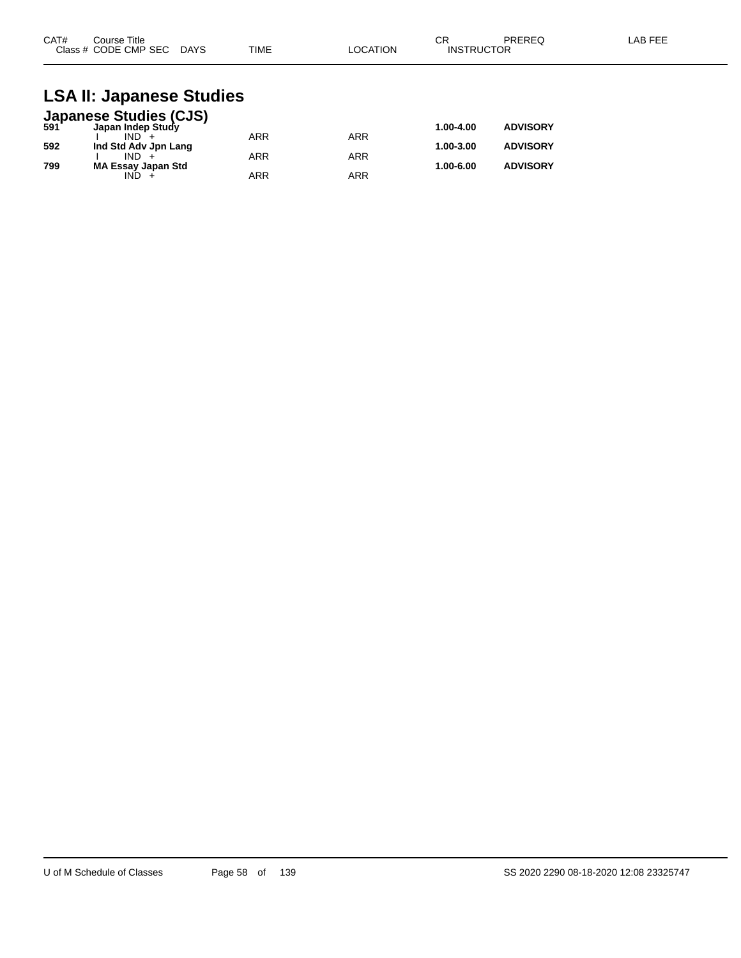| CAT#<br>Course Title      |             | ⌒冖<br>◡г |                   | PREREQ | LAB FEE |
|---------------------------|-------------|----------|-------------------|--------|---------|
| Class # CODE CMP SEC DAYS | <b>TIME</b> | LOCATION | <b>INSTRUCTOR</b> |        |         |

#### **LSA II: Japanese Studies**

|     | <b>Japanese Studies (CJS)</b><br>591 Japan Indep Study |            |            |           |                 |
|-----|--------------------------------------------------------|------------|------------|-----------|-----------------|
|     |                                                        |            |            | 1.00-4.00 | <b>ADVISORY</b> |
|     | $IND +$                                                | <b>ARR</b> | ARR        |           |                 |
| 592 | Ind Std Adv Jpn Lang                                   |            |            | 1.00-3.00 | <b>ADVISORY</b> |
|     | $IND +$                                                | <b>ARR</b> | <b>ARR</b> |           |                 |
| 799 | <b>MA Essay Japan Std</b>                              |            |            | 1.00-6.00 | <b>ADVISORY</b> |
|     | IND.                                                   | <b>ARR</b> | ARR        |           |                 |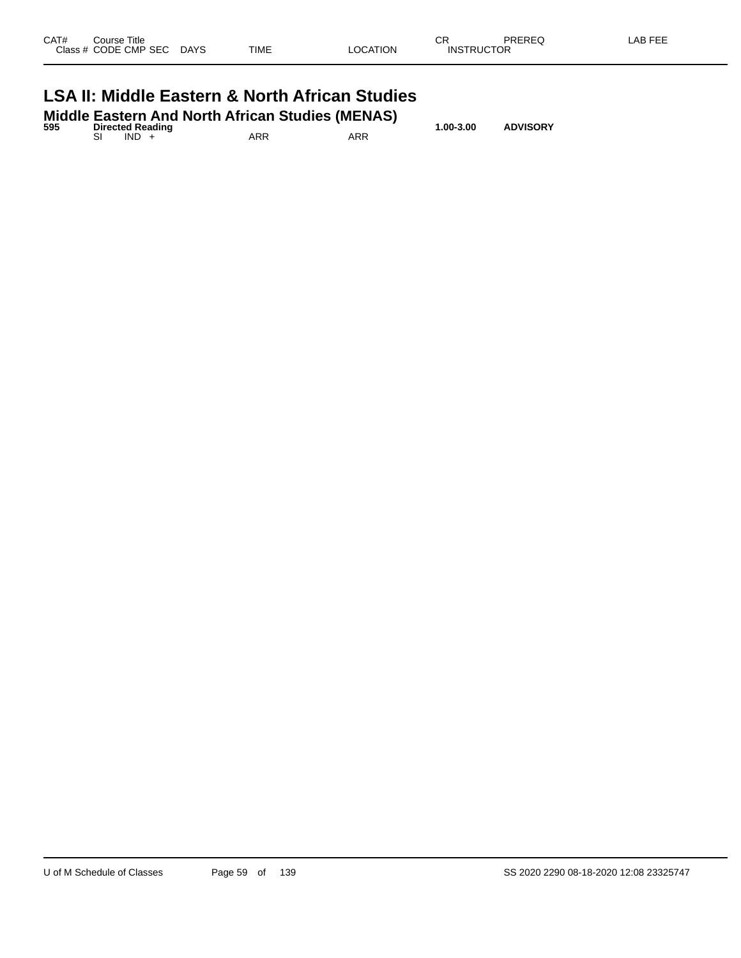| Class # CODE CMP SEC DAYS                                 |  | TIME | LOCATION | <b>INSTRUCTOR</b> |  |
|-----------------------------------------------------------|--|------|----------|-------------------|--|
| <b>LSA II: Middle Eastern &amp; North African Studies</b> |  |      |          |                   |  |

| 595 | <b>Directed Reading</b> |         | Middle Eastern And North African Studies (MENAS) |     | 1.00-3.00 | <b>ADVISORY</b> |  |
|-----|-------------------------|---------|--------------------------------------------------|-----|-----------|-----------------|--|
|     |                         | $IND +$ | ARR                                              | ARR |           |                 |  |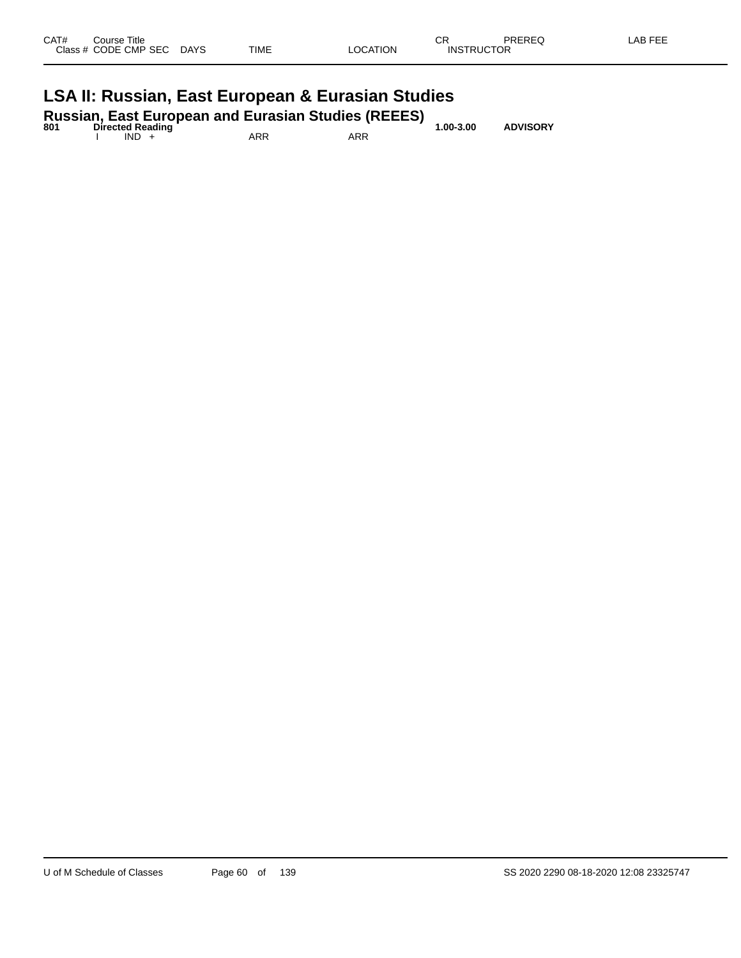| CAT#<br>Course Title<br>Class # CODE CMP SEC | <b>DAYS</b> | TIME | LOCATION | СR<br><b>INSTRUCTOR</b> | PREREQ | LAB FEE |
|----------------------------------------------|-------------|------|----------|-------------------------|--------|---------|
| .                                            | $\sim$      | - -  | - -      |                         |        |         |

#### **LSA II: Russian, East European & Eurasian Studies**

| 801 | <b>Directed Reading</b> |     | <b>Russian, East European and Eurasian Studies (REEES)</b> | $1.00 - 3.00$ | <b>ADVISORY</b> |
|-----|-------------------------|-----|------------------------------------------------------------|---------------|-----------------|
|     | $IND +$                 | ARR | ARR                                                        |               |                 |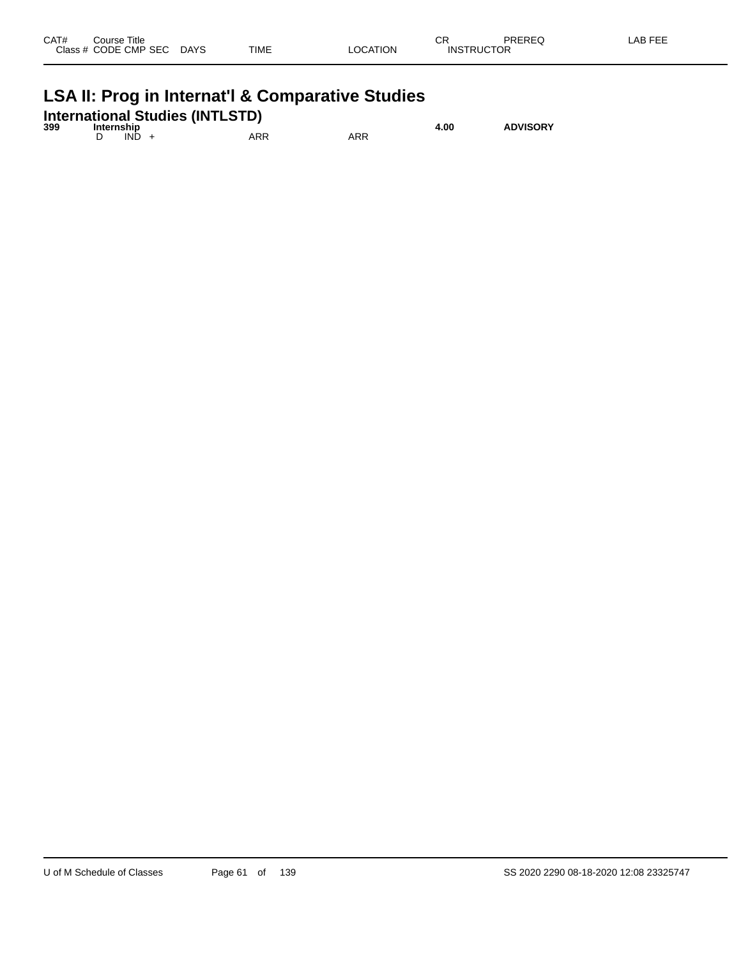| CAT# | Course Title         |             |             |                 | ⌒冖<br>◡           | PREREQ | AB FEE |
|------|----------------------|-------------|-------------|-----------------|-------------------|--------|--------|
|      | Class # CODE CMP SEC | <b>DAYS</b> | <b>TIME</b> | <b>LOCATION</b> | <b>INSTRUCTOR</b> |        |        |

## **LSA II: Prog in Internat'l & Comparative Studies**

|     |            |         | <b>International Studies (INTLSTD)</b> |     |      |                 |
|-----|------------|---------|----------------------------------------|-----|------|-----------------|
| 399 | Internship |         |                                        |     | 4.00 | <b>ADVISORY</b> |
|     |            | $IND +$ | ARR                                    | ARR |      |                 |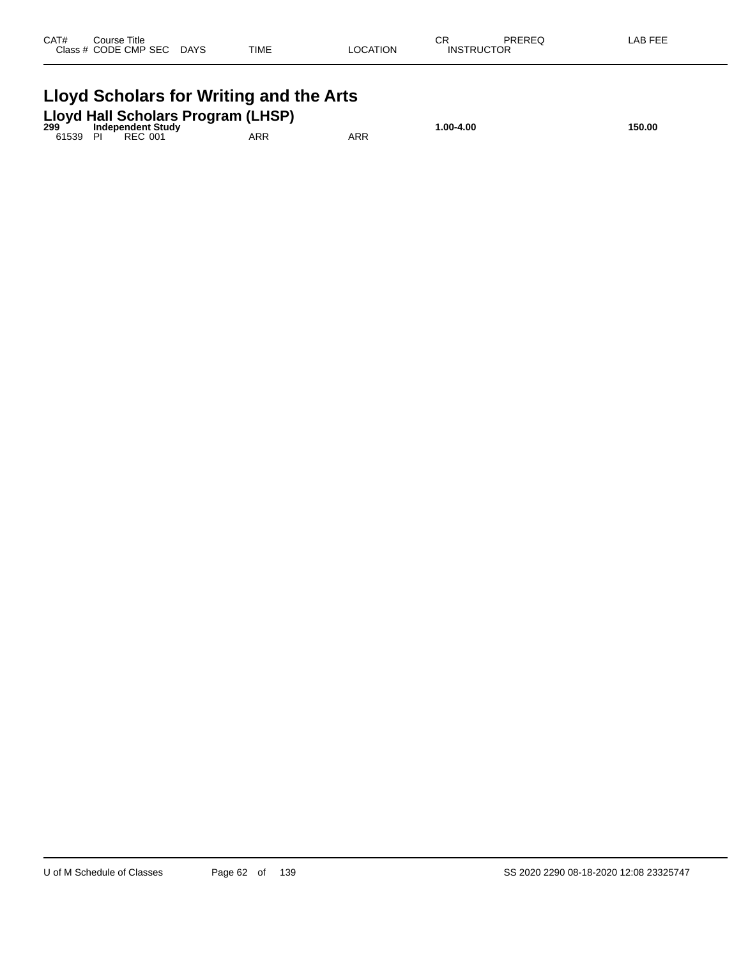| CAT# | Course Title<br>Class # CODE CMP SEC | <b>DAYS</b> | <b>TIME</b> | LOCATION | ∼⊏<br>- UN<br><b>INSTRUCTOR</b> | PREREQ | LAB FEE |
|------|--------------------------------------|-------------|-------------|----------|---------------------------------|--------|---------|
|      |                                      |             |             |          |                                 |        |         |

|          | Lloyd Scholars for Writing and the Arts |                          |                                    |     |           |        |  |  |  |
|----------|-----------------------------------------|--------------------------|------------------------------------|-----|-----------|--------|--|--|--|
| 299      |                                         | <b>Independent Study</b> | Lloyd Hall Scholars Program (LHSP) |     | 1.00-4.00 | 150.00 |  |  |  |
| 61539 PI |                                         | RFC 001                  | ARR                                | ARR |           |        |  |  |  |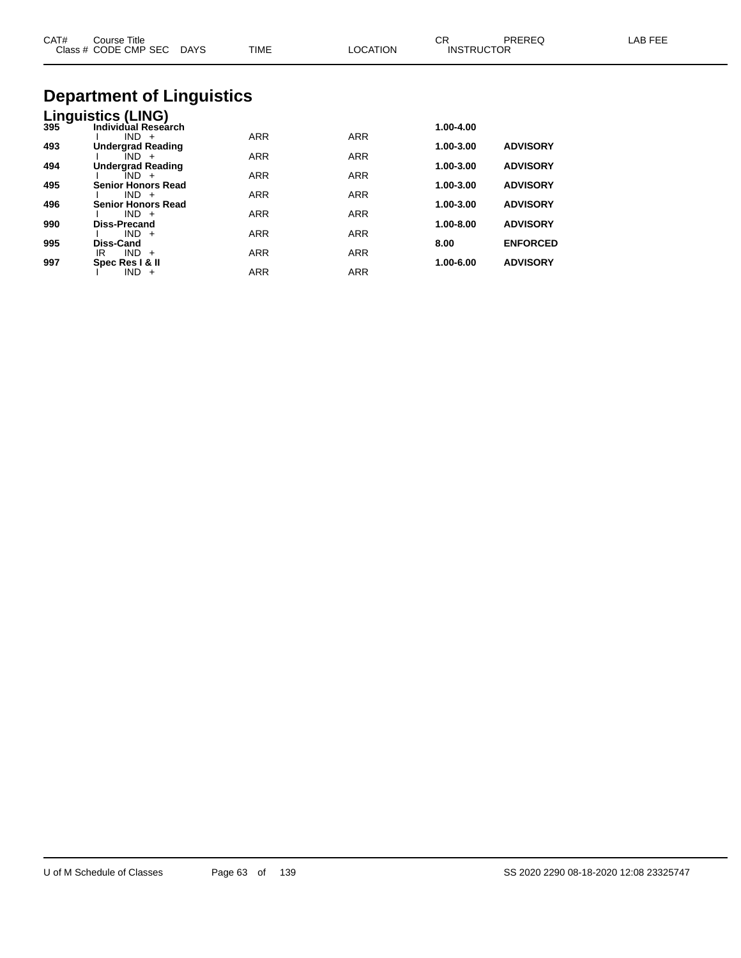| CAT# | Course Title<br>Class # CODE CMP SEC DAYS | <b>TIME</b> | <b>LOCATION</b> | CR<br><b>INSTRUCTOR</b> | <b>PREREQ</b>   | LAB FEE |
|------|-------------------------------------------|-------------|-----------------|-------------------------|-----------------|---------|
|      | <b>Department of Linguistics</b>          |             |                 |                         |                 |         |
|      | Linguistics (LING)                        |             |                 |                         |                 |         |
| 395  | Individual Research                       |             |                 | 1.00-4.00               |                 |         |
| 493  | $IND +$<br><b>Undergrad Reading</b>       | <b>ARR</b>  | <b>ARR</b>      | 1.00-3.00               | <b>ADVISORY</b> |         |
|      | $IND +$                                   | <b>ARR</b>  | <b>ARR</b>      |                         |                 |         |
| 494  | <b>Undergrad Reading</b>                  |             |                 | 1.00-3.00               | <b>ADVISORY</b> |         |
|      | $IND +$                                   | <b>ARR</b>  | <b>ARR</b>      |                         |                 |         |
| 495  | <b>Senior Honors Read</b><br>$IND +$      | <b>ARR</b>  | <b>ARR</b>      | 1.00-3.00               | <b>ADVISORY</b> |         |
| 496  | Senior Honors Read                        |             |                 | 1.00-3.00               | <b>ADVISORY</b> |         |
|      | $IND +$                                   | <b>ARR</b>  | <b>ARR</b>      |                         |                 |         |
| 990  | <b>Diss-Precand</b>                       |             |                 | 1.00-8.00               | <b>ADVISORY</b> |         |
| 995  | $IND +$<br>Diss-Cand                      | <b>ARR</b>  | <b>ARR</b>      | 8.00                    | <b>ENFORCED</b> |         |

IR IND + ARR ARR ARR

I IND + ARR ARR

**997 Spec Res I & II 1.00-6.00 ADVISORY**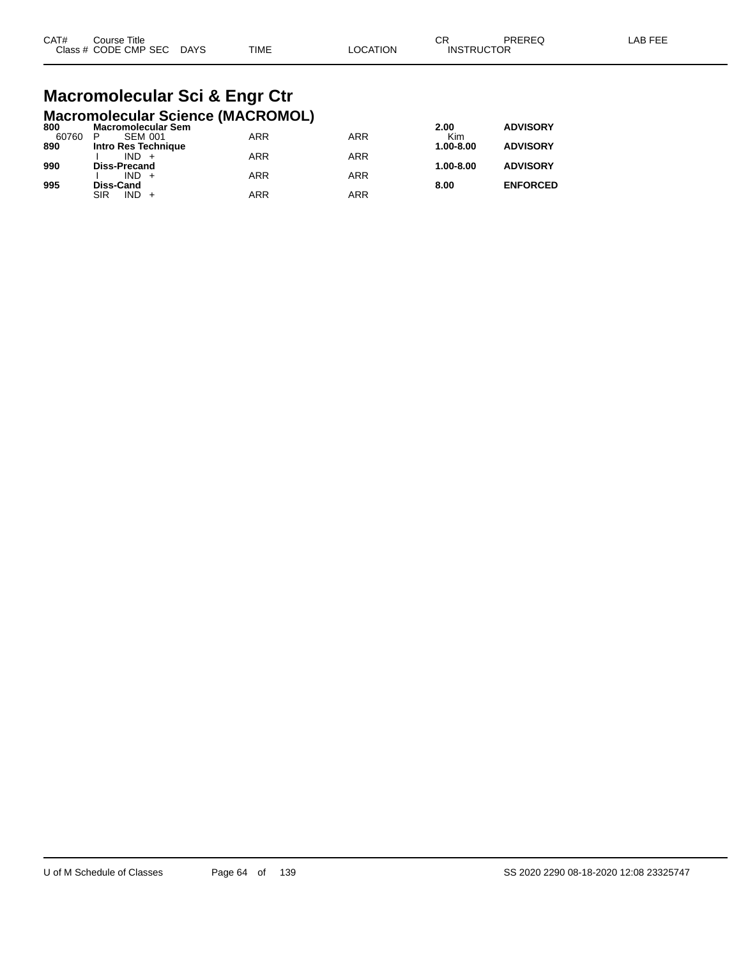| CAT# | Course Title              |      |          | СR                | PREREQ | LAB FEE |
|------|---------------------------|------|----------|-------------------|--------|---------|
|      | Class # CODE CMP SEC DAYS | TIME | LOCATION | <b>INSTRUCTOR</b> |        |         |

#### **Macromolecular Sci & Engr Ctr Macromolecular Science (MACROMOL)**

| 800   | <b>Macromolecular Sem</b> |            |     | 2.00          | <b>ADVISORY</b> |
|-------|---------------------------|------------|-----|---------------|-----------------|
| 60760 | <b>SEM 001</b><br>P       | ARR        | ARR | Kim           |                 |
| 890   | Intro Res Technique       |            |     | 1.00-8.00     | <b>ADVISORY</b> |
|       | $IND +$                   | ARR        | ARR |               |                 |
| 990   | <b>Diss-Precand</b>       |            |     | $1.00 - 8.00$ | <b>ADVISORY</b> |
|       | $IND +$                   | ARR        | ARR |               |                 |
| 995   | <b>Diss-Cand</b>          |            |     | 8.00          | <b>ENFORCED</b> |
|       | $IND +$<br>SIR            | <b>ARR</b> | ARR |               |                 |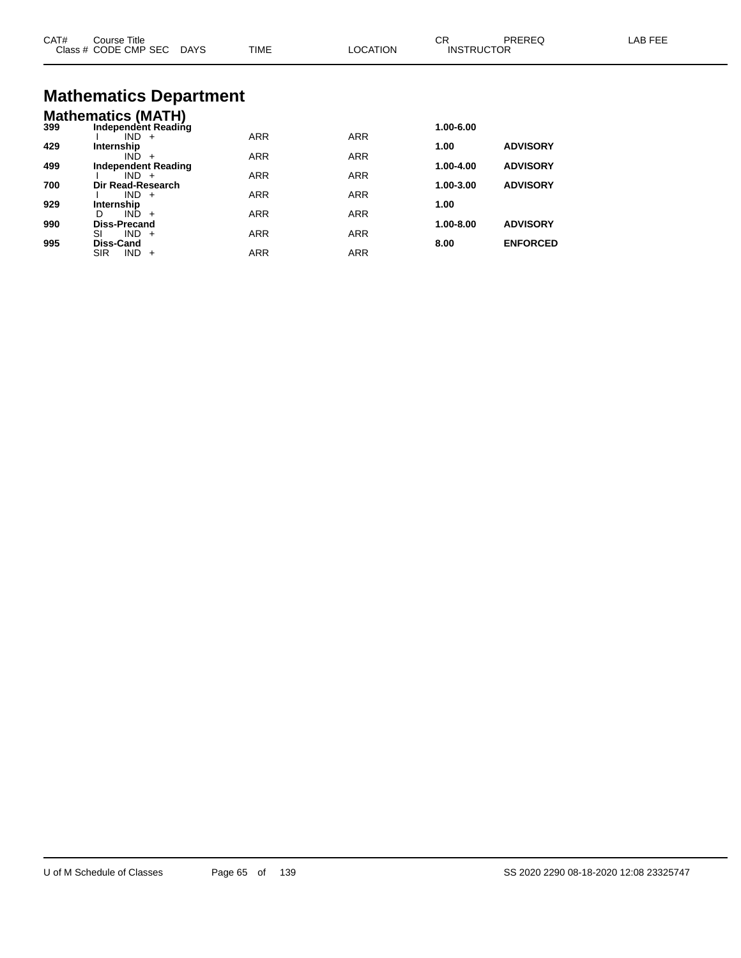| CAT# | Course Title<br>Class # CODE CMP SEC DAYS                   | <b>TIME</b> | <b>LOCATION</b> | CR<br><b>INSTRUCTOR</b> | PREREQ          | LAB FEE |
|------|-------------------------------------------------------------|-------------|-----------------|-------------------------|-----------------|---------|
|      | <b>Mathematics Department</b>                               |             |                 |                         |                 |         |
| 399  | <b>Mathematics (MATH)</b><br>Independent Reading<br>$IND +$ | <b>ARR</b>  | <b>ARR</b>      | 1.00-6.00               |                 |         |
| 429  | Internship<br>$IND +$                                       | <b>ARR</b>  | ARR             | 1.00                    | <b>ADVISORY</b> |         |
| 499  | <b>Independent Reading</b><br>$IND +$                       | <b>ARR</b>  | <b>ARR</b>      | 1.00-4.00               | <b>ADVISORY</b> |         |
| 700  | Dir Read-Research<br>$IND +$                                | <b>ARR</b>  | <b>ARR</b>      | 1.00-3.00               | <b>ADVISORY</b> |         |
| 929  | Internship<br>$IND +$<br>D.                                 | <b>ARR</b>  | <b>ARR</b>      | 1.00                    |                 |         |
| 990  | <b>Diss-Precand</b>                                         |             |                 | 1.00-8.00               | <b>ADVISORY</b> |         |
| 995  | $IND +$<br>SI<br>Diss-Cand                                  | <b>ARR</b>  | <b>ARR</b>      | 8.00                    | <b>ENFORCED</b> |         |

SIR IND + ARR ARR ARR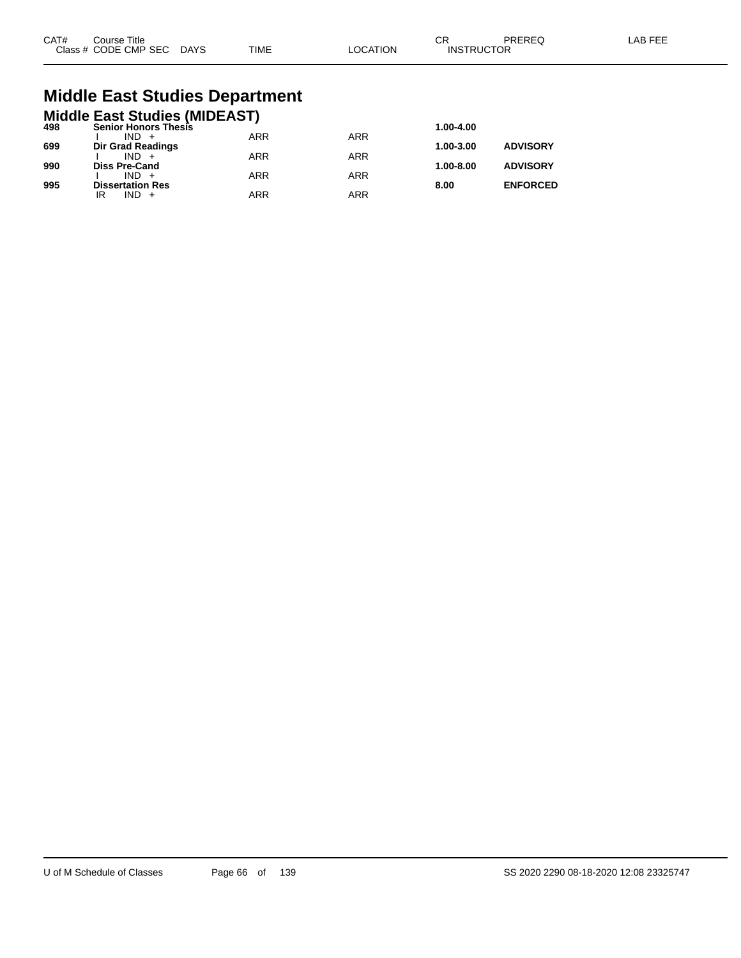| CAT# | Course Title         |             |             |         | СR                | PREREC | AB FFF |
|------|----------------------|-------------|-------------|---------|-------------------|--------|--------|
|      | Class # CODE CMP SEC | <b>DAYS</b> | <b>TIME</b> | OCATION | <b>INSTRUCTOR</b> |        |        |

## **Middle East Studies Department**

|     | <b>Middle East Studies (MIDEAST)</b> |            |            |               |                 |
|-----|--------------------------------------|------------|------------|---------------|-----------------|
| 498 | <b>Senior Honors Thesis</b>          |            |            | 1.00-4.00     |                 |
|     | $IND +$                              | <b>ARR</b> | <b>ARR</b> |               |                 |
| 699 | Dir Grad Readings                    |            |            | 1.00-3.00     | <b>ADVISORY</b> |
|     | $IND +$                              | <b>ARR</b> | <b>ARR</b> |               |                 |
| 990 | <b>Diss Pre-Cand</b>                 |            |            | $1.00 - 8.00$ | <b>ADVISORY</b> |
|     | $IND +$                              | <b>ARR</b> | <b>ARR</b> |               |                 |
| 995 | <b>Dissertation Res</b>              |            |            | 8.00          | <b>ENFORCED</b> |
|     | $IND +$<br>IR                        | ARR        | <b>ARR</b> |               |                 |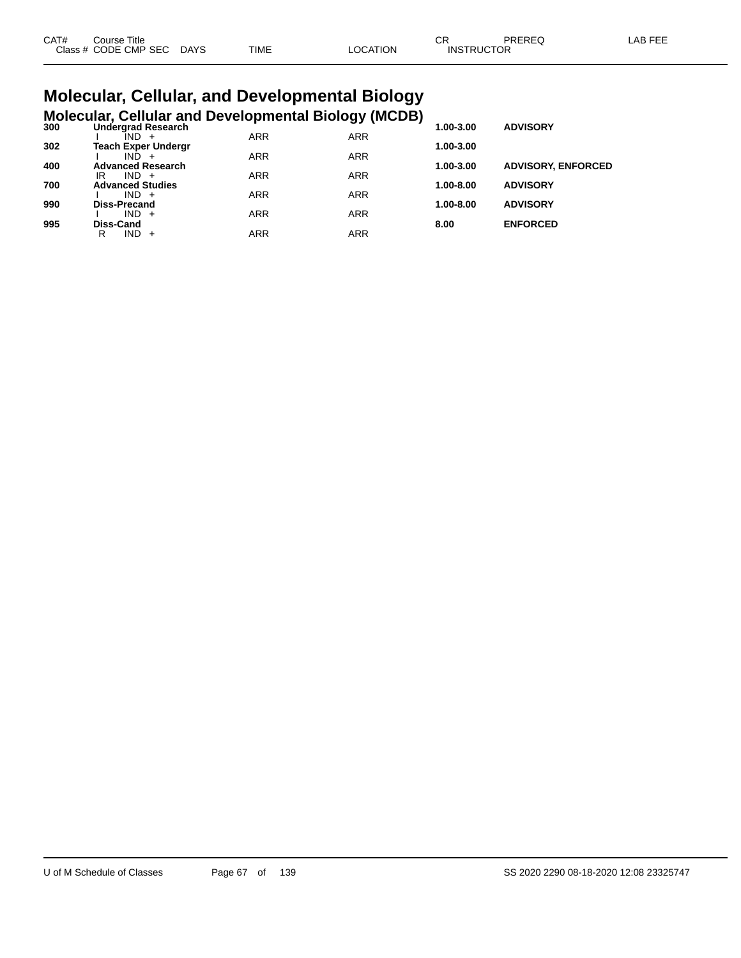| CAT# | Course Title              |      |          | ◡ጙ                | PREREQ | LAB FEE |
|------|---------------------------|------|----------|-------------------|--------|---------|
|      | Class # CODE CMP SEC DAYS | TIME | LOCATION | <b>INSTRUCTOR</b> |        |         |

#### **Molecular, Cellular, and Developmental Biology Molecular, Cellular and Developmental Biology (MCDB)**

| 300 | <b>Undergrad Research</b>  |            | - ־יי נכ   | 1.00-3.00 | <b>ADVISORY</b>           |
|-----|----------------------------|------------|------------|-----------|---------------------------|
|     | IND.                       | <b>ARR</b> | <b>ARR</b> |           |                           |
| 302 | <b>Teach Exper Undergr</b> |            |            | 1.00-3.00 |                           |
|     | IND.                       | <b>ARR</b> | <b>ARR</b> |           |                           |
| 400 | <b>Advanced Research</b>   |            |            | 1.00-3.00 | <b>ADVISORY, ENFORCED</b> |
|     | $IND +$<br>IR              | <b>ARR</b> | <b>ARR</b> |           |                           |
| 700 | <b>Advanced Studies</b>    |            |            | 1.00-8.00 | <b>ADVISORY</b>           |
|     | $IND +$                    | <b>ARR</b> | <b>ARR</b> |           |                           |
| 990 | <b>Diss-Precand</b>        |            |            | 1.00-8.00 | <b>ADVISORY</b>           |
|     | $IND +$                    | <b>ARR</b> | <b>ARR</b> |           |                           |
| 995 | Diss-Cand                  |            |            | 8.00      | <b>ENFORCED</b>           |
|     | IND -<br>R<br>$+$          | ARR        | ARR        |           |                           |
|     |                            |            |            |           |                           |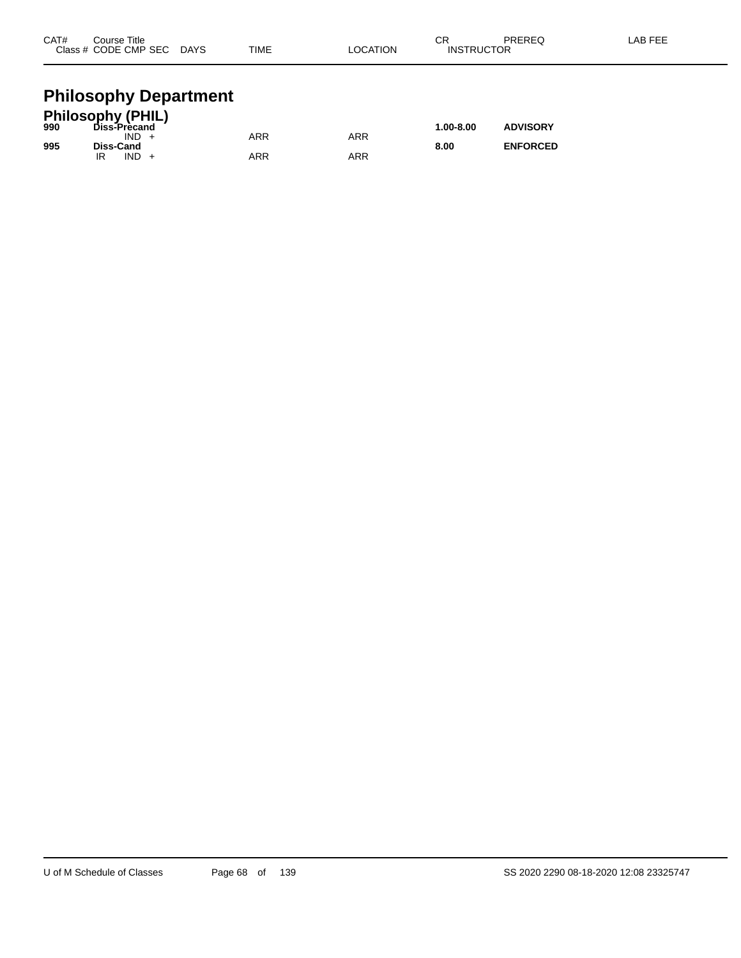| CAT# | Course Title         |             |             |          | ⌒冖<br>- UN        | PREREQ | -AB FEE |
|------|----------------------|-------------|-------------|----------|-------------------|--------|---------|
|      | Class # CODE CMP SEC | <b>DAYS</b> | <b>TIME</b> | LOCATION | <b>INSTRUCTOR</b> |        |         |
|      |                      |             |             |          |                   |        |         |

#### **Philosophy Department**

|     | <b>Philosophy (PHIL)</b> |     |     |               |                 |
|-----|--------------------------|-----|-----|---------------|-----------------|
| 990 | Diss-Precand             |     |     | $1.00 - 8.00$ | <b>ADVISORY</b> |
|     | IND.                     | ARR | ARR |               |                 |
| 995 | Diss-Cand                |     |     | 8.00          | <b>ENFORCED</b> |
|     | IND.                     | ARR | ARR |               |                 |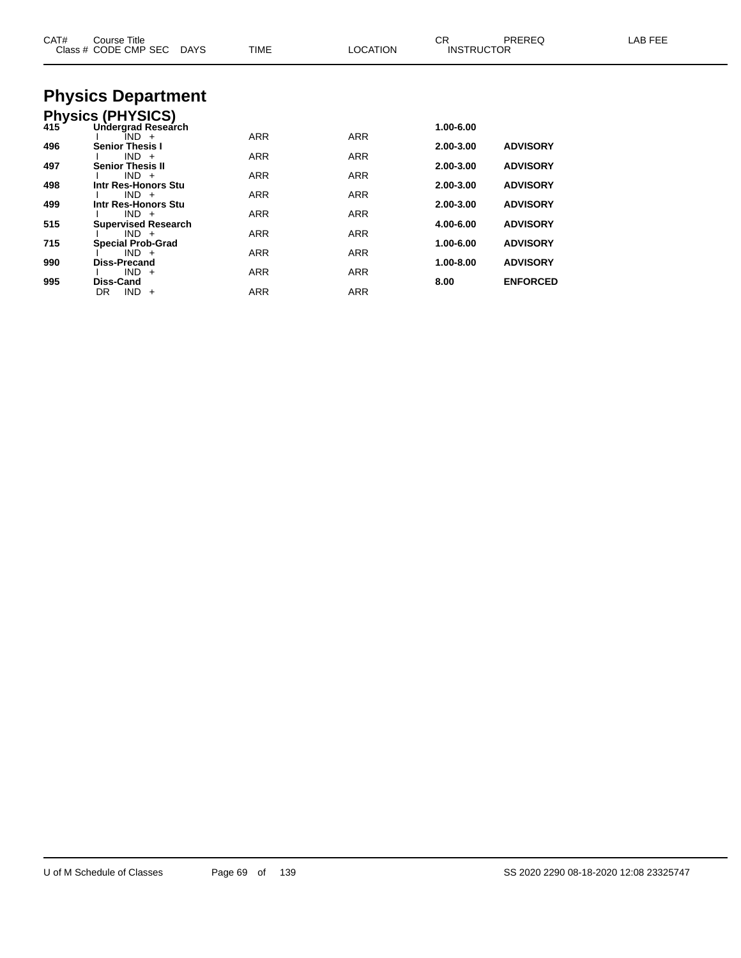| CAT# | Course Title<br>Class # CODE CMP SEC<br>DAYS | <b>TIME</b> | <b>LOCATION</b> | CR<br><b>INSTRUCTOR</b> | <b>PREREQ</b>   | LAB FEE |
|------|----------------------------------------------|-------------|-----------------|-------------------------|-----------------|---------|
|      | <b>Physics Department</b>                    |             |                 |                         |                 |         |
|      | Physics (PHYSICS)<br>415 Undergrad Researd   |             |                 |                         |                 |         |
|      | Undergrad Research                           |             |                 | 1.00-6.00               |                 |         |
| 496  | IND +<br><b>Senior Thesis I</b>              | <b>ARR</b>  | <b>ARR</b>      | 2.00-3.00               | <b>ADVISORY</b> |         |
|      | $IND +$                                      | ARR         | ARR             |                         |                 |         |
| 497  | <b>Senior Thesis II</b><br>$IND +$           | ARR         | ARR             | 2.00-3.00               | <b>ADVISORY</b> |         |
| 498  | Intr Res-Honors Stu                          |             |                 | 2.00-3.00               | <b>ADVISORY</b> |         |
| 499  | $IND +$<br>Intr Res-Honors Stu               | <b>ARR</b>  | <b>ARR</b>      | 2.00-3.00               | <b>ADVISORY</b> |         |
|      | $IND +$                                      | <b>ARR</b>  | <b>ARR</b>      |                         |                 |         |
| 515  | <b>Supervised Research</b><br>$IND +$        | ARR         | ARR             | 4.00-6.00               | <b>ADVISORY</b> |         |
| 715  | <b>Special Prob-Grad</b>                     |             |                 | 1.00-6.00               | <b>ADVISORY</b> |         |
| 990  | $IND +$<br><b>Diss-Precand</b>               | ARR         | ARR             | 1.00-8.00               | <b>ADVISORY</b> |         |
|      | $IND +$                                      | ARR         | ARR             |                         |                 |         |
| 995  | <b>Diss-Cand</b>                             |             |                 | 8.00                    | <b>ENFORCED</b> |         |
|      | $IND +$<br>DR                                | ARR         | <b>ARR</b>      |                         |                 |         |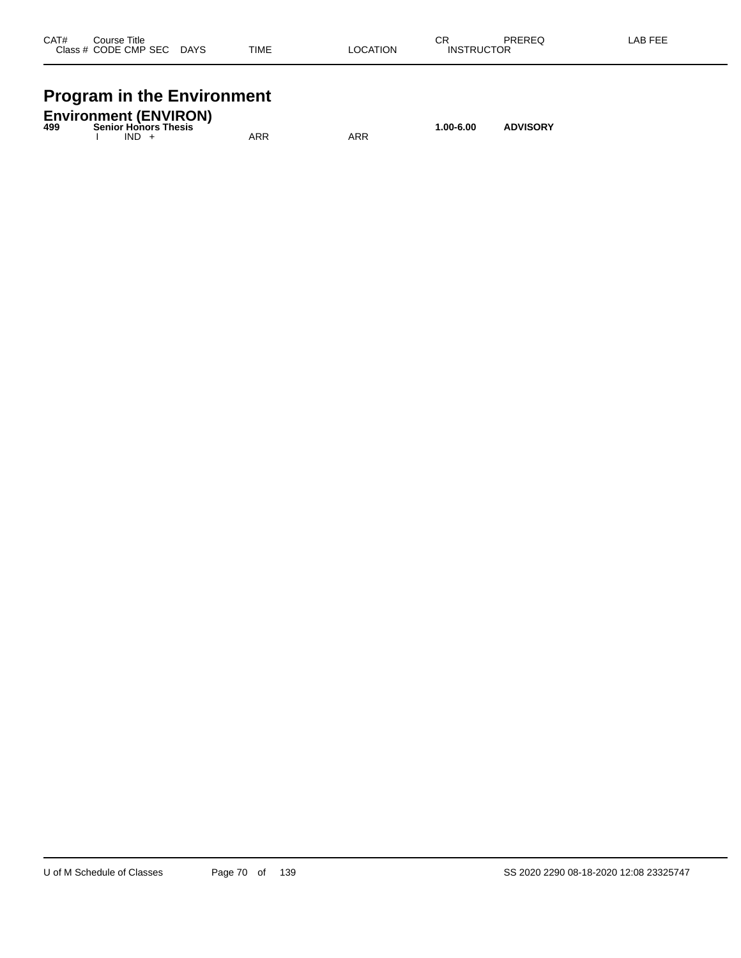| CAT#    | Title<br>Course     |             |             |                  | СR                          | DDEDEA<br>nc.<br>ט∟י | _AB FEF<br>-- |
|---------|---------------------|-------------|-------------|------------------|-----------------------------|----------------------|---------------|
| Class # | <b>CODE CMP SEC</b> | <b>DAYS</b> | <b>TIME</b> | LOCATION<br>____ | <b>JCTOR</b><br><b>INST</b> |                      |               |
|         |                     |             |             |                  |                             |                      |               |

# **Program in the Environment**

| 499 | <b>Environment (ENVIRON)</b><br><b>Senior Honors Thesis</b><br>$1.00 - 6.00$ |         |  |     |     |  |  |  |
|-----|------------------------------------------------------------------------------|---------|--|-----|-----|--|--|--|
|     |                                                                              | $IND +$ |  | ARR | ARR |  |  |  |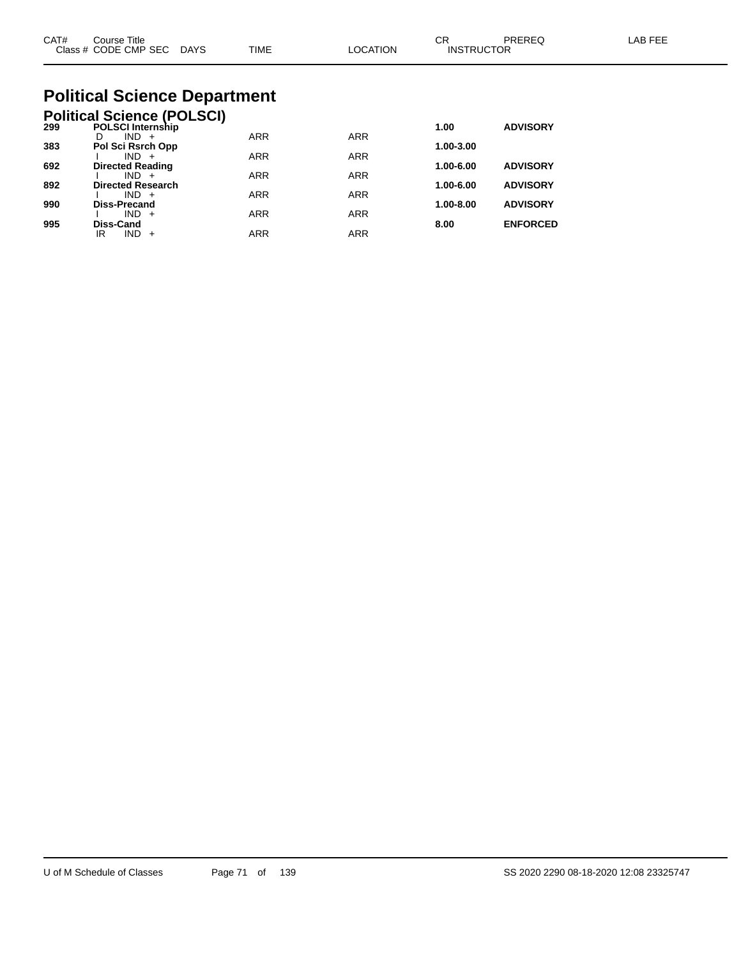| CAT#<br>Course Title<br>Class # CODE CMP SEC DAYS                    | TIME | <b>LOCATION</b> | CR<br><b>INSTRUCTOR</b> | PRERFO          | I AB FFF |
|----------------------------------------------------------------------|------|-----------------|-------------------------|-----------------|----------|
| <b>Political Science Department</b>                                  |      |                 |                         |                 |          |
| <b>Political Science (POLSCI)</b><br>200<br><b>POL SCLInternship</b> |      |                 | 1 ሰበ                    | <b>ADVISORY</b> |          |

| 299 | <b>POLSCI Internship</b> |            |            | 1.00          | <b>ADVISORY</b> |
|-----|--------------------------|------------|------------|---------------|-----------------|
|     | $IND +$                  | <b>ARR</b> | <b>ARR</b> |               |                 |
| 383 | Pol Sci Rsrch Opp        |            |            | 1.00-3.00     |                 |
|     | $IND +$                  | <b>ARR</b> | <b>ARR</b> |               |                 |
| 692 | <b>Directed Reading</b>  |            |            | 1.00-6.00     | <b>ADVISORY</b> |
|     | $IND +$                  | <b>ARR</b> | <b>ARR</b> |               |                 |
| 892 | <b>Directed Research</b> |            |            | 1.00-6.00     | <b>ADVISORY</b> |
|     | $IND +$                  | <b>ARR</b> | <b>ARR</b> |               |                 |
| 990 | <b>Diss-Precand</b>      |            |            | $1.00 - 8.00$ | <b>ADVISORY</b> |
|     | $IND +$                  | <b>ARR</b> | <b>ARR</b> |               |                 |
| 995 | Diss-Cand                |            |            | 8.00          | <b>ENFORCED</b> |
|     | ΙR<br>$IND +$            | <b>ARR</b> | <b>ARR</b> |               |                 |
|     |                          |            |            |               |                 |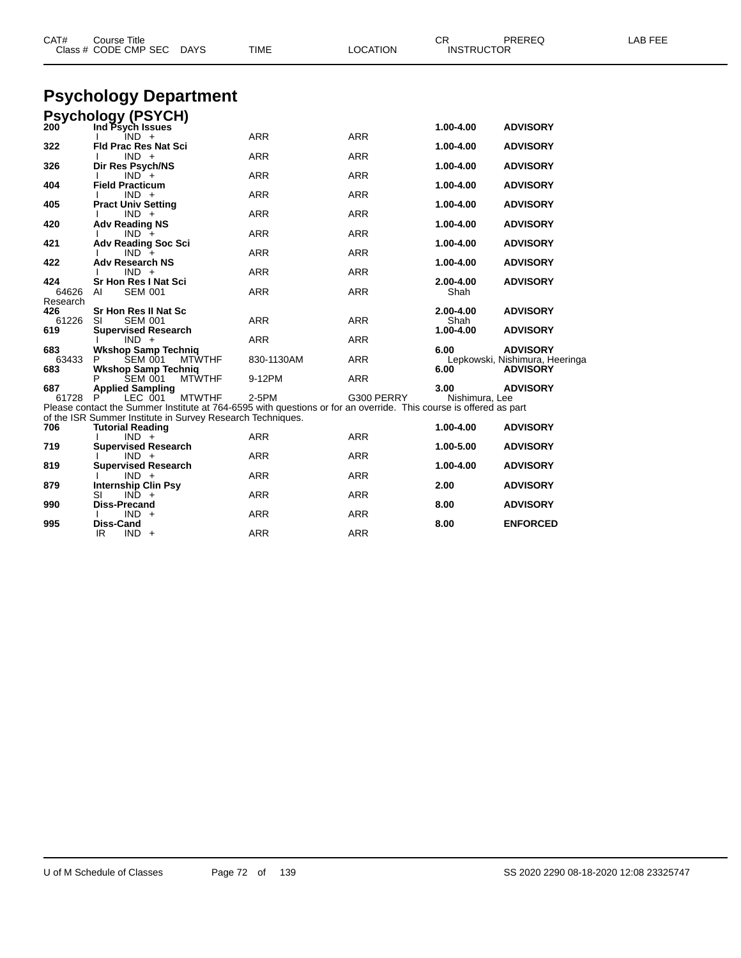| CAT#              | <b>Course Title</b><br>Class # CODE CMP SEC<br><b>DAYS</b>                                                                                                                      | TIME       | <b>LOCATION</b> | <b>CR</b><br><b>INSTRUCTOR</b> | PREREQ                                            | LAB FEE |
|-------------------|---------------------------------------------------------------------------------------------------------------------------------------------------------------------------------|------------|-----------------|--------------------------------|---------------------------------------------------|---------|
|                   | <b>Psychology Department</b>                                                                                                                                                    |            |                 |                                |                                                   |         |
|                   | <b>Psychology (PSYCH)</b>                                                                                                                                                       |            |                 |                                |                                                   |         |
| 200               | Ind Psych Issues<br>$IND +$                                                                                                                                                     | <b>ARR</b> | <b>ARR</b>      | 1.00-4.00                      | <b>ADVISORY</b>                                   |         |
| 322               | <b>Fld Prac Res Nat Sci</b>                                                                                                                                                     | <b>ARR</b> | <b>ARR</b>      | 1.00-4.00                      | <b>ADVISORY</b>                                   |         |
| 326               | $IND +$<br>Dir Res Psych/NS                                                                                                                                                     |            |                 | 1.00-4.00                      | <b>ADVISORY</b>                                   |         |
| 404               | $IND +$<br><b>Field Practicum</b>                                                                                                                                               | <b>ARR</b> | <b>ARR</b>      |                                |                                                   |         |
|                   | $IND +$                                                                                                                                                                         | <b>ARR</b> | <b>ARR</b>      | 1.00-4.00                      | <b>ADVISORY</b>                                   |         |
| 405               | <b>Pract Univ Setting</b><br>$IND +$                                                                                                                                            | <b>ARR</b> | <b>ARR</b>      | 1.00-4.00                      | <b>ADVISORY</b>                                   |         |
| 420               | <b>Adv Reading NS</b>                                                                                                                                                           |            |                 | 1.00-4.00                      | <b>ADVISORY</b>                                   |         |
| 421               | $IND +$<br><b>Adv Reading Soc Sci</b>                                                                                                                                           | <b>ARR</b> | <b>ARR</b>      | 1.00-4.00                      | <b>ADVISORY</b>                                   |         |
|                   | $IND +$                                                                                                                                                                         | <b>ARR</b> | <b>ARR</b>      |                                |                                                   |         |
| 422               | <b>Adv Research NS</b><br>$IND +$                                                                                                                                               | <b>ARR</b> | <b>ARR</b>      | 1.00-4.00                      | <b>ADVISORY</b>                                   |         |
| 424               | Sr Hon Res I Nat Sci                                                                                                                                                            |            |                 | 2.00-4.00                      | <b>ADVISORY</b>                                   |         |
| 64626<br>Research | <b>SEM 001</b><br>AI                                                                                                                                                            | <b>ARR</b> | <b>ARR</b>      | Shah                           |                                                   |         |
| 426               | Sr Hon Res II Nat Sc                                                                                                                                                            |            |                 | 2.00-4.00                      | <b>ADVISORY</b>                                   |         |
| 61226<br>619      | <b>SEM 001</b><br>SI<br><b>Supervised Research</b>                                                                                                                              | <b>ARR</b> | <b>ARR</b>      | Shah<br>1.00-4.00              | <b>ADVISORY</b>                                   |         |
|                   | $IND +$                                                                                                                                                                         | <b>ARR</b> | <b>ARR</b>      |                                |                                                   |         |
| 683<br>63433      | <b>Wkshop Samp Techniq</b><br>SEM 001<br><b>MTWTHF</b><br>P                                                                                                                     | 830-1130AM | <b>ARR</b>      | 6.00                           | <b>ADVISORY</b><br>Lepkowski, Nishimura, Heeringa |         |
| 683               | <b>Wkshop Samp Technig</b>                                                                                                                                                      |            |                 | 6.00                           | <b>ADVISORY</b>                                   |         |
| 687               | <b>SEM 001</b><br><b>MTWTHF</b><br><b>Applied Sampling</b>                                                                                                                      | 9-12PM     | ARR             | 3.00                           | <b>ADVISORY</b>                                   |         |
| 61728             | LEC 001<br><b>MTWTHF</b>                                                                                                                                                        | 2-5PM      | G300 PERRY      | Nishimura, Lee                 |                                                   |         |
|                   | Please contact the Summer Institute at 764-6595 with questions or for an override. This course is offered as part<br>of the ISR Summer Institute in Survey Research Techniques. |            |                 |                                |                                                   |         |
| 706               | <b>Tutorial Reading</b>                                                                                                                                                         |            |                 | 1.00-4.00                      | <b>ADVISORY</b>                                   |         |
|                   | $IND +$<br><b>Supervised Research</b>                                                                                                                                           | <b>ARR</b> | <b>ARR</b>      |                                |                                                   |         |
| 719               | $IND +$                                                                                                                                                                         | <b>ARR</b> | <b>ARR</b>      | 1.00-5.00                      | <b>ADVISORY</b>                                   |         |
| 819               | <b>Supervised Research</b>                                                                                                                                                      |            |                 | 1.00-4.00                      | <b>ADVISORY</b>                                   |         |
| 879               | $IND +$<br><b>Internship Clin Psy</b>                                                                                                                                           | <b>ARR</b> | <b>ARR</b>      | 2.00                           | <b>ADVISORY</b>                                   |         |
|                   | SI<br>$IND +$                                                                                                                                                                   | <b>ARR</b> | <b>ARR</b>      |                                |                                                   |         |
| 990               | Diss-Precand<br>$IND +$                                                                                                                                                         | <b>ARR</b> | <b>ARR</b>      | 8.00                           | <b>ADVISORY</b>                                   |         |
| 995               | Diss-Cand                                                                                                                                                                       |            |                 | 8.00                           | <b>ENFORCED</b>                                   |         |
|                   | IR.<br>$IND +$                                                                                                                                                                  | <b>ARR</b> | <b>ARR</b>      |                                |                                                   |         |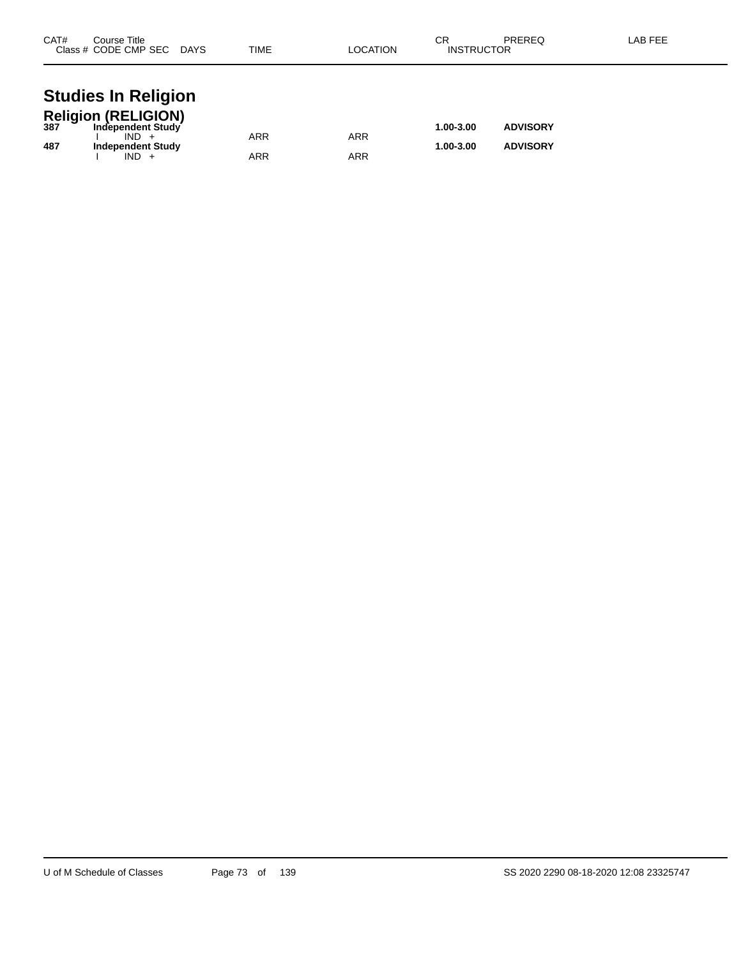| CAT# | Course Title<br>Class # CODE CMP SEC DAYS    | TIME       | LOCATION   | СR<br><b>INSTRUCTOR</b> | PREREQ          | LAB FEE |
|------|----------------------------------------------|------------|------------|-------------------------|-----------------|---------|
|      | <b>Studies In Religion</b>                   |            |            |                         |                 |         |
|      | Religion (RELIGION)<br>387 Independent Study |            |            | 1.00-3.00               | <b>ADVISORY</b> |         |
| 487  | $IND +$<br><b>Independent Study</b>          | <b>ARR</b> | <b>ARR</b> | 1.00-3.00               | <b>ADVISORY</b> |         |
|      | $IND +$                                      | ARR        | ARR        |                         |                 |         |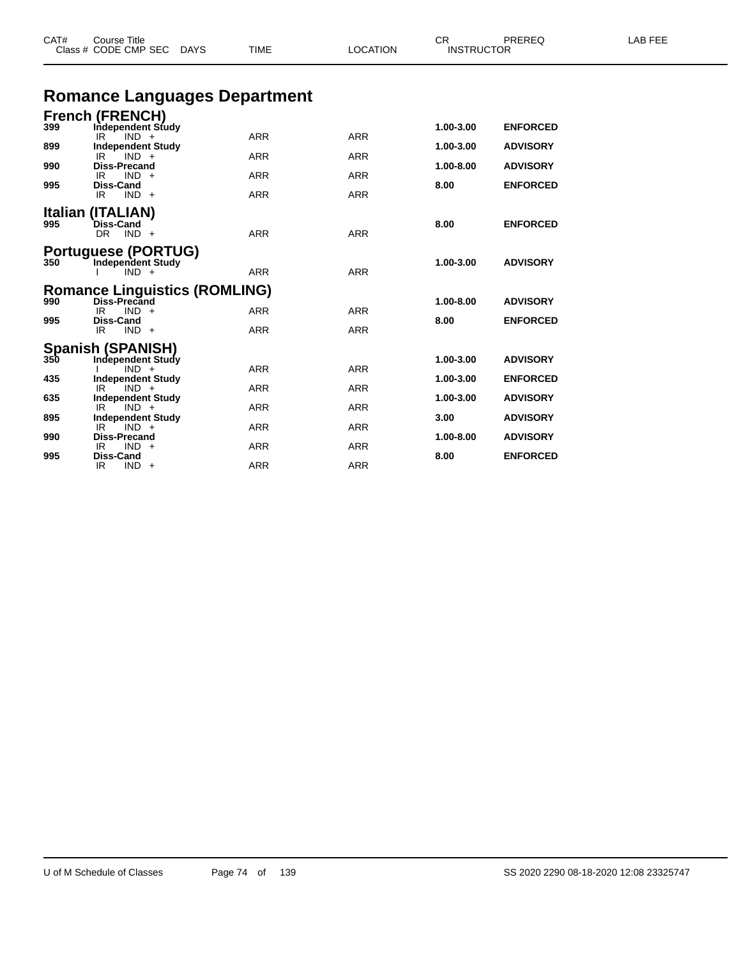|     | Class # CODE CMP SEC DAYS                                                         | TIME       | <b>LOCATION</b> | <b>INSTRUCTOR</b> |                 |  |
|-----|-----------------------------------------------------------------------------------|------------|-----------------|-------------------|-----------------|--|
|     | <b>Romance Languages Department</b>                                               |            |                 |                   |                 |  |
| 399 | <b>French (FRENCH)</b><br>Independent Study                                       |            |                 | 1.00-3.00         | <b>ENFORCED</b> |  |
| 899 | $IND +$<br>IR.<br><b>Independent Study</b>                                        | <b>ARR</b> | <b>ARR</b>      | 1.00-3.00         | <b>ADVISORY</b> |  |
| 990 | IR<br>$IND +$<br><b>Diss-Precand</b>                                              | <b>ARR</b> | <b>ARR</b>      | 1.00-8.00         | <b>ADVISORY</b> |  |
|     | $IND +$<br>IR                                                                     | ARR        | ARR             |                   |                 |  |
| 995 | <b>Diss-Cand</b><br>$IND +$<br>IR.                                                | <b>ARR</b> | <b>ARR</b>      | 8.00              | <b>ENFORCED</b> |  |
| 995 | Italian (ITALIAN)<br><b>Diss-Cand</b><br>DR.<br>$IND +$                           | <b>ARR</b> | <b>ARR</b>      | 8.00              | <b>ENFORCED</b> |  |
| 350 | <b>Portuguese (PORTUG)</b><br><b>Independent Study</b><br>$IND +$                 | <b>ARR</b> | <b>ARR</b>      | 1.00-3.00         | <b>ADVISORY</b> |  |
|     | <b>Romance Linguistics (ROMLING)</b>                                              |            |                 |                   |                 |  |
| 990 | Diss-Precand<br>$IND +$<br>IR.                                                    | ARR        | <b>ARR</b>      | 1.00-8.00         | <b>ADVISORY</b> |  |
| 995 | <b>Diss-Cand</b><br>IR.<br>$IND +$                                                | <b>ARR</b> | <b>ARR</b>      | 8.00              | <b>ENFORCED</b> |  |
|     |                                                                                   |            |                 |                   |                 |  |
|     | Spanish (SPANISH)<br>350 Independent Study<br><b>Independent Study</b><br>$IND +$ |            |                 | 1.00-3.00         | <b>ADVISORY</b> |  |
| 435 | <b>Independent Study</b>                                                          | <b>ARR</b> | <b>ARR</b>      | 1.00-3.00         | <b>ENFORCED</b> |  |
| 635 | IR.<br>$IND +$<br><b>Independent Study</b>                                        | <b>ARR</b> | <b>ARR</b>      | 1.00-3.00         | <b>ADVISORY</b> |  |
| 895 | $IND +$<br>IR.<br><b>Independent Study</b>                                        | ARR        | ARR             | 3.00              | <b>ADVISORY</b> |  |
|     | $IND +$<br>IR                                                                     | ARR        | ARR             |                   |                 |  |
| 990 | <b>Diss-Precand</b><br>$IND +$<br>IR                                              | <b>ARR</b> | <b>ARR</b>      | 1.00-8.00         | <b>ADVISORY</b> |  |
| 995 | Diss-Cand                                                                         |            |                 | 8.00              | <b>ENFORCED</b> |  |

CAT# Course Title Case CR PREREQ LAB FEE

IR IND + ARR ARR ARR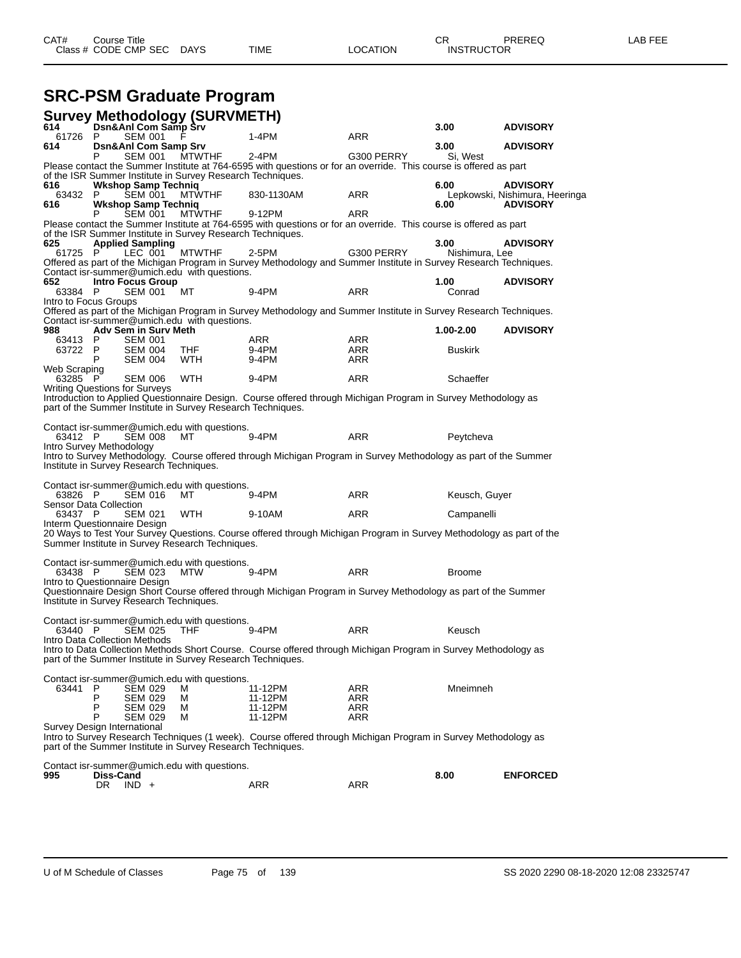## **SRC-PSM Graduate Program**

|                                   |           |                                          | Survey Methodology (SURVMETH)<br>614 Dsn&Anl Com Samp Srv   |                                                                                                                     |            |                |                                                   |
|-----------------------------------|-----------|------------------------------------------|-------------------------------------------------------------|---------------------------------------------------------------------------------------------------------------------|------------|----------------|---------------------------------------------------|
| 61726                             | P         | SEM 001                                  |                                                             | $1-4PM$                                                                                                             | <b>ARR</b> | 3.00           | <b>ADVISORY</b>                                   |
| 614                               |           | Dsn&Anl Com Samp Srv                     |                                                             |                                                                                                                     |            | 3.00           | <b>ADVISORY</b>                                   |
|                                   | Р         | SEM 001                                  | <b>MTWTHF</b>                                               | $2-4PM$                                                                                                             | G300 PERRY | Si, West       |                                                   |
|                                   |           |                                          | of the ISR Summer Institute in Survey Research Techniques.  | Please contact the Summer Institute at 764-6595 with questions or for an override. This course is offered as part   |            |                |                                                   |
| 616                               |           | <b>Wkshop Samp Techniq</b>               |                                                             |                                                                                                                     |            | 6.00           | <b>ADVISORY</b>                                   |
| 63432<br>616                      | P         | SEM 001<br><b>Wkshop Samp Techniq</b>    | <b>MTWTHF</b>                                               | 830-1130AM                                                                                                          | <b>ARR</b> | 6.00           | Lepkowski, Nishimura, Heeringa<br><b>ADVISORY</b> |
|                                   | Р         | SEM 001                                  | <b>MTWTHF</b>                                               | 9-12PM                                                                                                              | <b>ARR</b> |                |                                                   |
|                                   |           |                                          |                                                             | Please contact the Summer Institute at 764-6595 with questions or for an override. This course is offered as part   |            |                |                                                   |
| 625                               |           | <b>Applied Sampling</b>                  | of the ISR Summer Institute in Survey Research Techniques.  |                                                                                                                     |            | 3.00           | <b>ADVISORY</b>                                   |
| 61725                             | P         | LEC 001                                  | <b>MTWTHF</b>                                               | $2-5PM$                                                                                                             | G300 PERRY | Nishimura, Lee |                                                   |
|                                   |           |                                          |                                                             | Offered as part of the Michigan Program in Survey Methodology and Summer Institute in Survey Research Techniques.   |            |                |                                                   |
| 652                               |           | <b>Intro Focus Group</b>                 | Contact isr-summer@umich.edu with questions.                |                                                                                                                     |            | 1.00           | <b>ADVISORY</b>                                   |
| 63384                             | P         | SEM 001                                  | мт                                                          | 9-4PM                                                                                                               | ARR        | Conrad         |                                                   |
| Intro to Focus Groups             |           |                                          |                                                             |                                                                                                                     |            |                |                                                   |
|                                   |           |                                          | Contact isr-summer@umich.edu with questions.                | Offered as part of the Michigan Program in Survey Methodology and Summer Institute in Survey Research Techniques.   |            |                |                                                   |
| 988                               |           | <b>Adv Sem in Surv Meth</b>              |                                                             |                                                                                                                     |            | 1.00-2.00      | <b>ADVISORY</b>                                   |
| 63413                             | P         | <b>SEM 001</b>                           |                                                             | ARR                                                                                                                 | ARR        |                |                                                   |
| 63722                             | - P<br>P  | SEM 004<br><b>SEM 004</b>                | THF<br><b>WTH</b>                                           | $9-4PM$<br>$9-4PM$                                                                                                  | ARR<br>ARR | <b>Buskirk</b> |                                                   |
| Web Scraping                      |           |                                          |                                                             |                                                                                                                     |            |                |                                                   |
| 63285                             | -P        | <b>SEM 006</b>                           | <b>WTH</b>                                                  | 9-4PM                                                                                                               | ARR        | Schaeffer      |                                                   |
|                                   |           | <b>Writing Questions for Surveys</b>     |                                                             | Introduction to Applied Questionnaire Design. Course offered through Michigan Program in Survey Methodology as      |            |                |                                                   |
|                                   |           |                                          | part of the Summer Institute in Survey Research Techniques. |                                                                                                                     |            |                |                                                   |
|                                   |           |                                          |                                                             |                                                                                                                     |            |                |                                                   |
| 63412 P                           |           | <b>SEM 008</b>                           | Contact isr-summer@umich.edu with questions.<br>MТ          | 9-4PM                                                                                                               | ARR        | Peytcheva      |                                                   |
| Intro Survey Methodology          |           |                                          |                                                             |                                                                                                                     |            |                |                                                   |
|                                   |           | Institute in Survey Research Techniques. |                                                             | Intro to Survey Methodology. Course offered through Michigan Program in Survey Methodology as part of the Summer    |            |                |                                                   |
|                                   |           |                                          |                                                             |                                                                                                                     |            |                |                                                   |
|                                   |           |                                          | Contact isr-summer@umich.edu with questions.                |                                                                                                                     |            |                |                                                   |
| 63826 P<br>Sensor Data Collection |           | <b>SEM 016</b>                           | MТ                                                          | 9-4PM                                                                                                               | ARR        | Keusch, Guyer  |                                                   |
| 63437 P                           |           | <b>SEM 021</b>                           | <b>WTH</b>                                                  | 9-10AM                                                                                                              | <b>ARR</b> | Campanelli     |                                                   |
| Interm Questionnaire Design       |           |                                          |                                                             |                                                                                                                     |            |                |                                                   |
|                                   |           |                                          | Summer Institute in Survey Research Techniques.             | 20 Ways to Test Your Survey Questions. Course offered through Michigan Program in Survey Methodology as part of the |            |                |                                                   |
|                                   |           |                                          |                                                             |                                                                                                                     |            |                |                                                   |
| 63438 P                           |           | <b>SEM 023</b>                           | Contact isr-summer@umich.edu with questions.<br>MTW         | 9-4PM                                                                                                               | <b>ARR</b> | <b>Broome</b>  |                                                   |
| Intro to Questionnaire Design     |           |                                          |                                                             |                                                                                                                     |            |                |                                                   |
|                                   |           |                                          |                                                             | Questionnaire Design Short Course offered through Michigan Program in Survey Methodology as part of the Summer      |            |                |                                                   |
|                                   |           | Institute in Survey Research Techniques. |                                                             |                                                                                                                     |            |                |                                                   |
|                                   |           |                                          | Contact isr-summer@umich.edu with questions.                |                                                                                                                     |            |                |                                                   |
| 63440 P                           |           | <b>SEM 025</b>                           | THF.                                                        | 9-4PM                                                                                                               | <b>ARR</b> | Keusch         |                                                   |
|                                   |           | Intro Data Collection Methods            |                                                             | Intro to Data Collection Methods Short Course. Course offered through Michigan Program in Survey Methodology as     |            |                |                                                   |
|                                   |           |                                          | part of the Summer Institute in Survey Research Techniques. |                                                                                                                     |            |                |                                                   |
|                                   |           |                                          |                                                             |                                                                                                                     |            |                |                                                   |
| 63441                             | P         | <b>SEM 029</b>                           | Contact isr-summer@umich.edu with questions.<br>м           | 11-12PM                                                                                                             | ARR        | Mneimneh       |                                                   |
|                                   | P         | SEM 029                                  | M                                                           | 11-12PM                                                                                                             | ARR        |                |                                                   |
|                                   | P         | SEM 029                                  | М                                                           | 11-12PM                                                                                                             | ARR        |                |                                                   |
| Survey Design International       | P         | SEM 029                                  | М                                                           | 11-12PM                                                                                                             | ARR        |                |                                                   |
|                                   |           |                                          |                                                             | Intro to Survey Research Techniques (1 week). Course offered through Michigan Program in Survey Methodology as      |            |                |                                                   |
|                                   |           |                                          | part of the Summer Institute in Survey Research Techniques. |                                                                                                                     |            |                |                                                   |
|                                   |           |                                          | Contact isr-summer@umich.edu with questions.                |                                                                                                                     |            |                |                                                   |
| 995                               | Diss-Cand |                                          |                                                             |                                                                                                                     |            | 8.00           | <b>ENFORCED</b>                                   |
|                                   |           | DR $\vert$ IND +                         |                                                             | ARR                                                                                                                 | <b>ARR</b> |                |                                                   |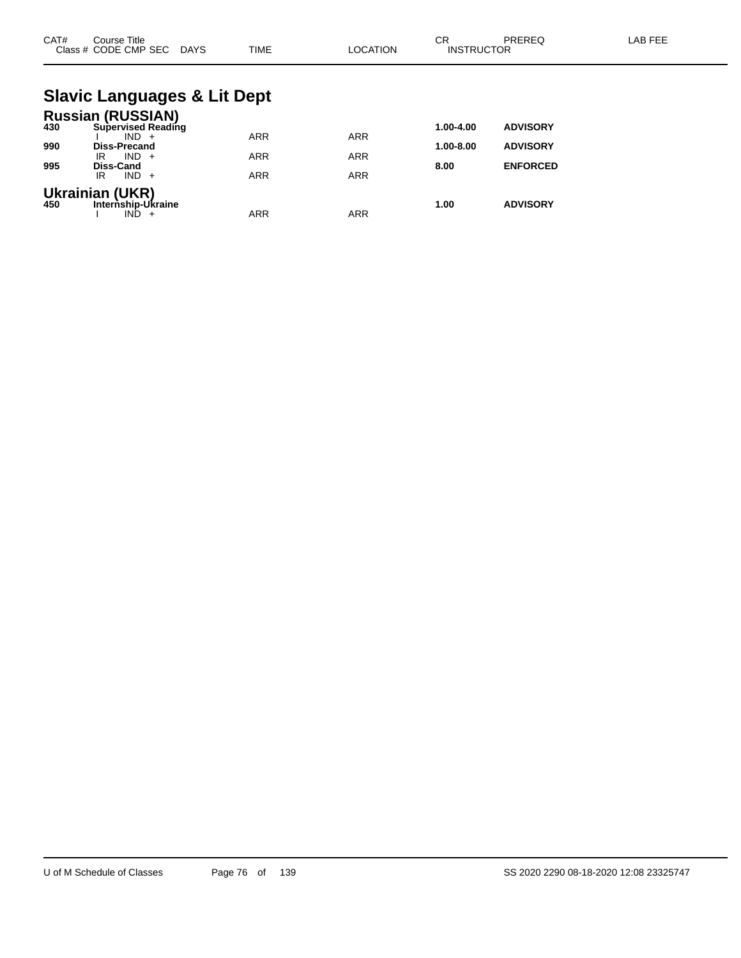| CAT# | Course Title<br>Class # CODE CMP SEC DAYS                        | <b>TIME</b> | <b>LOCATION</b> | <b>CR</b><br><b>INSTRUCTOR</b> | PREREQ          | <b>LAB FEE</b> |
|------|------------------------------------------------------------------|-------------|-----------------|--------------------------------|-----------------|----------------|
|      | <b>Slavic Languages &amp; Lit Dept</b>                           |             |                 |                                |                 |                |
| 430  | <b>Russian (RUSSIAN)</b><br><b>Supervised Reading</b><br>$IND +$ | <b>ARR</b>  | <b>ARR</b>      | 1.00-4.00                      | <b>ADVISORY</b> |                |
| 990  | Diss-Precand<br>$IND +$<br>IR                                    | <b>ARR</b>  | <b>ARR</b>      | 1.00-8.00                      | <b>ADVISORY</b> |                |
| 995  | <b>Diss-Cand</b><br>$IND +$<br>IR                                | <b>ARR</b>  | <b>ARR</b>      | 8.00                           | <b>ENFORCED</b> |                |
| 450  | <b>Ukrainian (UKR)</b><br>Internship-Ukraine<br>$IND +$          | <b>ARR</b>  | <b>ARR</b>      | 1.00                           | <b>ADVISORY</b> |                |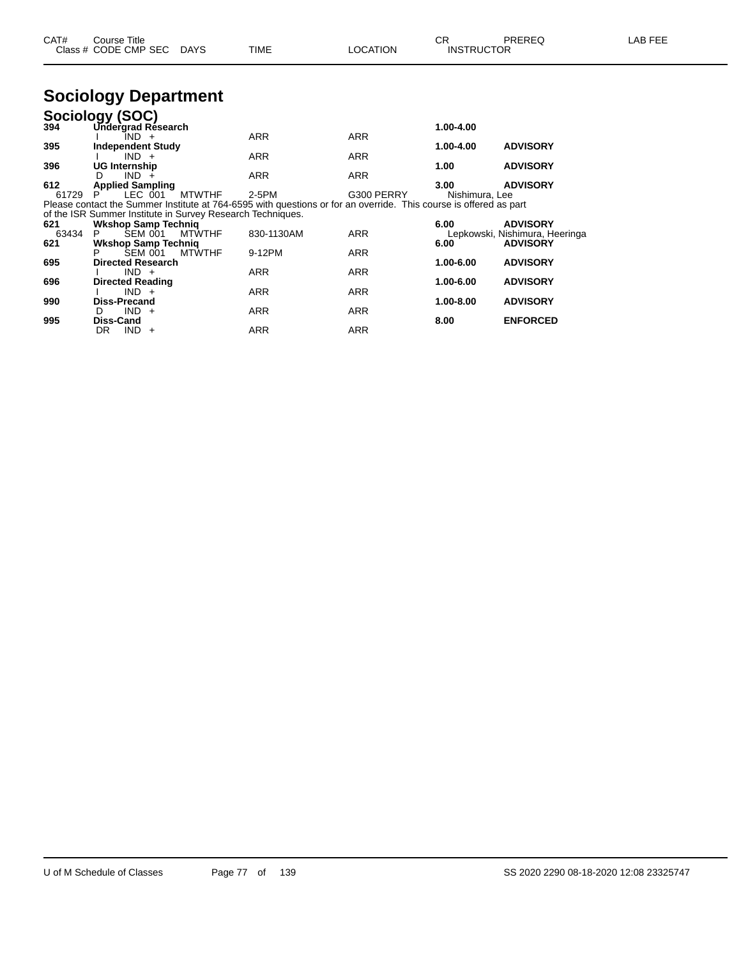| CAT# | Course Title              |      |          | $\cap$<br>◡⊓      | PREREQ | LAB FEE |
|------|---------------------------|------|----------|-------------------|--------|---------|
|      | Class # CODE CMP SEC DAYS | TIME | LOCATION | <b>INSTRUCTOR</b> |        |         |

## **Sociology Department**

|       | Sociology (SOC)                                            |               |                                                                                                                   |            |                |                                |
|-------|------------------------------------------------------------|---------------|-------------------------------------------------------------------------------------------------------------------|------------|----------------|--------------------------------|
| 394   | Undergrad Résearch                                         |               |                                                                                                                   |            | 1.00-4.00      |                                |
|       | IND +                                                      |               | <b>ARR</b>                                                                                                        | <b>ARR</b> |                |                                |
| 395   | <b>Independent Study</b>                                   |               |                                                                                                                   |            | $1.00 - 4.00$  | <b>ADVISORY</b>                |
|       | $IND +$                                                    |               | <b>ARR</b>                                                                                                        | <b>ARR</b> |                |                                |
| 396   | <b>UG Internship</b>                                       |               |                                                                                                                   |            | 1.00           | <b>ADVISORY</b>                |
|       | $IND +$<br>D                                               |               | <b>ARR</b>                                                                                                        | <b>ARR</b> |                |                                |
| 612   | <b>Applied Sampling</b>                                    |               |                                                                                                                   |            | 3.00           | <b>ADVISORY</b>                |
| 61729 | LEC 001                                                    | <b>MTWTHF</b> | 2-5PM                                                                                                             | G300 PERRY | Nishimura, Lee |                                |
|       |                                                            |               | Please contact the Summer Institute at 764-6595 with questions or for an override. This course is offered as part |            |                |                                |
|       | of the ISR Summer Institute in Survey Research Techniques. |               |                                                                                                                   |            |                |                                |
| 621   | <b>Wkshop Samp Technig</b>                                 |               |                                                                                                                   |            | 6.00           | <b>ADVISORY</b>                |
| 63434 | <b>SEM 001</b><br>P.                                       | <b>MTWTHF</b> | 830-1130AM                                                                                                        | <b>ARR</b> |                | Lepkowski, Nishimura, Heeringa |
| 621   | <b>Wkshop Samp Techniq</b>                                 |               |                                                                                                                   |            | 6.00           | <b>ADVISORY</b>                |
|       | <b>SEM 001</b>                                             | <b>MTWTHF</b> | 9-12PM                                                                                                            | <b>ARR</b> |                |                                |
| 695   | <b>Directed Research</b>                                   |               |                                                                                                                   |            | 1.00-6.00      | <b>ADVISORY</b>                |
|       | $IND +$                                                    |               | <b>ARR</b>                                                                                                        | <b>ARR</b> |                |                                |
| 696   | <b>Directed Reading</b>                                    |               |                                                                                                                   |            | 1.00-6.00      | <b>ADVISORY</b>                |
|       | $IND +$                                                    |               | <b>ARR</b>                                                                                                        | <b>ARR</b> |                |                                |
| 990   | <b>Diss-Precand</b>                                        |               |                                                                                                                   |            | 1.00-8.00      | <b>ADVISORY</b>                |
|       | $IND +$<br>D                                               |               | <b>ARR</b>                                                                                                        | <b>ARR</b> |                |                                |
| 995   | Diss-Cand                                                  |               |                                                                                                                   |            | 8.00           | <b>ENFORCED</b>                |
|       | DR.<br>$IND +$                                             |               | <b>ARR</b>                                                                                                        | ARR        |                |                                |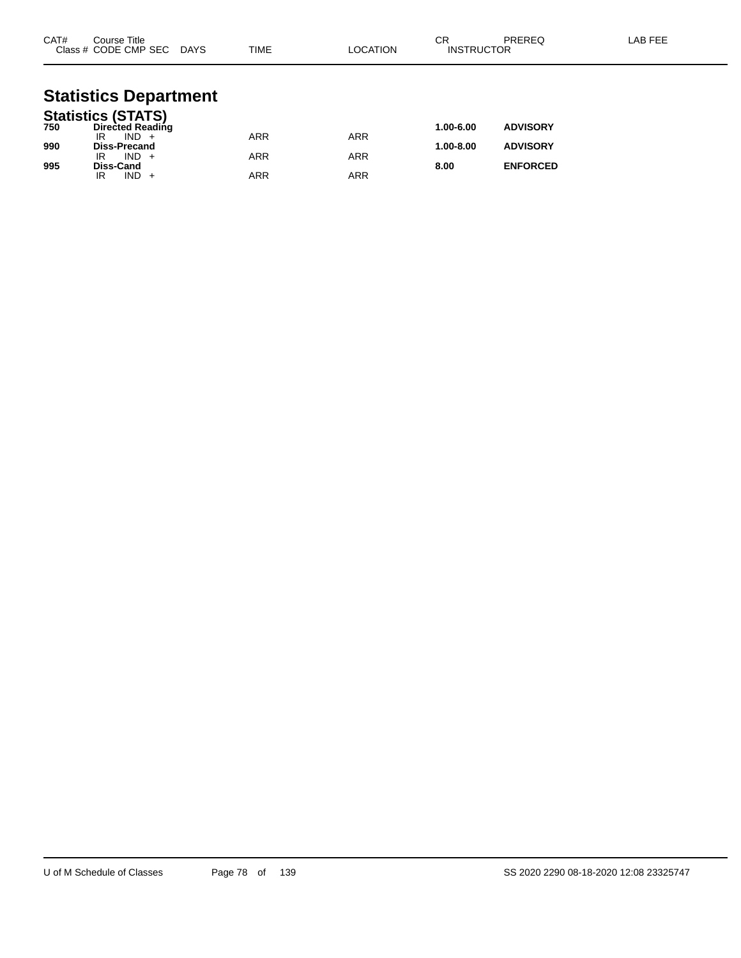| CAT# | Course Title<br>Class # CODE CMP SEC DAYS | TIME       | LOCATION   | <b>CR</b><br><b>INSTRUCTOR</b> | PREREQ          | LAB FEE |
|------|-------------------------------------------|------------|------------|--------------------------------|-----------------|---------|
|      | <b>Statistics Department</b>              |            |            |                                |                 |         |
|      | <b>Statistics (STATS)</b>                 |            |            |                                |                 |         |
| 750  | <b>Directed Reading</b>                   |            |            | 1.00-6.00                      | <b>ADVISORY</b> |         |
|      | $IND +$<br>IR                             | <b>ARR</b> | <b>ARR</b> |                                |                 |         |
| 990  | <b>Diss-Precand</b><br>$IND +$            |            |            | 1.00-8.00                      | <b>ADVISORY</b> |         |
| 995  | IR<br>Diss-Cand                           | <b>ARR</b> | <b>ARR</b> | 8.00                           | <b>ENFORCED</b> |         |
|      | $IND +$<br>IR                             | <b>ARR</b> | <b>ARR</b> |                                |                 |         |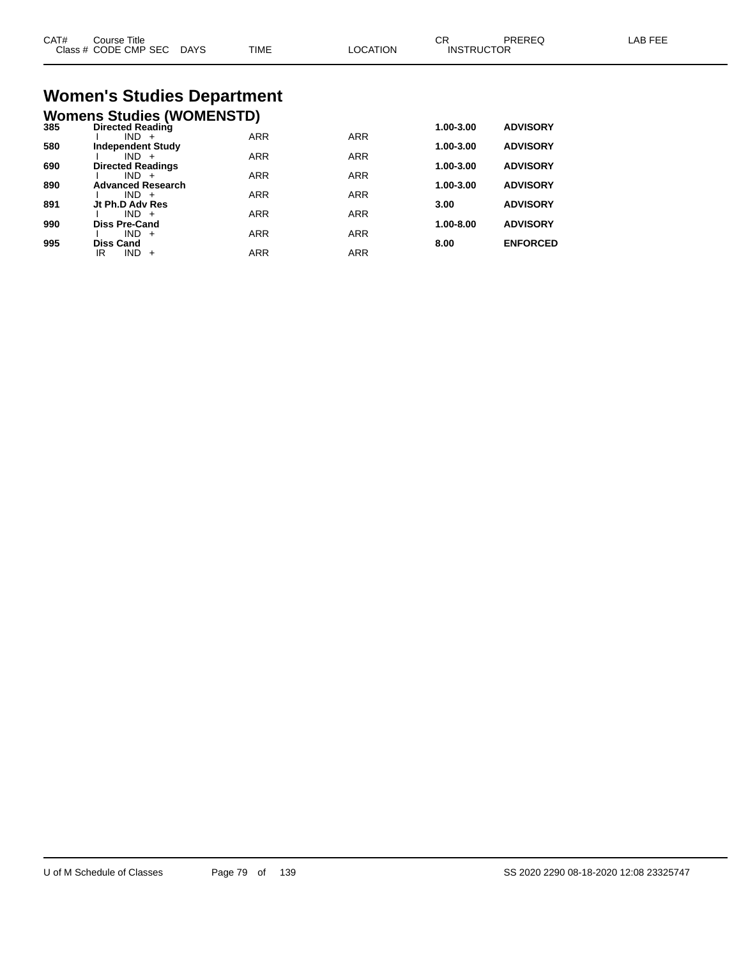| CAT# | Course Title<br>Class # CODE CMP SEC DAYS                   | <b>TIME</b> | <b>LOCATION</b> | CR<br><b>INSTRUCTOR</b> | PREREQ          | LAB FEE |
|------|-------------------------------------------------------------|-------------|-----------------|-------------------------|-----------------|---------|
|      | <b>Women's Studies Department</b>                           |             |                 |                         |                 |         |
| 385  | <b>Womens Studies (WOMENSTD)</b><br><b>Directed Reading</b> |             |                 | 1.00-3.00               | <b>ADVISORY</b> |         |
|      | $IND +$                                                     | <b>ARR</b>  | <b>ARR</b>      |                         |                 |         |
| 580  | <b>Independent Study</b>                                    |             |                 | 1.00-3.00               | <b>ADVISORY</b> |         |
| 690  | $IND +$<br><b>Directed Readings</b>                         | <b>ARR</b>  | <b>ARR</b>      | 1.00-3.00               | <b>ADVISORY</b> |         |
|      | $IND +$                                                     | <b>ARR</b>  | <b>ARR</b>      |                         |                 |         |
| 890  | <b>Advanced Research</b><br>$IND +$                         | <b>ARR</b>  | <b>ARR</b>      | 1.00-3.00               | <b>ADVISORY</b> |         |
| 891  | Jt Ph.D Adv Res                                             |             |                 | 3.00                    | <b>ADVISORY</b> |         |

I IND + ARR ARR ARR

I IND + ARR ARR ARR

IR IND + ARR ARR ARR

**990 Diss Pre-Cand 1.00-8.00 ADVISORY**

**995 Diss Cand 8.00 ENFORCED**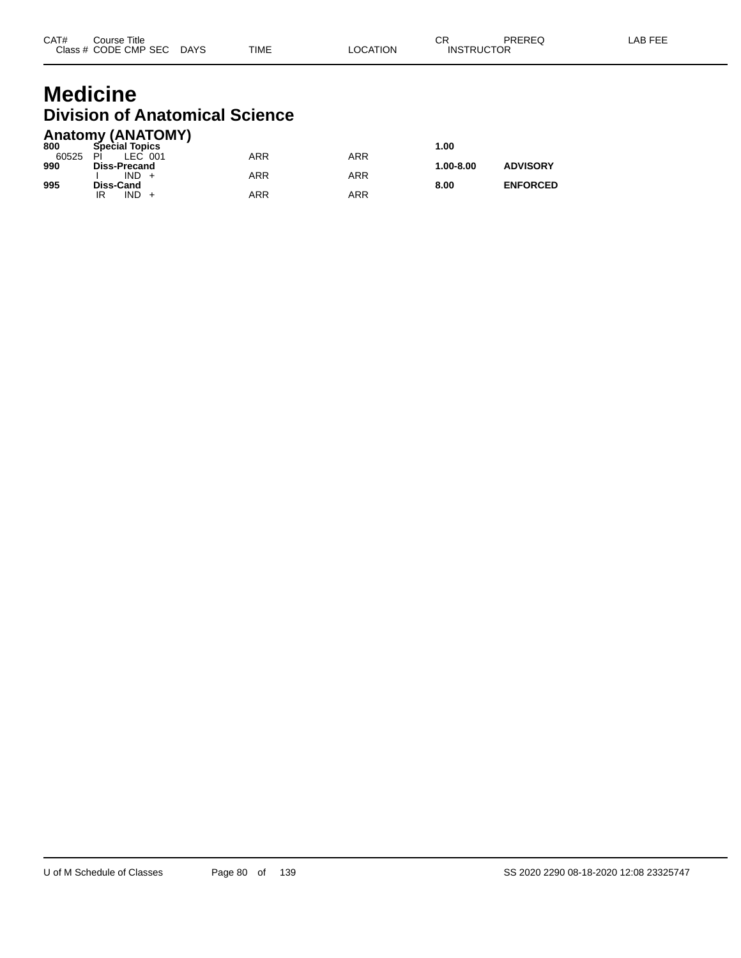## **Medicine Division of Anatomical Science**

|       | <b>Anatomy (ANATOMY)</b> |            |     |               |                 |
|-------|--------------------------|------------|-----|---------------|-----------------|
| 800   | <b>Special Topics</b>    |            |     | 1.00          |                 |
| 60525 | PI<br>LEC 001            | ARR        | ARR |               |                 |
| 990   | <b>Diss-Precand</b>      |            |     | $1.00 - 8.00$ | <b>ADVISORY</b> |
|       | $IND +$                  | <b>ARR</b> | ARR |               |                 |
| 995   | Diss-Cand                |            |     | 8.00          | <b>ENFORCED</b> |
|       | $IND +$<br>IR            | ARR        | ARR |               |                 |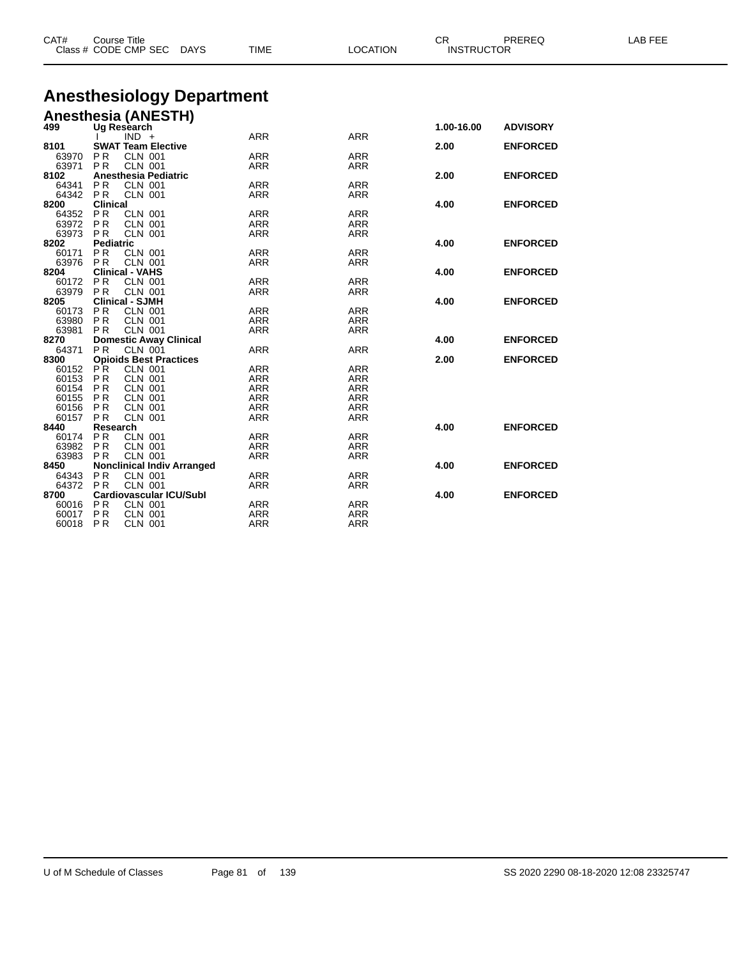| CAT#          | <b>Course Title</b> | Class # CODE CMP SEC                     | <b>DAYS</b> | <b>TIME</b> | <b>LOCATION</b> | CR<br><b>INSTRUCTOR</b> | PREREQ          | LAB FEE |
|---------------|---------------------|------------------------------------------|-------------|-------------|-----------------|-------------------------|-----------------|---------|
|               |                     | <b>Anesthesiology Department</b>         |             |             |                 |                         |                 |         |
|               |                     | <b>Anesthesia (ANESTH)</b>               |             |             |                 |                         |                 |         |
| 499           |                     | Ug Research                              |             |             |                 | 1.00-16.00              | <b>ADVISORY</b> |         |
|               |                     | $IND +$                                  |             | <b>ARR</b>  | <b>ARR</b>      |                         |                 |         |
| 8101          |                     | <b>SWAT Team Elective</b>                |             |             |                 | 2.00                    | <b>ENFORCED</b> |         |
| 63970         | PR                  | <b>CLN 001</b>                           |             | <b>ARR</b>  | <b>ARR</b>      |                         |                 |         |
| 63971         | <b>PR</b>           | <b>CLN 001</b>                           |             | <b>ARR</b>  | <b>ARR</b>      |                         |                 |         |
| 8102          |                     | Anesthesia Pediatric                     |             |             |                 | 2.00                    | <b>ENFORCED</b> |         |
| 64341         | PR                  | <b>CLN 001</b>                           |             | <b>ARR</b>  | <b>ARR</b>      |                         |                 |         |
| 64342         | PR                  | <b>CLN 001</b>                           |             | <b>ARR</b>  | <b>ARR</b>      |                         |                 |         |
| 8200          | <b>Clinical</b>     |                                          |             |             |                 | 4.00                    | <b>ENFORCED</b> |         |
| 64352         | PR.                 | <b>CLN 001</b>                           |             | ARR         | <b>ARR</b>      |                         |                 |         |
| 63972         | PR                  | <b>CLN 001</b>                           |             | ARR         | ARR             |                         |                 |         |
| 63973         | PR.                 | <b>CLN 001</b>                           |             | <b>ARR</b>  | <b>ARR</b>      |                         |                 |         |
| 8202          | <b>Pediatric</b>    |                                          |             |             |                 | 4.00                    | <b>ENFORCED</b> |         |
| 60171         | <b>PR</b>           | <b>CLN 001</b>                           |             | <b>ARR</b>  | <b>ARR</b>      |                         |                 |         |
| 63976         | PR                  | <b>CLN 001</b>                           |             | <b>ARR</b>  | <b>ARR</b>      |                         |                 |         |
| 8204          |                     | <b>Clinical - VAHS</b>                   |             |             |                 | 4.00                    | <b>ENFORCED</b> |         |
| 60172         | PR.                 | <b>CLN 001</b>                           |             | ARR         | <b>ARR</b>      |                         |                 |         |
| 63979         | PR -                | <b>CLN 001</b><br><b>Clinical - SJMH</b> |             | <b>ARR</b>  | <b>ARR</b>      |                         | <b>ENFORCED</b> |         |
| 8205<br>60173 | PR                  | <b>CLN 001</b>                           |             | <b>ARR</b>  | <b>ARR</b>      | 4.00                    |                 |         |
| 63980         | <b>PR</b>           | <b>CLN 001</b>                           |             | <b>ARR</b>  | ARR             |                         |                 |         |
| 63981         | PR.                 | <b>CLN 001</b>                           |             | <b>ARR</b>  | <b>ARR</b>      |                         |                 |         |
| 8270          |                     | <b>Domestic Away Clinical</b>            |             |             |                 | 4.00                    | <b>ENFORCED</b> |         |
| 64371         | P <sub>R</sub>      | <b>CLN 001</b>                           |             | <b>ARR</b>  | <b>ARR</b>      |                         |                 |         |
| 8300          |                     | <b>Opioids Best Practices</b>            |             |             |                 | 2.00                    | <b>ENFORCED</b> |         |
| 60152         | PR.                 | <b>CLN 001</b>                           |             | ARR         | <b>ARR</b>      |                         |                 |         |
| 60153         | P R                 | <b>CLN 001</b>                           |             | <b>ARR</b>  | <b>ARR</b>      |                         |                 |         |
| 60154         | PR                  | <b>CLN 001</b>                           |             | <b>ARR</b>  | <b>ARR</b>      |                         |                 |         |
| 60155         | PR                  | <b>CLN 001</b>                           |             | <b>ARR</b>  | <b>ARR</b>      |                         |                 |         |
| 60156         | <b>PR</b>           | <b>CLN 001</b>                           |             | <b>ARR</b>  | <b>ARR</b>      |                         |                 |         |
| 60157         | PR                  | <b>CLN 001</b>                           |             | <b>ARR</b>  | <b>ARR</b>      |                         |                 |         |
| 8440          | Research            |                                          |             |             |                 | 4.00                    | <b>ENFORCED</b> |         |
| 60174         | PR                  | <b>CLN 001</b>                           |             | <b>ARR</b>  | <b>ARR</b>      |                         |                 |         |
| 63982         | <b>PR</b>           | <b>CLN 001</b>                           |             | <b>ARR</b>  | <b>ARR</b>      |                         |                 |         |
| 63983         | PR.                 | <b>CLN 001</b>                           |             | ARR         | ARR             |                         |                 |         |
| 8450          |                     | <b>Nonclinical Indiv Arranged</b>        |             |             |                 | 4.00                    | <b>ENFORCED</b> |         |
| 64343         | PR                  | <b>CLN 001</b>                           |             | ARR         | <b>ARR</b>      |                         |                 |         |
| 64372         | PR                  | <b>CLN 001</b>                           |             | <b>ARR</b>  | <b>ARR</b>      |                         |                 |         |
| 8700          |                     | <b>Cardiovascular ICU/Subl</b>           |             |             |                 | 4.00                    | <b>ENFORCED</b> |         |
| 60016         | P R                 | <b>CLN 001</b>                           |             | <b>ARR</b>  | <b>ARR</b>      |                         |                 |         |
| 60017         | <b>PR</b>           | <b>CLN 001</b>                           |             | <b>ARR</b>  | ARR             |                         |                 |         |
| 60018         | <b>PR</b>           | <b>CLN 001</b>                           |             | <b>ARR</b>  | <b>ARR</b>      |                         |                 |         |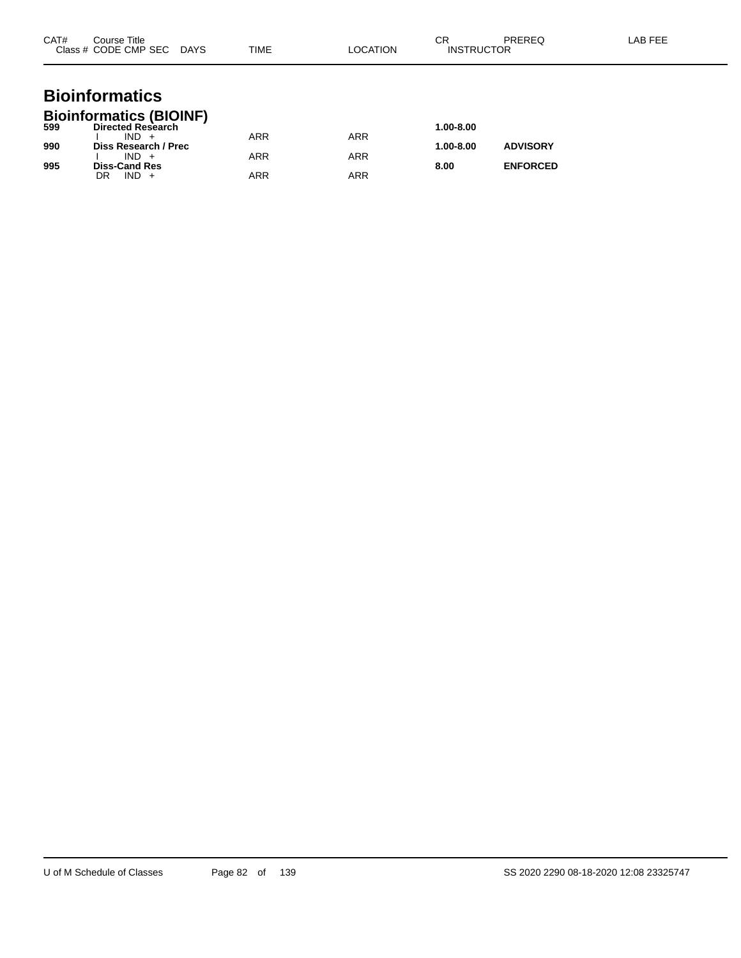| CAT# | Course Title<br>Class # CODE CMP SEC DAYS                             | TIME       | LOCATION   | <b>CR</b><br><b>PREREQ</b><br><b>INSTRUCTOR</b> | LAB FEE |
|------|-----------------------------------------------------------------------|------------|------------|-------------------------------------------------|---------|
|      | <b>Bioinformatics</b>                                                 |            |            |                                                 |         |
| 599  | <b>Bioinformatics (BIOINF)</b><br><b>Directed Research</b><br>$IND +$ | <b>ARR</b> | <b>ARR</b> | 1.00-8.00                                       |         |
| 990  | Diss Research / Prec<br>$IND +$                                       | <b>ARR</b> | <b>ARR</b> | <b>ADVISORY</b><br>1.00-8.00                    |         |
| 995  | <b>Diss-Cand Res</b><br>$IND +$<br>DR                                 | <b>ARR</b> | <b>ARR</b> | <b>ENFORCED</b><br>8.00                         |         |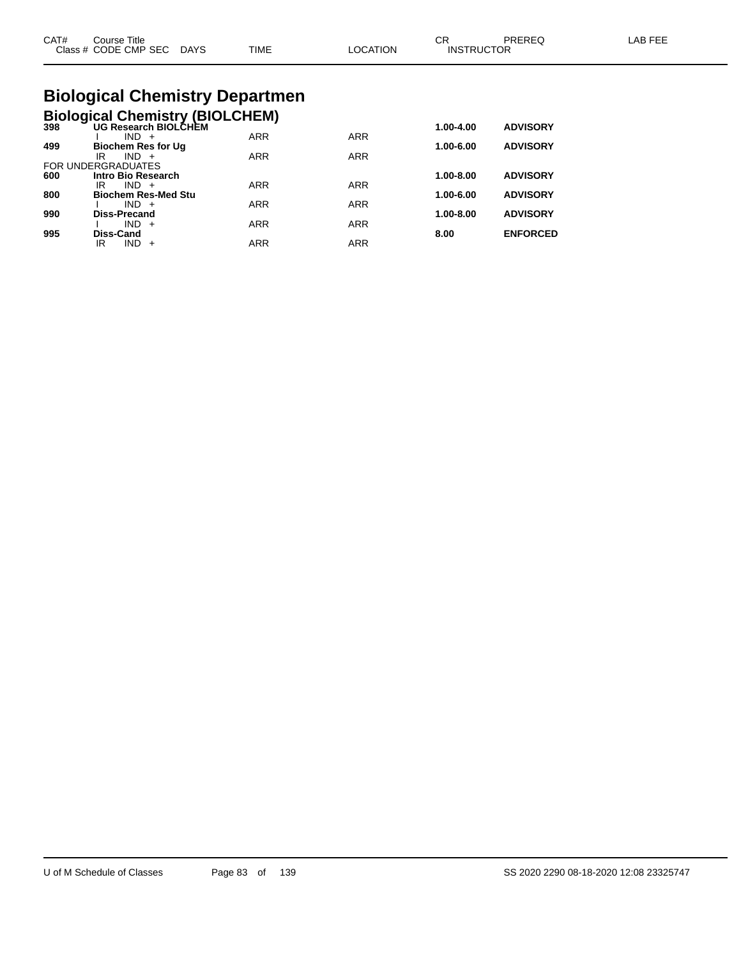|  | CAT#<br>⌒冖<br>PREREQ<br>LAB FEE<br>Course Title<br>◡<br>Class # CODE CMP SEC<br><b>TIME</b><br>LOCATION<br><b>INSTRUCTOR</b><br><b>DAYS</b> |
|--|---------------------------------------------------------------------------------------------------------------------------------------------|
|--|---------------------------------------------------------------------------------------------------------------------------------------------|

## **Biological Chemistry Departmen**

|  |  | Biological Chemistry (BIOLCHEM) |
|--|--|---------------------------------|
|  |  |                                 |

| 398 | UG Research BIOLCHEM       |            |            | 1.00-4.00     | <b>ADVISORY</b> |
|-----|----------------------------|------------|------------|---------------|-----------------|
|     | $IND +$                    | <b>ARR</b> | <b>ARR</b> |               |                 |
| 499 | <b>Biochem Res for Ug</b>  |            |            | 1.00-6.00     | <b>ADVISORY</b> |
|     | $IND +$<br>IR              | <b>ARR</b> | <b>ARR</b> |               |                 |
|     | <b>FOR UNDERGRADUATES</b>  |            |            |               |                 |
| 600 | Intro Bio Research         |            |            | $1.00 - 8.00$ | <b>ADVISORY</b> |
|     | $IND +$<br>IR              | <b>ARR</b> | <b>ARR</b> |               |                 |
| 800 | <b>Biochem Res-Med Stu</b> |            |            | 1.00-6.00     | <b>ADVISORY</b> |
|     | $IND +$                    | <b>ARR</b> | <b>ARR</b> |               |                 |
| 990 | <b>Diss-Precand</b>        |            |            | 1.00-8.00     | <b>ADVISORY</b> |
|     | $IND +$                    | <b>ARR</b> | <b>ARR</b> |               |                 |
| 995 | Diss-Cand                  |            |            | 8.00          | <b>ENFORCED</b> |
|     | <b>IND</b><br>IR<br>$+$    | <b>ARR</b> | <b>ARR</b> |               |                 |
|     |                            |            |            |               |                 |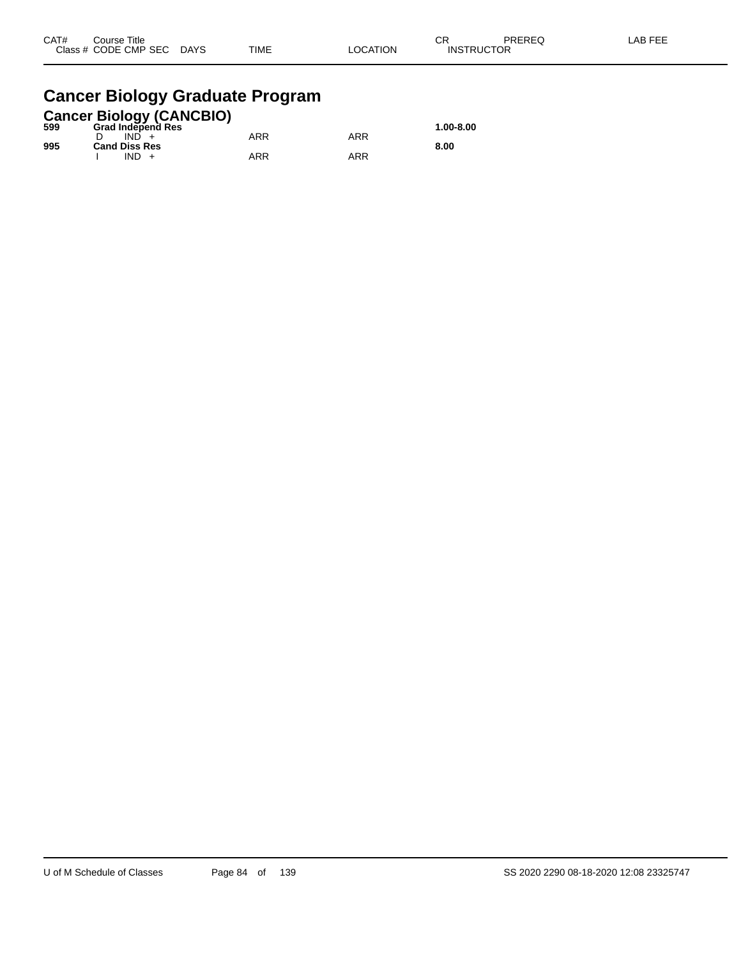| CAT# | Title<br>Course      |             |             |                | <b>CC</b><br>◡    | PREREQ | AB FFF |
|------|----------------------|-------------|-------------|----------------|-------------------|--------|--------|
|      | Class # CODE CMP SEC | <b>DAYS</b> | <b>TIME</b> | <b>OCATION</b> | <b>INSTRUCTOR</b> |        |        |

## **Cancer Biology Graduate Program**

|     | <b>Cancer Biology (CANCBIO)</b> |     |     |           |
|-----|---------------------------------|-----|-----|-----------|
| 599 | <b>Grad Independ Res</b>        |     |     | 1.00-8.00 |
|     | $IND +$                         | ARR | ARR |           |
| 995 | <b>Cand Diss Res</b>            |     |     | 8.00      |
|     | $IND +$                         | ARR | ARR |           |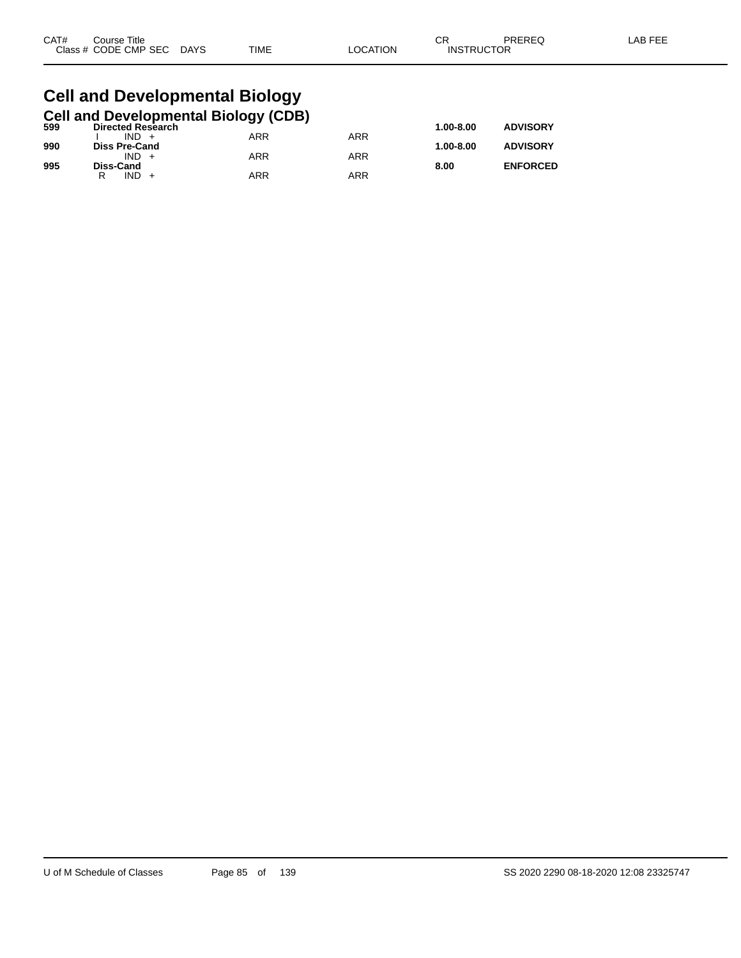| Class # CODE CMP SEC DAYS<br><b>TIME</b><br>LOCATION<br><b>INSTRUCTOR</b> | CAT# | Course Title |  | CR | <b>PREREQ</b> | -AB FEE |
|---------------------------------------------------------------------------|------|--------------|--|----|---------------|---------|
|                                                                           |      |              |  |    |               |         |

## **Cell and Developmental Biology**

|  |  | Cell and Developmental Biology (CDB) |  |
|--|--|--------------------------------------|--|
|  |  |                                      |  |

| 599 | <b>Directed Research</b> |     |            | 1.00-8.00 | <b>ADVISORY</b> |
|-----|--------------------------|-----|------------|-----------|-----------------|
|     | $IND +$                  | ARR | <b>ARR</b> |           |                 |
| 990 | <b>Diss Pre-Cand</b>     |     |            | 1.00-8.00 | <b>ADVISORY</b> |
|     | IND.                     | ARR | ARR        |           |                 |
| 995 | Diss-Cand                |     |            | 8.00      | <b>ENFORCED</b> |
|     | IND<br>R                 | ARR | ARR        |           |                 |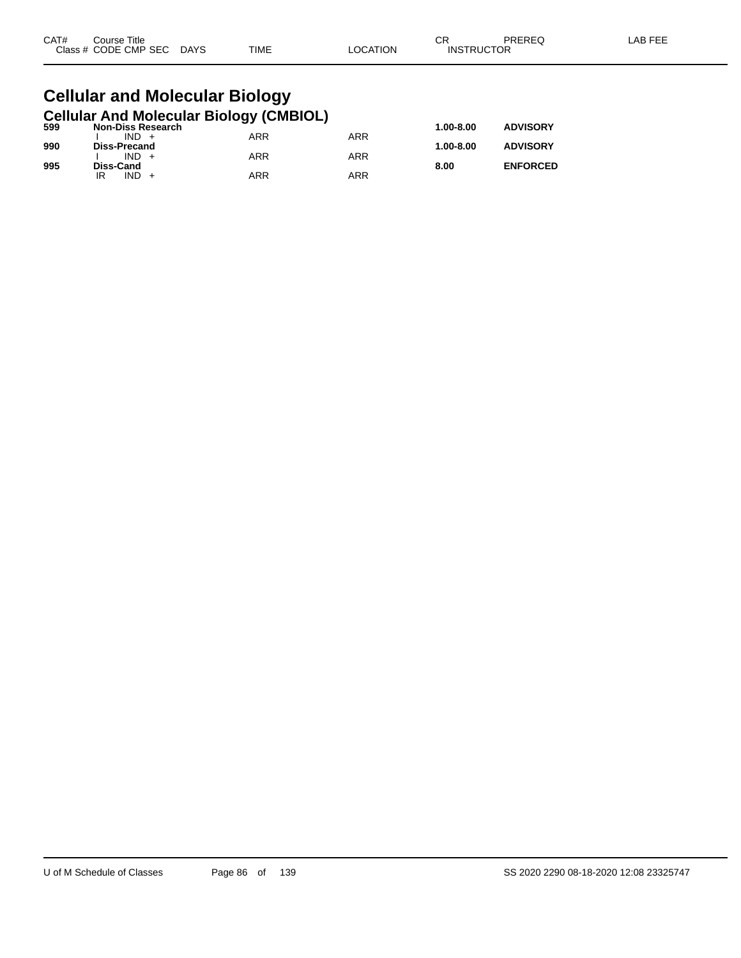| CAT# | Title<br>Course      |                       |             |          | СR                | PREREQ | LAB FEF |
|------|----------------------|-----------------------|-------------|----------|-------------------|--------|---------|
|      | Class # CODE CMP SEC | <b>DAYS</b><br>$\sim$ | <b>TIME</b> | _OCATION | <b>INSTRUCTOR</b> |        |         |

### **Cellular and Molecular Biology Cellular And Molecular Biology (CMBIOL)**

| 599 | <b>Non-Diss Research</b> | . .        |     | 1.00-8.00 | <b>ADVISORY</b> |
|-----|--------------------------|------------|-----|-----------|-----------------|
|     | $IND +$                  | ARR        | ARR |           |                 |
| 990 | Diss-Precand             |            |     | 1.00-8.00 | <b>ADVISORY</b> |
|     | $IND +$                  | ARR        | ARR |           |                 |
| 995 | Diss-Cand                |            |     | 8.00      | <b>ENFORCED</b> |
|     | <b>IND</b>               | <b>ARR</b> | ARR |           |                 |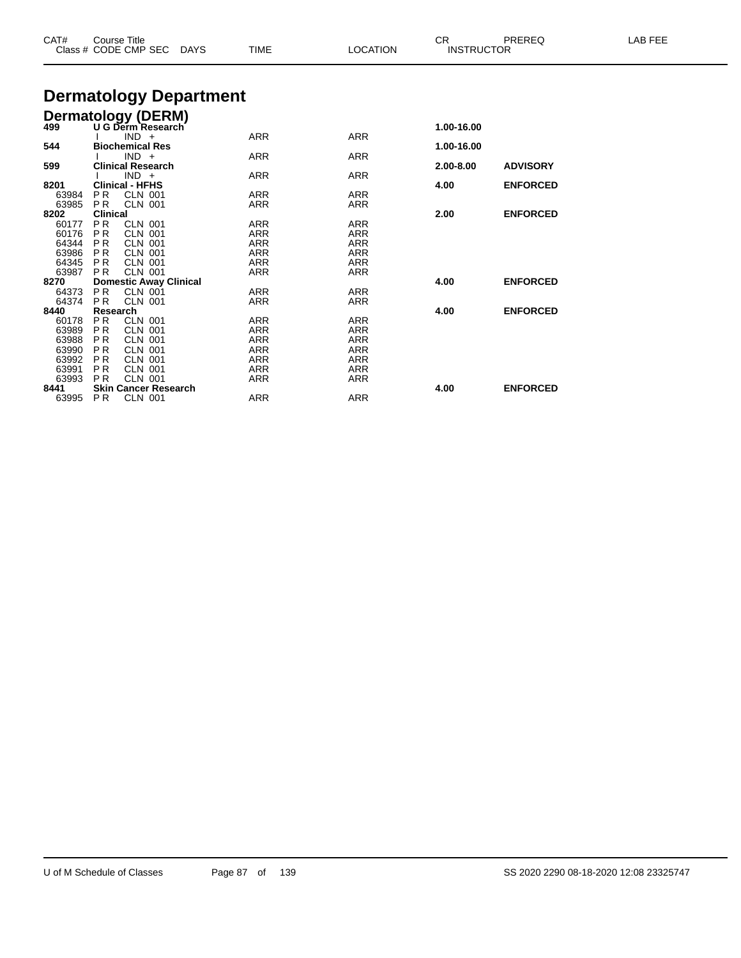| CAT#                                               | <b>Course Title</b><br>Class # CODE CMP SEC DAYS |                               |                               | <b>TIME</b> | <b>LOCATION</b> | CR.<br><b>INSTRUCTOR</b> | PREREQ          | LAB FEE |
|----------------------------------------------------|--------------------------------------------------|-------------------------------|-------------------------------|-------------|-----------------|--------------------------|-----------------|---------|
|                                                    |                                                  |                               | <b>Dermatology Department</b> |             |                 |                          |                 |         |
|                                                    |                                                  |                               |                               |             |                 |                          |                 |         |
| <b>Dermatology (DERM)</b><br>499 U G Derm Research |                                                  |                               |                               |             |                 | 1.00-16.00               |                 |         |
|                                                    |                                                  | $IND +$                       |                               | <b>ARR</b>  | <b>ARR</b>      |                          |                 |         |
| 544                                                |                                                  | <b>Biochemical Res</b>        |                               |             |                 | 1.00-16.00               |                 |         |
|                                                    |                                                  | $IND +$                       |                               | <b>ARR</b>  | <b>ARR</b>      |                          |                 |         |
| 599                                                |                                                  | <b>Clinical Research</b>      |                               |             |                 | 2.00-8.00                | <b>ADVISORY</b> |         |
|                                                    |                                                  | $IND +$                       |                               | <b>ARR</b>  | <b>ARR</b>      |                          |                 |         |
| 8201<br>63984                                      | <b>Clinical - HFHS</b><br>P <sub>R</sub>         | <b>CLN 001</b>                |                               | <b>ARR</b>  | <b>ARR</b>      | 4.00                     | <b>ENFORCED</b> |         |
| 63985                                              | PR.                                              | <b>CLN 001</b>                |                               | <b>ARR</b>  | <b>ARR</b>      |                          |                 |         |
| 8202                                               | <b>Clinical</b>                                  |                               |                               |             |                 | 2.00                     | <b>ENFORCED</b> |         |
| 60177                                              | P <sub>R</sub>                                   | <b>CLN 001</b>                |                               | <b>ARR</b>  | <b>ARR</b>      |                          |                 |         |
| 60176                                              | PR.                                              | <b>CLN 001</b>                |                               | <b>ARR</b>  | <b>ARR</b>      |                          |                 |         |
| 64344                                              | PR.                                              | <b>CLN 001</b>                |                               | <b>ARR</b>  | <b>ARR</b>      |                          |                 |         |
| 63986                                              | PR.                                              | CLN 001                       |                               | <b>ARR</b>  | <b>ARR</b>      |                          |                 |         |
| 64345                                              | PR.                                              | <b>CLN 001</b>                |                               | <b>ARR</b>  | <b>ARR</b>      |                          |                 |         |
| 63987                                              | <b>PR</b>                                        | <b>CLN 001</b>                |                               | <b>ARR</b>  | <b>ARR</b>      |                          |                 |         |
| 8270                                               |                                                  | <b>Domestic Away Clinical</b> |                               |             |                 | 4.00                     | <b>ENFORCED</b> |         |
| 64373                                              | <b>PR</b>                                        | <b>CLN 001</b>                |                               | ARR         | <b>ARR</b>      |                          |                 |         |
| 64374<br>8440                                      | <b>PR</b><br>Research                            | <b>CLN 001</b>                |                               | <b>ARR</b>  | <b>ARR</b>      | 4.00                     | <b>ENFORCED</b> |         |
| 60178                                              | P <sub>R</sub>                                   | <b>CLN 001</b>                |                               | <b>ARR</b>  | <b>ARR</b>      |                          |                 |         |
| 63989                                              | P <sub>R</sub>                                   | <b>CLN 001</b>                |                               | <b>ARR</b>  | <b>ARR</b>      |                          |                 |         |
| 63988                                              | P <sub>R</sub>                                   | <b>CLN 001</b>                |                               | <b>ARR</b>  | <b>ARR</b>      |                          |                 |         |
| 63990                                              | P <sub>R</sub>                                   | <b>CLN 001</b>                |                               | <b>ARR</b>  | <b>ARR</b>      |                          |                 |         |
| 63992                                              | P R                                              | <b>CLN 001</b>                |                               | <b>ARR</b>  | <b>ARR</b>      |                          |                 |         |
| 63991                                              | PR.                                              | <b>CLN 001</b>                |                               | <b>ARR</b>  | <b>ARR</b>      |                          |                 |         |
| 63993                                              | P <sub>R</sub>                                   | <b>CLN 001</b>                |                               | <b>ARR</b>  | <b>ARR</b>      |                          |                 |         |
| 8441                                               |                                                  | <b>Skin Cancer Research</b>   |                               |             |                 | 4.00                     | <b>ENFORCED</b> |         |
| 63995                                              | <b>PR</b>                                        | <b>CLN 001</b>                |                               | <b>ARR</b>  | <b>ARR</b>      |                          |                 |         |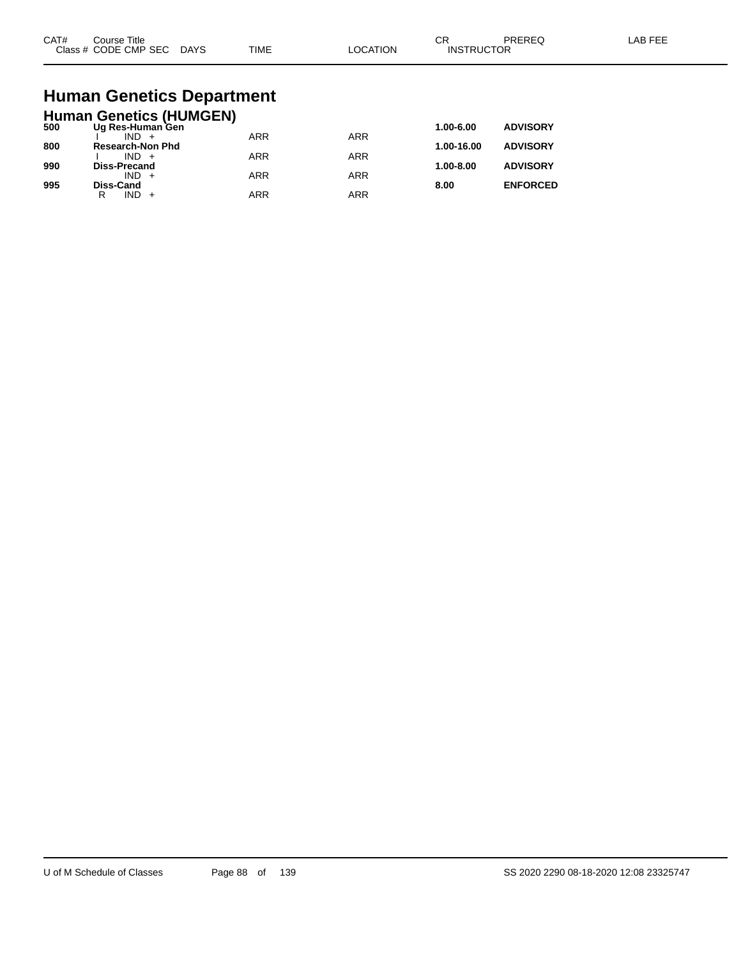| CAT#<br>$2 \cdot 2 \cdot 2$ | Title<br>ourse<br>CMP SEC<br>חר∈<br>$ -$ | DAYS<br>$\sim$ | <b>TIME</b> | ורו | $\sim$<br>UΗ<br>⊣N.S<br>₽ | ____ |  |
|-----------------------------|------------------------------------------|----------------|-------------|-----|---------------------------|------|--|
|-----------------------------|------------------------------------------|----------------|-------------|-----|---------------------------|------|--|

# **Human Genetics Department**

|     | <b>Human Genetics (HUMGEN)</b> |            |            |               |                 |
|-----|--------------------------------|------------|------------|---------------|-----------------|
| 500 | Ug Res-Human Gen               |            |            | 1.00-6.00     | <b>ADVISORY</b> |
|     | $IND +$                        | <b>ARR</b> | <b>ARR</b> |               |                 |
| 800 | <b>Research-Non Phd</b>        |            |            | 1.00-16.00    | <b>ADVISORY</b> |
|     | $IND +$                        | <b>ARR</b> | <b>ARR</b> |               |                 |
| 990 | <b>Diss-Precand</b>            |            |            | $1.00 - 8.00$ | <b>ADVISORY</b> |
|     | $IND +$                        | <b>ARR</b> | ARR        |               |                 |
| 995 | Diss-Cand<br>$IND +$<br>R      | <b>ARR</b> | ARR        | 8.00          | <b>ENFORCED</b> |
|     |                                |            |            |               |                 |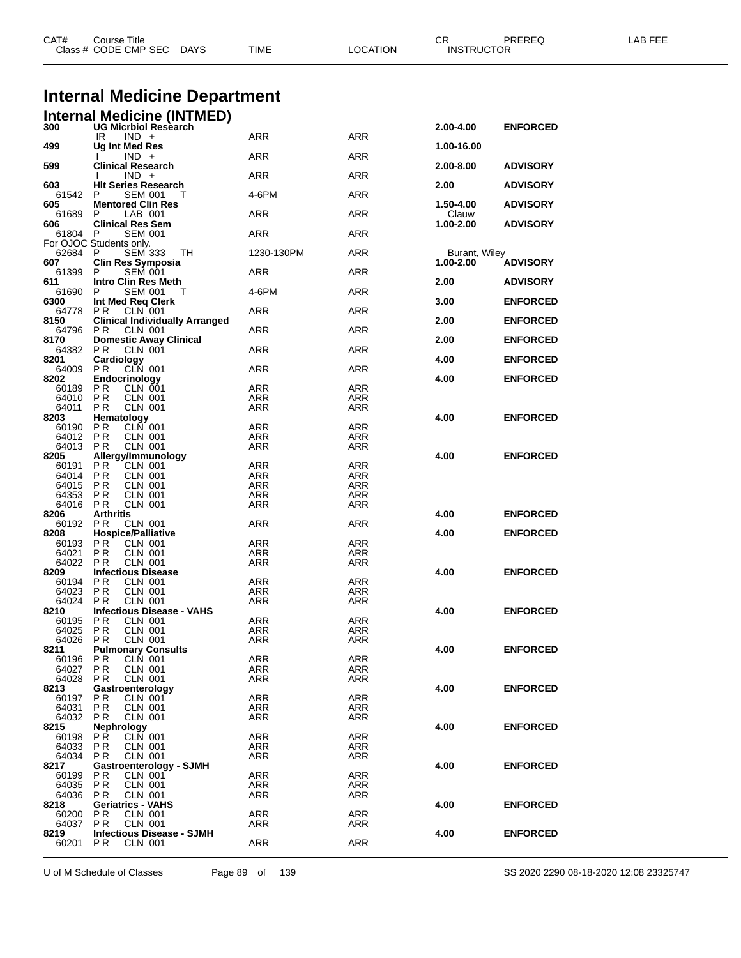| CAT#             | Course Title<br>Class # CODE CMP SEC DAYS                          | <b>TIME</b>              | <b>LOCATION</b>          | CR<br><b>INSTRUCTOR</b>    | PREREQ          | LAB FEE |
|------------------|--------------------------------------------------------------------|--------------------------|--------------------------|----------------------------|-----------------|---------|
|                  | <b>Internal Medicine Department</b>                                |                          |                          |                            |                 |         |
|                  | <b>Internal Medicine (INTMED)</b>                                  |                          |                          |                            |                 |         |
| 300              | <b>UG Micrbiol Research</b><br>IR<br>$IND +$                       | ARR                      | ARR                      | 2.00-4.00                  | <b>ENFORCED</b> |         |
| 499              | Ug Int Med Res<br>$IND +$                                          | ARR                      | ARR                      | 1.00-16.00                 |                 |         |
| 599              | <b>Clinical Research</b><br>$IND +$                                | ARR                      | ARR                      | 2.00-8.00                  | <b>ADVISORY</b> |         |
| 603<br>61542     | <b>HIt Series Research</b>                                         |                          | <b>ARR</b>               | 2.00                       | <b>ADVISORY</b> |         |
| 605              | <b>SEM 001</b><br>P<br>$\mathbf{I}$<br><b>Mentored Clin Res</b>    | 4-6PM                    |                          | 1.50-4.00                  | <b>ADVISORY</b> |         |
| 61689<br>606     | LAB 001<br>P<br><b>Clinical Res Sem</b>                            | ARR                      | ARR                      | Clauw<br>1.00-2.00         | <b>ADVISORY</b> |         |
| 61804 P          | <b>SEM 001</b><br>For OJOC Students only.                          | ARR                      | ARR                      |                            |                 |         |
| 62684 P<br>607   | <b>SEM 333</b><br>TH<br><b>Clin Res Symposia</b>                   | 1230-130PM               | ARR                      | Burant, Wiley<br>1.00-2.00 | <b>ADVISORY</b> |         |
| 61399            | <b>SEM 001</b><br>P                                                | ARR                      | ARR                      |                            |                 |         |
| 611<br>61690     | Intro Clin Res Meth<br>P<br>SEM 001<br>Т                           | 4-6PM                    | ARR                      | 2.00                       | <b>ADVISORY</b> |         |
| 6300<br>64778    | Int Med Req Clerk<br>P R CLN 001<br>PR                             | ARR                      | <b>ARR</b>               | 3.00                       | <b>ENFORCED</b> |         |
| 8150<br>64796    | <b>Clinical Individually Arranged</b><br>P R<br><b>CLN 001</b>     | ARR                      | ARR                      | 2.00                       | <b>ENFORCED</b> |         |
| 8170             | <b>Domestic Away Clinical</b>                                      |                          |                          | 2.00                       | <b>ENFORCED</b> |         |
| 64382<br>8201    | P R<br>CLN 001<br>Cardiology                                       | ARR                      | ARR                      | 4.00                       | <b>ENFORCED</b> |         |
| 64009<br>8202    | CLN 001<br><b>PR</b><br>Endocrinology                              | ARR                      | <b>ARR</b>               | 4.00                       | <b>ENFORCED</b> |         |
| 60189<br>64010   | ΡR<br><b>CLN 001</b><br><b>PR</b><br><b>CLN 001</b>                | ARR<br><b>ARR</b>        | ARR<br>ARR               |                            |                 |         |
| 64011<br>8203    | P R<br>CLN 001                                                     | ARR                      | ARR                      | 4.00                       | <b>ENFORCED</b> |         |
| 60190            | Hematology<br><b>CLN</b> 001<br>P R                                | ARR                      | ARR                      |                            |                 |         |
| 64012<br>64013   | P R<br>CLN 001<br><b>CLN 001</b><br>P R                            | ARR<br><b>ARR</b>        | ARR<br>ARR               |                            |                 |         |
| 8205<br>60191    | Allergy/Immunology<br>PR<br>CLN 001                                | ARR                      | ARR                      | 4.00                       | <b>ENFORCED</b> |         |
| 64014<br>64015   | <b>PR</b><br>CLN 001<br>CLN 001<br>P R                             | <b>ARR</b><br><b>ARR</b> | <b>ARR</b><br><b>ARR</b> |                            |                 |         |
| 64353            | P R<br>CLN 001                                                     | ARR                      | ARR                      |                            |                 |         |
| 64016<br>8206    | P R<br><b>CLN 001</b><br><b>Arthritis</b>                          | ARR                      | ARR                      | 4.00                       | <b>ENFORCED</b> |         |
| 60192<br>8208    | P R<br>CLN 001<br><b>Hospice/Palliative</b>                        | ARR                      | ARR                      | 4.00                       | <b>ENFORCED</b> |         |
| 60193<br>64021   | PR<br>CLN 001<br>ΡR<br>CLN 001                                     | ARR<br><b>ARR</b>        | ARR<br>ARR               |                            |                 |         |
| 64022            | P R<br><b>CLN 001</b>                                              | ARR                      | ARR                      |                            | <b>ENFORCED</b> |         |
| 8209<br>60194 PR | <b>Infectious Disease</b><br><b>CLN 001</b>                        | <b>ARR</b>               | <b>ARR</b>               | 4.00                       |                 |         |
| 64023<br>64024   | P <sub>R</sub><br><b>CLN 001</b><br><b>PR</b><br><b>CLN 001</b>    | <b>ARR</b><br><b>ARR</b> | <b>ARR</b><br><b>ARR</b> |                            |                 |         |
| 8210<br>60195    | <b>Infectious Disease - VAHS</b><br><b>CLN 001</b><br>P R          | ARR                      | ARR                      | 4.00                       | <b>ENFORCED</b> |         |
| 64025<br>64026   | <b>PR</b><br><b>CLN 001</b><br><b>CLN 001</b><br>P R               | ARR<br>ARR               | <b>ARR</b><br>ARR        |                            |                 |         |
| 8211             | <b>Pulmonary Consults</b>                                          |                          |                          | 4.00                       | <b>ENFORCED</b> |         |
| 60196<br>64027   | CLN 001<br>P R<br>P <sub>R</sub><br>CLN 001                        | <b>ARR</b><br>ARR        | <b>ARR</b><br>ARR        |                            |                 |         |
| 64028<br>8213    | <b>PR</b><br><b>CLN 001</b><br>Gastroenterology                    | ARR                      | ARR                      | 4.00                       | <b>ENFORCED</b> |         |
| 60197<br>64031   | ΡR<br>CLN 001<br>P <sub>R</sub><br><b>CLN 001</b>                  | ARR<br>ARR               | ARR<br>ARR               |                            |                 |         |
| 64032            | PR<br><b>CLN 001</b>                                               | <b>ARR</b>               | <b>ARR</b>               |                            |                 |         |
| 8215<br>60198    | Nephrology<br>PR CLN 001                                           | ARR                      | ARR                      | 4.00                       | <b>ENFORCED</b> |         |
| 64033<br>64034   | <b>PR</b><br>CLN 001<br><b>CLN 001</b><br>P R                      | <b>ARR</b><br>ARR        | <b>ARR</b><br>ARR        |                            |                 |         |
| 8217<br>60199    | <b>Gastroenterology - SJMH</b><br>P <sub>R</sub><br><b>CLN 001</b> | <b>ARR</b>               | <b>ARR</b>               | 4.00                       | <b>ENFORCED</b> |         |
| 64035<br>64036   | P <sub>R</sub><br>CLN 001<br><b>PR</b><br><b>CLN 001</b>           | ARR<br>ARR               | ARR<br><b>ARR</b>        |                            |                 |         |
| 8218             | <b>Geriatrics - VAHS</b>                                           |                          |                          | 4.00                       | <b>ENFORCED</b> |         |
| 60200<br>64037   | P R<br><b>CLN 001</b><br><b>PR</b><br><b>CLN 001</b>               | ARR<br><b>ARR</b>        | ARR<br><b>ARR</b>        |                            |                 |         |
| 8219<br>60201    | <b>Infectious Disease - SJMH</b><br>CLN 001<br>PR.                 | ARR                      | ARR                      | 4.00                       | <b>ENFORCED</b> |         |
|                  |                                                                    |                          |                          |                            |                 |         |

U of M Schedule of Classes Page 89 of 139 SS 2020 2290 08-18-2020 12:08 23325747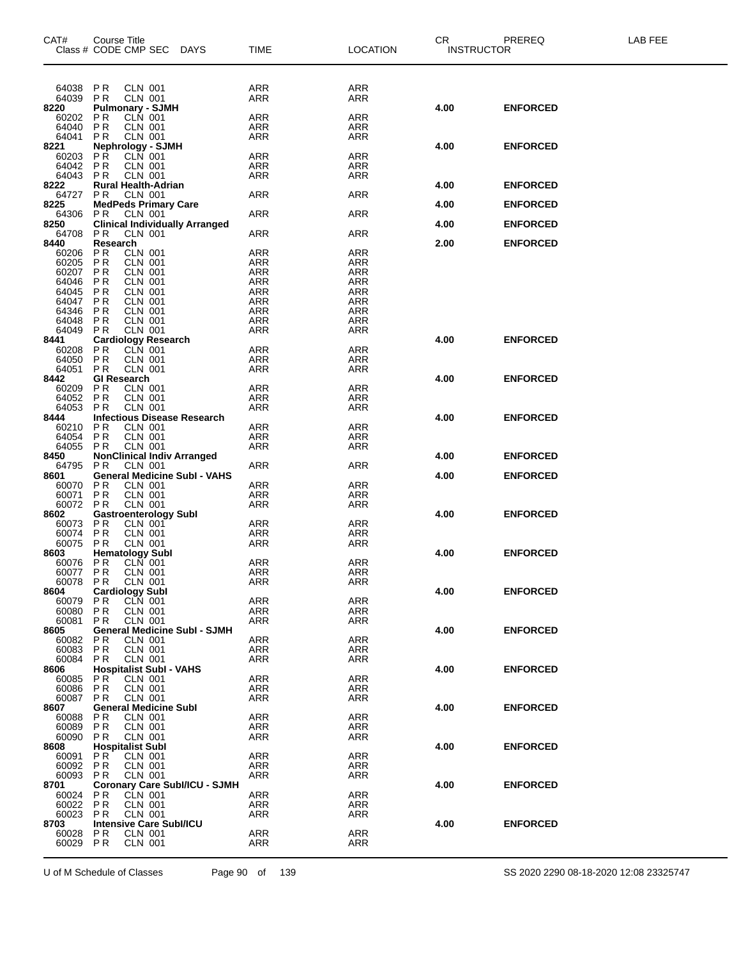| CAT#<br>Class # CODE CMP SEC | Course Title                                                                        |                                  | <b>DAYS</b>                           | <b>TIME</b>              | <b>LOCATION</b>          | CR.<br><b>INSTRUCTOR</b> | PREREQ          | LAB FEE |
|------------------------------|-------------------------------------------------------------------------------------|----------------------------------|---------------------------------------|--------------------------|--------------------------|--------------------------|-----------------|---------|
|                              |                                                                                     |                                  |                                       |                          |                          |                          |                 |         |
| 64038<br>64039               | <b>PR</b><br>P <sub>R</sub>                                                         | CLN 001<br><b>CLN 001</b>        |                                       | ARR<br>ARR               | ARR<br>ARR               |                          |                 |         |
| 8220                         | <b>Pulmonary - SJMH</b>                                                             |                                  |                                       |                          |                          | 4.00                     | <b>ENFORCED</b> |         |
| 60202                        | PR<br>PR                                                                            | <b>CLN 001</b>                   |                                       | ARR                      | <b>ARR</b>               |                          |                 |         |
| 64040<br>64041               | <b>PR</b>                                                                           | CLN 001<br>CLN 001               |                                       | ARR<br><b>ARR</b>        | ARR<br>ARR               |                          |                 |         |
| 8221                         | Nephrology - SJMH<br>PR CLN 001                                                     |                                  |                                       |                          |                          | 4.00                     | <b>ENFORCED</b> |         |
| 60203<br>64042               | PR<br>PR                                                                            | <b>CLN 001</b>                   |                                       | <b>ARR</b><br>ARR        | <b>ARR</b><br><b>ARR</b> |                          |                 |         |
| 64043                        | P <sub>R</sub>                                                                      | <b>CLN 001</b>                   |                                       | ARR                      | <b>ARR</b>               |                          |                 |         |
| 8222                         | <b>Rural Health-Adrian</b>                                                          |                                  |                                       |                          |                          | 4.00                     | <b>ENFORCED</b> |         |
| 64727<br>8225                | P <sub>R</sub><br><b>MedPeds Primary Care</b>                                       | <b>CLN 001</b>                   |                                       | <b>ARR</b>               | ARR                      | 4.00                     | <b>ENFORCED</b> |         |
| 64306                        | P R                                                                                 | CLN 001                          |                                       | ARR                      | ARR                      |                          |                 |         |
| 8250<br>64708                | P <sub>R</sub>                                                                      | <b>CLN 001</b>                   | <b>Clinical Individually Arranged</b> | ARR                      | <b>ARR</b>               | 4.00                     | <b>ENFORCED</b> |         |
| 8440                         | Research                                                                            |                                  |                                       |                          |                          | 2.00                     | <b>ENFORCED</b> |         |
| 60206                        | P <sub>R</sub>                                                                      | CLN 001                          |                                       | <b>ARR</b>               | <b>ARR</b>               |                          |                 |         |
| 60205<br>60207               | PR<br>PR                                                                            | <b>CLN 001</b>                   |                                       | <b>ARR</b><br><b>ARR</b> | <b>ARR</b><br><b>ARR</b> |                          |                 |         |
| 64046                        | PR                                                                                  | CLN 001<br>CLN 001               |                                       | <b>ARR</b>               | <b>ARR</b>               |                          |                 |         |
| 64045<br>64047               | P <sub>R</sub><br>PR                                                                | <b>CLN 001</b><br><b>CLN 001</b> |                                       | ARR<br><b>ARR</b>        | ARR<br><b>ARR</b>        |                          |                 |         |
| 64346                        | P <sub>R</sub>                                                                      | CLN 001                          |                                       | ARR                      | <b>ARR</b>               |                          |                 |         |
| 64048                        | P <sub>R</sub>                                                                      | <b>CLN 001</b>                   |                                       | <b>ARR</b>               | <b>ARR</b>               |                          |                 |         |
| 64049<br>8441                | P <sub>R</sub><br><b>Cardiology Research</b>                                        | <b>CLN 001</b>                   |                                       | <b>ARR</b>               | ARR                      | 4.00                     | <b>ENFORCED</b> |         |
| 60208                        | P <sub>R</sub>                                                                      | CLN 001                          |                                       | ARR                      | <b>ARR</b>               |                          |                 |         |
| 64050<br>64051               | PR<br>PR                                                                            | CLN 001<br>CLN 001               |                                       | ARR<br><b>ARR</b>        | <b>ARR</b><br><b>ARR</b> |                          |                 |         |
| 8442                         | <b>GI Research</b>                                                                  |                                  |                                       |                          |                          | 4.00                     | <b>ENFORCED</b> |         |
| 60209                        | PR<br>PR                                                                            | <b>CLN 001</b>                   |                                       | <b>ARR</b>               | <b>ARR</b>               |                          |                 |         |
| 64052<br>64053               | P <sub>R</sub>                                                                      | CLN 001<br><b>CLN 001</b>        |                                       | ARR<br>ARR               | <b>ARR</b><br><b>ARR</b> |                          |                 |         |
| 8444                         |                                                                                     |                                  | <b>Infectious Disease Research</b>    |                          |                          | 4.00                     | <b>ENFORCED</b> |         |
| 60210<br>64054               | P <sub>R</sub><br>PR                                                                | <b>CLN 001</b><br>CLN 001        |                                       | <b>ARR</b><br><b>ARR</b> | <b>ARR</b><br><b>ARR</b> |                          |                 |         |
| 64055                        | P <sub>R</sub>                                                                      | CLN 001                          |                                       | ARR                      | <b>ARR</b>               |                          |                 |         |
| 8450                         |                                                                                     |                                  | <b>NonClinical Indiv Arranged</b>     |                          |                          | 4.00                     | <b>ENFORCED</b> |         |
| 64795<br>8601                | P <sub>R</sub>                                                                      | CLN 001                          | <b>General Medicine Subl - VAHS</b>   | ARR                      | <b>ARR</b>               | 4.00                     | <b>ENFORCED</b> |         |
| 60070                        | P <sub>R</sub>                                                                      | <b>CLN 001</b>                   |                                       | ARR                      | <b>ARR</b>               |                          |                 |         |
| 60071<br>60072               | PR<br><b>PR</b>                                                                     | <b>CLN 001</b><br><b>CLN 001</b> |                                       | <b>ARR</b><br>ARR        | <b>ARR</b><br><b>ARR</b> |                          |                 |         |
| 8602                         | <b>Gastroenterology Subl</b>                                                        |                                  |                                       |                          |                          | 4.00                     | <b>ENFORCED</b> |         |
| 60073                        | P <sub>R</sub><br>$\overline{P}$ R                                                  | <b>CLN 001</b>                   |                                       | ARR                      | <b>ARR</b>               |                          |                 |         |
| 60074<br>60075               | P <sub>R</sub>                                                                      | CLN 001<br>CLN 001               |                                       | ARR<br><b>ARR</b>        | ARR<br><b>ARR</b>        |                          |                 |         |
| 8603                         | <b>Hematology Subl</b>                                                              |                                  |                                       |                          |                          | 4.00                     | <b>ENFORCED</b> |         |
| 60076<br>60077               | $\begin{array}{c} \mathsf{P} \, \mathsf{R} \\ \mathsf{P} \, \mathsf{R} \end{array}$ | CLN 001<br><b>CLN 001</b>        |                                       | <b>ARR</b><br><b>ARR</b> | ARR<br><b>ARR</b>        |                          |                 |         |
| 60078 PR                     |                                                                                     | <b>CLN 001</b>                   |                                       | ARR                      | ARR                      |                          |                 |         |
| 8604                         | <b>Cardiology Subl</b>                                                              | CLN 001                          |                                       |                          | ARR                      | 4.00                     | <b>ENFORCED</b> |         |
| 60079<br>60080               | P R<br>P <sub>R</sub>                                                               | <b>CLN 001</b>                   |                                       | ARR<br>ARR               | <b>ARR</b>               |                          |                 |         |
| 60081                        | P R                                                                                 | CLN 001                          |                                       | ARR                      | ARR                      |                          |                 |         |
| 8605<br>60082                | PR                                                                                  | <b>CLN 001</b>                   | <b>General Medicine Subl - SJMH</b>   | ARR                      | ARR                      | 4.00                     | <b>ENFORCED</b> |         |
| 60083                        | PR                                                                                  | CLN 001                          |                                       | ARR                      | ARR                      |                          |                 |         |
| 60084<br>8606                | P R<br><b>Hospitalist Subl - VAHS</b>                                               | <b>CLN 001</b>                   |                                       | ARR                      | ARR                      | 4.00                     |                 |         |
| 60085                        | P R                                                                                 | CLN 001                          |                                       | ARR                      | ARR                      |                          | <b>ENFORCED</b> |         |
| 60086                        | PR                                                                                  | <b>CLN 001</b>                   |                                       | ARR                      | ARR                      |                          |                 |         |
| 60087<br>8607                | P R<br><b>General Medicine Subl</b>                                                 | <b>CLN 001</b>                   |                                       | ARR                      | ARR                      | 4.00                     | <b>ENFORCED</b> |         |
| 60088                        | P R                                                                                 | CLN 001                          |                                       | ARR                      | ARR                      |                          |                 |         |
| 60089<br>60090               | P <sub>R</sub><br>P R                                                               | <b>CLN 001</b><br>CLN 001        |                                       | ARR<br>ARR               | <b>ARR</b><br>ARR        |                          |                 |         |
| 8608                         | <b>Hospitalist Subl</b>                                                             |                                  |                                       |                          |                          | 4.00                     | <b>ENFORCED</b> |         |
| 60091                        | PR.                                                                                 | <b>CLN 001</b>                   |                                       | ARR                      | ARR                      |                          |                 |         |
| 60092<br>60093               | P R<br>P R                                                                          | CLN 001<br><b>CLN 001</b>        |                                       | ARR<br>ARR               | ARR<br>ARR               |                          |                 |         |
| 8701                         |                                                                                     |                                  | <b>Coronary Care Subl/ICU - SJMH</b>  |                          |                          | 4.00                     | <b>ENFORCED</b> |         |
| 60024<br>60022               | P R<br>PR                                                                           | CLN 001<br><b>CLN 001</b>        |                                       | ARR<br>ARR               | ARR<br>ARR               |                          |                 |         |
| 60023                        | P R                                                                                 | <b>CLN 001</b>                   |                                       | ARR                      | <b>ARR</b>               |                          |                 |         |
| 8703                         | <b>Intensive Care Subl/ICU</b>                                                      |                                  |                                       |                          |                          | 4.00                     | <b>ENFORCED</b> |         |
| 60028<br>60029               | P R<br>P <sub>R</sub>                                                               | CLN 001<br><b>CLN 001</b>        |                                       | ARR<br>ARR               | ARR<br>ARR               |                          |                 |         |
|                              |                                                                                     |                                  |                                       |                          |                          |                          |                 |         |

U of M Schedule of Classes Page 90 of 139 SS 2020 2290 08-18-2020 12:08 23325747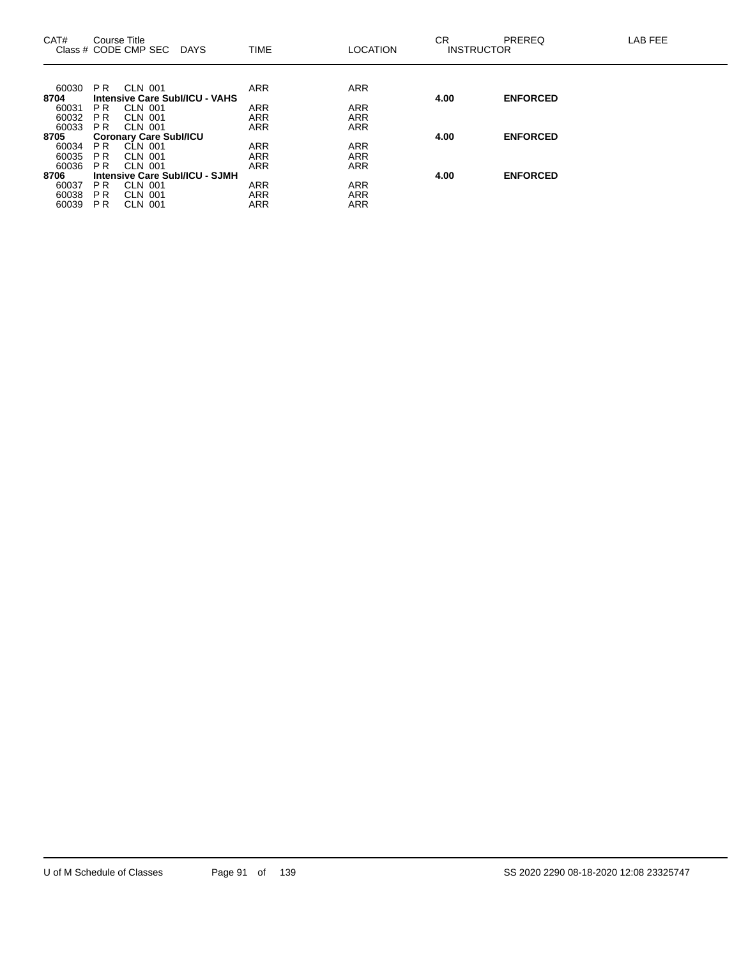| CAT#          |                | Course Title<br>Class # CODE CMP SEC<br>DAYS | <b>TIME</b> | <b>LOCATION</b> | СR<br><b>INSTRUCTOR</b> | <b>PREREQ</b>   | LAB FEE |
|---------------|----------------|----------------------------------------------|-------------|-----------------|-------------------------|-----------------|---------|
|               |                |                                              |             |                 |                         |                 |         |
| 60030<br>8704 | P <sub>R</sub> | CLN 001<br>Intensive Care Subl/ICU - VAHS    | <b>ARR</b>  | <b>ARR</b>      | 4.00                    | <b>ENFORCED</b> |         |
| 60031         | PR.            | CLN 001                                      | <b>ARR</b>  | <b>ARR</b>      |                         |                 |         |
| 60032         | P <sub>R</sub> | CLN 001                                      | <b>ARR</b>  | <b>ARR</b>      |                         |                 |         |
| 60033         | PR.            | CLN 001                                      | <b>ARR</b>  | <b>ARR</b>      |                         |                 |         |
| 8705          |                | <b>Coronary Care Subl/ICU</b>                |             |                 | 4.00                    | <b>ENFORCED</b> |         |
| 60034         | PR.            | CLN 001                                      | <b>ARR</b>  | <b>ARR</b>      |                         |                 |         |
| 60035         | P R            | CLN 001                                      | <b>ARR</b>  | <b>ARR</b>      |                         |                 |         |
| 60036         | PR.            | CLN 001                                      | <b>ARR</b>  | <b>ARR</b>      |                         |                 |         |
| 8706          |                | Intensive Care Subl/ICU - SJMH               |             |                 | 4.00                    | <b>ENFORCED</b> |         |
| 60037         | P <sub>R</sub> | <b>CLN 001</b>                               | <b>ARR</b>  | <b>ARR</b>      |                         |                 |         |
| 60038         | P R            | CLN 001                                      | <b>ARR</b>  | ARR             |                         |                 |         |
| 60039         | <b>PR</b>      | <b>CLN 001</b>                               | <b>ARR</b>  | <b>ARR</b>      |                         |                 |         |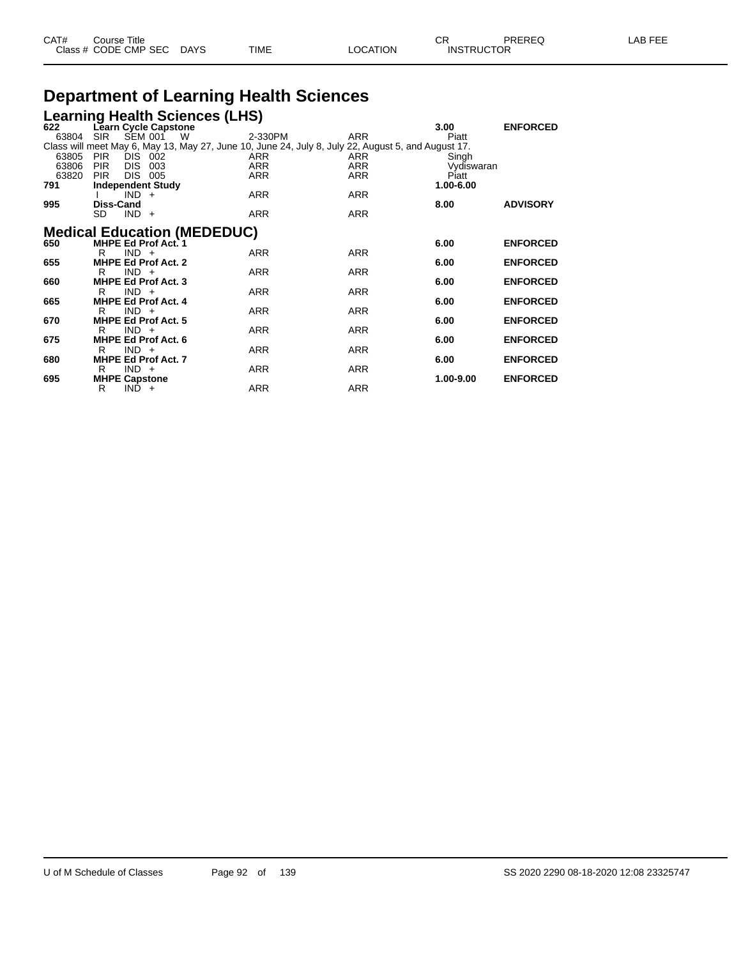| CAT# | Course Title         |             |      |          | СR                | PREREQ | _AB FEE |
|------|----------------------|-------------|------|----------|-------------------|--------|---------|
|      | Class # CODE CMP SEC | <b>DAYS</b> | TIME | OCATION. | <b>INSTRUCTOR</b> |        |         |

## **Department of Learning Health Sciences**

|       |                      |                |                            | <b>Learning Health Sciences (LHS)</b> |            |                                                                                                    |            |                 |
|-------|----------------------|----------------|----------------------------|---------------------------------------|------------|----------------------------------------------------------------------------------------------------|------------|-----------------|
| 622   |                      |                | Learn Cycle Capstone       |                                       |            |                                                                                                    | 3.00       | <b>ENFORCED</b> |
| 63804 | <b>SIR</b>           |                | SEM 001 W                  |                                       | 2-330PM    | <b>ARR</b>                                                                                         | Piatt      |                 |
|       |                      |                |                            |                                       |            | Class will meet May 6, May 13, May 27, June 10, June 24, July 8, July 22, August 5, and August 17. |            |                 |
| 63805 | <b>PIR</b>           | DIS 002        |                            |                                       | ARR        | ARR                                                                                                | Singh      |                 |
| 63806 | <b>PIR</b>           | DIS 003        |                            |                                       | <b>ARR</b> | <b>ARR</b>                                                                                         | Vydiswaran |                 |
| 63820 | <b>PIR</b>           | <b>DIS 005</b> |                            |                                       | <b>ARR</b> | <b>ARR</b>                                                                                         | Piatt      |                 |
| 791   |                      |                | <b>Independent Study</b>   |                                       |            |                                                                                                    | 1.00-6.00  |                 |
|       |                      | $IND +$        |                            |                                       | ARR        | ARR                                                                                                |            |                 |
| 995   | <b>Diss-Cand</b>     |                |                            |                                       |            |                                                                                                    | 8.00       | <b>ADVISORY</b> |
|       | <b>SD</b>            | $IND +$        |                            |                                       | <b>ARR</b> | <b>ARR</b>                                                                                         |            |                 |
|       |                      |                |                            |                                       |            |                                                                                                    |            |                 |
|       |                      |                |                            | <b>Medical Education (MEDEDUC)</b>    |            |                                                                                                    |            |                 |
| 650   |                      |                | MHPE Ed Prof Act. 1        |                                       |            |                                                                                                    | 6.00       | <b>ENFORCED</b> |
|       | R                    | $IND +$        |                            |                                       | ARR        | <b>ARR</b>                                                                                         |            |                 |
| 655   |                      |                | <b>MHPE Ed Prof Act. 2</b> |                                       |            |                                                                                                    | 6.00       | <b>ENFORCED</b> |
|       | R                    | $IND +$        |                            |                                       | <b>ARR</b> | <b>ARR</b>                                                                                         |            |                 |
| 660   |                      |                | <b>MHPE Ed Prof Act. 3</b> |                                       |            |                                                                                                    | 6.00       | <b>ENFORCED</b> |
|       | R                    | $IND +$        |                            |                                       | <b>ARR</b> | <b>ARR</b>                                                                                         |            |                 |
| 665   |                      |                | <b>MHPE Ed Prof Act. 4</b> |                                       |            |                                                                                                    | 6.00       | <b>ENFORCED</b> |
|       | R                    | $IND +$        |                            |                                       | <b>ARR</b> | <b>ARR</b>                                                                                         |            |                 |
| 670   |                      |                | <b>MHPE Ed Prof Act. 5</b> |                                       |            |                                                                                                    | 6.00       | <b>ENFORCED</b> |
|       | R                    | $IND +$        |                            |                                       | ARR        | <b>ARR</b>                                                                                         |            |                 |
| 675   |                      |                | MHPE Ed Prof Act. 6        |                                       |            |                                                                                                    | 6.00       | <b>ENFORCED</b> |
|       | R                    | $IND +$        |                            |                                       | <b>ARR</b> | <b>ARR</b>                                                                                         |            |                 |
| 680   |                      |                | <b>MHPE Ed Prof Act. 7</b> |                                       |            |                                                                                                    | 6.00       | <b>ENFORCED</b> |
|       | R.                   | $IND +$        |                            |                                       | ARR        | <b>ARR</b>                                                                                         |            |                 |
| 695   | <b>MHPE Capstone</b> |                |                            |                                       |            |                                                                                                    | 1.00-9.00  | <b>ENFORCED</b> |
|       | R                    | $IND +$        |                            |                                       | <b>ARR</b> | <b>ARR</b>                                                                                         |            |                 |
|       |                      |                |                            |                                       |            |                                                                                                    |            |                 |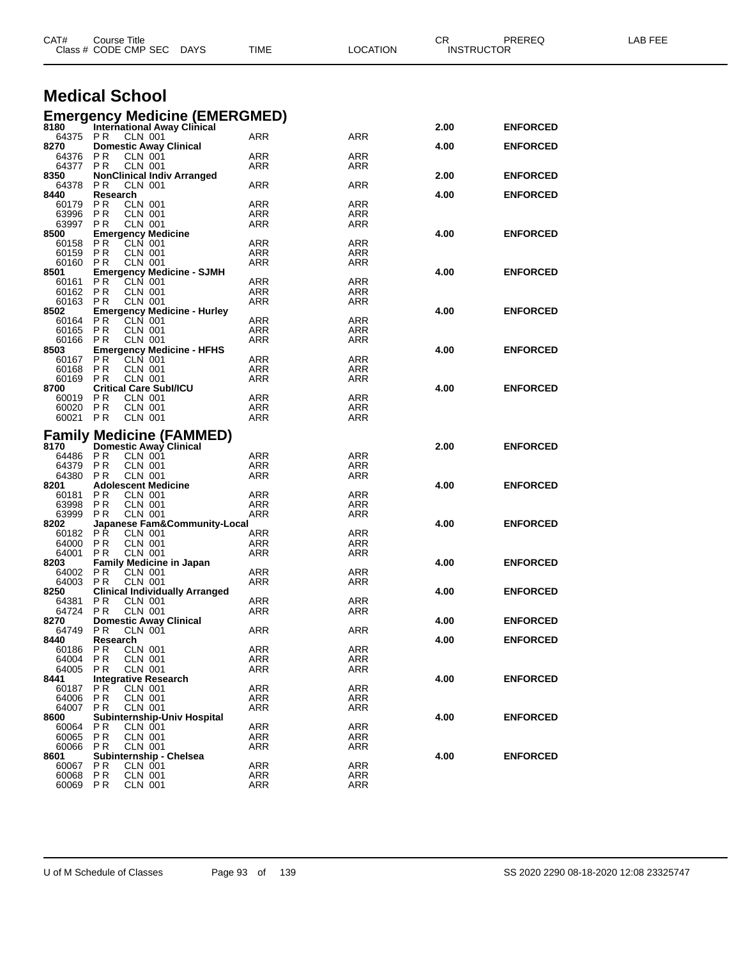| CAT#             | Course Title<br>Class # CODE CMP SEC DAYS                          | TIME              | <b>LOCATION</b>   | CR   | PREREQ<br><b>INSTRUCTOR</b> | LAB FEE |
|------------------|--------------------------------------------------------------------|-------------------|-------------------|------|-----------------------------|---------|
|                  | <b>Medical School</b>                                              |                   |                   |      |                             |         |
|                  | <b>Emergency Medicine (EMERGMED)</b>                               |                   |                   |      |                             |         |
| 8180             | <b>International Away Clinical</b>                                 |                   |                   | 2.00 | <b>ENFORCED</b>             |         |
| 8270             | 64375 PR CLN 001<br><b>Domestic Away Clinical</b>                  | ARR               | ARR               | 4.00 | <b>ENFORCED</b>             |         |
| 64376 PR         | CLN 001                                                            | ARR               | ARR               |      |                             |         |
| 64377 PR         | <b>CLN 001</b>                                                     | ARR               | ARR               |      |                             |         |
| 8350<br>64378    | <b>NonClinical Indiv Arranged</b><br><b>CLN 001</b><br>P R         | ARR               | ARR               | 2.00 | <b>ENFORCED</b>             |         |
| 8440             | Research                                                           |                   |                   | 4.00 | <b>ENFORCED</b>             |         |
| 60179            | PR.<br>CLN 001                                                     | <b>ARR</b>        | <b>ARR</b>        |      |                             |         |
| 63996<br>63997   | <b>PR</b><br><b>CLN 001</b><br>PR.<br>CLN 001                      | ARR<br>ARR        | ARR<br>ARR        |      |                             |         |
| 8500             | <b>Emergency Medicine</b>                                          |                   |                   | 4.00 | <b>ENFORCED</b>             |         |
| 60158            | CLN 001<br>PR                                                      | ARR               | ARR               |      |                             |         |
| 60159<br>60160   | PR<br><b>CLN 001</b><br>P R                                        | ARR<br>ARR        | ARR<br>ARR        |      |                             |         |
| 8501             | CLN 001<br><b>Emergency Medicine - SJMH</b>                        |                   |                   | 4.00 | <b>ENFORCED</b>             |         |
| 60161 PR         | CLN 001                                                            | ARR               | ARR               |      |                             |         |
| 60162            | PR<br>CLN 001                                                      | <b>ARR</b>        | <b>ARR</b>        |      |                             |         |
| 60163<br>8502    | <b>CLN 001</b><br>P R<br><b>Emergency Medicine - Hurley</b>        | ARR               | ARR               | 4.00 | <b>ENFORCED</b>             |         |
| 60164            | P R<br>CLN 001                                                     | <b>ARR</b>        | <b>ARR</b>        |      |                             |         |
| 60165            | PR<br><b>CLN 001</b>                                               | ARR               | ARR               |      |                             |         |
| 60166 PR<br>8503 | CLN 001<br><b>Emergency Medicine - HFHS</b>                        | ARR               | ARR               | 4.00 | <b>ENFORCED</b>             |         |
| 60167 PR         | CLN 001                                                            | ARR               | ARR               |      |                             |         |
| 60168            | <b>CLN 001</b><br>P R                                              | <b>ARR</b>        | ARR               |      |                             |         |
| 60169            | P R<br>CLN 001<br><b>Critical Care Subl/ICU</b>                    | <b>ARR</b>        | ARR               |      |                             |         |
| 8700<br>60019 PR | CLN 001                                                            | <b>ARR</b>        | ARR               | 4.00 | <b>ENFORCED</b>             |         |
| 60020            | <b>PR</b><br>CLN 001                                               | <b>ARR</b>        | ARR               |      |                             |         |
| 60021 PR         | <b>CLN 001</b>                                                     | ARR               | ARR               |      |                             |         |
|                  | <b>Family Medicine (FAMMED)</b>                                    |                   |                   |      |                             |         |
| 8170             | <b>Domestic Away Clinical</b>                                      |                   |                   | 2.00 | <b>ENFORCED</b>             |         |
| 64486 PR         | CLN 001                                                            | ARR               | ARR               |      |                             |         |
| 64379<br>64380   | PR<br>CLN 001<br><b>CLN 001</b><br>PR                              | <b>ARR</b><br>ARR | ARR<br>ARR        |      |                             |         |
| 8201             | <b>Adolescent Medicine</b>                                         |                   |                   | 4.00 | <b>ENFORCED</b>             |         |
| 60181            | P R<br>CLN 001                                                     | <b>ARR</b>        | <b>ARR</b>        |      |                             |         |
| 63998<br>63999   | <b>CLN 001</b><br>P R<br>PR.<br><b>CLN 001</b>                     | ARR<br>ARR        | ARR               |      |                             |         |
| 8202             | Japanese Fam&Community-Local                                       |                   | ARR               | 4.00 | <b>ENFORCED</b>             |         |
| 60182 PR         | <b>CLN 001</b>                                                     | ARR               | ARR               |      |                             |         |
| 64000            | <b>PR</b><br><b>CLN 001</b>                                        | <b>ARR</b>        | ARR               |      |                             |         |
| 64001<br>8203    | P R<br>CLN 001<br><b>Family Medicine in Japan</b>                  | ARR               | ARR               | 4.00 | <b>ENFORCED</b>             |         |
| 64002 PR         | CLN 001                                                            | <b>ARR</b>        | ARR               |      |                             |         |
| 64003            | PR.<br>CLN 001                                                     | ARR               | ARR               |      |                             |         |
| 8250<br>64381    | <b>Clinical Individually Arranged</b><br>P <sub>R</sub><br>CLN 001 | ARR               | ARR               | 4.00 | <b>ENFORCED</b>             |         |
| 64724            | PR.<br>CLN 001                                                     | ARR               | ARR               |      |                             |         |
| 8270             | <b>Domestic Away Clinical</b>                                      |                   |                   | 4.00 | <b>ENFORCED</b>             |         |
| 64749            | PR.<br>CLN 001                                                     | <b>ARR</b>        | ARR               |      |                             |         |
| 8440<br>60186    | Research<br><b>CLN 001</b><br>P R                                  | <b>ARR</b>        | <b>ARR</b>        | 4.00 | <b>ENFORCED</b>             |         |
| 64004            | <b>PR</b><br><b>CLN 001</b>                                        | <b>ARR</b>        | <b>ARR</b>        |      |                             |         |
| 64005            | P R<br>CLN 001                                                     | ARR               | <b>ARR</b>        |      |                             |         |
| 8441<br>60187    | Integrative Research<br>PR.<br>CLN 001                             | ARR               | ARR               | 4.00 | <b>ENFORCED</b>             |         |
| 64006            | P <sub>R</sub><br>CLN 001                                          | <b>ARR</b>        | ARR               |      |                             |         |
| 64007            | <b>CLN 001</b><br>P R                                              | ARR               | ARR               |      |                             |         |
| 8600             | <b>Subinternship-Univ Hospital</b>                                 |                   |                   | 4.00 | <b>ENFORCED</b>             |         |
| 60064<br>60065   | P R<br>CLN 001<br>P R<br><b>CLN 001</b>                            | ARR<br>ARR        | <b>ARR</b><br>ARR |      |                             |         |
| 60066            | P R<br>CLN 001                                                     | <b>ARR</b>        | <b>ARR</b>        |      |                             |         |
| 8601             | Subinternship - Chelsea                                            |                   |                   | 4.00 | <b>ENFORCED</b>             |         |
| 60067<br>60068   | <b>PR</b><br>CLN 001<br>PR<br><b>CLN 001</b>                       | ARR<br><b>ARR</b> | ARR<br><b>ARR</b> |      |                             |         |
| 60069 PR         | <b>CLN 001</b>                                                     | ARR               | <b>ARR</b>        |      |                             |         |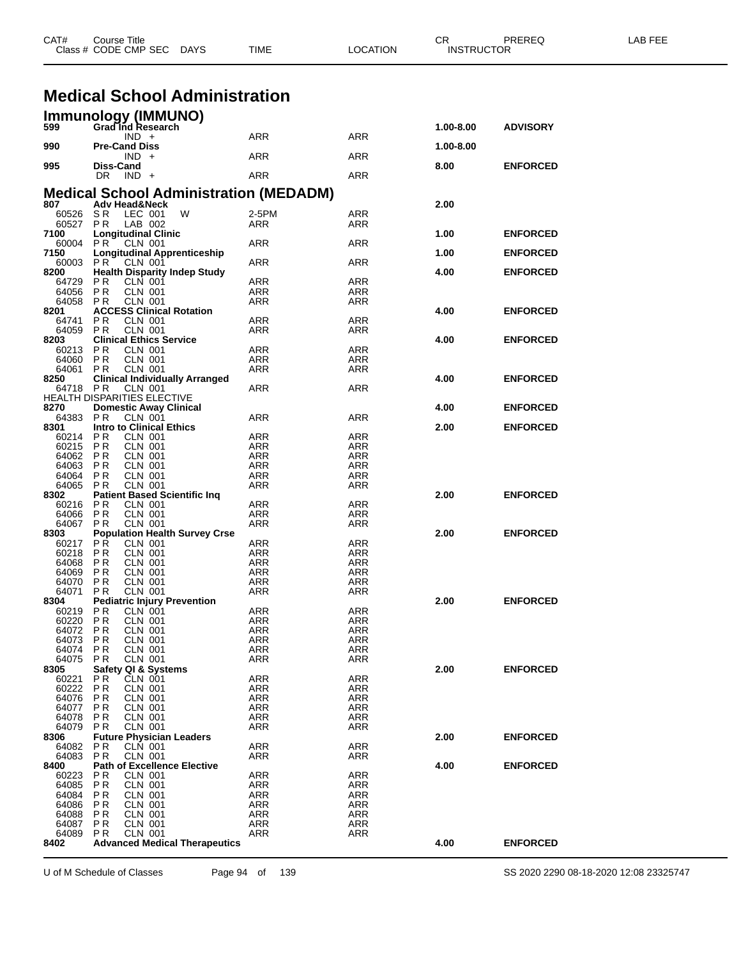|                   | Class # CODE CMP SEC<br>DAYS                                    | TIME              | LOCATION                 | <b>INSTRUCTOR</b> |                 |  |
|-------------------|-----------------------------------------------------------------|-------------------|--------------------------|-------------------|-----------------|--|
|                   |                                                                 |                   |                          |                   |                 |  |
|                   | <b>Medical School Administration</b>                            |                   |                          |                   |                 |  |
|                   | Immunology (IMMUNO)<br>599 Grad Ind Research                    |                   |                          |                   |                 |  |
|                   | $IND +$                                                         | ARR               | <b>ARR</b>               | 1.00-8.00         | <b>ADVISORY</b> |  |
| 990               | <b>Pre-Cand Diss</b>                                            |                   |                          | 1.00-8.00         |                 |  |
| 995               | $IND +$<br><b>Diss-Cand</b>                                     | ARR               | ARR                      | 8.00              | <b>ENFORCED</b> |  |
|                   | DR $IND +$                                                      | ARR               | ARR                      |                   |                 |  |
|                   | <b>Medical School Administration (MEDADM)</b>                   |                   |                          |                   |                 |  |
| 807               | <b>Adv Head&amp;Neck</b><br>SR.<br>LEC 001<br>W                 | 2-5PM             |                          | 2.00              |                 |  |
| 60526<br>60527 PR | LAB 002                                                         | ARR               | ARR<br>ARR               |                   |                 |  |
| 7100<br>60004     | <b>Longitudinal Clinic</b><br>PR.                               | ARR               | ARR                      | 1.00              | <b>ENFORCED</b> |  |
| 7150              | CLN 001<br><b>Longitudinal Apprenticeship</b>                   |                   |                          | 1.00              | <b>ENFORCED</b> |  |
| 60003<br>8200     | PR<br>CLN 001                                                   | ARR               | <b>ARR</b>               | 4.00              |                 |  |
| 64729             | <b>Health Disparity Indep Study</b><br>P R<br><b>CLN 001</b>    | ARR               | ARR                      |                   | <b>ENFORCED</b> |  |
| 64056<br>64058    | <b>PR</b><br><b>CLN 001</b><br>PR<br><b>CLN 001</b>             | ARR<br><b>ARR</b> | ARR<br>ARR               |                   |                 |  |
| 8201              | <b>ACCESS Clinical Rotation</b>                                 |                   |                          | 4.00              | <b>ENFORCED</b> |  |
| 64741<br>64059    | P <sub>R</sub><br><b>CLN 001</b><br><b>PR</b><br><b>CLN 001</b> | ARR               | ARR<br>ARR               |                   |                 |  |
| 8203              | <b>Clinical Ethics Service</b>                                  | ARR               |                          | 4.00              | <b>ENFORCED</b> |  |
| 60213<br>64060    | <b>CLN 001</b><br>P R<br><b>PR</b><br><b>CLN 001</b>            | ARR<br>ARR        | ARR<br>ARR               |                   |                 |  |
| 64061             | CLN 001<br>PR.                                                  | ARR               | ARR                      |                   |                 |  |
| 8250<br>64718 PR  | <b>Clinical Individually Arranged</b>                           | ARR               | <b>ARR</b>               | 4.00              | <b>ENFORCED</b> |  |
|                   | <b>CLN 001</b><br>HEALTH DISPARITIES ELECTIVE                   |                   |                          |                   |                 |  |
| 8270              | <b>Domestic Away Clinical</b><br>PR                             | <b>ARR</b>        | <b>ARR</b>               | 4.00              | <b>ENFORCED</b> |  |
| 64383<br>8301     | CLN 001<br><b>Intro to Clinical Ethics</b>                      |                   |                          | 2.00              | <b>ENFORCED</b> |  |
| 60214             | PR.<br><b>CLN 001</b>                                           | ARR               | ARR                      |                   |                 |  |
| 60215<br>64062    | <b>PR</b><br>CLN 001<br><b>CLN 001</b><br>P R                   | ARR<br>ARR        | ARR<br>ARR               |                   |                 |  |
| 64063             | <b>CLN 001</b><br>P R                                           | ARR               | ARR                      |                   |                 |  |
| 64064<br>64065    | <b>PR</b><br><b>CLN 001</b><br>CLN 001<br>P R                   | ARR<br>ARR        | ARR<br>ARR               |                   |                 |  |
| 8302              | <b>Patient Based Scientific Ing</b>                             |                   |                          | 2.00              | <b>ENFORCED</b> |  |
| 60216<br>64066    | <b>CLN 001</b><br>P R<br>CLN 001<br>P R                         | <b>ARR</b><br>ARR | <b>ARR</b><br>ARR        |                   |                 |  |
| 64067             | <b>PR</b><br><b>CLN 001</b>                                     | ARR               | ARR                      |                   |                 |  |
| 8303<br>60217 PR  | <b>Population Health Survey Crse</b><br><b>CLN 001</b>          | ARR               | ARR                      | 2.00              | <b>ENFORCED</b> |  |
| 60218             | <b>CLN 001</b><br>P R                                           | ARR               | ARR                      |                   |                 |  |
| 64068             | P R<br><b>CLN 001</b><br>P R<br><b>CLN 001</b>                  | ARR               | ARR<br>ARR               |                   |                 |  |
| 64069<br>64070    | P R<br><b>CLN 001</b>                                           | ARR<br>ARR        | ARR                      |                   |                 |  |
| 64071<br>8304     | <b>PR</b><br>CLN 001                                            | ARR               | ARR                      | 2.00              |                 |  |
| 60219             | <b>Pediatric Injury Prevention</b><br>PR<br>CLN 001             | <b>ARR</b>        | <b>ARR</b>               |                   | <b>ENFORCED</b> |  |
| 60220             | P <sub>R</sub><br><b>CLN 001</b>                                | <b>ARR</b>        | <b>ARR</b>               |                   |                 |  |
| 64072<br>64073    | <b>CLN 001</b><br>P R<br>P R<br><b>CLN 001</b>                  | ARR<br>ARR        | ARR<br>ARR               |                   |                 |  |
| 64074             | P <sub>R</sub><br>CLN 001                                       | <b>ARR</b>        | <b>ARR</b>               |                   |                 |  |
| 64075<br>8305     | P R<br>CLN 001<br>Safety QI & Systems                           | ARR               | <b>ARR</b>               | 2.00              | <b>ENFORCED</b> |  |
| 60221             | PR.<br><b>CLN 001</b>                                           | <b>ARR</b>        | ARR                      |                   |                 |  |
| 60222<br>64076    | <b>CLN 001</b><br>P R<br>P R<br><b>CLN 001</b>                  | ARR<br>ARR        | ARR<br>ARR               |                   |                 |  |
| 64077             | P R<br><b>CLN 001</b>                                           | <b>ARR</b>        | <b>ARR</b>               |                   |                 |  |
| 64078<br>64079    | P R<br><b>CLN 001</b><br><b>CLN 001</b>                         | ARR               | ARR                      |                   |                 |  |
| 8306              | <b>PR</b><br><b>Future Physician Leaders</b>                    | ARR               | <b>ARR</b>               | 2.00              | <b>ENFORCED</b> |  |
| 64082             | P R<br><b>CLN 001</b>                                           | ARR               | <b>ARR</b>               |                   |                 |  |
| 64083<br>8400     | PR<br><b>CLN 001</b><br><b>Path of Excellence Elective</b>      | ARR               | ARR                      | 4.00              | <b>ENFORCED</b> |  |
| 60223             | P R<br><b>CLN 001</b>                                           | ARR               | <b>ARR</b>               |                   |                 |  |
| 64085<br>64084    | P <sub>R</sub><br><b>CLN 001</b><br>P <sub>R</sub><br>CLN 001   | ARR<br><b>ARR</b> | ARR<br>ARR               |                   |                 |  |
| 64086             | P R<br>CLN 001                                                  | ARR               | ARR                      |                   |                 |  |
| 64088<br>64087    | P R<br><b>CLN 001</b><br>P R<br><b>CLN 001</b>                  | ARR<br>ARR        | <b>ARR</b><br><b>ARR</b> |                   |                 |  |
| 64089             | CLN 001<br>P R                                                  | ARR               | ARR                      |                   |                 |  |
| 8402              | <b>Advanced Medical Therapeutics</b>                            |                   |                          | 4.00              | <b>ENFORCED</b> |  |
|                   |                                                                 |                   |                          |                   |                 |  |

CAT# Course Title Case CR PREREQ LAB FEE

U of M Schedule of Classes Page 94 of 139 SS 2020 2290 08-18-2020 12:08 23325747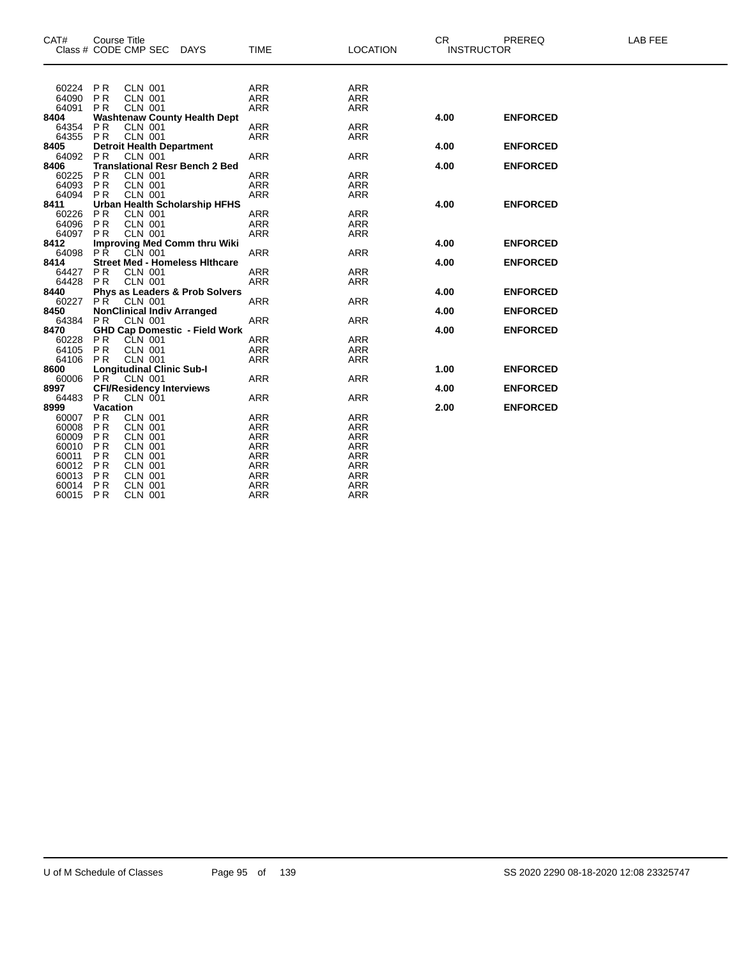| 60224<br>PR<br><b>CLN 001</b><br><b>ARR</b><br><b>ARR</b><br><b>PR</b><br>64090<br><b>CLN 001</b><br><b>ARR</b><br><b>ARR</b><br>64091<br><b>PR</b><br><b>CLN 001</b><br><b>ARR</b><br><b>ARR</b><br>8404<br><b>Washtenaw County Health Dept</b><br>4.00<br><b>ENFORCED</b><br>P <sub>R</sub><br><b>CLN 001</b><br><b>ARR</b><br>64354<br><b>ARR</b><br>64355<br><b>CLN 001</b><br><b>PR</b><br><b>ARR</b><br><b>ARR</b><br><b>ENFORCED</b><br>8405<br><b>Detroit Health Department</b><br>4.00<br><b>ARR</b><br>64092<br>PR<br><b>ARR</b><br><b>CLN 001</b><br><b>Translational Resr Bench 2 Bed</b><br>8406<br>4.00<br><b>ENFORCED</b><br><b>PR</b><br><b>CLN 001</b><br>60225<br><b>ARR</b><br><b>ARR</b><br>64093<br><b>CLN 001</b><br><b>PR</b><br><b>ARR</b><br><b>ARR</b><br>64094<br><b>CLN 001</b><br><b>ARR</b><br><b>PR</b><br><b>ARR</b><br>Urban Health Scholarship HFHS<br><b>ENFORCED</b><br>8411<br>4.00<br><b>ARR</b><br><b>ARR</b><br>60226<br>P <sub>R</sub><br><b>CLN 001</b><br>64096<br>PR<br><b>CLN 001</b><br><b>ARR</b><br><b>ARR</b><br>64097<br><b>CLN 001</b><br><b>ARR</b><br><b>PR</b><br><b>ARR</b><br>8412<br><b>Improving Med Comm thru Wiki</b><br>4.00<br><b>ENFORCED</b><br><b>PŘ</b><br><b>ARR</b><br><b>ARR</b><br>64098<br>CLN 001<br><b>Street Med - Homeless Hithcare</b><br>8414<br>4.00<br><b>ENFORCED</b><br><b>PR</b><br><b>CLN 001</b><br><b>ARR</b><br>64427<br><b>ARR</b><br><b>CLN 001</b><br>64428<br><b>PR</b><br><b>ARR</b><br><b>ARR</b><br><b>Phys as Leaders &amp; Prob Solvers</b><br>8440<br>4.00<br><b>ENFORCED</b><br>60227<br>PŘ<br><b>ARR</b><br><b>ARR</b><br>CLN 001<br><b>NonClinical Indiv Arranged</b><br>4.00<br>8450<br><b>ENFORCED</b><br>64384<br><b>PR</b><br><b>CLN 001</b><br><b>ARR</b><br><b>ARR</b><br><b>GHD Cap Domestic - Field Work</b><br>8470<br>4.00<br><b>ENFORCED</b><br><b>PR</b><br>CLN 001<br><b>ARR</b><br><b>ARR</b><br>60228<br>64105<br><b>PR</b><br><b>CLN 001</b><br><b>ARR</b><br><b>ARR</b><br>64106<br>PR<br><b>CLN 001</b><br><b>ARR</b><br><b>ARR</b><br><b>Longitudinal Clinic Sub-I</b><br>1.00<br><b>ENFORCED</b><br>8600<br>PR<br><b>CLN 001</b><br><b>ARR</b><br><b>ARR</b><br>60006<br><b>CFI/Residency Interviews</b><br>8997<br>4.00<br><b>ENFORCED</b><br>64483<br><b>PR</b><br>CLN 001<br><b>ARR</b><br><b>ARR</b><br><b>Vacation</b><br>8999<br>2.00<br><b>ENFORCED</b><br><b>PR</b><br>60007<br><b>CLN 001</b><br><b>ARR</b><br><b>ARR</b><br>60008<br><b>ARR</b><br><b>PR</b><br><b>CLN 001</b><br><b>ARR</b><br><b>ARR</b><br>60009<br><b>PR</b><br><b>CLN 001</b><br><b>ARR</b><br>60010<br><b>PR</b><br><b>CLN 001</b><br><b>ARR</b><br><b>ARR</b><br>P <sub>R</sub><br><b>ARR</b><br><b>ARR</b><br>60011<br><b>CLN 001</b><br><b>PR</b><br><b>ARR</b><br>60012<br><b>CLN 001</b><br><b>ARR</b><br>60013<br><b>PR</b><br><b>CLN 001</b><br><b>ARR</b><br><b>ARR</b><br><b>ARR</b><br>PR<br><b>CLN 001</b><br><b>ARR</b><br>60014 | CAT# | <b>Course Title</b> | Class # CODE CMP SEC | DAYS | <b>TIME</b> | <b>LOCATION</b> | <b>CR</b><br><b>INSTRUCTOR</b> | PREREQ | <b>LAB FEE</b> |
|-----------------------------------------------------------------------------------------------------------------------------------------------------------------------------------------------------------------------------------------------------------------------------------------------------------------------------------------------------------------------------------------------------------------------------------------------------------------------------------------------------------------------------------------------------------------------------------------------------------------------------------------------------------------------------------------------------------------------------------------------------------------------------------------------------------------------------------------------------------------------------------------------------------------------------------------------------------------------------------------------------------------------------------------------------------------------------------------------------------------------------------------------------------------------------------------------------------------------------------------------------------------------------------------------------------------------------------------------------------------------------------------------------------------------------------------------------------------------------------------------------------------------------------------------------------------------------------------------------------------------------------------------------------------------------------------------------------------------------------------------------------------------------------------------------------------------------------------------------------------------------------------------------------------------------------------------------------------------------------------------------------------------------------------------------------------------------------------------------------------------------------------------------------------------------------------------------------------------------------------------------------------------------------------------------------------------------------------------------------------------------------------------------------------------------------------------------------------------------------------------------------------------------------------------------------------------------------------------------------------------------------------------------------------------------------------------------------------------------------------------------------------------------------------------------------------------------------------------------------------------------------------------------------------------------------------------------|------|---------------------|----------------------|------|-------------|-----------------|--------------------------------|--------|----------------|
|                                                                                                                                                                                                                                                                                                                                                                                                                                                                                                                                                                                                                                                                                                                                                                                                                                                                                                                                                                                                                                                                                                                                                                                                                                                                                                                                                                                                                                                                                                                                                                                                                                                                                                                                                                                                                                                                                                                                                                                                                                                                                                                                                                                                                                                                                                                                                                                                                                                                                                                                                                                                                                                                                                                                                                                                                                                                                                                                                     |      |                     |                      |      |             |                 |                                |        |                |
|                                                                                                                                                                                                                                                                                                                                                                                                                                                                                                                                                                                                                                                                                                                                                                                                                                                                                                                                                                                                                                                                                                                                                                                                                                                                                                                                                                                                                                                                                                                                                                                                                                                                                                                                                                                                                                                                                                                                                                                                                                                                                                                                                                                                                                                                                                                                                                                                                                                                                                                                                                                                                                                                                                                                                                                                                                                                                                                                                     |      |                     |                      |      |             |                 |                                |        |                |
|                                                                                                                                                                                                                                                                                                                                                                                                                                                                                                                                                                                                                                                                                                                                                                                                                                                                                                                                                                                                                                                                                                                                                                                                                                                                                                                                                                                                                                                                                                                                                                                                                                                                                                                                                                                                                                                                                                                                                                                                                                                                                                                                                                                                                                                                                                                                                                                                                                                                                                                                                                                                                                                                                                                                                                                                                                                                                                                                                     |      |                     |                      |      |             |                 |                                |        |                |
|                                                                                                                                                                                                                                                                                                                                                                                                                                                                                                                                                                                                                                                                                                                                                                                                                                                                                                                                                                                                                                                                                                                                                                                                                                                                                                                                                                                                                                                                                                                                                                                                                                                                                                                                                                                                                                                                                                                                                                                                                                                                                                                                                                                                                                                                                                                                                                                                                                                                                                                                                                                                                                                                                                                                                                                                                                                                                                                                                     |      |                     |                      |      |             |                 |                                |        |                |
|                                                                                                                                                                                                                                                                                                                                                                                                                                                                                                                                                                                                                                                                                                                                                                                                                                                                                                                                                                                                                                                                                                                                                                                                                                                                                                                                                                                                                                                                                                                                                                                                                                                                                                                                                                                                                                                                                                                                                                                                                                                                                                                                                                                                                                                                                                                                                                                                                                                                                                                                                                                                                                                                                                                                                                                                                                                                                                                                                     |      |                     |                      |      |             |                 |                                |        |                |
|                                                                                                                                                                                                                                                                                                                                                                                                                                                                                                                                                                                                                                                                                                                                                                                                                                                                                                                                                                                                                                                                                                                                                                                                                                                                                                                                                                                                                                                                                                                                                                                                                                                                                                                                                                                                                                                                                                                                                                                                                                                                                                                                                                                                                                                                                                                                                                                                                                                                                                                                                                                                                                                                                                                                                                                                                                                                                                                                                     |      |                     |                      |      |             |                 |                                |        |                |
|                                                                                                                                                                                                                                                                                                                                                                                                                                                                                                                                                                                                                                                                                                                                                                                                                                                                                                                                                                                                                                                                                                                                                                                                                                                                                                                                                                                                                                                                                                                                                                                                                                                                                                                                                                                                                                                                                                                                                                                                                                                                                                                                                                                                                                                                                                                                                                                                                                                                                                                                                                                                                                                                                                                                                                                                                                                                                                                                                     |      |                     |                      |      |             |                 |                                |        |                |
|                                                                                                                                                                                                                                                                                                                                                                                                                                                                                                                                                                                                                                                                                                                                                                                                                                                                                                                                                                                                                                                                                                                                                                                                                                                                                                                                                                                                                                                                                                                                                                                                                                                                                                                                                                                                                                                                                                                                                                                                                                                                                                                                                                                                                                                                                                                                                                                                                                                                                                                                                                                                                                                                                                                                                                                                                                                                                                                                                     |      |                     |                      |      |             |                 |                                |        |                |
|                                                                                                                                                                                                                                                                                                                                                                                                                                                                                                                                                                                                                                                                                                                                                                                                                                                                                                                                                                                                                                                                                                                                                                                                                                                                                                                                                                                                                                                                                                                                                                                                                                                                                                                                                                                                                                                                                                                                                                                                                                                                                                                                                                                                                                                                                                                                                                                                                                                                                                                                                                                                                                                                                                                                                                                                                                                                                                                                                     |      |                     |                      |      |             |                 |                                |        |                |
|                                                                                                                                                                                                                                                                                                                                                                                                                                                                                                                                                                                                                                                                                                                                                                                                                                                                                                                                                                                                                                                                                                                                                                                                                                                                                                                                                                                                                                                                                                                                                                                                                                                                                                                                                                                                                                                                                                                                                                                                                                                                                                                                                                                                                                                                                                                                                                                                                                                                                                                                                                                                                                                                                                                                                                                                                                                                                                                                                     |      |                     |                      |      |             |                 |                                |        |                |
|                                                                                                                                                                                                                                                                                                                                                                                                                                                                                                                                                                                                                                                                                                                                                                                                                                                                                                                                                                                                                                                                                                                                                                                                                                                                                                                                                                                                                                                                                                                                                                                                                                                                                                                                                                                                                                                                                                                                                                                                                                                                                                                                                                                                                                                                                                                                                                                                                                                                                                                                                                                                                                                                                                                                                                                                                                                                                                                                                     |      |                     |                      |      |             |                 |                                |        |                |
|                                                                                                                                                                                                                                                                                                                                                                                                                                                                                                                                                                                                                                                                                                                                                                                                                                                                                                                                                                                                                                                                                                                                                                                                                                                                                                                                                                                                                                                                                                                                                                                                                                                                                                                                                                                                                                                                                                                                                                                                                                                                                                                                                                                                                                                                                                                                                                                                                                                                                                                                                                                                                                                                                                                                                                                                                                                                                                                                                     |      |                     |                      |      |             |                 |                                |        |                |
|                                                                                                                                                                                                                                                                                                                                                                                                                                                                                                                                                                                                                                                                                                                                                                                                                                                                                                                                                                                                                                                                                                                                                                                                                                                                                                                                                                                                                                                                                                                                                                                                                                                                                                                                                                                                                                                                                                                                                                                                                                                                                                                                                                                                                                                                                                                                                                                                                                                                                                                                                                                                                                                                                                                                                                                                                                                                                                                                                     |      |                     |                      |      |             |                 |                                |        |                |
|                                                                                                                                                                                                                                                                                                                                                                                                                                                                                                                                                                                                                                                                                                                                                                                                                                                                                                                                                                                                                                                                                                                                                                                                                                                                                                                                                                                                                                                                                                                                                                                                                                                                                                                                                                                                                                                                                                                                                                                                                                                                                                                                                                                                                                                                                                                                                                                                                                                                                                                                                                                                                                                                                                                                                                                                                                                                                                                                                     |      |                     |                      |      |             |                 |                                |        |                |
|                                                                                                                                                                                                                                                                                                                                                                                                                                                                                                                                                                                                                                                                                                                                                                                                                                                                                                                                                                                                                                                                                                                                                                                                                                                                                                                                                                                                                                                                                                                                                                                                                                                                                                                                                                                                                                                                                                                                                                                                                                                                                                                                                                                                                                                                                                                                                                                                                                                                                                                                                                                                                                                                                                                                                                                                                                                                                                                                                     |      |                     |                      |      |             |                 |                                |        |                |
|                                                                                                                                                                                                                                                                                                                                                                                                                                                                                                                                                                                                                                                                                                                                                                                                                                                                                                                                                                                                                                                                                                                                                                                                                                                                                                                                                                                                                                                                                                                                                                                                                                                                                                                                                                                                                                                                                                                                                                                                                                                                                                                                                                                                                                                                                                                                                                                                                                                                                                                                                                                                                                                                                                                                                                                                                                                                                                                                                     |      |                     |                      |      |             |                 |                                |        |                |
|                                                                                                                                                                                                                                                                                                                                                                                                                                                                                                                                                                                                                                                                                                                                                                                                                                                                                                                                                                                                                                                                                                                                                                                                                                                                                                                                                                                                                                                                                                                                                                                                                                                                                                                                                                                                                                                                                                                                                                                                                                                                                                                                                                                                                                                                                                                                                                                                                                                                                                                                                                                                                                                                                                                                                                                                                                                                                                                                                     |      |                     |                      |      |             |                 |                                |        |                |
|                                                                                                                                                                                                                                                                                                                                                                                                                                                                                                                                                                                                                                                                                                                                                                                                                                                                                                                                                                                                                                                                                                                                                                                                                                                                                                                                                                                                                                                                                                                                                                                                                                                                                                                                                                                                                                                                                                                                                                                                                                                                                                                                                                                                                                                                                                                                                                                                                                                                                                                                                                                                                                                                                                                                                                                                                                                                                                                                                     |      |                     |                      |      |             |                 |                                |        |                |
|                                                                                                                                                                                                                                                                                                                                                                                                                                                                                                                                                                                                                                                                                                                                                                                                                                                                                                                                                                                                                                                                                                                                                                                                                                                                                                                                                                                                                                                                                                                                                                                                                                                                                                                                                                                                                                                                                                                                                                                                                                                                                                                                                                                                                                                                                                                                                                                                                                                                                                                                                                                                                                                                                                                                                                                                                                                                                                                                                     |      |                     |                      |      |             |                 |                                |        |                |
|                                                                                                                                                                                                                                                                                                                                                                                                                                                                                                                                                                                                                                                                                                                                                                                                                                                                                                                                                                                                                                                                                                                                                                                                                                                                                                                                                                                                                                                                                                                                                                                                                                                                                                                                                                                                                                                                                                                                                                                                                                                                                                                                                                                                                                                                                                                                                                                                                                                                                                                                                                                                                                                                                                                                                                                                                                                                                                                                                     |      |                     |                      |      |             |                 |                                |        |                |
|                                                                                                                                                                                                                                                                                                                                                                                                                                                                                                                                                                                                                                                                                                                                                                                                                                                                                                                                                                                                                                                                                                                                                                                                                                                                                                                                                                                                                                                                                                                                                                                                                                                                                                                                                                                                                                                                                                                                                                                                                                                                                                                                                                                                                                                                                                                                                                                                                                                                                                                                                                                                                                                                                                                                                                                                                                                                                                                                                     |      |                     |                      |      |             |                 |                                |        |                |
|                                                                                                                                                                                                                                                                                                                                                                                                                                                                                                                                                                                                                                                                                                                                                                                                                                                                                                                                                                                                                                                                                                                                                                                                                                                                                                                                                                                                                                                                                                                                                                                                                                                                                                                                                                                                                                                                                                                                                                                                                                                                                                                                                                                                                                                                                                                                                                                                                                                                                                                                                                                                                                                                                                                                                                                                                                                                                                                                                     |      |                     |                      |      |             |                 |                                |        |                |
|                                                                                                                                                                                                                                                                                                                                                                                                                                                                                                                                                                                                                                                                                                                                                                                                                                                                                                                                                                                                                                                                                                                                                                                                                                                                                                                                                                                                                                                                                                                                                                                                                                                                                                                                                                                                                                                                                                                                                                                                                                                                                                                                                                                                                                                                                                                                                                                                                                                                                                                                                                                                                                                                                                                                                                                                                                                                                                                                                     |      |                     |                      |      |             |                 |                                |        |                |
|                                                                                                                                                                                                                                                                                                                                                                                                                                                                                                                                                                                                                                                                                                                                                                                                                                                                                                                                                                                                                                                                                                                                                                                                                                                                                                                                                                                                                                                                                                                                                                                                                                                                                                                                                                                                                                                                                                                                                                                                                                                                                                                                                                                                                                                                                                                                                                                                                                                                                                                                                                                                                                                                                                                                                                                                                                                                                                                                                     |      |                     |                      |      |             |                 |                                |        |                |
|                                                                                                                                                                                                                                                                                                                                                                                                                                                                                                                                                                                                                                                                                                                                                                                                                                                                                                                                                                                                                                                                                                                                                                                                                                                                                                                                                                                                                                                                                                                                                                                                                                                                                                                                                                                                                                                                                                                                                                                                                                                                                                                                                                                                                                                                                                                                                                                                                                                                                                                                                                                                                                                                                                                                                                                                                                                                                                                                                     |      |                     |                      |      |             |                 |                                |        |                |
|                                                                                                                                                                                                                                                                                                                                                                                                                                                                                                                                                                                                                                                                                                                                                                                                                                                                                                                                                                                                                                                                                                                                                                                                                                                                                                                                                                                                                                                                                                                                                                                                                                                                                                                                                                                                                                                                                                                                                                                                                                                                                                                                                                                                                                                                                                                                                                                                                                                                                                                                                                                                                                                                                                                                                                                                                                                                                                                                                     |      |                     |                      |      |             |                 |                                |        |                |
|                                                                                                                                                                                                                                                                                                                                                                                                                                                                                                                                                                                                                                                                                                                                                                                                                                                                                                                                                                                                                                                                                                                                                                                                                                                                                                                                                                                                                                                                                                                                                                                                                                                                                                                                                                                                                                                                                                                                                                                                                                                                                                                                                                                                                                                                                                                                                                                                                                                                                                                                                                                                                                                                                                                                                                                                                                                                                                                                                     |      |                     |                      |      |             |                 |                                |        |                |
|                                                                                                                                                                                                                                                                                                                                                                                                                                                                                                                                                                                                                                                                                                                                                                                                                                                                                                                                                                                                                                                                                                                                                                                                                                                                                                                                                                                                                                                                                                                                                                                                                                                                                                                                                                                                                                                                                                                                                                                                                                                                                                                                                                                                                                                                                                                                                                                                                                                                                                                                                                                                                                                                                                                                                                                                                                                                                                                                                     |      |                     |                      |      |             |                 |                                |        |                |
|                                                                                                                                                                                                                                                                                                                                                                                                                                                                                                                                                                                                                                                                                                                                                                                                                                                                                                                                                                                                                                                                                                                                                                                                                                                                                                                                                                                                                                                                                                                                                                                                                                                                                                                                                                                                                                                                                                                                                                                                                                                                                                                                                                                                                                                                                                                                                                                                                                                                                                                                                                                                                                                                                                                                                                                                                                                                                                                                                     |      |                     |                      |      |             |                 |                                |        |                |
|                                                                                                                                                                                                                                                                                                                                                                                                                                                                                                                                                                                                                                                                                                                                                                                                                                                                                                                                                                                                                                                                                                                                                                                                                                                                                                                                                                                                                                                                                                                                                                                                                                                                                                                                                                                                                                                                                                                                                                                                                                                                                                                                                                                                                                                                                                                                                                                                                                                                                                                                                                                                                                                                                                                                                                                                                                                                                                                                                     |      |                     |                      |      |             |                 |                                |        |                |
|                                                                                                                                                                                                                                                                                                                                                                                                                                                                                                                                                                                                                                                                                                                                                                                                                                                                                                                                                                                                                                                                                                                                                                                                                                                                                                                                                                                                                                                                                                                                                                                                                                                                                                                                                                                                                                                                                                                                                                                                                                                                                                                                                                                                                                                                                                                                                                                                                                                                                                                                                                                                                                                                                                                                                                                                                                                                                                                                                     |      |                     |                      |      |             |                 |                                |        |                |
|                                                                                                                                                                                                                                                                                                                                                                                                                                                                                                                                                                                                                                                                                                                                                                                                                                                                                                                                                                                                                                                                                                                                                                                                                                                                                                                                                                                                                                                                                                                                                                                                                                                                                                                                                                                                                                                                                                                                                                                                                                                                                                                                                                                                                                                                                                                                                                                                                                                                                                                                                                                                                                                                                                                                                                                                                                                                                                                                                     |      |                     |                      |      |             |                 |                                |        |                |
|                                                                                                                                                                                                                                                                                                                                                                                                                                                                                                                                                                                                                                                                                                                                                                                                                                                                                                                                                                                                                                                                                                                                                                                                                                                                                                                                                                                                                                                                                                                                                                                                                                                                                                                                                                                                                                                                                                                                                                                                                                                                                                                                                                                                                                                                                                                                                                                                                                                                                                                                                                                                                                                                                                                                                                                                                                                                                                                                                     |      |                     |                      |      |             |                 |                                |        |                |
|                                                                                                                                                                                                                                                                                                                                                                                                                                                                                                                                                                                                                                                                                                                                                                                                                                                                                                                                                                                                                                                                                                                                                                                                                                                                                                                                                                                                                                                                                                                                                                                                                                                                                                                                                                                                                                                                                                                                                                                                                                                                                                                                                                                                                                                                                                                                                                                                                                                                                                                                                                                                                                                                                                                                                                                                                                                                                                                                                     |      |                     |                      |      |             |                 |                                |        |                |
|                                                                                                                                                                                                                                                                                                                                                                                                                                                                                                                                                                                                                                                                                                                                                                                                                                                                                                                                                                                                                                                                                                                                                                                                                                                                                                                                                                                                                                                                                                                                                                                                                                                                                                                                                                                                                                                                                                                                                                                                                                                                                                                                                                                                                                                                                                                                                                                                                                                                                                                                                                                                                                                                                                                                                                                                                                                                                                                                                     |      |                     |                      |      |             |                 |                                |        |                |
|                                                                                                                                                                                                                                                                                                                                                                                                                                                                                                                                                                                                                                                                                                                                                                                                                                                                                                                                                                                                                                                                                                                                                                                                                                                                                                                                                                                                                                                                                                                                                                                                                                                                                                                                                                                                                                                                                                                                                                                                                                                                                                                                                                                                                                                                                                                                                                                                                                                                                                                                                                                                                                                                                                                                                                                                                                                                                                                                                     |      |                     |                      |      |             |                 |                                |        |                |
|                                                                                                                                                                                                                                                                                                                                                                                                                                                                                                                                                                                                                                                                                                                                                                                                                                                                                                                                                                                                                                                                                                                                                                                                                                                                                                                                                                                                                                                                                                                                                                                                                                                                                                                                                                                                                                                                                                                                                                                                                                                                                                                                                                                                                                                                                                                                                                                                                                                                                                                                                                                                                                                                                                                                                                                                                                                                                                                                                     |      |                     |                      |      |             |                 |                                |        |                |
|                                                                                                                                                                                                                                                                                                                                                                                                                                                                                                                                                                                                                                                                                                                                                                                                                                                                                                                                                                                                                                                                                                                                                                                                                                                                                                                                                                                                                                                                                                                                                                                                                                                                                                                                                                                                                                                                                                                                                                                                                                                                                                                                                                                                                                                                                                                                                                                                                                                                                                                                                                                                                                                                                                                                                                                                                                                                                                                                                     |      |                     |                      |      |             |                 |                                |        |                |
|                                                                                                                                                                                                                                                                                                                                                                                                                                                                                                                                                                                                                                                                                                                                                                                                                                                                                                                                                                                                                                                                                                                                                                                                                                                                                                                                                                                                                                                                                                                                                                                                                                                                                                                                                                                                                                                                                                                                                                                                                                                                                                                                                                                                                                                                                                                                                                                                                                                                                                                                                                                                                                                                                                                                                                                                                                                                                                                                                     |      |                     |                      |      |             |                 |                                |        |                |
|                                                                                                                                                                                                                                                                                                                                                                                                                                                                                                                                                                                                                                                                                                                                                                                                                                                                                                                                                                                                                                                                                                                                                                                                                                                                                                                                                                                                                                                                                                                                                                                                                                                                                                                                                                                                                                                                                                                                                                                                                                                                                                                                                                                                                                                                                                                                                                                                                                                                                                                                                                                                                                                                                                                                                                                                                                                                                                                                                     |      |                     |                      |      |             |                 |                                |        |                |
|                                                                                                                                                                                                                                                                                                                                                                                                                                                                                                                                                                                                                                                                                                                                                                                                                                                                                                                                                                                                                                                                                                                                                                                                                                                                                                                                                                                                                                                                                                                                                                                                                                                                                                                                                                                                                                                                                                                                                                                                                                                                                                                                                                                                                                                                                                                                                                                                                                                                                                                                                                                                                                                                                                                                                                                                                                                                                                                                                     |      |                     |                      |      |             |                 |                                |        |                |
|                                                                                                                                                                                                                                                                                                                                                                                                                                                                                                                                                                                                                                                                                                                                                                                                                                                                                                                                                                                                                                                                                                                                                                                                                                                                                                                                                                                                                                                                                                                                                                                                                                                                                                                                                                                                                                                                                                                                                                                                                                                                                                                                                                                                                                                                                                                                                                                                                                                                                                                                                                                                                                                                                                                                                                                                                                                                                                                                                     |      |                     |                      |      |             |                 |                                |        |                |
|                                                                                                                                                                                                                                                                                                                                                                                                                                                                                                                                                                                                                                                                                                                                                                                                                                                                                                                                                                                                                                                                                                                                                                                                                                                                                                                                                                                                                                                                                                                                                                                                                                                                                                                                                                                                                                                                                                                                                                                                                                                                                                                                                                                                                                                                                                                                                                                                                                                                                                                                                                                                                                                                                                                                                                                                                                                                                                                                                     |      |                     |                      |      |             |                 |                                |        |                |
|                                                                                                                                                                                                                                                                                                                                                                                                                                                                                                                                                                                                                                                                                                                                                                                                                                                                                                                                                                                                                                                                                                                                                                                                                                                                                                                                                                                                                                                                                                                                                                                                                                                                                                                                                                                                                                                                                                                                                                                                                                                                                                                                                                                                                                                                                                                                                                                                                                                                                                                                                                                                                                                                                                                                                                                                                                                                                                                                                     |      |                     |                      |      |             |                 |                                |        |                |
|                                                                                                                                                                                                                                                                                                                                                                                                                                                                                                                                                                                                                                                                                                                                                                                                                                                                                                                                                                                                                                                                                                                                                                                                                                                                                                                                                                                                                                                                                                                                                                                                                                                                                                                                                                                                                                                                                                                                                                                                                                                                                                                                                                                                                                                                                                                                                                                                                                                                                                                                                                                                                                                                                                                                                                                                                                                                                                                                                     |      |                     |                      |      |             |                 |                                |        |                |

P R CLN 001 ARR ARR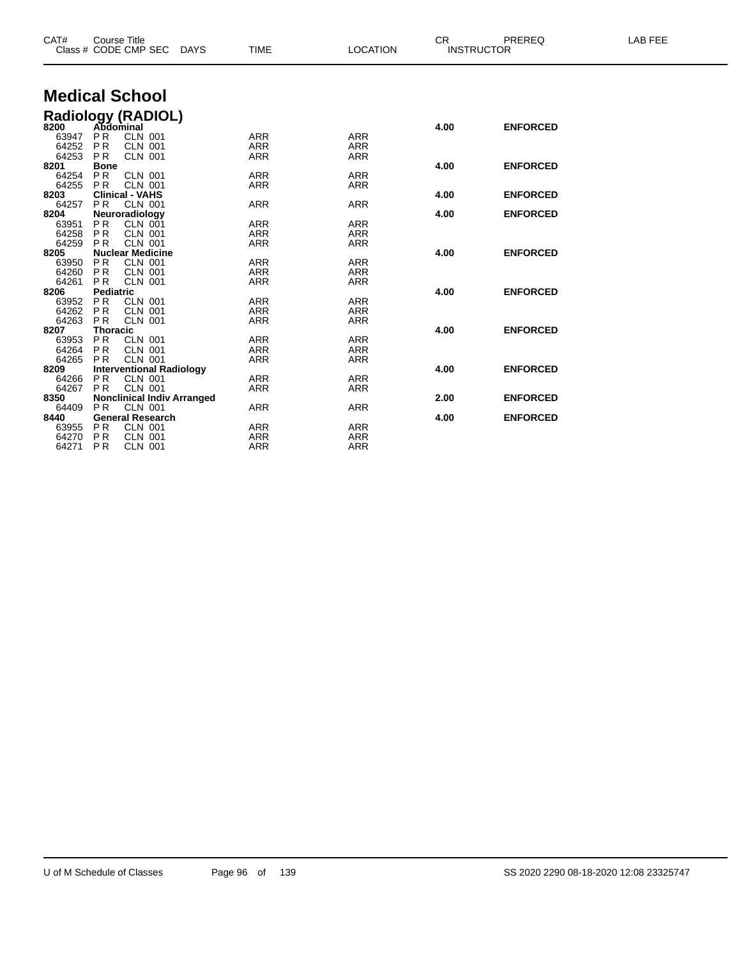| CAT#  | <b>Course Title</b><br>Class # CODE CMP SEC |                | DAYS | <b>TIME</b> | <b>LOCATION</b> | <b>CR</b><br><b>INSTRUCTOR</b> | PREREQ          | <b>LAB FEE</b> |
|-------|---------------------------------------------|----------------|------|-------------|-----------------|--------------------------------|-----------------|----------------|
|       | <b>Medical School</b>                       |                |      |             |                 |                                |                 |                |
|       | Radiology (RADIOL)<br>8200 Abdominal        |                |      |             |                 |                                |                 |                |
|       |                                             |                |      |             |                 | 4.00                           | <b>ENFORCED</b> |                |
| 63947 | <b>PR</b>                                   | <b>CLN 001</b> |      | <b>ARR</b>  | <b>ARR</b>      |                                |                 |                |
| 64252 | PR                                          | <b>CLN 001</b> |      | <b>ARR</b>  | <b>ARR</b>      |                                |                 |                |
| 64253 | <b>PR</b>                                   | <b>CLN 001</b> |      | <b>ARR</b>  | <b>ARR</b>      |                                |                 |                |
| 8201  | <b>Bone</b>                                 |                |      |             |                 | 4.00                           | <b>ENFORCED</b> |                |
| 64254 | P <sub>R</sub>                              | <b>CLN 001</b> |      | <b>ARR</b>  | <b>ARR</b>      |                                |                 |                |
| 64255 | <b>PR</b>                                   | <b>CLN 001</b> |      | <b>ARR</b>  | <b>ARR</b>      |                                |                 |                |
| 8203  | <b>Clinical - VAHS</b>                      |                |      |             |                 | 4.00                           | <b>ENFORCED</b> |                |
| 64257 | <b>PR</b>                                   | <b>CLN 001</b> |      | <b>ARR</b>  | <b>ARR</b>      |                                |                 |                |
| 8204  | Neuroradiology                              |                |      |             |                 | 4.00                           | <b>ENFORCED</b> |                |
| 63951 | <b>PR</b>                                   | CLN 001        |      | <b>ARR</b>  | <b>ARR</b>      |                                |                 |                |
| 64258 | <b>PR</b>                                   | <b>CLN 001</b> |      | <b>ARR</b>  | <b>ARR</b>      |                                |                 |                |
| 64259 | <b>PR</b>                                   | <b>CLN 001</b> |      | <b>ARR</b>  | <b>ARR</b>      |                                |                 |                |
| 8205  | <b>Nuclear Medicine</b>                     |                |      |             |                 | 4.00                           | <b>ENFORCED</b> |                |
| 63950 | <b>PR</b>                                   | <b>CLN 001</b> |      | <b>ARR</b>  | <b>ARR</b>      |                                |                 |                |
| 64260 | <b>PR</b>                                   | <b>CLN 001</b> |      | <b>ARR</b>  | <b>ARR</b>      |                                |                 |                |
| 64261 | P <sub>R</sub>                              | <b>CLN 001</b> |      | <b>ARR</b>  | <b>ARR</b>      |                                |                 |                |
| 8206  | <b>Pediatric</b>                            |                |      |             |                 | 4.00                           | <b>ENFORCED</b> |                |
| 63952 | <b>PR</b>                                   | <b>CLN 001</b> |      | <b>ARR</b>  | <b>ARR</b>      |                                |                 |                |
| 64262 | <b>PR</b>                                   | <b>CLN 001</b> |      | <b>ARR</b>  | <b>ARR</b>      |                                |                 |                |
| 64263 | <b>PR</b>                                   | <b>CLN 001</b> |      | <b>ARR</b>  | <b>ARR</b>      |                                |                 |                |
| 8207  | <b>Thoracic</b>                             |                |      |             |                 | 4.00                           | <b>ENFORCED</b> |                |
| 63953 | PR                                          | <b>CLN 001</b> |      | <b>ARR</b>  | <b>ARR</b>      |                                |                 |                |
| 64264 | <b>PR</b>                                   | <b>CLN 001</b> |      | <b>ARR</b>  | <b>ARR</b>      |                                |                 |                |
| 64265 | P <sub>R</sub>                              | <b>CLN 001</b> |      | <b>ARR</b>  | <b>ARR</b>      |                                |                 |                |
| 8209  | <b>Interventional Radiology</b>             |                |      |             |                 | 4.00                           | <b>ENFORCED</b> |                |
| 64266 | <b>PR</b>                                   | <b>CLN 001</b> |      | <b>ARR</b>  | <b>ARR</b>      |                                |                 |                |
| 64267 | <b>PR</b>                                   | <b>CLN 001</b> |      | <b>ARR</b>  | <b>ARR</b>      |                                |                 |                |
| 8350  | <b>Nonclinical Indiv Arranged</b>           |                |      |             |                 | 2.00                           | <b>ENFORCED</b> |                |
| 64409 | <b>PR</b><br><b>General Research</b>        | <b>CLN 001</b> |      | <b>ARR</b>  | <b>ARR</b>      | 4.00                           | <b>ENFORCED</b> |                |
| 8440  |                                             |                |      |             |                 |                                |                 |                |
| 63955 | <b>PR</b>                                   | <b>CLN 001</b> |      | <b>ARR</b>  | <b>ARR</b>      |                                |                 |                |
| 64270 | P <sub>R</sub>                              | <b>CLN 001</b> |      | <b>ARR</b>  | <b>ARR</b>      |                                |                 |                |
| 64271 | <b>PR</b>                                   | <b>CLN 001</b> |      | <b>ARR</b>  | <b>ARR</b>      |                                |                 |                |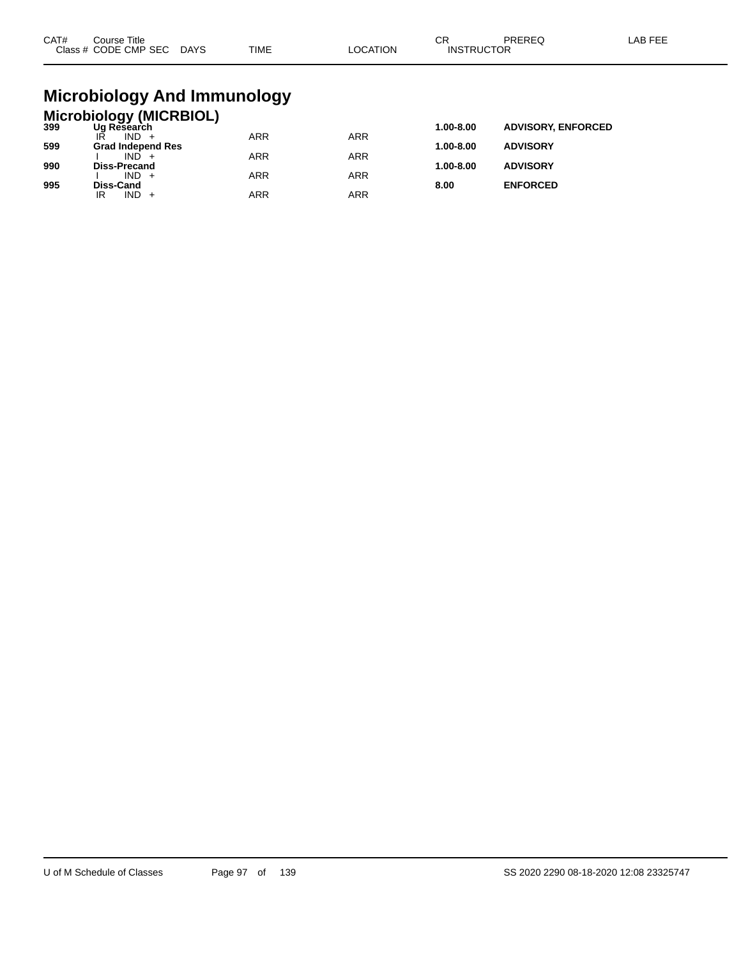| CAT#<br><b>Class</b> | Title<br>`ourse<br>CODE CMP SEC<br>__ | DAYS | TIME | TION | ⌒冖<br>◡<br>ICTOR<br>INS. | ___ | AR EEE |
|----------------------|---------------------------------------|------|------|------|--------------------------|-----|--------|
|                      |                                       |      |      |      |                          |     |        |

## **Microbiology And Immunology**

|     | <b>Microbiology (MICRBIOL)</b> |            |            |               |                           |
|-----|--------------------------------|------------|------------|---------------|---------------------------|
| 399 | Ug Research                    |            |            | 1.00-8.00     | <b>ADVISORY, ENFORCED</b> |
|     | $IND +$                        | <b>ARR</b> | <b>ARR</b> |               |                           |
| 599 | <b>Grad Independ Res</b>       |            |            | $1.00 - 8.00$ | <b>ADVISORY</b>           |
|     | $IND +$                        | <b>ARR</b> | <b>ARR</b> |               |                           |
| 990 | <b>Diss-Precand</b>            |            |            | $1.00 - 8.00$ | <b>ADVISORY</b>           |
|     | $IND +$                        | <b>ARR</b> | <b>ARR</b> |               |                           |
| 995 | Diss-Cand                      |            |            | 8.00          | <b>ENFORCED</b>           |
|     | IND<br>IR                      | ARR        | ARR        |               |                           |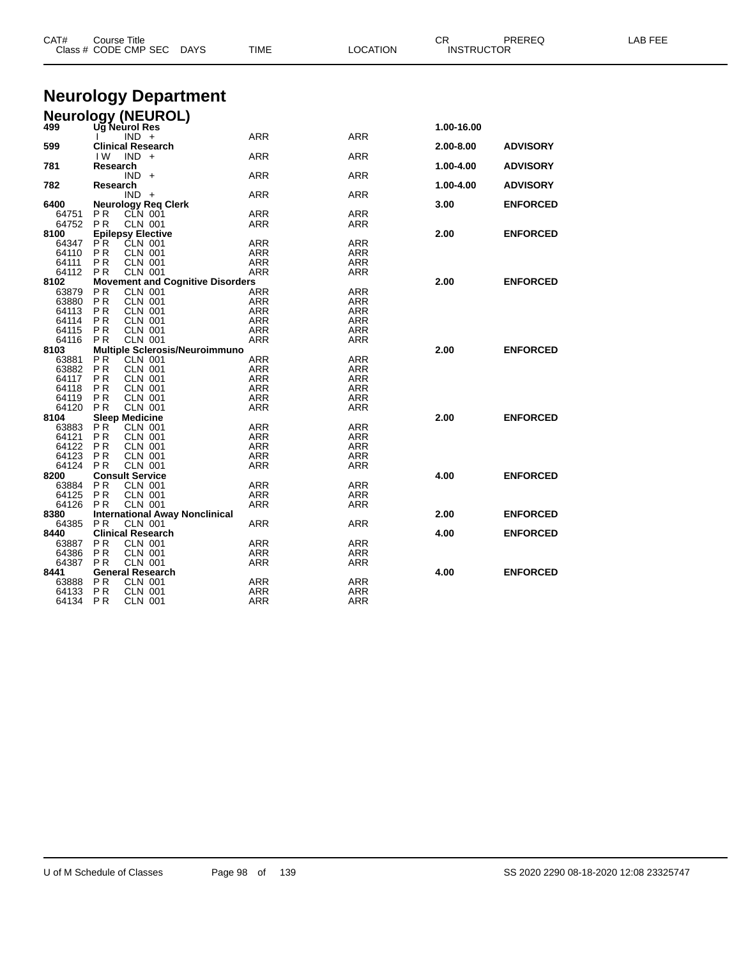| CAT#           | <b>Course Title</b><br>Class # CODE CMP SEC DAYS                     | TIME                                    | <b>LOCATION</b>   | CR.<br><b>INSTRUCTOR</b> | PREREQ          | LAB FEE |
|----------------|----------------------------------------------------------------------|-----------------------------------------|-------------------|--------------------------|-----------------|---------|
|                |                                                                      |                                         |                   |                          |                 |         |
|                | <b>Neurology Department</b>                                          |                                         |                   |                          |                 |         |
|                | <b>Neurology (NEUROL)</b><br>499 Ug Neurol Res                       |                                         |                   |                          |                 |         |
|                |                                                                      |                                         |                   | 1.00-16.00               |                 |         |
| 599            | $IND +$<br><b>Clinical Research</b>                                  | ARR                                     | ARR               | 2.00-8.00                | <b>ADVISORY</b> |         |
|                | IW.<br>$IND +$                                                       | ARR                                     | ARR               |                          |                 |         |
| 781            | Research                                                             |                                         |                   | 1.00-4.00                | <b>ADVISORY</b> |         |
|                | $IND +$                                                              | ARR                                     | ARR               |                          |                 |         |
| 782            | Research                                                             |                                         |                   | 1.00-4.00                | <b>ADVISORY</b> |         |
| 6400           | $IND +$<br><b>Neurology Reg Clerk</b>                                | ARR                                     | ARR               | 3.00                     | <b>ENFORCED</b> |         |
| 64751          | P <sub>R</sub><br><b>CLN 001</b>                                     | ARR                                     | ARR               |                          |                 |         |
| 64752          | P R<br>CLN 001                                                       | ARR                                     | ARR               |                          |                 |         |
| 8100           | <b>Epilepsy Elective</b>                                             |                                         |                   | 2.00                     | <b>ENFORCED</b> |         |
| 64347          | P <sup>R</sup><br>CLN 001                                            | ARR                                     | ARR               |                          |                 |         |
| 64110          | P R<br><b>CLN 001</b>                                                | ARR                                     | ARR               |                          |                 |         |
| 64111<br>64112 | P R<br><b>CLN 001</b><br>PR<br><b>CLN 001</b>                        | ARR<br>ARR                              | ARR<br>ARR        |                          |                 |         |
| 8102           |                                                                      | <b>Movement and Cognitive Disorders</b> |                   | 2.00                     | <b>ENFORCED</b> |         |
| 63879          | PR.<br><b>CLN 001</b>                                                | <b>ARR</b>                              | ARR               |                          |                 |         |
| 63880          | P <sub>R</sub><br><b>CLN 001</b>                                     | <b>ARR</b>                              | <b>ARR</b>        |                          |                 |         |
| 64113          | <b>CLN 001</b><br>P <sub>R</sub>                                     | <b>ARR</b>                              | <b>ARR</b>        |                          |                 |         |
| 64114          | P <sub>R</sub><br><b>CLN 001</b>                                     | ARR                                     | ARR               |                          |                 |         |
| 64115          | P R<br><b>CLN 001</b>                                                | ARR                                     | ARR               |                          |                 |         |
| 64116<br>8103  | <b>PR</b><br><b>CLN 001</b><br><b>Multiple Sclerosis/Neuroimmuno</b> | ARR                                     | ARR               | 2.00                     | <b>ENFORCED</b> |         |
| 63881          | P R<br><b>CLN 001</b>                                                | ARR                                     | ARR               |                          |                 |         |
| 63882          | P R<br><b>CLN 001</b>                                                | ARR                                     | ARR               |                          |                 |         |
| 64117          | <b>CLN 001</b><br>P R                                                | ARR                                     | ARR               |                          |                 |         |
| 64118          | P R<br><b>CLN 001</b>                                                | ARR                                     | ARR               |                          |                 |         |
| 64119          | <b>CLN 001</b><br>P R                                                | ARR                                     | ARR               |                          |                 |         |
| 64120          | <b>CLN 001</b><br>P <sub>R</sub>                                     | ARR                                     | <b>ARR</b>        |                          |                 |         |
| 8104<br>63883  | <b>Sleep Medicine</b><br>ΡR<br><b>CLN 001</b>                        | ARR                                     | ARR               | 2.00                     | <b>ENFORCED</b> |         |
| 64121          | ΡR<br><b>CLN 001</b>                                                 | ARR                                     | ARR               |                          |                 |         |
| 64122          | P R<br><b>CLN 001</b>                                                | ARR                                     | ARR               |                          |                 |         |
| 64123          | P <sub>R</sub><br><b>CLN 001</b>                                     | ARR                                     | ARR               |                          |                 |         |
| 64124          | <b>CLN 001</b><br>P <sub>R</sub>                                     | ARR                                     | ARR               |                          |                 |         |
| 8200           | <b>Consult Service</b>                                               |                                         |                   | 4.00                     | <b>ENFORCED</b> |         |
| 63884<br>64125 | <b>CLN 001</b><br>PR.<br>P R<br><b>CLN 001</b>                       | ARR<br>ARR                              | <b>ARR</b><br>ARR |                          |                 |         |
| 64126          | <b>CLN 001</b><br>P <sub>R</sub>                                     | ARR                                     | ARR               |                          |                 |         |
| 8380           | <b>International Away Nonclinical</b>                                |                                         |                   | 2.00                     | <b>ENFORCED</b> |         |
| 64385          | <b>CLN 001</b><br>PR.                                                | ARR                                     | ARR               |                          |                 |         |
| 8440           | <b>Clinical Research</b>                                             |                                         |                   | 4.00                     | <b>ENFORCED</b> |         |
| 63887          | P R<br><b>CLN 001</b>                                                | ARR                                     | ARR               |                          |                 |         |
| 64386          | ΡR<br><b>CLN 001</b>                                                 | ARR                                     | ARR               |                          |                 |         |
| 64387<br>8441  | <b>CLN 001</b><br>P <sub>R</sub><br><b>General Research</b>          | ARR                                     | ARR               | 4.00                     | <b>ENFORCED</b> |         |
| 63888          | PR<br><b>CLN 001</b>                                                 | ARR                                     | ARR               |                          |                 |         |
| 64133          | P <sub>R</sub><br><b>CLN 001</b>                                     | ARR                                     | ARR               |                          |                 |         |
| 64134          | <b>PR</b><br><b>CLN 001</b>                                          | ARR                                     | ARR               |                          |                 |         |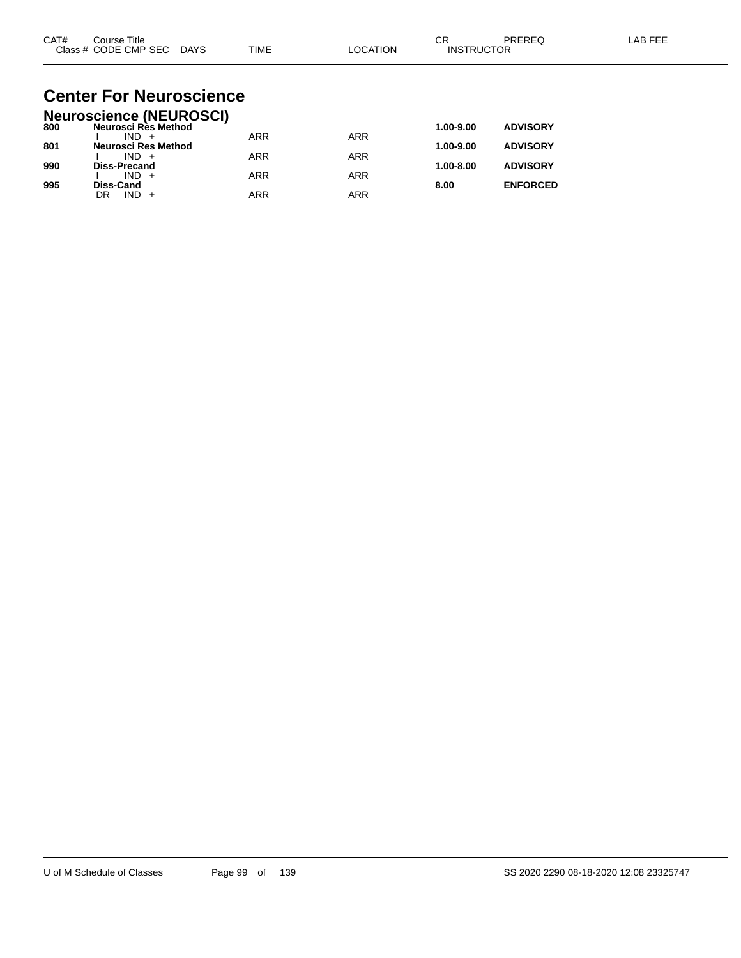| CAT# | Title<br>Course      |             |             |          | ⌒г<br>◡           | PREREC | $\lambda$ $\Gamma$ $\Gamma$ $\Gamma$<br>AR |
|------|----------------------|-------------|-------------|----------|-------------------|--------|--------------------------------------------|
|      | Class # CODE CMP SEC | <b>DAYS</b> | <b>TIME</b> | LOCATION | <b>INSTRUCTOR</b> |        |                                            |

### **Center For Neuroscience Neuroscience (NEUROSCI)**

|     | Neuroscience (NEUROSCI) |            |            |               |                 |
|-----|-------------------------|------------|------------|---------------|-----------------|
| 800 | Neurosci Rès Method     |            |            | 1.00-9.00     | <b>ADVISORY</b> |
|     | $IND +$                 | <b>ARR</b> | <b>ARR</b> |               |                 |
| 801 | Neurosci Res Method     |            |            | 1.00-9.00     | <b>ADVISORY</b> |
|     | $IND +$                 | <b>ARR</b> | ARR        |               |                 |
| 990 | <b>Diss-Precand</b>     |            |            | $1.00 - 8.00$ | <b>ADVISORY</b> |
|     | $IND +$                 | <b>ARR</b> | ARR        |               |                 |
| 995 | <b>Diss-Cand</b>        |            |            | 8.00          | <b>ENFORCED</b> |
|     | $IND +$<br>DR           | <b>ARR</b> | ARR        |               |                 |
|     |                         |            |            |               |                 |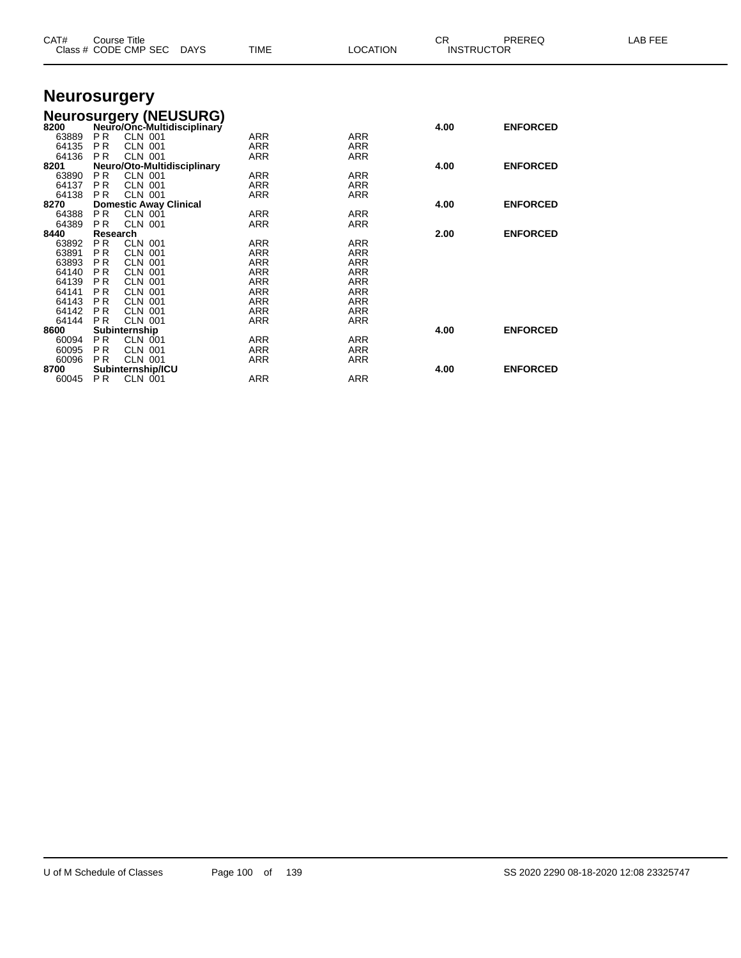| CAT#           | <b>Course Title</b><br>Class # CODE CMP SEC DAYS           | <b>TIME</b> | <b>LOCATION</b>          | CR.  | PREREQ<br><b>INSTRUCTOR</b> | LAB FEE |
|----------------|------------------------------------------------------------|-------------|--------------------------|------|-----------------------------|---------|
|                | <b>Neurosurgery</b>                                        |             |                          |      |                             |         |
|                | <b>Neurosurgery (NEUSURG)</b>                              |             |                          |      |                             |         |
| 8200           | Neuro/Onc-Multidisciplinary                                |             |                          | 4.00 | <b>ENFORCED</b>             |         |
| 63889          | <b>CLN 001</b><br>PR.                                      | ARR         | <b>ARR</b>               |      |                             |         |
| 64135          | PR<br><b>CLN 001</b>                                       | <b>ARR</b>  | <b>ARR</b>               |      |                             |         |
| 64136          | <b>PR</b><br><b>CLN 001</b>                                | <b>ARR</b>  | <b>ARR</b>               |      |                             |         |
| 8201           | Neuro/Oto-Multidisciplinary                                |             |                          | 4.00 | <b>ENFORCED</b>             |         |
| 63890          | <b>PR</b><br><b>CLN 001</b>                                | <b>ARR</b>  | <b>ARR</b>               |      |                             |         |
| 64137          | <b>PR</b><br><b>CLN 001</b>                                | ARR         | ARR                      |      |                             |         |
| 64138          | <b>PR</b><br><b>CLN 001</b>                                | <b>ARR</b>  | <b>ARR</b>               |      |                             |         |
| 8270           | <b>Domestic Away Clinical</b>                              |             |                          | 4.00 | <b>ENFORCED</b>             |         |
| 64388          | <b>PR</b><br><b>CLN 001</b>                                | <b>ARR</b>  | <b>ARR</b>               |      |                             |         |
| 64389          | P <sub>R</sub><br><b>CLN 001</b>                           | <b>ARR</b>  | <b>ARR</b>               |      |                             |         |
| 8440           | Research                                                   |             |                          | 2.00 | <b>ENFORCED</b>             |         |
| 63892          | PR<br><b>CLN 001</b>                                       | <b>ARR</b>  | <b>ARR</b>               |      |                             |         |
| 63891          | <b>PR</b><br><b>CLN 001</b>                                | <b>ARR</b>  | <b>ARR</b>               |      |                             |         |
| 63893<br>64140 | <b>PR</b><br><b>CLN 001</b><br><b>PR</b><br><b>CLN 001</b> | ARR<br>ARR  | <b>ARR</b><br><b>ARR</b> |      |                             |         |
| 64139          | <b>CLN 001</b><br>P <sub>R</sub>                           | ARR         | <b>ARR</b>               |      |                             |         |
| 64141          | <b>CLN 001</b><br>P <sub>R</sub>                           | <b>ARR</b>  | <b>ARR</b>               |      |                             |         |
| 64143          | <b>PR</b><br><b>CLN 001</b>                                | <b>ARR</b>  | <b>ARR</b>               |      |                             |         |
| 64142          | <b>PR</b><br><b>CLN 001</b>                                | <b>ARR</b>  | <b>ARR</b>               |      |                             |         |
| 64144          | <b>CLN 001</b><br><b>PR</b>                                | <b>ARR</b>  | <b>ARR</b>               |      |                             |         |
| 8600           | Subinternship                                              |             |                          | 4.00 | <b>ENFORCED</b>             |         |
| 60094          | P <sub>R</sub><br>CLN 001                                  | ARR         | <b>ARR</b>               |      |                             |         |
| 60095          | <b>PR</b><br><b>CLN 001</b>                                | <b>ARR</b>  | <b>ARR</b>               |      |                             |         |
| 60096          | <b>PR</b><br><b>CLN 001</b>                                | <b>ARR</b>  | <b>ARR</b>               |      |                             |         |
| 8700           | Subinternship/ICU                                          |             |                          | 4.00 | <b>ENFORCED</b>             |         |
| 60045          | P <sub>R</sub><br><b>CLN 001</b>                           | <b>ARR</b>  | <b>ARR</b>               |      |                             |         |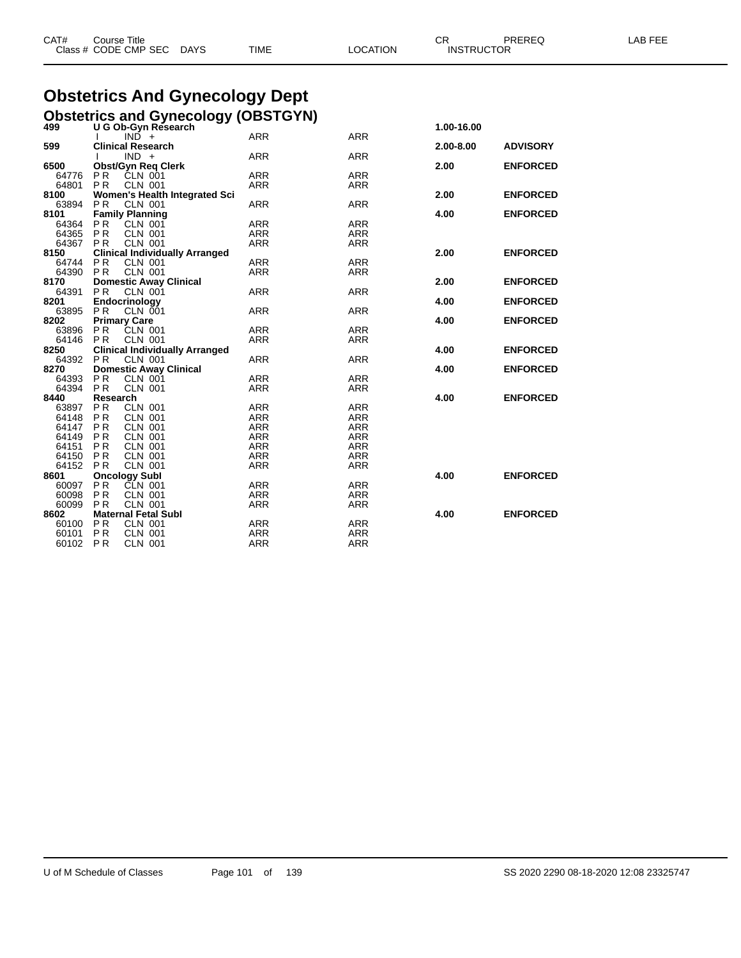| CAT# | Course Title              |      |                 | СR                | PREREQ | LAB FEE |
|------|---------------------------|------|-----------------|-------------------|--------|---------|
|      | Class # CODE CMP SEC DAYS | TIME | <b>LOCATION</b> | <b>INSTRUCTOR</b> |        |         |

# **Obstetrics And Gynecology Dept**

**Obstetrics and Gynecology (OBSTGYN) 499 U G Ob-Gyn Research 1.00-16.00**

|                   | $IN\overline{D}$ +<br>$\mathbf{I}$                 | <b>ARR</b>        | <b>ARR</b> |               |                 |
|-------------------|----------------------------------------------------|-------------------|------------|---------------|-----------------|
| 599               | <b>Clinical Research</b>                           |                   |            | $2.00 - 8.00$ | <b>ADVISORY</b> |
|                   | $IND +$<br>$\mathbf{L}$                            | <b>ARR</b>        | <b>ARR</b> |               |                 |
| 6500              | <b>Obst/Gyn Reg Clerk</b>                          |                   |            | 2.00          | <b>ENFORCED</b> |
|                   | 64776 PR CLN 001                                   | <b>ARR</b>        | <b>ARR</b> |               |                 |
| 64801 PR          | CLN 001                                            | ARR               | ARR        |               |                 |
| 8100              | Women's Health Integrated Sci                      |                   |            | 2.00          | <b>ENFORCED</b> |
| 63894             | P <sub>R</sub><br>CLN 001                          | <b>ARR</b>        | <b>ARR</b> |               |                 |
| 8101              | <b>Family Planning</b>                             |                   |            | 4.00          | <b>ENFORCED</b> |
|                   | 64364 PR CLN 001                                   | <b>ARR</b>        | <b>ARR</b> |               |                 |
|                   | 64365 PR CLN 001                                   | ARR               | <b>ARR</b> |               |                 |
|                   | 64367 PR CLN 001                                   | ARR               | <b>ARR</b> |               |                 |
| 8150              | <b>Clinical Individually Arranged</b>              |                   |            | 2.00          | <b>ENFORCED</b> |
| 64744 PR          | CLN 001                                            | ARR               | <b>ARR</b> |               |                 |
| 64390 PR          | <b>CLN 001</b>                                     | <b>ARR</b>        | <b>ARR</b> |               |                 |
| 8170              | <b>Domestic Away Clinical</b>                      |                   |            | 2.00          | <b>ENFORCED</b> |
| 64391             | P <sub>R</sub><br>CLN 001                          | <b>ARR</b>        | <b>ARR</b> |               |                 |
| 8201              | Endocrinology                                      |                   |            | 4.00          | <b>ENFORCED</b> |
| 63895             | P <sub>R</sub><br>CLN 001                          | <b>ARR</b>        | <b>ARR</b> |               |                 |
| 8202              | <b>Primary Care</b>                                |                   |            | 4.00          | <b>ENFORCED</b> |
|                   | 63896 PR CLN 001                                   | <b>ARR</b>        | <b>ARR</b> |               |                 |
| 64146 PR          | <b>CLN 001</b>                                     | ARR               | <b>ARR</b> |               |                 |
| 8250              | <b>Clinical Individually Arranged</b>              |                   |            | 4.00          | <b>ENFORCED</b> |
| 64392 PR<br>8270  | CLN 001                                            | <b>ARR</b>        | <b>ARR</b> |               | <b>ENFORCED</b> |
|                   | <b>Domestic Away Clinical</b>                      |                   | <b>ARR</b> | 4.00          |                 |
| 64393<br>64394 PR | P <sub>R</sub><br><b>CLN 001</b><br><b>CLN 001</b> | ARR<br><b>ARR</b> | <b>ARR</b> |               |                 |
| 8440              | Research                                           |                   |            | 4.00          | <b>ENFORCED</b> |
|                   | 63897 PR CLN 001                                   | ARR               | <b>ARR</b> |               |                 |
| 64148 PR          | <b>CLN 001</b>                                     | <b>ARR</b>        | <b>ARR</b> |               |                 |
| 64147 PR          | <b>CLN 001</b>                                     | ARR               | <b>ARR</b> |               |                 |
| 64149 PR          | <b>CLN 001</b>                                     | ARR               | <b>ARR</b> |               |                 |
| 64151             | <b>PR</b><br><b>CLN 001</b>                        | ARR               | <b>ARR</b> |               |                 |
| 64150 PR          | <b>CLN 001</b>                                     | ARR               | <b>ARR</b> |               |                 |
| 64152 PR          | <b>CLN 001</b>                                     | <b>ARR</b>        | <b>ARR</b> |               |                 |
| 8601              | <b>Oncology Subl</b>                               |                   |            | 4.00          | <b>ENFORCED</b> |
| 60097 PR          | CLN 001                                            | <b>ARR</b>        | <b>ARR</b> |               |                 |
| 60098             | PR<br><b>CLN 001</b>                               | ARR               | <b>ARR</b> |               |                 |
| 60099 PR          | <b>CLN 001</b>                                     | <b>ARR</b>        | <b>ARR</b> |               |                 |
| 8602              | <b>Maternal Fetal Subl</b>                         |                   |            | 4.00          | <b>ENFORCED</b> |
| 60100 PR          | CLN 001                                            | <b>ARR</b>        | <b>ARR</b> |               |                 |
| 60101 PR          | <b>CLN 001</b>                                     | <b>ARR</b>        | <b>ARR</b> |               |                 |
| 60102 PR          | <b>CLN 001</b>                                     | <b>ARR</b>        | <b>ARR</b> |               |                 |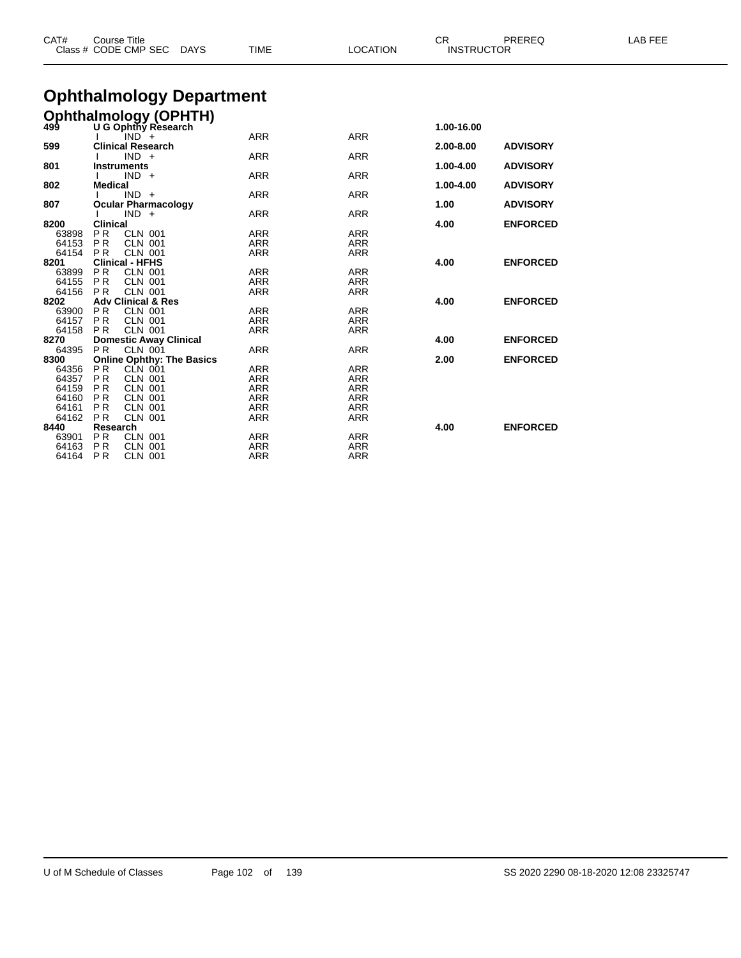| CAT#          | <b>Course Title</b><br>Class # CODE CMP SEC<br><b>DAYS</b>   | <b>TIME</b> | <b>LOCATION</b> | CR.<br><b>INSTRUCTOR</b> | PREREQ          | LAB FEE |
|---------------|--------------------------------------------------------------|-------------|-----------------|--------------------------|-----------------|---------|
|               | <b>Ophthalmology Department</b>                              |             |                 |                          |                 |         |
|               | <b>Ophthalmology (OPHTH)</b>                                 |             |                 |                          |                 |         |
| 499           | U G Ophthy Research                                          |             |                 | 1.00-16.00               |                 |         |
|               | $IND +$                                                      | <b>ARR</b>  | <b>ARR</b>      |                          |                 |         |
| 599           | <b>Clinical Research</b>                                     |             |                 | 2.00-8.00                | <b>ADVISORY</b> |         |
|               | $IND +$                                                      | <b>ARR</b>  | <b>ARR</b>      |                          |                 |         |
| 801           | <b>Instruments</b>                                           |             |                 | 1.00-4.00                | <b>ADVISORY</b> |         |
| 802           | $IND +$                                                      | <b>ARR</b>  | <b>ARR</b>      |                          |                 |         |
|               | <b>Medical</b><br>$IND +$                                    | <b>ARR</b>  | <b>ARR</b>      | 1.00-4.00                | <b>ADVISORY</b> |         |
| 807           | <b>Ocular Pharmacology</b>                                   |             |                 | 1.00                     | <b>ADVISORY</b> |         |
|               | $IND +$                                                      | <b>ARR</b>  | <b>ARR</b>      |                          |                 |         |
| 8200          | <b>Clinical</b>                                              |             |                 | 4.00                     | <b>ENFORCED</b> |         |
| 63898         | PR.<br><b>CLN 001</b>                                        | <b>ARR</b>  | <b>ARR</b>      |                          |                 |         |
| 64153         | PR.<br><b>CLN 001</b>                                        | ARR         | <b>ARR</b>      |                          |                 |         |
| 64154         | <b>CLN 001</b><br><b>PR</b>                                  | <b>ARR</b>  | <b>ARR</b>      |                          |                 |         |
| 8201          | <b>Clinical - HFHS</b>                                       |             |                 | 4.00                     | <b>ENFORCED</b> |         |
| 63899         | PR.<br><b>CLN 001</b>                                        | <b>ARR</b>  | <b>ARR</b>      |                          |                 |         |
| 64155         | <b>PR</b><br><b>CLN 001</b>                                  | <b>ARR</b>  | <b>ARR</b>      |                          |                 |         |
| 64156         | <b>CLN 001</b><br><b>PR</b>                                  | <b>ARR</b>  | <b>ARR</b>      |                          |                 |         |
| 8202          | <b>Adv Clinical &amp; Res</b>                                |             |                 | 4.00                     | <b>ENFORCED</b> |         |
| 63900         | <b>PR</b><br><b>CLN 001</b>                                  | ARR         | <b>ARR</b>      |                          |                 |         |
| 64157         | <b>PR</b><br><b>CLN 001</b>                                  | <b>ARR</b>  | <b>ARR</b>      |                          |                 |         |
| 64158<br>8270 | <b>CLN 001</b><br><b>PR</b><br><b>Domestic Away Clinical</b> | ARR         | <b>ARR</b>      | 4.00                     | <b>ENFORCED</b> |         |
| 64395         | <b>PR</b><br><b>CLN 001</b>                                  | <b>ARR</b>  | <b>ARR</b>      |                          |                 |         |
| 8300          | <b>Online Ophthy: The Basics</b>                             |             |                 | 2.00                     | <b>ENFORCED</b> |         |
| 64356         | PR<br>CLN 001                                                | <b>ARR</b>  | <b>ARR</b>      |                          |                 |         |
| 64357         | <b>PR</b><br><b>CLN 001</b>                                  | ARR         | <b>ARR</b>      |                          |                 |         |
| 64159         | <b>PR</b><br><b>CLN 001</b>                                  | ARR         | <b>ARR</b>      |                          |                 |         |
| 64160         | <b>PR</b><br><b>CLN 001</b>                                  | ARR         | <b>ARR</b>      |                          |                 |         |
| 64161         | <b>PR</b><br><b>CLN 001</b>                                  | <b>ARR</b>  | <b>ARR</b>      |                          |                 |         |
| 64162         | P <sub>R</sub><br><b>CLN 001</b>                             | ARR         | <b>ARR</b>      |                          |                 |         |
| 8440          | Research                                                     |             |                 | 4.00                     | <b>ENFORCED</b> |         |
| 63901         | P <sub>R</sub><br>CLN 001                                    | <b>ARR</b>  | <b>ARR</b>      |                          |                 |         |
| 64163         | <b>PR</b><br><b>CLN 001</b>                                  | <b>ARR</b>  | <b>ARR</b>      |                          |                 |         |

P R CLN 001 ARR ARR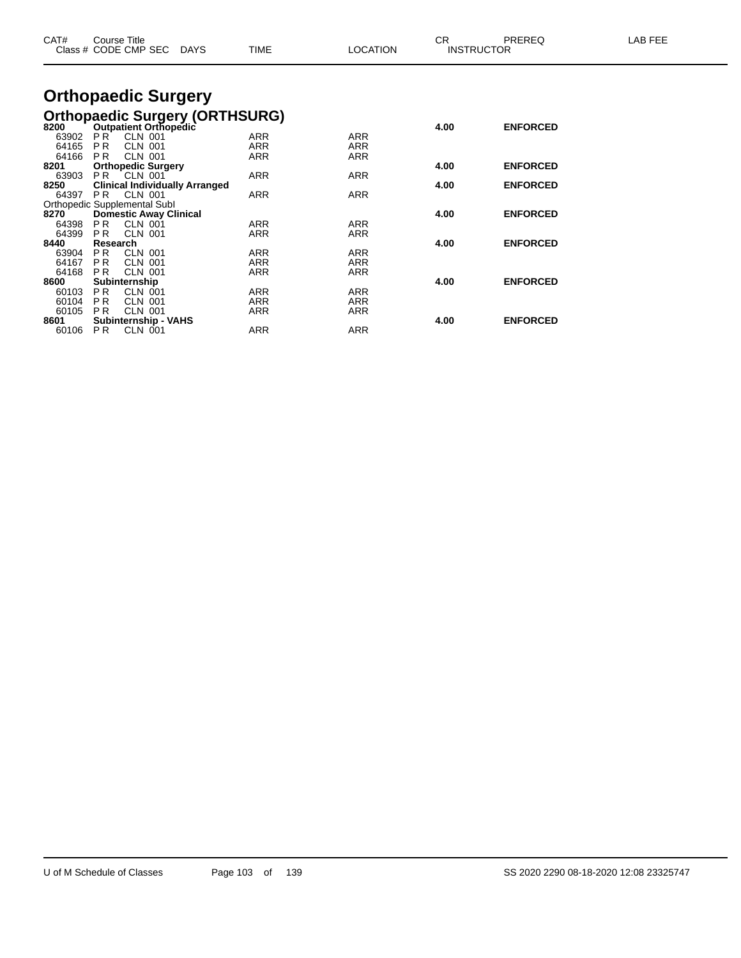| CAT#          | Course Title<br>Class # CODE CMP SEC        | TIME<br>DAYS                          | <b>LOCATION</b> | CR   | PREREQ<br><b>INSTRUCTOR</b> | LAB FEE |
|---------------|---------------------------------------------|---------------------------------------|-----------------|------|-----------------------------|---------|
|               | <b>Orthopaedic Surgery</b>                  |                                       |                 |      |                             |         |
|               |                                             | <b>Orthopaedic Surgery (ORTHSURG)</b> |                 |      |                             |         |
| 8200          | <b>Outpatient Orthopedic</b>                |                                       |                 | 4.00 | <b>ENFORCED</b>             |         |
| 63902         | <b>PR</b><br><b>CLN 001</b>                 | ARR                                   | <b>ARR</b>      |      |                             |         |
| 64165         | <b>PR</b><br>CLN 001                        | <b>ARR</b>                            | <b>ARR</b>      |      |                             |         |
| 64166         | <b>CLN 001</b><br>P R                       | <b>ARR</b>                            | <b>ARR</b>      |      |                             |         |
| 8201          | <b>Orthopedic Surgery</b>                   |                                       |                 | 4.00 | <b>ENFORCED</b>             |         |
| 63903         | <b>PR CLN 001</b>                           | ARR                                   | <b>ARR</b>      |      |                             |         |
| 8250<br>64397 | <b>Clinical Individually Arranged</b><br>PR | ARR                                   | ARR             | 4.00 | <b>ENFORCED</b>             |         |
|               | CLN 001<br>Orthopedic Supplemental Subl     |                                       |                 |      |                             |         |
| 8270          | <b>Domestic Away Clinical</b>               |                                       |                 | 4.00 | <b>ENFORCED</b>             |         |
| 64398         | PR.<br><b>CLN 001</b>                       | ARR                                   | ARR             |      |                             |         |
| 64399         | <b>CLN 001</b><br>P <sub>R</sub>            | ARR                                   | <b>ARR</b>      |      |                             |         |
| 8440          | Research                                    |                                       |                 | 4.00 | <b>ENFORCED</b>             |         |
| 63904         | P <sub>R</sub><br>CLN 001                   | ARR                                   | <b>ARR</b>      |      |                             |         |
| 64167         | <b>PR</b><br><b>CLN 001</b>                 | <b>ARR</b>                            | <b>ARR</b>      |      |                             |         |
| 64168         | <b>PR</b><br><b>CLN 001</b>                 | <b>ARR</b>                            | <b>ARR</b>      |      |                             |         |
| 8600          | Subinternship                               |                                       |                 | 4.00 | <b>ENFORCED</b>             |         |
| 60103         | PR.<br><b>CLN 001</b>                       | ARR                                   | ARR             |      |                             |         |
| 60104         | P <sub>R</sub><br><b>CLN 001</b>            | ARR                                   | <b>ARR</b>      |      |                             |         |
| 60105         | <b>PR</b><br><b>CLN 001</b>                 | ARR                                   | <b>ARR</b>      |      |                             |         |
| 8601          | Subinternship - VAHS                        |                                       |                 | 4.00 | <b>ENFORCED</b>             |         |
| 60106         | PR.<br>CLN 001                              | ARR                                   | <b>ARR</b>      |      |                             |         |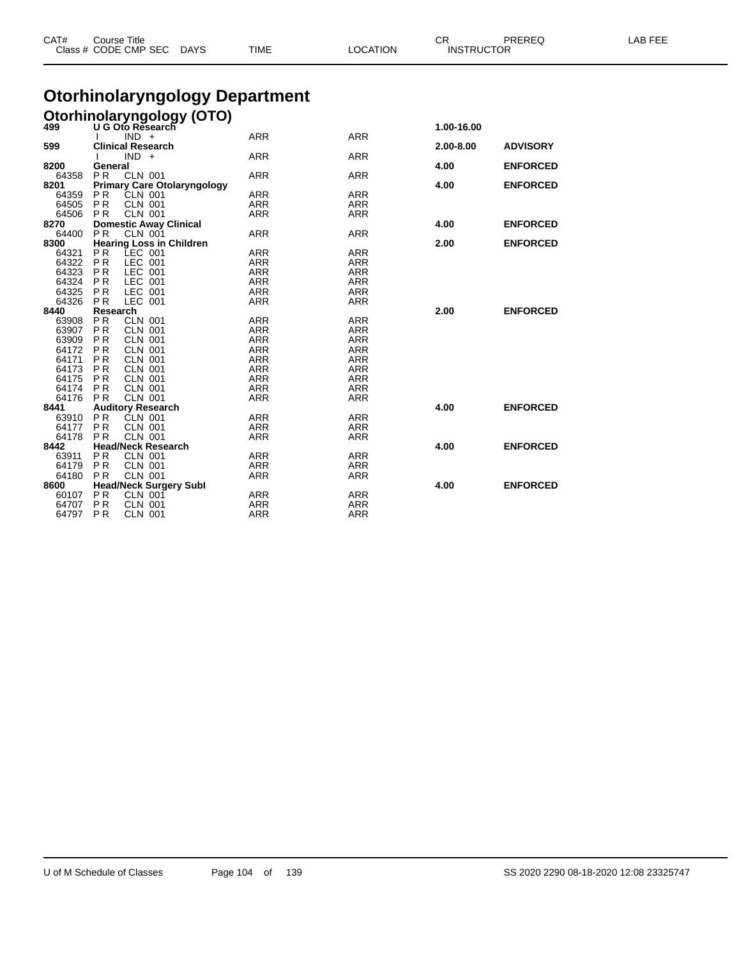| CAT#           |                             | <b>Course Title</b><br>Class # CODE CMP SEC DAYS  | TIME                                  | <b>LOCATION</b>          | <b>CR</b><br><b>INSTRUCTOR</b> | PREREQ          | LAB FEE |
|----------------|-----------------------------|---------------------------------------------------|---------------------------------------|--------------------------|--------------------------------|-----------------|---------|
|                |                             |                                                   | <b>Otorhinolaryngology Department</b> |                          |                                |                 |         |
|                |                             |                                                   |                                       |                          |                                |                 |         |
|                |                             | Otorhinolaryngology (OTO)                         |                                       |                          | 1.00-16.00                     |                 |         |
|                |                             | $IND +$                                           | <b>ARR</b>                            | <b>ARR</b>               |                                |                 |         |
| 599            |                             | <b>Clinical Research</b>                          |                                       |                          | 2.00-8.00                      | <b>ADVISORY</b> |         |
|                |                             | $IND +$                                           | <b>ARR</b>                            | <b>ARR</b>               |                                |                 |         |
| 8200           | General                     |                                                   |                                       |                          | 4.00                           | <b>ENFORCED</b> |         |
| 64358          | <b>PR</b>                   | <b>CLN 001</b>                                    | <b>ARR</b>                            | <b>ARR</b>               |                                |                 |         |
| 8201           |                             | <b>Primary Care Otolaryngology</b>                |                                       |                          | 4.00                           | <b>ENFORCED</b> |         |
| 64359          | PR.                         | CLN 001                                           | ARR                                   | <b>ARR</b>               |                                |                 |         |
| 64505          | <b>PR</b>                   | <b>CLN 001</b>                                    | ARR                                   | <b>ARR</b>               |                                |                 |         |
| 64506          | P R                         | <b>CLN 001</b>                                    | ARR                                   | <b>ARR</b>               |                                |                 |         |
| 8270           |                             | <b>Domestic Away Clinical</b>                     |                                       |                          | 4.00                           | <b>ENFORCED</b> |         |
| 64400<br>8300  | <b>PR</b>                   | <b>CLN 001</b><br><b>Hearing Loss in Children</b> | ARR                                   | <b>ARR</b>               | 2.00                           | <b>ENFORCED</b> |         |
| 64321          | P <sub>R</sub>              | LEC 001                                           | ARR                                   | <b>ARR</b>               |                                |                 |         |
| 64322          | <b>PR</b>                   | LEC 001                                           | <b>ARR</b>                            | <b>ARR</b>               |                                |                 |         |
| 64323          | P <sub>R</sub>              | LEC 001                                           | <b>ARR</b>                            | <b>ARR</b>               |                                |                 |         |
| 64324          | <b>PR</b>                   | LEC 001                                           | <b>ARR</b>                            | <b>ARR</b>               |                                |                 |         |
| 64325          | P <sub>R</sub>              | LEC 001                                           | ARR                                   | <b>ARR</b>               |                                |                 |         |
| 64326          | <b>PR</b>                   | LEC 001                                           | <b>ARR</b>                            | <b>ARR</b>               |                                |                 |         |
| 8440           | Research                    |                                                   |                                       |                          | 2.00                           | <b>ENFORCED</b> |         |
| 63908          | <b>PR</b>                   | <b>CLN 001</b>                                    | <b>ARR</b>                            | <b>ARR</b>               |                                |                 |         |
| 63907          | PR.                         | <b>CLN 001</b>                                    | ARR                                   | <b>ARR</b>               |                                |                 |         |
| 63909          | P <sub>R</sub>              | <b>CLN 001</b>                                    | <b>ARR</b>                            | <b>ARR</b>               |                                |                 |         |
| 64172          | P <sub>R</sub>              | <b>CLN 001</b>                                    | <b>ARR</b>                            | <b>ARR</b>               |                                |                 |         |
| 64171          | P <sub>R</sub>              | CLN 001                                           | <b>ARR</b>                            | <b>ARR</b>               |                                |                 |         |
| 64173          | P <sub>R</sub>              | <b>CLN 001</b>                                    | <b>ARR</b>                            | <b>ARR</b>               |                                |                 |         |
| 64175          | P <sub>R</sub>              | <b>CLN 001</b>                                    | <b>ARR</b>                            | <b>ARR</b>               |                                |                 |         |
| 64174<br>64176 | P <sub>R</sub><br><b>PR</b> | <b>CLN 001</b><br><b>CLN 001</b>                  | <b>ARR</b><br><b>ARR</b>              | <b>ARR</b><br><b>ARR</b> |                                |                 |         |
| 8441           |                             | <b>Auditory Research</b>                          |                                       |                          | 4.00                           | <b>ENFORCED</b> |         |
| 63910          | <b>PR</b>                   | CLN 001                                           | <b>ARR</b>                            | <b>ARR</b>               |                                |                 |         |
| 64177          | <b>PR</b>                   | <b>CLN 001</b>                                    | ARR                                   | <b>ARR</b>               |                                |                 |         |
| 64178          | P <sub>R</sub>              | <b>CLN 001</b>                                    | <b>ARR</b>                            | <b>ARR</b>               |                                |                 |         |
| 8442           |                             | <b>Head/Neck Research</b>                         |                                       |                          | 4.00                           | <b>ENFORCED</b> |         |
| 63911          | P <sub>R</sub>              | <b>CLN 001</b>                                    | ARR                                   | <b>ARR</b>               |                                |                 |         |
| 64179          | P <sub>R</sub>              | <b>CLN 001</b>                                    | <b>ARR</b>                            | <b>ARR</b>               |                                |                 |         |
| 64180          | <b>PR</b>                   | <b>CLN 001</b>                                    | <b>ARR</b>                            | <b>ARR</b>               |                                |                 |         |
| 8600           |                             | <b>Head/Neck Surgery Subl</b>                     |                                       |                          | 4.00                           | <b>ENFORCED</b> |         |
| 60107          | P <sub>R</sub>              | <b>CLN 001</b>                                    | ARR                                   | <b>ARR</b>               |                                |                 |         |
| 64707          | P <sub>R</sub>              | <b>CLN 001</b>                                    | <b>ARR</b>                            | <b>ARR</b>               |                                |                 |         |
| 64797          | P <sub>R</sub>              | <b>CLN 001</b>                                    | ARR                                   | <b>ARR</b>               |                                |                 |         |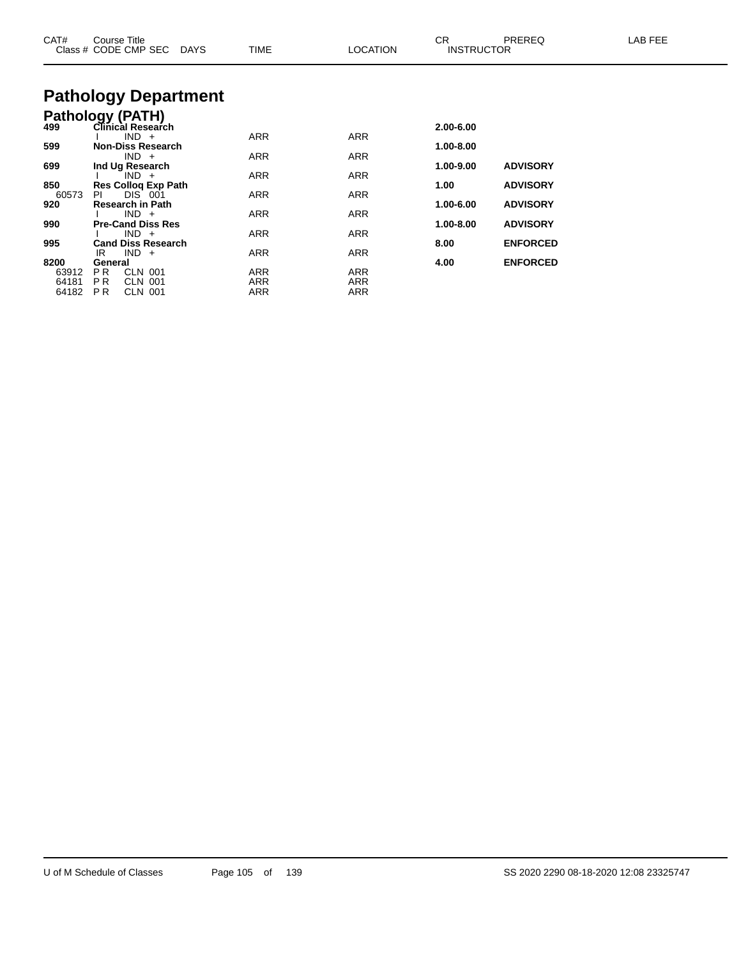| CAT#                            | Course Title<br>Class # CODE CMP SEC<br>DAYS                         | <b>TIME</b>       | <b>LOCATION</b>          | CR.<br><b>INSTRUCTOR</b> | PREREQ                             | LAB FEE |
|---------------------------------|----------------------------------------------------------------------|-------------------|--------------------------|--------------------------|------------------------------------|---------|
|                                 | <b>Pathology Department</b>                                          |                   |                          |                          |                                    |         |
| 499                             | Pathology (PATH)<br><b>Clinical Research</b><br>$IND +$              | <b>ARR</b>        | <b>ARR</b>               | 2.00-6.00                |                                    |         |
| 599                             | <b>Non-Diss Research</b><br>$IND +$                                  | ARR               | ARR                      | 1.00-8.00                |                                    |         |
| 699<br>850                      | Ind Ug Research<br>$IND +$<br><b>Res Collog Exp Path</b>             | <b>ARR</b>        | ARR                      | 1.00-9.00<br>1.00        | <b>ADVISORY</b><br><b>ADVISORY</b> |         |
| 60573<br>920                    | DIS 001<br>PI<br><b>Research in Path</b>                             | ARR               | ARR                      | 1.00-6.00                | <b>ADVISORY</b>                    |         |
| 990                             | $IND +$<br><b>Pre-Cand Diss Res</b><br>$IND +$                       | ARR<br><b>ARR</b> | ARR<br>ARR               | 1.00-8.00                | <b>ADVISORY</b>                    |         |
| 995                             | <b>Cand Diss Research</b><br>$IND +$<br>IR                           | ARR               | ARR                      | 8.00                     | <b>ENFORCED</b>                    |         |
| 8200<br>63912<br>64181<br>64182 | General<br>PR.<br>CLN 001<br>P R<br>CLN 001<br><b>CLN 001</b><br>PR. | ARR<br>ARR<br>ARR | ARR<br>ARR<br><b>ARR</b> | 4.00                     | <b>ENFORCED</b>                    |         |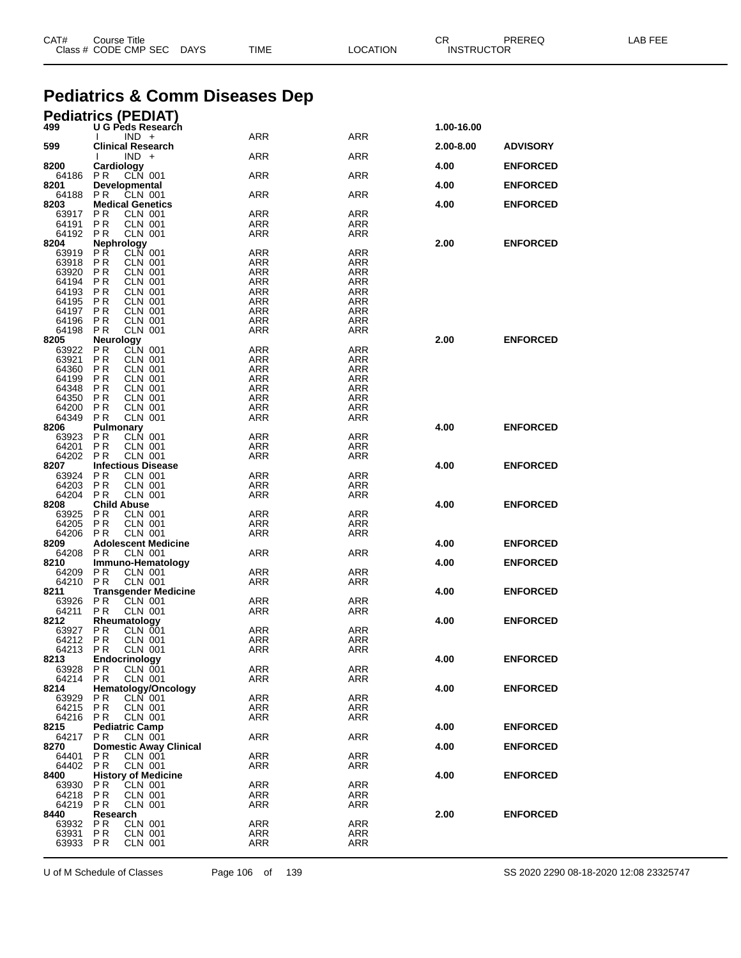|                      | <b>Pediatrics &amp; Comm Diseases Dep</b>            |                          |                   |            |                 |
|----------------------|------------------------------------------------------|--------------------------|-------------------|------------|-----------------|
| 499                  | <b>Pediatrics (PEDIAT)</b><br>U G Peds Research      |                          |                   | 1.00-16.00 |                 |
|                      | $IND +$                                              | ARR                      | ARR               |            |                 |
| 599                  | <b>Clinical Research</b><br>$IND +$                  | ARR                      | ARR               | 2.00-8.00  | <b>ADVISORY</b> |
| 8200                 | Cardiology                                           |                          |                   | 4.00       | <b>ENFORCED</b> |
| 64186<br>8201        | PR.<br>CLN 001<br>Developmental                      | ARR                      | ARR               | 4.00       | <b>ENFORCED</b> |
| 64188                | <b>PR</b><br>CLN 001                                 | ARR                      | ARR               |            |                 |
| 8203<br>63917        | <b>Medical Genetics</b><br>P R<br>CLN 001            | <b>ARR</b>               | <b>ARR</b>        | 4.00       | <b>ENFORCED</b> |
| 64191                | <b>CLN 001</b><br>P R                                | ARR                      | ARR               |            |                 |
| 64192<br>8204        | <b>CLN 001</b><br>P R<br>Nephrology                  | ARR                      | ARR               | 2.00       | <b>ENFORCED</b> |
| 63919                | PŔ<br><b>CLN 001</b>                                 | ARR                      | ARR               |            |                 |
| 63918<br>63920       | PR<br>CLN 001<br>P R<br><b>CLN 001</b>               | <b>ARR</b><br><b>ARR</b> | ARR<br><b>ARR</b> |            |                 |
| 64194                | P R<br><b>CLN 001</b>                                | <b>ARR</b>               | ARR               |            |                 |
| 64193<br>64195       | P R<br>CLN 001<br>P R<br>CLN 001                     | ARR<br><b>ARR</b>        | ARR<br><b>ARR</b> |            |                 |
| 64197                | CLN 001<br>PR                                        | <b>ARR</b>               | ARR               |            |                 |
| 64196                | <b>CLN 001</b><br>P R                                | ARR                      | ARR               |            |                 |
| 64198<br>8205        | PR<br><b>CLN 001</b><br><b>Neurology</b>             | <b>ARR</b>               | <b>ARR</b>        | 2.00       | <b>ENFORCED</b> |
| 63922                | <b>PR</b><br><b>CLN 001</b>                          | ARR                      | ARR               |            |                 |
| 63921                | P R<br><b>CLN 001</b>                                | <b>ARR</b>               | <b>ARR</b>        |            |                 |
| 64360<br>64199       | PR<br>CLN 001<br><b>CLN 001</b>                      | <b>ARR</b>               | ARR               |            |                 |
| 64348                | P R<br>P R<br>CLN 001                                | ARR<br><b>ARR</b>        | ARR<br><b>ARR</b> |            |                 |
| 64350                | CLN 001<br>PR                                        | <b>ARR</b>               | ARR               |            |                 |
| 64200                | <b>CLN 001</b><br>P R                                | <b>ARR</b>               | ARR               |            |                 |
| 64349<br>8206        | P <sub>R</sub><br><b>CLN 001</b><br><b>Pulmonary</b> | <b>ARR</b>               | <b>ARR</b>        | 4.00       | <b>ENFORCED</b> |
| 63923                | PR<br>CLN 001                                        | ARR                      | ARR               |            |                 |
| 64201                | P <sub>R</sub><br><b>CLN 001</b>                     | <b>ARR</b>               | ARR               |            |                 |
| 64202 PR<br>8207     | <b>CLN 001</b><br><b>Infectious Disease</b>          | <b>ARR</b>               | ARR               | 4.00       | <b>ENFORCED</b> |
| 63924                | <b>CLN 001</b><br>P R                                | <b>ARR</b>               | <b>ARR</b>        |            |                 |
| 64203                | P R<br>CLN 001                                       | ARR                      | ARR               |            |                 |
| 64204                | <b>CLN 001</b><br>P R                                | ARR                      | ARR               |            |                 |
| 8208<br>63925        | <b>Child Abuse</b><br><b>CLN 001</b><br>P R          | ARR                      | ARR               | 4.00       | <b>ENFORCED</b> |
| 64205                | P R<br>CLN 001                                       | <b>ARR</b>               | ARR               |            |                 |
| 64206                | <b>CLN 001</b><br>P R                                | ARR                      | ARR               |            |                 |
| 8209<br>64208        | <b>Adolescent Medicine</b><br><b>PR</b><br>CLN 001   | ARR                      | ARR               | 4.00       | <b>ENFORCED</b> |
| 8210                 | Immuno-Hematology                                    |                          |                   | 4.00       | <b>ENFORCED</b> |
| 64209                | P R<br>CLN 001                                       | ARR                      | ARR               |            |                 |
| 64210<br>8211        | P R<br>CLN 001<br><b>Transgender Medicine</b>        | ARR                      | ARR               | 4.00       | <b>ENFORCED</b> |
| 63926                | P R<br><b>CLN 001</b>                                | ARR                      | ARR               |            |                 |
| 64211                | P R<br>CLN 001                                       | ARR                      | ARR               |            |                 |
| 8212<br>63927 PR     | <b>Rheumatology</b><br>CLN 001                       | ARR                      | ARR               | 4.00       | <b>ENFORCED</b> |
| 64212 PR             | <b>CLN 001</b>                                       | ARR                      | ARR               |            |                 |
| 64213 PR             | <b>CLN 001</b>                                       | <b>ARR</b>               | ARR               |            |                 |
| 8213<br>63928 PR     | Endocrinology<br><b>CLN 001</b>                      | ARR                      | <b>ARR</b>        | 4.00       | <b>ENFORCED</b> |
| 64214 PR             | <b>CLN 001</b>                                       | <b>ARR</b>               | ARR               |            |                 |
| 8214                 | Hematology/Oncology                                  |                          |                   | 4.00       | <b>ENFORCED</b> |
| 63929 PR<br>64215 PR | CLN 001<br>CLN 001                                   | ARR<br><b>ARR</b>        | ARR<br>ARR        |            |                 |
| 64216 PR             | CLN 001                                              | ARR                      | ARR               |            |                 |
| 8215                 | <b>Pediatric Camp</b>                                |                          |                   | 4.00       | <b>ENFORCED</b> |
| 64217 PR<br>8270     | CLN 001<br><b>Domestic Away Clinical</b>             | <b>ARR</b>               | ARR               | 4.00       | <b>ENFORCED</b> |
| 64401 PR             | CLN 001                                              | ARR                      | ARR               |            |                 |
| 64402 PR             | <b>CLN 001</b>                                       | ARR                      | ARR               |            |                 |
| 8400<br>63930 PR     | <b>History of Medicine</b><br>CLN 001                | ARR                      | ARR               | 4.00       | <b>ENFORCED</b> |
| 64218                | P R<br>CLN 001                                       | <b>ARR</b>               | ARR               |            |                 |
| 64219 PR             | CLN 001                                              | <b>ARR</b>               | ARR               |            |                 |
| 8440                 | Research<br><b>CLN 001</b>                           | ARR                      | ARR               | 2.00       | <b>ENFORCED</b> |
| 63932 PR<br>63931    | P R<br>CLN 001                                       | ARR                      | ARR               |            |                 |
| 63933 PR             | <b>CLN 001</b>                                       | ARR                      | ARR               |            |                 |

Class # CODE CMP SEC DAYS TIME LOCATION INSTRUCTOR

U of M Schedule of Classes Page 106 of 139 SS 2020 2290 08-18-2020 12:08 23325747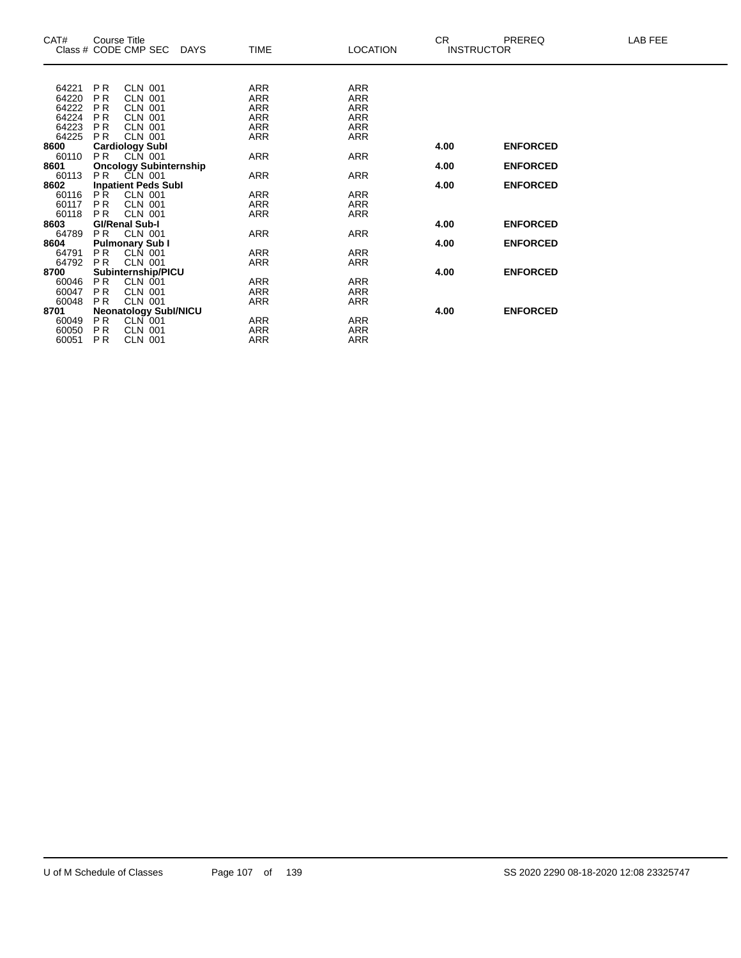| CAT#          |                | Course Title<br>Class # CODE CMP SEC DAYS | <b>TIME</b> | <b>LOCATION</b> | CR.  | PREREQ<br><b>INSTRUCTOR</b> | LAB FEE |
|---------------|----------------|-------------------------------------------|-------------|-----------------|------|-----------------------------|---------|
|               |                |                                           |             |                 |      |                             |         |
| 64221         | PR             | CLN 001                                   | ARR         | <b>ARR</b>      |      |                             |         |
| 64220         | P <sub>R</sub> | CLN 001                                   | ARR         | ARR             |      |                             |         |
| 64222         | <b>PR</b>      | <b>CLN 001</b>                            | <b>ARR</b>  | <b>ARR</b>      |      |                             |         |
| 64224         | PR.            | <b>CLN 001</b>                            | <b>ARR</b>  | <b>ARR</b>      |      |                             |         |
| 64223         | PR.            | CLN 001                                   | ARR         | ARR             |      |                             |         |
| 64225         | PR.            | CLN 001                                   | <b>ARR</b>  | <b>ARR</b>      |      |                             |         |
| 8600          |                | <b>Cardiology Subl</b>                    |             |                 | 4.00 | <b>ENFORCED</b>             |         |
| 60110         | PR             | CLN 001                                   | ARR         | <b>ARR</b>      |      |                             |         |
| 8601          | P <sub>R</sub> | <b>Oncology Subinternship</b>             |             |                 | 4.00 | <b>ENFORCED</b>             |         |
| 60113<br>8602 |                | CLN 001<br><b>Inpatient Peds Subl</b>     | <b>ARR</b>  | <b>ARR</b>      | 4.00 | <b>ENFORCED</b>             |         |
| 60116         | PR.            | CLN 001                                   | <b>ARR</b>  | <b>ARR</b>      |      |                             |         |
| 60117         | P <sub>R</sub> | <b>CLN 001</b>                            | <b>ARR</b>  | <b>ARR</b>      |      |                             |         |
| 60118         | P <sub>R</sub> | <b>CLN 001</b>                            | <b>ARR</b>  | ARR             |      |                             |         |
| 8603          |                | <b>GI/Renal Sub-I</b>                     |             |                 | 4.00 | <b>ENFORCED</b>             |         |
| 64789         | PR.            | <b>CLN 001</b>                            | <b>ARR</b>  | <b>ARR</b>      |      |                             |         |
| 8604          |                | <b>Pulmonary Sub I</b>                    |             |                 | 4.00 | <b>ENFORCED</b>             |         |
| 64791         | PR.            | CLN 001                                   | <b>ARR</b>  | <b>ARR</b>      |      |                             |         |
| 64792         | <b>PR</b>      | <b>CLN 001</b>                            | <b>ARR</b>  | <b>ARR</b>      |      |                             |         |
| 8700          |                | Subinternship/PICU                        |             |                 | 4.00 | <b>ENFORCED</b>             |         |
| 60046         | PR.            | CLN 001                                   | <b>ARR</b>  | <b>ARR</b>      |      |                             |         |
| 60047         | PR.            | <b>CLN 001</b>                            | <b>ARR</b>  | <b>ARR</b>      |      |                             |         |
| 60048         | <b>PR</b>      | CLN 001                                   | ARR         | ARR             |      |                             |         |
| 8701          |                | <b>Neonatology SubI/NICU</b>              |             |                 | 4.00 | <b>ENFORCED</b>             |         |
| 60049         | PR.            | CLN 001                                   | ARR         | <b>ARR</b>      |      |                             |         |
| 60050         | PR.            | <b>CLN 001</b>                            | ARR         | ARR             |      |                             |         |
| 60051         | PR.            | <b>CLN 001</b>                            | <b>ARR</b>  | <b>ARR</b>      |      |                             |         |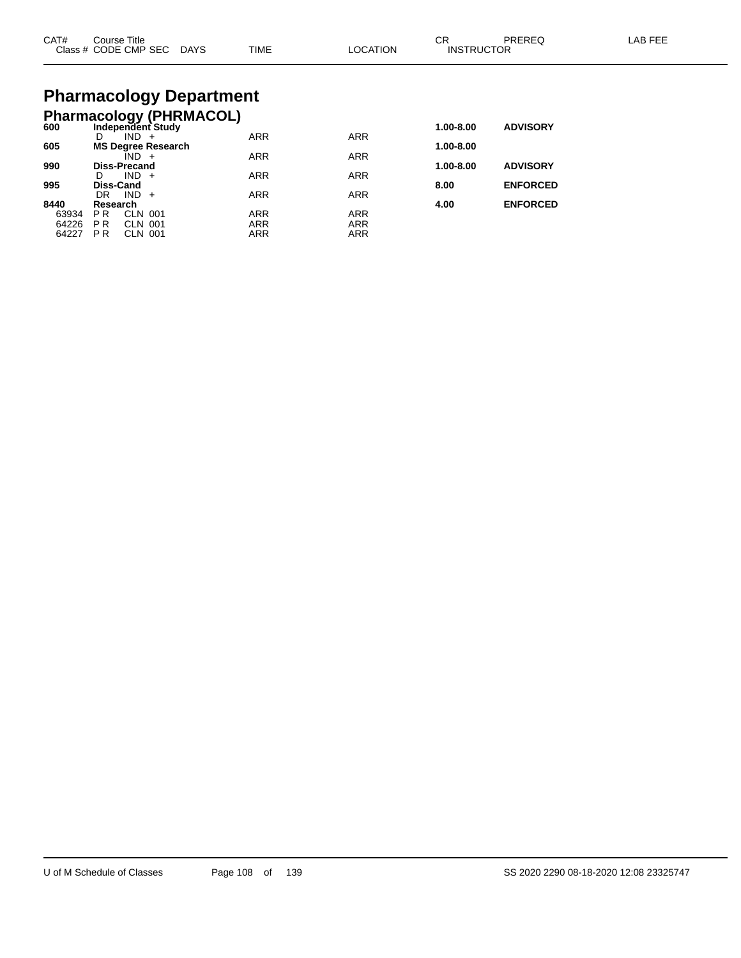| CAT#<br>$\sim$<br>1000 | Title<br><b>Course</b><br><b>CMP</b><br>$\sim$<br>ЭF<br>א−ג.<br>$\sim$ $\sim$ $\sim$ $\sim$ $\sim$ $\sim$ $\sim$<br>$ -$ | ∩AY`<br>$\sim$ | <b>TIME</b> | ON | ⌒г<br>◡<br>INS | (J⊨ |  |
|------------------------|--------------------------------------------------------------------------------------------------------------------------|----------------|-------------|----|----------------|-----|--|
|------------------------|--------------------------------------------------------------------------------------------------------------------------|----------------|-------------|----|----------------|-----|--|

# **Pharmacology Department**

| <b>Pharmacology (PHRMACOL)</b> |                     |                |                           |            |            |           |                 |
|--------------------------------|---------------------|----------------|---------------------------|------------|------------|-----------|-----------------|
| 600                            |                     |                | Independent Study         |            |            | 1.00-8.00 | <b>ADVISORY</b> |
|                                |                     | IND.           |                           | <b>ARR</b> | <b>ARR</b> |           |                 |
| 605                            |                     |                | <b>MS Degree Research</b> |            |            | 1.00-8.00 |                 |
| 990                            | <b>Diss-Precand</b> | $IND +$        |                           | <b>ARR</b> | <b>ARR</b> | 1.00-8.00 | <b>ADVISORY</b> |
|                                | D                   | $IND +$        |                           | <b>ARR</b> | <b>ARR</b> |           |                 |
| 995                            | Diss-Cand           |                |                           |            |            | 8.00      | <b>ENFORCED</b> |
|                                | DR                  | $IND +$        |                           | <b>ARR</b> | <b>ARR</b> |           |                 |
| 8440                           | Research            |                |                           |            |            | 4.00      | <b>ENFORCED</b> |
| 63934                          | P <sub>R</sub>      | <b>CLN 001</b> |                           | <b>ARR</b> | <b>ARR</b> |           |                 |
| 64226                          | P <sub>R</sub>      | CLN 001        |                           | <b>ARR</b> | <b>ARR</b> |           |                 |
| 64227                          | P R                 | CLN 001        |                           | <b>ARR</b> | <b>ARR</b> |           |                 |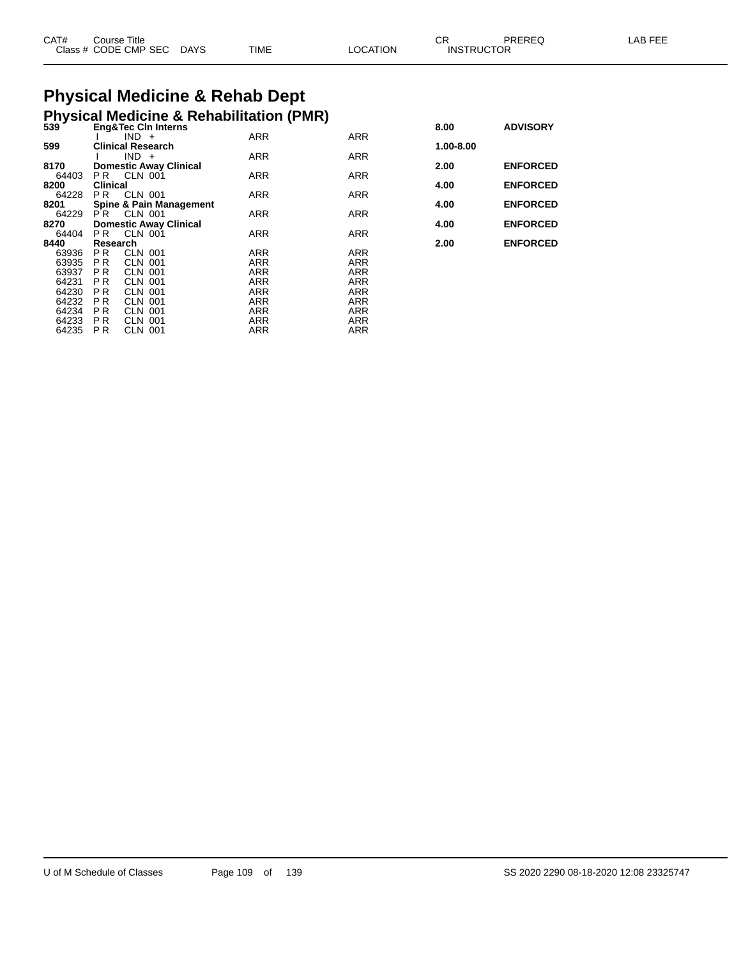| CAT# | Title<br>Course      |             |             |                | <b>CC</b><br>◡∩   | PREREQ | AB FFF |
|------|----------------------|-------------|-------------|----------------|-------------------|--------|--------|
|      | Class # CODE CMP SEC | <b>DAYS</b> | <b>TIME</b> | <b>OCATION</b> | <b>INSTRUCTOR</b> |        |        |

#### **Physical Medicine & Rehab Dept Physical Medicine & Rehabilitation (PMR)**

|       | $\ldots$ $\ldots$              |            |            |           |                 |
|-------|--------------------------------|------------|------------|-----------|-----------------|
| 539   | <b>Eng&amp;Tec CIn Interns</b> |            |            | 8.00      | <b>ADVISORY</b> |
|       | $IND +$                        | <b>ARR</b> | <b>ARR</b> |           |                 |
| 599   | <b>Clinical Research</b>       |            |            | 1.00-8.00 |                 |
|       | $IND +$                        | <b>ARR</b> | <b>ARR</b> |           |                 |
| 8170  | <b>Domestic Away Clinical</b>  |            |            | 2.00      | <b>ENFORCED</b> |
| 64403 | CLN 001<br>PR.                 | <b>ARR</b> | <b>ARR</b> |           |                 |
| 8200  | <b>Clinical</b>                |            |            | 4.00      | <b>ENFORCED</b> |
| 64228 | CLN 001<br>P <sub>R</sub>      | <b>ARR</b> | <b>ARR</b> |           |                 |
| 8201  | Spine & Pain Management        |            |            | 4.00      | <b>ENFORCED</b> |
| 64229 | CLN 001<br>P R                 | <b>ARR</b> | <b>ARR</b> |           |                 |
| 8270  | <b>Domestic Away Clinical</b>  |            |            | 4.00      | <b>ENFORCED</b> |
| 64404 | <b>CLN 001</b><br>P R          | ARR        | <b>ARR</b> |           |                 |
|       |                                |            |            |           |                 |

 P R CLN 001 ARR ARR P R CLN 001 ARR ARR P R CLN 001 ARR ARR P R CLN 001 ARR ARR P R CLN 001 ARR ARR P R CLN 001 ARR ARR P R CLN 001 ARR ARR P R CLN 001 ARR ARR P R CLN 001 ARR ARR

|       | r rrysicar medicine & Renabilitation († 1911)<br>539          Eng&Tec Cln Interns<br><b>Eng&amp;Tec Cin Interns</b> |            |            | 8.00      | <b>ADVISORY</b> |
|-------|---------------------------------------------------------------------------------------------------------------------|------------|------------|-----------|-----------------|
|       | $IND +$                                                                                                             | <b>ARR</b> | <b>ARR</b> |           |                 |
| 599   | <b>Clinical Research</b>                                                                                            |            |            | 1.00-8.00 |                 |
|       | $IND +$                                                                                                             | <b>ARR</b> | <b>ARR</b> |           |                 |
| 8170  | <b>Domestic Away Clinical</b>                                                                                       |            |            | 2.00      | <b>ENFORCED</b> |
| 64403 | CLN 001<br>PR.                                                                                                      | <b>ARR</b> | <b>ARR</b> |           |                 |
| 8200  | <b>Clinical</b>                                                                                                     |            |            | 4.00      | <b>ENFORCED</b> |
| 64228 | CLN 001<br>P <sub>R</sub>                                                                                           | <b>ARR</b> | <b>ARR</b> |           |                 |
| 8201  | Spine & Pain Management                                                                                             |            |            | 4.00      | <b>ENFORCED</b> |
| 64229 | CLN 001<br>PR.                                                                                                      | <b>ARR</b> | <b>ARR</b> |           |                 |
| 8270  | <b>Domestic Away Clinical</b>                                                                                       |            |            | 4.00      | <b>ENFORCED</b> |
| 64404 | PR.<br>CLN 001                                                                                                      | <b>ARR</b> | <b>ARR</b> |           |                 |
| 8440  | Research                                                                                                            |            |            | 2.00      | <b>ENFORCED</b> |
|       |                                                                                                                     |            |            |           |                 |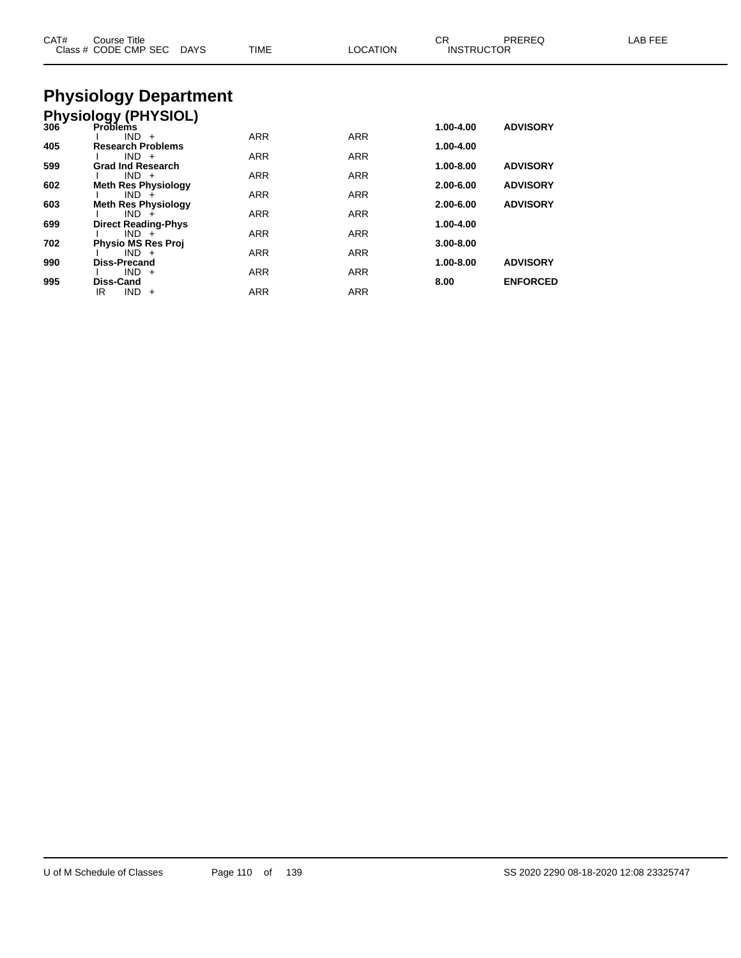| CAT#       | Course Title<br>Class # CODE CMP SEC<br>DAYS                        | <b>TIME</b>       | <b>LOCATION</b> | <b>CR</b><br><b>INSTRUCTOR</b> | PREREQ                             | LAB FEE |
|------------|---------------------------------------------------------------------|-------------------|-----------------|--------------------------------|------------------------------------|---------|
|            | <b>Physiology Department</b>                                        |                   |                 |                                |                                    |         |
|            | Physiology (PHYSIOL)<br>306 Problems                                |                   |                 | 1.00-4.00                      | <b>ADVISORY</b>                    |         |
| 405        | $IND +$<br><b>Research Problems</b><br>$IND +$                      | ARR<br>ARR        | ARR<br>ARR      | 1.00-4.00                      |                                    |         |
| 599        | <b>Grad Ind Research</b><br>$IND +$                                 | ARR               | ARR             | 1.00-8.00                      | <b>ADVISORY</b>                    |         |
| 602<br>603 | <b>Meth Res Physiology</b><br>$IND +$<br><b>Meth Res Physiology</b> | <b>ARR</b>        | ARR             | 2.00-6.00<br>2.00-6.00         | <b>ADVISORY</b><br><b>ADVISORY</b> |         |
| 699        | $IND +$<br><b>Direct Reading-Phys</b>                               | <b>ARR</b>        | ARR             | 1.00-4.00                      |                                    |         |
| 702        | $IND +$<br><b>Physio MS Res Proj</b><br>$IND +$                     | ARR               | ARR             | $3.00 - 8.00$                  |                                    |         |
| 990        | <b>Diss-Precand</b><br>$IND +$                                      | <b>ARR</b><br>ARR | ARR<br>ARR      | 1.00-8.00                      | <b>ADVISORY</b>                    |         |
| 995        | <b>Diss-Cand</b><br>$IND +$<br>IR.                                  | ARR               | <b>ARR</b>      | 8.00                           | <b>ENFORCED</b>                    |         |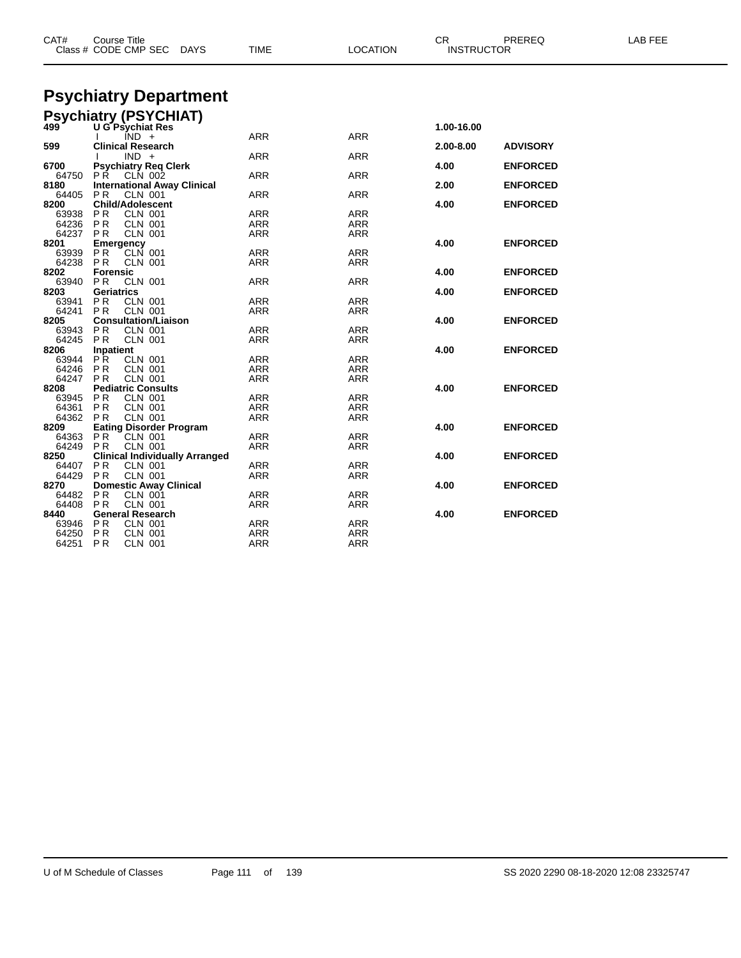| CAT#           | Course Title<br>Class # CODE CMP SEC DAYS                    | <b>TIME</b>              | <b>LOCATION</b>   | CR.<br><b>INSTRUCTOR</b> | PREREQ          | <b>LAB FEE</b> |
|----------------|--------------------------------------------------------------|--------------------------|-------------------|--------------------------|-----------------|----------------|
|                |                                                              |                          |                   |                          |                 |                |
|                | <b>Psychiatry Department</b>                                 |                          |                   |                          |                 |                |
|                | <b>Psychiatry (PSYCHIAT)</b>                                 |                          |                   |                          |                 |                |
| 499            | <b>U G Psychiat Res</b>                                      |                          |                   | 1.00-16.00               |                 |                |
|                | $IND +$                                                      | <b>ARR</b>               | <b>ARR</b>        |                          |                 |                |
| 599            | <b>Clinical Research</b><br>$IND +$                          | <b>ARR</b>               | <b>ARR</b>        | 2.00-8.00                | <b>ADVISORY</b> |                |
| 6700           | <b>Psychiatry Req Clerk</b>                                  |                          |                   | 4.00                     | <b>ENFORCED</b> |                |
|                | 64750 PR CLN 002                                             | <b>ARR</b>               | ARR               |                          |                 |                |
| 8180           | <b>International Away Clinical</b>                           |                          |                   | 2.00                     | <b>ENFORCED</b> |                |
| 64405          | <b>PR</b><br><b>CLN 001</b><br><b>Child/Adolescent</b>       | <b>ARR</b>               | <b>ARR</b>        |                          |                 |                |
| 8200<br>63938  | PR<br><b>CLN 001</b>                                         | ARR                      | <b>ARR</b>        | 4.00                     | <b>ENFORCED</b> |                |
| 64236          | P R<br><b>CLN 001</b>                                        | ARR                      | ARR               |                          |                 |                |
| 64237          | <b>CLN 001</b><br>P R                                        | <b>ARR</b>               | <b>ARR</b>        |                          |                 |                |
| 8201           | Emergency                                                    |                          |                   | 4.00                     | <b>ENFORCED</b> |                |
| 63939          | PR<br>CLN 001                                                | ARR                      | ARR               |                          |                 |                |
| 64238<br>8202  | <b>PR</b><br>CLN 001<br><b>Forensic</b>                      | ARR                      | ARR               | 4.00                     | <b>ENFORCED</b> |                |
| 63940          | P <sub>R</sub><br><b>CLN 001</b>                             | <b>ARR</b>               | <b>ARR</b>        |                          |                 |                |
| 8203           | Geriatrics                                                   |                          |                   | 4.00                     | <b>ENFORCED</b> |                |
| 63941          | P <sub>R</sub><br><b>CLN 001</b>                             | ARR                      | ARR               |                          |                 |                |
| 64241          | <b>PR</b><br><b>CLN 001</b>                                  | <b>ARR</b>               | ARR               |                          |                 |                |
| 8205           | <b>Consultation/Liaison</b>                                  |                          |                   | 4.00                     | <b>ENFORCED</b> |                |
| 63943<br>64245 | <b>PR</b><br><b>CLN 001</b><br><b>CLN 001</b>                | <b>ARR</b><br><b>ARR</b> | <b>ARR</b>        |                          |                 |                |
| 8206           | P R<br>Inpatient                                             |                          | ARR               | 4.00                     | <b>ENFORCED</b> |                |
| 63944          | PR.<br><b>CLN 001</b>                                        | <b>ARR</b>               | <b>ARR</b>        |                          |                 |                |
| 64246          | <b>PR</b><br><b>CLN 001</b>                                  | <b>ARR</b>               | <b>ARR</b>        |                          |                 |                |
| 64247          | <b>PR</b><br><b>CLN 001</b>                                  | <b>ARR</b>               | <b>ARR</b>        |                          |                 |                |
| 8208           | <b>Pediatric Consults</b>                                    |                          |                   | 4.00                     | <b>ENFORCED</b> |                |
| 63945          | P <sub>R</sub><br><b>CLN 001</b>                             | <b>ARR</b>               | <b>ARR</b>        |                          |                 |                |
| 64361<br>64362 | <b>PR</b><br><b>CLN 001</b><br>PR.<br><b>CLN 001</b>         | <b>ARR</b><br>ARR        | <b>ARR</b><br>ARR |                          |                 |                |
| 8209           | <b>Eating Disorder Program</b>                               |                          |                   | 4.00                     | <b>ENFORCED</b> |                |
| 64363          | P <sub>R</sub><br><b>CLN 001</b>                             | <b>ARR</b>               | <b>ARR</b>        |                          |                 |                |
| 64249          | P <sub>R</sub><br><b>CLN 001</b>                             | <b>ARR</b>               | ARR               |                          |                 |                |
| 8250           | <b>Clinical Individually Arranged</b>                        |                          |                   | 4.00                     | <b>ENFORCED</b> |                |
| 64407          | PR<br><b>CLN 001</b>                                         | ARR                      | ARR               |                          |                 |                |
| 64429<br>8270  | <b>PR</b><br><b>CLN 001</b><br><b>Domestic Away Clinical</b> | <b>ARR</b>               | <b>ARR</b>        | 4.00                     | <b>ENFORCED</b> |                |
| 64482          | <b>PR</b><br><b>CLN 001</b>                                  | ARR                      | ARR               |                          |                 |                |
| 64408          | <b>CLN 001</b><br>PR.                                        | ARR                      | ARR               |                          |                 |                |
| 8440           | <b>General Research</b>                                      |                          |                   | 4.00                     | <b>ENFORCED</b> |                |
| 63946          | PR<br><b>CLN 001</b>                                         | <b>ARR</b>               | <b>ARR</b>        |                          |                 |                |
| 64250          | P R<br>CLN 001                                               | <b>ARR</b>               | ARR               |                          |                 |                |
| 64251          | P R<br><b>CLN 001</b>                                        | <b>ARR</b>               | <b>ARR</b>        |                          |                 |                |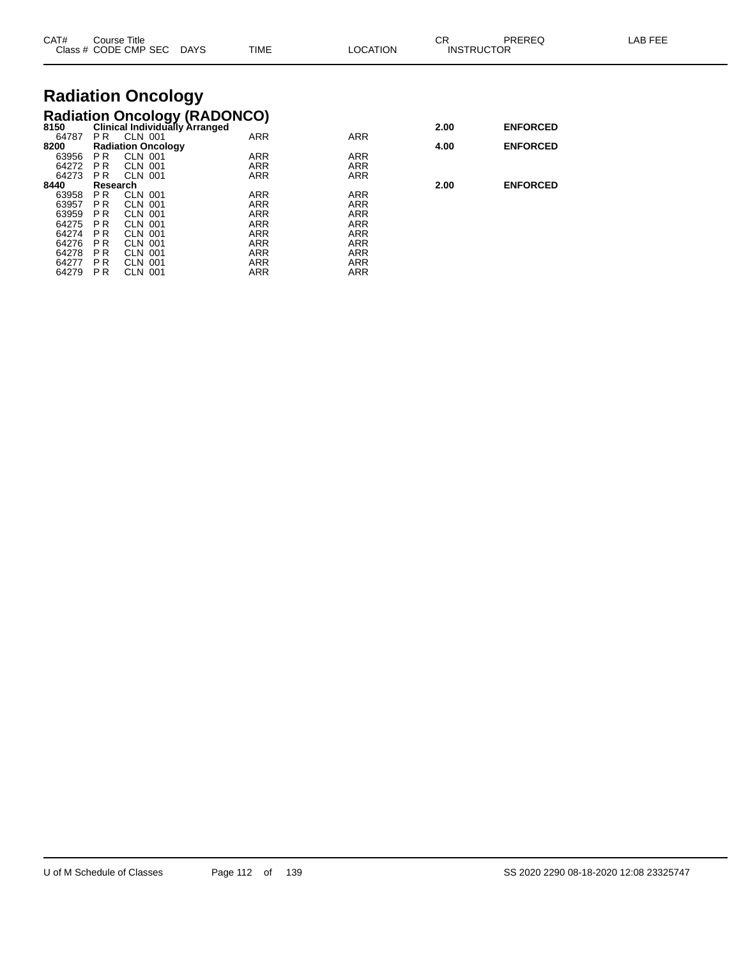| CAT#          |                | Course Title<br>Class # CODE CMP SEC DAYS        | <b>TIME</b> | LOCATION   | СR   | <b>PREREQ</b><br><b>INSTRUCTOR</b> | LAB FEE |
|---------------|----------------|--------------------------------------------------|-------------|------------|------|------------------------------------|---------|
|               |                | <b>Radiation Oncology</b>                        |             |            |      |                                    |         |
|               |                | <b>Radiation Oncology (RADONCO)</b>              |             |            |      |                                    |         |
| 8150          | PR.            | <b>Clinical Individually Arranged</b><br>CLN 001 | <b>ARR</b>  | <b>ARR</b> | 2.00 | <b>ENFORCED</b>                    |         |
| 64787<br>8200 |                | <b>Radiation Oncology</b>                        |             |            | 4.00 | <b>ENFORCED</b>                    |         |
| 63956         | PR.            | CLN 001                                          | <b>ARR</b>  | <b>ARR</b> |      |                                    |         |
| 64272         | PR.            | <b>CLN 001</b>                                   | ARR         | ARR        |      |                                    |         |
| 64273         | PR.            | CLN 001                                          | ARR         | ARR        |      |                                    |         |
| 8440          | Research       |                                                  |             |            | 2.00 | <b>ENFORCED</b>                    |         |
| 63958         | PR.            | CLN 001                                          | ARR         | ARR        |      |                                    |         |
| 63957         | P <sub>R</sub> | <b>CLN 001</b>                                   | <b>ARR</b>  | <b>ARR</b> |      |                                    |         |
| 63959         | PR.            | <b>CLN 001</b>                                   | <b>ARR</b>  | <b>ARR</b> |      |                                    |         |
| 64275         | <b>PR</b>      | <b>CLN 001</b>                                   | ARR         | ARR        |      |                                    |         |
| 64274         | <b>PR</b>      | <b>CLN 001</b>                                   | ARR         | ARR        |      |                                    |         |
| 64276         | <b>PR</b>      | <b>CLN 001</b>                                   | <b>ARR</b>  | <b>ARR</b> |      |                                    |         |
| 64278         | P <sub>R</sub> | CLN 001                                          | ARR         | ARR        |      |                                    |         |
| 64277         | <b>PR</b>      | <b>CLN 001</b>                                   | <b>ARR</b>  | ARR        |      |                                    |         |
| 64279         | P <sub>R</sub> | <b>CLN 001</b>                                   | <b>ARR</b>  | <b>ARR</b> |      |                                    |         |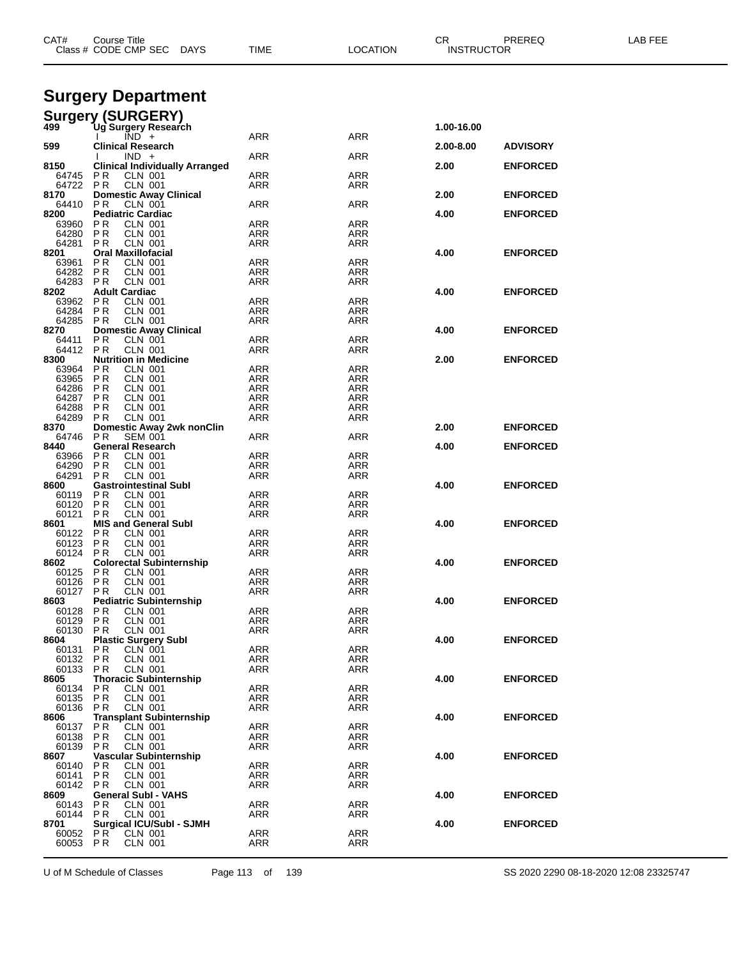| CAT#              | Course Title<br>Class # CODE CMP SEC DAYS                            | <b>TIME</b>              | <b>LOCATION</b>   | CR<br><b>INSTRUCTOR</b> | PREREQ          | LAB FEE |
|-------------------|----------------------------------------------------------------------|--------------------------|-------------------|-------------------------|-----------------|---------|
|                   |                                                                      |                          |                   |                         |                 |         |
|                   |                                                                      |                          |                   |                         |                 |         |
|                   | <b>Surgery Department</b>                                            |                          |                   |                         |                 |         |
|                   | <b>Surgery (SURGERY)</b>                                             |                          |                   |                         |                 |         |
| 499               | Ug`Surgery Research<br>$IND +$                                       | ARR                      | ARR               | 1.00-16.00              |                 |         |
| 599               | <b>Clinical Research</b>                                             |                          |                   | 2.00-8.00               | <b>ADVISORY</b> |         |
| 8150              | $IND +$<br><b>Clinical Individually Arranged</b>                     | ARR                      | ARR               | 2.00                    | <b>ENFORCED</b> |         |
| 64745             | P R<br><b>CLN 001</b>                                                | <b>ARR</b>               | ARR               |                         |                 |         |
| 64722<br>8170     | <b>PR</b><br><b>CLN 001</b><br><b>Domestic Away Clinical</b>         | ARR                      | ARR               | 2.00                    | <b>ENFORCED</b> |         |
| 64410             | P R<br>CLN 001                                                       | <b>ARR</b>               | <b>ARR</b>        |                         |                 |         |
| 8200<br>63960 PR  | <b>Pediatric Cardiac</b><br><b>CLN 001</b>                           | <b>ARR</b>               | ARR               | 4.00                    | <b>ENFORCED</b> |         |
| 64280             | <b>PR</b><br><b>CLN 001</b>                                          | <b>ARR</b>               | ARR               |                         |                 |         |
| 64281<br>8201     | <b>CLN 001</b><br>P R<br><b>Oral Maxillofacial</b>                   | ARR                      | ARR               | 4.00                    | <b>ENFORCED</b> |         |
| 63961             | P R<br><b>CLN 001</b>                                                | <b>ARR</b>               | <b>ARR</b>        |                         |                 |         |
| 64282<br>64283    | CLN 001<br><b>PR</b><br><b>PR</b><br><b>CLN 001</b>                  | ARR<br>ARR               | ARR<br>ARR        |                         |                 |         |
| 8202              | <b>Adult Cardiac</b>                                                 |                          |                   | 4.00                    | <b>ENFORCED</b> |         |
| 63962<br>64284    | <b>PR</b><br>CLN 001<br><b>PR</b><br><b>CLN 001</b>                  | <b>ARR</b><br>ARR        | <b>ARR</b><br>ARR |                         |                 |         |
| 64285             | P R<br>CLN 001                                                       | <b>ARR</b>               | ARR               |                         |                 |         |
| 8270              | <b>Domestic Away Clinical</b><br><b>PR</b><br>CLN 001                | <b>ARR</b>               | ARR               | 4.00                    | <b>ENFORCED</b> |         |
| 64411<br>64412    | PR<br><b>CLN 001</b>                                                 | <b>ARR</b>               | ARR               |                         |                 |         |
| 8300              | <b>Nutrition in Medicine</b>                                         |                          |                   | 2.00                    | <b>ENFORCED</b> |         |
| 63964<br>63965    | P R<br>CLN 001<br>P R<br><b>CLN 001</b>                              | <b>ARR</b><br><b>ARR</b> | <b>ARR</b><br>ARR |                         |                 |         |
| 64286             | <b>CLN 001</b><br>P R                                                | <b>ARR</b>               | ARR               |                         |                 |         |
| 64287<br>64288    | <b>PR</b><br><b>CLN 001</b><br><b>PR</b><br><b>CLN 001</b>           | <b>ARR</b><br><b>ARR</b> | <b>ARR</b><br>ARR |                         |                 |         |
| 64289             | <b>CLN 001</b><br>P R                                                | ARR                      | ARR               |                         |                 |         |
| 8370<br>64746     | <b>Domestic Away 2wk nonClin</b><br>P <sub>R</sub><br><b>SEM 001</b> | <b>ARR</b>               | <b>ARR</b>        | 2.00                    | <b>ENFORCED</b> |         |
| 8440              | <b>General Research</b>                                              |                          |                   | 4.00                    | <b>ENFORCED</b> |         |
| 63966             | <b>PR</b><br>CLN 001<br>P R                                          | <b>ARR</b><br><b>ARR</b> | ARR               |                         |                 |         |
| 64290<br>64291    | <b>CLN 001</b><br><b>CLN 001</b><br>P R                              | ARR                      | ARR<br>ARR        |                         |                 |         |
| 8600              | <b>Gastrointestinal Subl</b>                                         |                          |                   | 4.00                    | <b>ENFORCED</b> |         |
| 60119<br>60120    | P R<br><b>CLN 001</b><br><b>PR</b><br><b>CLN 001</b>                 | <b>ARR</b><br>ARR        | <b>ARR</b><br>ARR |                         |                 |         |
| 60121             | <b>CLN 001</b><br>P R                                                | ARR                      | ARR               |                         |                 |         |
| 8601<br>60122     | <b>MIS and General Subl</b><br>P R<br>CLN 001                        | <b>ARR</b>               | <b>ARR</b>        | 4.00                    | <b>ENFORCED</b> |         |
| 60123             | PR<br><b>CLN 001</b>                                                 | <b>ARR</b>               | <b>ARR</b>        |                         |                 |         |
| 60124<br>8602     | P R<br><b>CLN 001</b><br><b>Colorectal Subinternship</b>             | ARR                      | ARR               | 4.00                    | <b>ENFORCED</b> |         |
| 60125             | P R<br>CLN 001                                                       | <b>ARR</b>               | ARR               |                         |                 |         |
| 60126<br>60127    | PR.<br>CLN 001<br>P R<br><b>CLN 001</b>                              | ARR<br>ARR               | ARR<br>ARR        |                         |                 |         |
| 8603              | <b>Pediatric Subinternship</b>                                       |                          |                   | 4.00                    | <b>ENFORCED</b> |         |
| 60128<br>60129    | P <sub>R</sub><br><b>CLN 001</b><br><b>CLN 001</b><br>P <sub>R</sub> | <b>ARR</b><br>ARR        | <b>ARR</b><br>ARR |                         |                 |         |
| 60130             | <b>PR</b><br><b>CLN 001</b>                                          | ARR                      | ARR               |                         |                 |         |
| 8604              | <b>Plastic Surgery Subl</b><br><b>PR</b><br>CLN 001                  | ARR                      | ARR               | 4.00                    | <b>ENFORCED</b> |         |
| 60131<br>60132    | <b>PR</b><br><b>CLN 001</b>                                          | ARR                      | ARR               |                         |                 |         |
| 60133             | <b>PR</b><br><b>CLN 001</b>                                          | <b>ARR</b>               | ARR               |                         |                 |         |
| 8605<br>60134     | <b>Thoracic Subinternship</b><br>PR.<br><b>CLN 001</b>               | ARR                      | ARR               | 4.00                    | <b>ENFORCED</b> |         |
| 60135             | <b>PR</b><br><b>CLN 001</b>                                          | ARR                      | ARR               |                         |                 |         |
| 60136<br>8606     | <b>CLN 001</b><br>P R<br><b>Transplant Subinternship</b>             | ARR                      | ARR               | 4.00                    | <b>ENFORCED</b> |         |
| 60137             | P R<br>CLN 001                                                       | <b>ARR</b>               | ARR               |                         |                 |         |
| 60138<br>60139    | P <sub>R</sub><br><b>CLN 001</b><br><b>CLN 001</b><br>P R            | ARR<br>ARR               | ARR<br>ARR        |                         |                 |         |
| 8607              | Vascular Subinternship                                               |                          |                   | 4.00                    | <b>ENFORCED</b> |         |
| 60140<br>60141    | <b>PR</b><br>CLN 001<br>P <sub>R</sub><br><b>CLN 001</b>             | <b>ARR</b><br>ARR        | ARR<br>ARR        |                         |                 |         |
| 60142 PR          | <b>CLN 001</b>                                                       | ARR                      | ARR               |                         |                 |         |
| 8609<br>60143     | <b>General Subl - VAHS</b><br>PR.<br><b>CLN 001</b>                  | ARR                      | ARR               | 4.00                    | <b>ENFORCED</b> |         |
| 60144             | <b>PR</b><br><b>CLN 001</b>                                          | <b>ARR</b>               | ARR               |                         |                 |         |
| 8701              | <b>Surgical ICU/SubI - SJMH</b>                                      |                          |                   | 4.00                    | <b>ENFORCED</b> |         |
| 60052<br>60053 PR | $PR^{\dagger}$<br><b>CLN 001</b><br><b>CLN 001</b>                   | ARR<br>ARR               | ARR<br>ARR        |                         |                 |         |
|                   |                                                                      |                          |                   |                         |                 |         |

U of M Schedule of Classes Page 113 of 139 SS 2020 2290 08-18-2020 12:08 23325747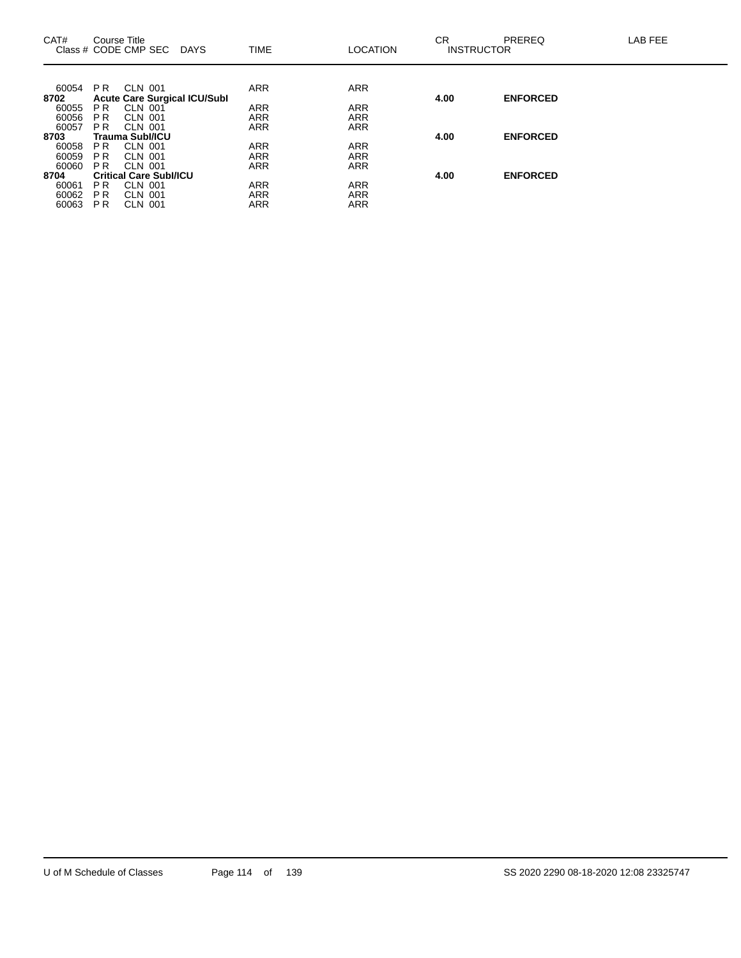| CAT#          | Course Title   | Class # CODE CMP SEC<br>DAYS        | <b>TIME</b> | <b>LOCATION</b> | <b>CR</b> | <b>PREREQ</b><br><b>INSTRUCTOR</b> | LAB FEE |
|---------------|----------------|-------------------------------------|-------------|-----------------|-----------|------------------------------------|---------|
|               |                |                                     |             |                 |           |                                    |         |
| 60054         | P <sub>R</sub> | CLN 001                             | <b>ARR</b>  | <b>ARR</b>      | 4.00      | <b>ENFORCED</b>                    |         |
| 8702<br>60055 | P <sub>R</sub> | <b>Acute Care Surgical ICU/Subl</b> | ARR         | <b>ARR</b>      |           |                                    |         |
|               |                | CLN 001                             |             |                 |           |                                    |         |
| 60056         | P R            | CLN 001                             | ARR         | <b>ARR</b>      |           |                                    |         |
| 60057         | PR.            | CLN 001                             | ARR         | <b>ARR</b>      |           |                                    |         |
| 8703          |                | <b>Trauma Subl/ICU</b>              |             |                 | 4.00      | <b>ENFORCED</b>                    |         |
| 60058         | P R            | CLN 001                             | <b>ARR</b>  | <b>ARR</b>      |           |                                    |         |
| 60059         | P R            | CLN 001                             | ARR         | <b>ARR</b>      |           |                                    |         |
| 60060         | PR.            | CLN 001                             | ARR         | <b>ARR</b>      |           |                                    |         |
| 8704          |                | <b>Critical Care Subl/ICU</b>       |             |                 | 4.00      | <b>ENFORCED</b>                    |         |
| 60061         | P <sub>R</sub> | <b>CLN 001</b>                      | <b>ARR</b>  | <b>ARR</b>      |           |                                    |         |
|               |                |                                     |             |                 |           |                                    |         |
| 60062         | <b>PR</b>      | CLN 001                             | ARR         | <b>ARR</b>      |           |                                    |         |
| 60063         | <b>PR</b>      | <b>CLN 001</b>                      | ARR         | <b>ARR</b>      |           |                                    |         |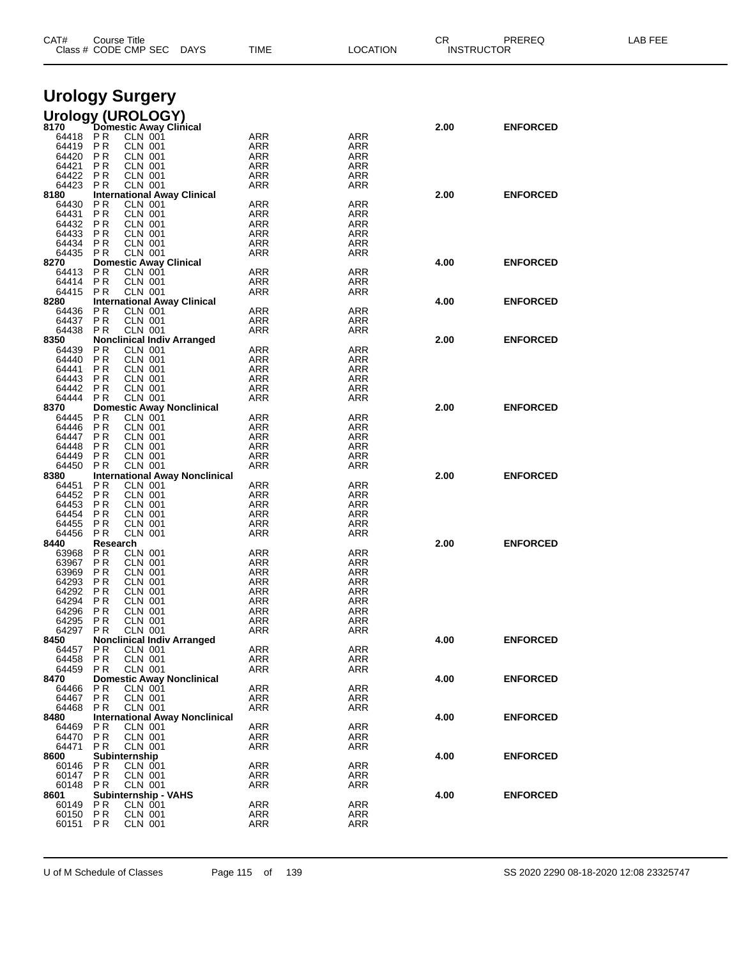| CAT#              | Course Title<br>Class # CODE CMP SEC                                 | DAYS | TIME                     | LOCATION                 | СR   | PREREQ<br><b>INSTRUCTOR</b> | LAB FEE |
|-------------------|----------------------------------------------------------------------|------|--------------------------|--------------------------|------|-----------------------------|---------|
|                   | <b>Urology Surgery</b>                                               |      |                          |                          |      |                             |         |
|                   |                                                                      |      |                          |                          |      |                             |         |
|                   | Urology (UROLOGY)<br>8170 Domestic Away Clinical                     |      |                          |                          | 2.00 | <b>ENFORCED</b>             |         |
| 64418 PR          | CLN 001                                                              |      | ARR                      | ARR                      |      |                             |         |
| 64419<br>64420    | PR<br><b>CLN 001</b><br><b>CLN 001</b><br>PR                         |      | ARR<br>ARR               | ARR<br>ARR               |      |                             |         |
| 64421             | PR<br><b>CLN 001</b>                                                 |      | ARR                      | ARR                      |      |                             |         |
| 64422             | P <sub>R</sub><br><b>CLN 001</b>                                     |      | <b>ARR</b>               | ARR                      |      |                             |         |
| 64423<br>8180     | <b>CLN 001</b><br>P R<br><b>International Away Clinical</b>          |      | ARR                      | ARR                      | 2.00 | <b>ENFORCED</b>             |         |
| 64430             | P R<br><b>CLN 001</b>                                                |      | <b>ARR</b>               | <b>ARR</b>               |      |                             |         |
| 64431             | P <sub>R</sub><br><b>CLN 001</b>                                     |      | ARR                      | ARR                      |      |                             |         |
| 64432<br>64433    | <b>PR</b><br><b>CLN 001</b><br>P <sub>R</sub><br><b>CLN 001</b>      |      | <b>ARR</b><br><b>ARR</b> | <b>ARR</b><br><b>ARR</b> |      |                             |         |
| 64434             | <b>PR</b><br><b>CLN 001</b>                                          |      | ARR                      | ARR                      |      |                             |         |
| 64435             | PR<br>CLN 001                                                        |      | ARR                      | ARR                      |      |                             |         |
| 8270<br>64413     | <b>Domestic Away Clinical</b><br>P R<br><b>CLN 001</b>               |      | <b>ARR</b>               | ARR                      | 4.00 | <b>ENFORCED</b>             |         |
| 64414             | <b>PR</b><br><b>CLN 001</b>                                          |      | <b>ARR</b>               | ARR                      |      |                             |         |
| 64415             | P R<br><b>CLN 001</b>                                                |      | ARR                      | ARR                      |      |                             |         |
| 8280<br>64436     | <b>International Away Clinical</b><br>P R<br>CLN 001                 |      | <b>ARR</b>               | ARR                      | 4.00 | <b>ENFORCED</b>             |         |
| 64437             | P <sub>R</sub><br><b>CLN 001</b>                                     |      | <b>ARR</b>               | ARR                      |      |                             |         |
| 64438<br>8350     | <b>CLN 001</b><br>P R<br><b>Nonclinical Indiv Arranged</b>           |      | ARR                      | ARR                      | 2.00 | <b>ENFORCED</b>             |         |
| 64439             | P R<br><b>CLN 001</b>                                                |      | <b>ARR</b>               | <b>ARR</b>               |      |                             |         |
| 64440             | <b>PR</b><br><b>CLN 001</b>                                          |      | ARR                      | ARR                      |      |                             |         |
| 64441<br>64443    | <b>PR</b><br><b>CLN 001</b><br>P <sub>R</sub><br><b>CLN 001</b>      |      | <b>ARR</b><br><b>ARR</b> | <b>ARR</b><br><b>ARR</b> |      |                             |         |
| 64442             | <b>CLN 001</b><br>P R                                                |      | ARR                      | ARR                      |      |                             |         |
| 64444             | <b>PR</b><br><b>CLN 001</b>                                          |      | ARR                      | ARR                      |      |                             |         |
| 8370<br>64445     | <b>Domestic Away Nonclinical</b><br>P R<br><b>CLN 001</b>            |      | ARR                      | ARR                      | 2.00 | <b>ENFORCED</b>             |         |
| 64446             | <b>PR</b><br><b>CLN 001</b>                                          |      | <b>ARR</b>               | ARR                      |      |                             |         |
| 64447             | P <sub>R</sub><br><b>CLN 001</b>                                     |      | <b>ARR</b>               | ARR                      |      |                             |         |
| 64448<br>64449    | <b>CLN 001</b><br>P R<br><b>PR</b><br><b>CLN 001</b>                 |      | ARR<br>ARR               | ARR<br>ARR               |      |                             |         |
| 64450             | <b>PR</b><br><b>CLN 001</b>                                          |      | <b>ARR</b>               | ARR                      |      |                             |         |
| 8380              | <b>International Away Nonclinical</b>                                |      |                          |                          | 2.00 | <b>ENFORCED</b>             |         |
| 64451<br>64452    | P R<br>CLN 001<br><b>PR</b><br><b>CLN 001</b>                        |      | <b>ARR</b><br><b>ARR</b> | ARR<br>ARR               |      |                             |         |
| 64453             | <b>CLN 001</b><br>P R                                                |      | ARR                      | ARR                      |      |                             |         |
| 64454             | P R<br><b>CLN 001</b>                                                |      | <b>ARR</b>               | <b>ARR</b>               |      |                             |         |
| 64455<br>64456    | P R<br><b>CLN 001</b><br><b>CLN 001</b><br>P R                       |      | <b>ARR</b><br>ARR        | ARR<br>ARR               |      |                             |         |
| 8440              | Research                                                             |      |                          |                          | 2.00 | <b>ENFORCED</b>             |         |
| 63968             | P R<br><b>CLN 001</b>                                                |      | <b>ARR</b>               | <b>ARR</b>               |      |                             |         |
| 63967<br>63969    | P R<br><b>CLN 001</b><br>P R<br>CLN 001                              |      | ARR<br>ARR               | ARR<br>ARR               |      |                             |         |
| 64293             | P R<br><b>CLN 001</b>                                                |      | ARR                      | ARR                      |      |                             |         |
| 64292<br>64294    | P R<br><b>CLN 001</b><br>PR<br><b>CLN 001</b>                        |      | ARR<br><b>ARR</b>        | ARR                      |      |                             |         |
| 64296             | P R<br><b>CLN 001</b>                                                |      | <b>ARR</b>               | ARR<br><b>ARR</b>        |      |                             |         |
| 64295             | <b>PR</b><br><b>CLN 001</b>                                          |      | ARR                      | ARR                      |      |                             |         |
| 64297<br>8450     | PR<br><b>CLN 001</b><br><b>Nonclinical Indiv Arranged</b>            |      | ARR                      | ARR                      | 4.00 | <b>ENFORCED</b>             |         |
| 64457             | <b>PR</b><br><b>CLN 001</b>                                          |      | <b>ARR</b>               | ARR                      |      |                             |         |
| 64458             | PR<br><b>CLN 001</b>                                                 |      | <b>ARR</b>               | ARR                      |      |                             |         |
| 64459<br>8470     | <b>PR</b><br>CLN 001<br><b>Domestic Away Nonclinical</b>             |      | <b>ARR</b>               | ARR                      | 4.00 | <b>ENFORCED</b>             |         |
| 64466             | <b>PR</b><br>CLN 001                                                 |      | <b>ARR</b>               | ARR                      |      |                             |         |
| 64467             | P <sub>R</sub><br><b>CLN 001</b>                                     |      | <b>ARR</b>               | ARR                      |      |                             |         |
| 64468<br>8480     | <b>PR</b><br><b>CLN 001</b><br><b>International Away Nonclinical</b> |      | ARR                      | ARR                      | 4.00 | <b>ENFORCED</b>             |         |
| 64469             | P R<br><b>CLN 001</b>                                                |      | ARR                      | <b>ARR</b>               |      |                             |         |
| 64470             | <b>PR</b><br><b>CLN 001</b>                                          |      | ARR                      | ARR                      |      |                             |         |
| 64471<br>8600     | <b>PR</b><br>CLN 001<br>Subinternship                                |      | <b>ARR</b>               | ARR                      | 4.00 | <b>ENFORCED</b>             |         |
| 60146             | P R<br><b>CLN 001</b>                                                |      | <b>ARR</b>               | ARR                      |      |                             |         |
| 60147             | <b>PR</b><br><b>CLN 001</b>                                          |      | ARR                      | ARR                      |      |                             |         |
| 60148 PR<br>8601  | <b>CLN 001</b><br>Subinternship - VAHS                               |      | <b>ARR</b>               | ARR                      | 4.00 | <b>ENFORCED</b>             |         |
| 60149             | P R<br>CLN 001                                                       |      | <b>ARR</b>               | ARR                      |      |                             |         |
| 60150<br>60151 PR | PR<br><b>CLN 001</b><br><b>CLN 001</b>                               |      | <b>ARR</b>               | ARR                      |      |                             |         |
|                   |                                                                      |      | ARR                      | ARR                      |      |                             |         |

U of M Schedule of Classes Page 115 of 139 SS 2020 2290 08-18-2020 12:08 23325747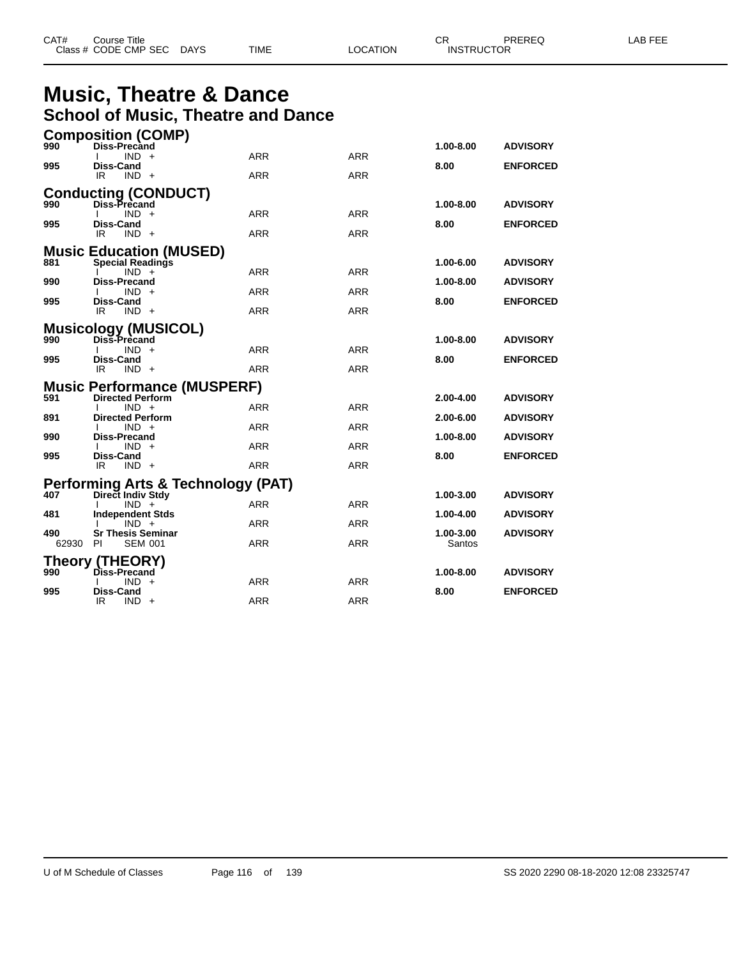| CAT# | Title<br>Course      |      |      |          | ⌒冖<br>- UN        | PREREQ | . EEF<br>A <sub>R</sub> |
|------|----------------------|------|------|----------|-------------------|--------|-------------------------|
|      | Class # CODE CMP SEC | DAYS | TIME | LOCATION | <b>INSTRUCTOR</b> |        |                         |

### **Music, Theatre & Dance School of Music, Theatre and Dance**

|              | <b>Composition (COMP)</b>                               |                                               |            |            |                     |                 |
|--------------|---------------------------------------------------------|-----------------------------------------------|------------|------------|---------------------|-----------------|
| 990          | Diss-Precand                                            |                                               | <b>ARR</b> | <b>ARR</b> | 1.00-8.00           | <b>ADVISORY</b> |
| 995          | $IND +$<br>Diss-Cand                                    |                                               |            |            | 8.00                | <b>ENFORCED</b> |
|              | IR<br>$IND +$                                           |                                               | <b>ARR</b> | <b>ARR</b> |                     |                 |
|              |                                                         | <b>Conducting (CONDUCT)</b>                   |            |            |                     |                 |
| 990          | Diss-Precand                                            |                                               |            |            | $1.00 - 8.00$       | <b>ADVISORY</b> |
| 995          | $IND +$<br>Diss-Cand                                    |                                               | <b>ARR</b> | <b>ARR</b> | 8.00                | <b>ENFORCED</b> |
|              | IR<br>$IND +$                                           |                                               | <b>ARR</b> | <b>ARR</b> |                     |                 |
|              |                                                         | <b>Music Education (MUSED)</b>                |            |            |                     |                 |
| 881          | <b>Special Readings</b>                                 |                                               |            |            | 1.00-6.00           | <b>ADVISORY</b> |
| 990          | $IND +$<br>Diss-Precand                                 |                                               | <b>ARR</b> | <b>ARR</b> | 1.00-8.00           | <b>ADVISORY</b> |
|              | $IND +$                                                 |                                               | ARR        | ARR        |                     |                 |
| 995          | Diss-Cand<br>IR<br>$IND +$                              |                                               | <b>ARR</b> | ARR        | 8.00                | <b>ENFORCED</b> |
|              |                                                         |                                               |            |            |                     |                 |
| 990          | Diss-Precand                                            | <b>Musicology (MUSICOL)</b>                   |            |            | 1.00-8.00           | <b>ADVISORY</b> |
|              | $IND +$                                                 |                                               | <b>ARR</b> | <b>ARR</b> |                     |                 |
| 995          | Diss-Cand<br>IR.<br>$IND +$                             |                                               | <b>ARR</b> | <b>ARR</b> | 8.00                | <b>ENFORCED</b> |
|              |                                                         |                                               |            |            |                     |                 |
| 591          | <b>Directed Perform</b>                                 | <b>Music Performance (MUSPERF)</b>            |            |            | 2.00-4.00           | <b>ADVISORY</b> |
|              | $IND +$                                                 |                                               | <b>ARR</b> | <b>ARR</b> |                     |                 |
| 891          | <b>Directed Perform</b><br>$IND +$                      |                                               | <b>ARR</b> | <b>ARR</b> | 2.00-6.00           | <b>ADVISORY</b> |
| 990          | Diss-Precand                                            |                                               |            |            | 1.00-8.00           | <b>ADVISORY</b> |
| 995          | $IND +$<br>Diss-Cand                                    |                                               | <b>ARR</b> | <b>ARR</b> | 8.00                | <b>ENFORCED</b> |
|              | IR<br>$IND +$                                           |                                               | <b>ARR</b> | <b>ARR</b> |                     |                 |
|              |                                                         | <b>Performing Arts &amp; Technology (PAT)</b> |            |            |                     |                 |
| 407          | Direct Indiv Stdy                                       |                                               |            |            | 1.00-3.00           | <b>ADVISORY</b> |
| 481          | $IND +$<br><b>Independent Stds</b>                      |                                               | <b>ARR</b> | <b>ARR</b> | 1.00-4.00           | <b>ADVISORY</b> |
|              | $IND +$                                                 |                                               | <b>ARR</b> | ARR        |                     |                 |
| 490<br>62930 | <b>Sr Thesis Seminar</b><br><b>PI</b><br><b>SEM 001</b> |                                               | <b>ARR</b> | <b>ARR</b> | 1.00-3.00<br>Santos | <b>ADVISORY</b> |
|              |                                                         |                                               |            |            |                     |                 |
| 990          | <b>Theory (THEORY)</b><br>Diss-Precand                  |                                               |            |            | 1.00-8.00           | <b>ADVISORY</b> |
|              | $IND +$                                                 |                                               | ARR        | ARR        |                     |                 |
| 995          | <b>Diss-Cand</b><br>IR<br>IND.                          | $+$                                           | <b>ARR</b> | <b>ARR</b> | 8.00                | <b>ENFORCED</b> |
|              |                                                         |                                               |            |            |                     |                 |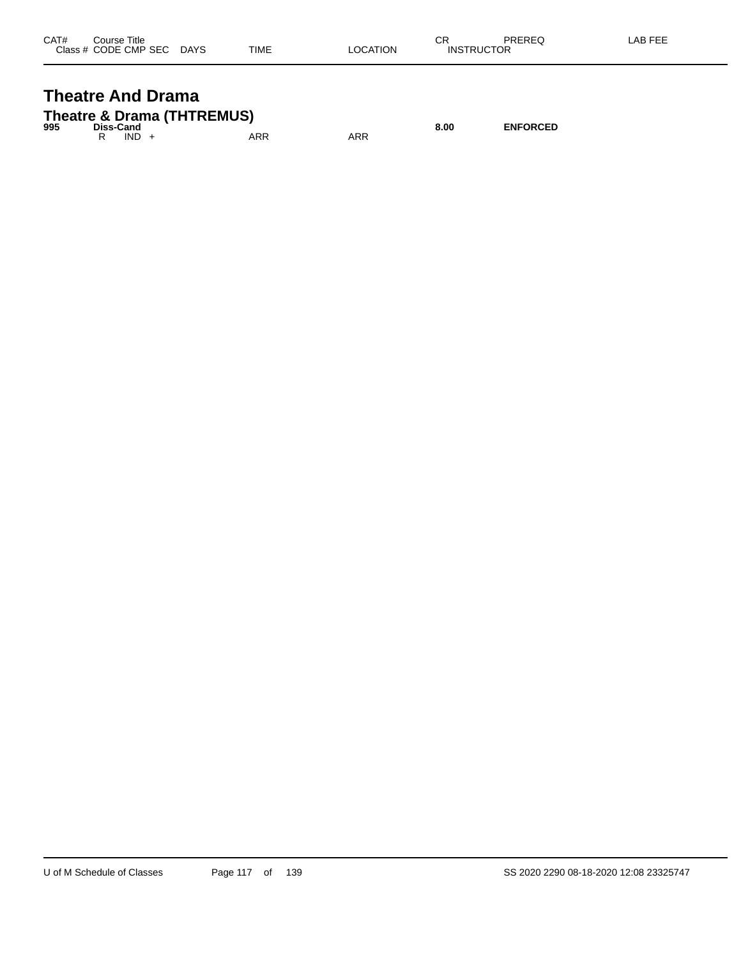| CAT# | Title<br>Course      |             |             |          | СR                | PREREQ | _AB FEE |
|------|----------------------|-------------|-------------|----------|-------------------|--------|---------|
|      | Class # CODE CMP SEC | <b>DAYS</b> | <b>TIME</b> | _OCATION | <b>INSTRUCTOR</b> |        |         |

#### **Theatre And Drama Theatre & Drama (THTREMUS)**

| $\mathbf{H}$ is call $\mathbf{G}$ of $\mathbf{D}$ and $\mathbf{H}$ is the set of $\mathbf{H}$<br>995<br>Diss-Cand |  |         |     |     | 8.00 | <b>ENFORCED</b> |
|-------------------------------------------------------------------------------------------------------------------|--|---------|-----|-----|------|-----------------|
|                                                                                                                   |  | $IND +$ | ARR | ARR |      |                 |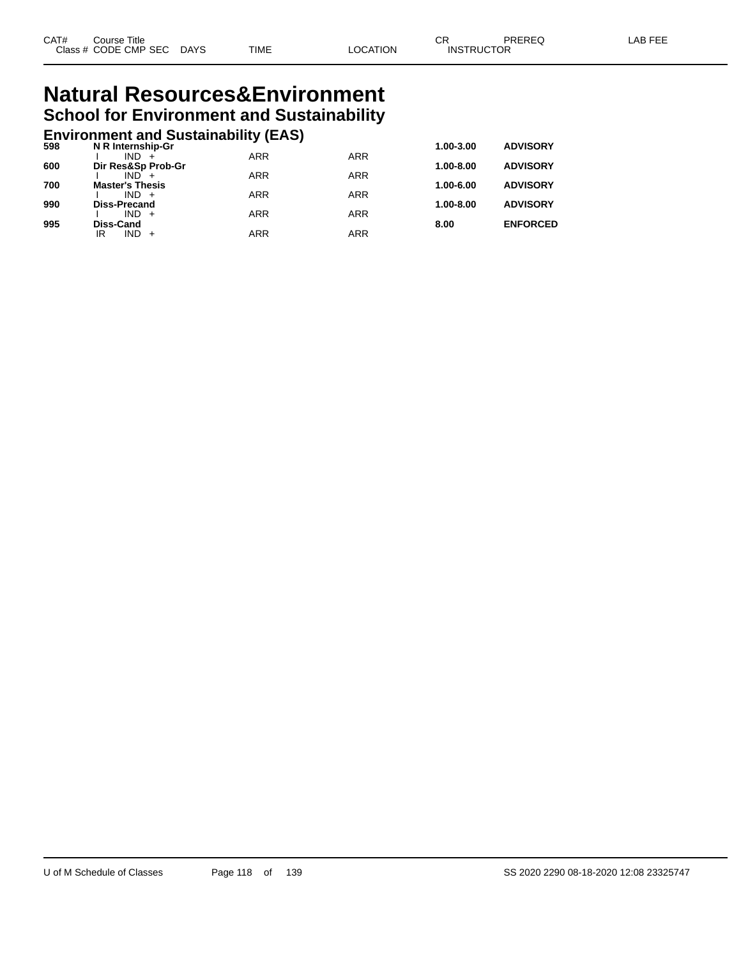### **Natural Resources&Environment School for Environment and Sustainability**

### **Environment and Sustainability (EAS) 598 N R Internship-Gr 1.00-3.00 ADVISORY**

| 598 | N R Internship-Gr             |            |            | 1.00-3.00     | <b>ADVISORY</b> |
|-----|-------------------------------|------------|------------|---------------|-----------------|
| 600 | $IND +$<br>Dir Res&Sp Prob-Gr | <b>ARR</b> | <b>ARR</b> | $1.00 - 8.00$ | <b>ADVISORY</b> |
|     | $IND +$                       | <b>ARR</b> | <b>ARR</b> |               |                 |
| 700 | <b>Master's Thesis</b>        |            |            | 1.00-6.00     | <b>ADVISORY</b> |
|     | $IND +$                       | <b>ARR</b> | <b>ARR</b> |               |                 |
| 990 | <b>Diss-Precand</b>           |            |            | $1.00 - 8.00$ | <b>ADVISORY</b> |
|     | $IND +$                       | <b>ARR</b> | <b>ARR</b> |               |                 |
| 995 | <b>Diss-Cand</b>              |            |            | 8.00          | <b>ENFORCED</b> |
|     | IR<br>$IND +$                 | <b>ARR</b> | <b>ARR</b> |               |                 |
|     |                               |            |            |               |                 |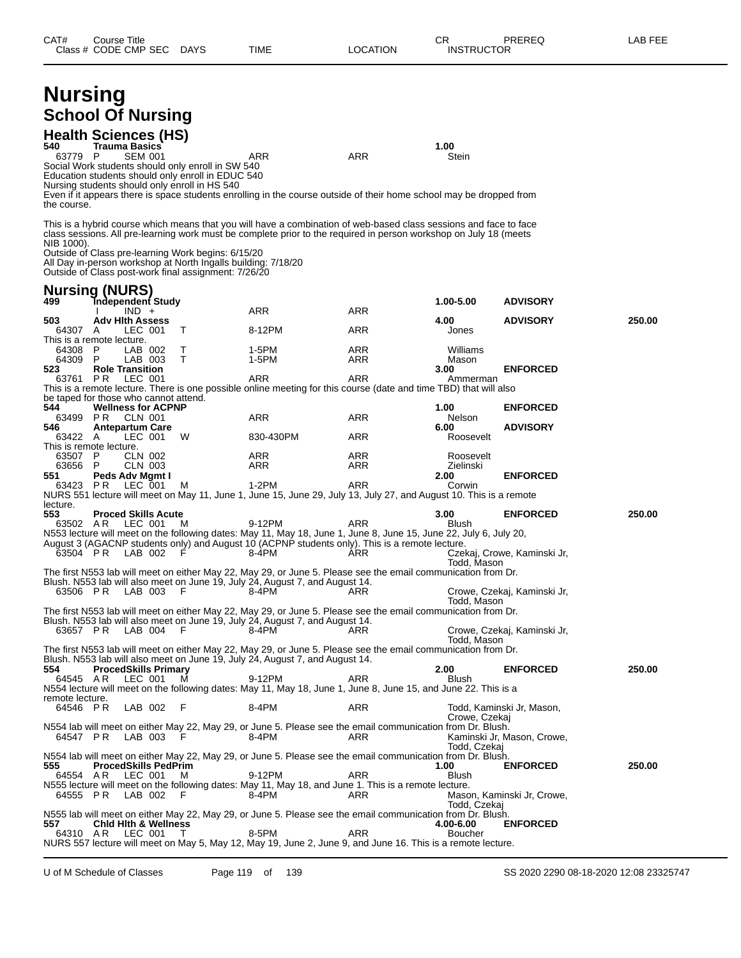| <b>Nursing</b><br>540<br>63779 P<br>the course. | <b>School Of Nursing</b><br><b>Health Sciences (HS)</b><br><b>Trauma Basics</b><br><b>SEM 001</b><br>Social Work students should only enroll in SW 540<br>Education students should only enroll in EDUC 540<br>Nursing students should only enroll in HS 540 |        | ARR<br>Even if it appears there is space students enrolling in the course outside of their home school may be dropped from                                                                                                             | ARR        | 1.00<br>Stein               |                             |        |
|-------------------------------------------------|--------------------------------------------------------------------------------------------------------------------------------------------------------------------------------------------------------------------------------------------------------------|--------|----------------------------------------------------------------------------------------------------------------------------------------------------------------------------------------------------------------------------------------|------------|-----------------------------|-----------------------------|--------|
| NIB 1000).                                      | Outside of Class pre-learning Work begins: 6/15/20<br>All Day in-person workshop at North Ingalls building: 7/18/20<br>Outside of Class post-work final assignment: 7/26/20<br><b>Nursing (NURS)</b>                                                         |        | This is a hybrid course which means that you will have a combination of web-based class sessions and face to face<br>class sessions. All pre-learning work must be complete prior to the required in person workshop on July 18 (meets |            |                             |                             |        |
| 499                                             | <b>Independent Study</b>                                                                                                                                                                                                                                     |        |                                                                                                                                                                                                                                        |            | 1.00-5.00                   | <b>ADVISORY</b>             |        |
| 503                                             | $IND +$<br><b>Adv Hith Assess</b>                                                                                                                                                                                                                            |        | ARR                                                                                                                                                                                                                                    | ARR        | 4.00                        | <b>ADVISORY</b>             | 250.00 |
| 64307 A                                         | LEC 001<br>This is a remote lecture.                                                                                                                                                                                                                         | T      | 8-12PM                                                                                                                                                                                                                                 | ARR        | Jones                       |                             |        |
| 64308                                           | P<br>LAB 002                                                                                                                                                                                                                                                 | Т      | 1-5PM                                                                                                                                                                                                                                  | ARR        | Williams                    |                             |        |
| 64309 P<br>523                                  | LAB 003<br><b>Role Transition</b>                                                                                                                                                                                                                            | T      | 1-5PM                                                                                                                                                                                                                                  | ARR        | Mason<br>3.00               | <b>ENFORCED</b>             |        |
| 63761 PR                                        | LEC 001                                                                                                                                                                                                                                                      |        | <b>ARR</b><br>This is a remote lecture. There is one possible online meeting for this course (date and time TBD) that will also                                                                                                        | ARR        | Ammerman                    |                             |        |
|                                                 | be taped for those who cannot attend.                                                                                                                                                                                                                        |        |                                                                                                                                                                                                                                        |            |                             |                             |        |
| 544                                             | <b>Wellness for ACPNP</b><br>63499 PR CLN 001                                                                                                                                                                                                                |        | ARR                                                                                                                                                                                                                                    | ARR        | 1.00<br>Nelson              | <b>ENFORCED</b>             |        |
| 546                                             | <b>Antepartum Care</b>                                                                                                                                                                                                                                       |        |                                                                                                                                                                                                                                        |            | 6.00                        | <b>ADVISORY</b>             |        |
| 63422 A                                         | LEC 001<br>This is remote lecture.                                                                                                                                                                                                                           | W      | 830-430PM                                                                                                                                                                                                                              | ARR        | Roosevelt                   |                             |        |
| 63507 P<br>63656 P                              | CLN 002<br>CLN 003                                                                                                                                                                                                                                           |        | ARR<br>ARR                                                                                                                                                                                                                             | ARR<br>ARR | Roosevelt<br>Zielinski      |                             |        |
| 551                                             | Peds Adv Mgmt I                                                                                                                                                                                                                                              |        |                                                                                                                                                                                                                                        |            | 2.00                        | <b>ENFORCED</b>             |        |
| 63423 PR                                        | LEC 001                                                                                                                                                                                                                                                      | м      | $1-2PM$<br>NURS 551 lecture will meet on May 11, June 1, June 15, June 29, July 13, July 27, and August 10. This is a remote                                                                                                           | ARR        | Corwin                      |                             |        |
| lecture.                                        |                                                                                                                                                                                                                                                              |        |                                                                                                                                                                                                                                        |            |                             |                             |        |
| 553                                             | <b>Proced Skills Acute</b><br>63502 AR LEC 001                                                                                                                                                                                                               | M      | 9-12PM                                                                                                                                                                                                                                 | ARR        | 3.00<br>Blush               | <b>ENFORCED</b>             | 250.00 |
|                                                 |                                                                                                                                                                                                                                                              |        | N553 lecture will meet on the following dates: May 11, May 18, June 1, June 8, June 15, June 22, July 6, July 20,<br>August 3 (AGACNP students only) and August 10 (ACPNP students only). This is a remote lecture.                    |            |                             |                             |        |
|                                                 | 63504 PR LAB 002                                                                                                                                                                                                                                             | E      | 8-4PM                                                                                                                                                                                                                                  | ARR        |                             | Czekaj, Crowe, Kaminski Jr, |        |
|                                                 |                                                                                                                                                                                                                                                              |        | The first N553 lab will meet on either May 22, May 29, or June 5. Please see the email communication from Dr.                                                                                                                          |            | Todd, Mason                 |                             |        |
|                                                 |                                                                                                                                                                                                                                                              |        | Blush. N553 lab will also meet on June 19, July 24, August 7, and August 14.                                                                                                                                                           |            |                             |                             |        |
| 63506 PR                                        | LAB 003                                                                                                                                                                                                                                                      | F      | 8-4PM                                                                                                                                                                                                                                  | ARR        | Todd, Mason                 | Crowe, Czekaj, Kaminski Jr, |        |
|                                                 |                                                                                                                                                                                                                                                              |        | The first N553 lab will meet on either May 22, May 29, or June 5. Please see the email communication from Dr.<br>Blush. N553 lab will also meet on June 19, July 24, August 7, and August 14.                                          |            |                             |                             |        |
| 63657 PR                                        | LAB 004                                                                                                                                                                                                                                                      | - F    | 8-4PM                                                                                                                                                                                                                                  | ARR        |                             | Crowe, Czekaj, Kaminski Jr, |        |
|                                                 |                                                                                                                                                                                                                                                              |        | The first N553 lab will meet on either May 22, May 29, or June 5. Please see the email communication from Dr.                                                                                                                          |            | Todd, Mason                 |                             |        |
|                                                 |                                                                                                                                                                                                                                                              |        | Blush. N553 lab will also meet on June 19, July 24, August 7, and August 14.                                                                                                                                                           |            |                             |                             |        |
| 554<br>64545 AR                                 | <b>ProcedSkills Primary</b><br>LEC 001                                                                                                                                                                                                                       | м      | 9-12PM                                                                                                                                                                                                                                 | ARR        | 2.00<br>Blush               | <b>ENFORCED</b>             | 250.00 |
| remote lecture.                                 |                                                                                                                                                                                                                                                              |        | N554 lecture will meet on the following dates: May 11, May 18, June 1, June 8, June 15, and June 22. This is a                                                                                                                         |            |                             |                             |        |
| 64546 PR                                        | LAB 002                                                                                                                                                                                                                                                      | - F    | 8-4PM                                                                                                                                                                                                                                  | ARR        |                             | Todd, Kaminski Jr, Mason,   |        |
|                                                 |                                                                                                                                                                                                                                                              |        | N554 lab will meet on either May 22, May 29, or June 5. Please see the email communication from Dr. Blush.                                                                                                                             |            | Crowe, Czekaj               |                             |        |
| 64547 PR                                        | LAB 003                                                                                                                                                                                                                                                      | E      | 8-4PM                                                                                                                                                                                                                                  | ARR        |                             | Kaminski Jr, Mason, Crowe,  |        |
|                                                 |                                                                                                                                                                                                                                                              |        | N554 lab will meet on either May 22, May 29, or June 5. Please see the email communication from Dr. Blush.                                                                                                                             |            | Todd, Czekai                |                             |        |
| 555<br>64554 AR                                 | <b>ProcedSkills PedPrim</b><br>LEC 001                                                                                                                                                                                                                       | м      | 9-12PM                                                                                                                                                                                                                                 | ARR        | 1.00<br>Blush               | <b>ENFORCED</b>             | 250.00 |
|                                                 |                                                                                                                                                                                                                                                              |        | N555 lecture will meet on the following dates: May 11, May 18, and June 1. This is a remote lecture.                                                                                                                                   |            |                             |                             |        |
| 64555 PR                                        | LAB 002                                                                                                                                                                                                                                                      |        | 8-4PM                                                                                                                                                                                                                                  | ARR        | Todd, Czekai                | Mason, Kaminski Jr, Crowe,  |        |
|                                                 |                                                                                                                                                                                                                                                              |        | N555 lab will meet on either May 22, May 29, or June 5. Please see the email communication from Dr. Blush.                                                                                                                             |            |                             |                             |        |
| 557<br>64310 AR                                 | <b>Chid Hith &amp; Wellness</b><br>LEC 001                                                                                                                                                                                                                   | $\top$ | 8-5PM                                                                                                                                                                                                                                  | ARR        | 4.00-6.00<br><b>Boucher</b> | <b>ENFORCED</b>             |        |
|                                                 |                                                                                                                                                                                                                                                              |        | NURS 557 lecture will meet on May 5, May 12, May 19, June 2, June 9, and June 16. This is a remote lecture.                                                                                                                            |            |                             |                             |        |

U of M Schedule of Classes Page 119 of 139 SS 2020 2290 08-18-2020 12:08 23325747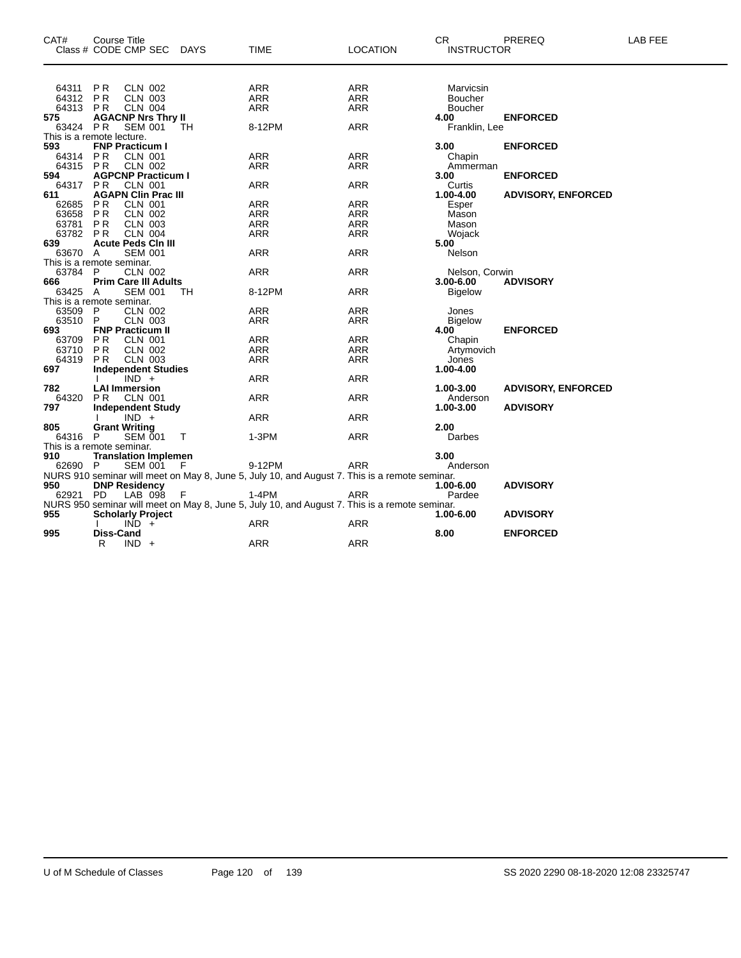| CAT#<br>Class # CODE CMP SEC DAYS | <b>Course Title</b>      |                |                             |        | <b>TIME</b>                                                                                   | <b>LOCATION</b> | CR.<br><b>INSTRUCTOR</b> | PREREQ                    | LAB FEE |
|-----------------------------------|--------------------------|----------------|-----------------------------|--------|-----------------------------------------------------------------------------------------------|-----------------|--------------------------|---------------------------|---------|
|                                   |                          |                |                             |        |                                                                                               |                 |                          |                           |         |
| 64311                             | PR                       | <b>CLN 002</b> |                             |        | ARR                                                                                           | ARR             | Marvicsin                |                           |         |
| 64312 PR                          |                          | <b>CLN 003</b> |                             |        | ARR                                                                                           | <b>ARR</b>      | Boucher                  |                           |         |
| 64313                             | P R                      | <b>CLN 004</b> |                             |        | <b>ARR</b>                                                                                    | ARR             | <b>Boucher</b>           |                           |         |
| 575                               |                          |                | <b>AGACNP Nrs Thry II</b>   |        |                                                                                               |                 | 4.00                     | <b>ENFORCED</b>           |         |
| 63424                             | <b>PR</b>                | <b>SEM 001</b> |                             | TН     | 8-12PM                                                                                        | <b>ARR</b>      | Franklin, Lee            |                           |         |
| This is a remote lecture.         |                          |                |                             |        |                                                                                               |                 |                          |                           |         |
| 593                               | <b>FNP Practicum I</b>   |                |                             |        |                                                                                               |                 | 3.00                     | <b>ENFORCED</b>           |         |
| 64314                             | <b>PR</b>                | CLN 001        |                             |        | <b>ARR</b>                                                                                    | <b>ARR</b>      | Chapin                   |                           |         |
| 64315 PR                          |                          | <b>CLN 002</b> |                             |        | <b>ARR</b>                                                                                    | <b>ARR</b>      | Ammerman                 |                           |         |
| 594                               |                          |                | <b>AGPCNP Practicum I</b>   |        |                                                                                               |                 | 3.00                     | <b>ENFORCED</b>           |         |
| 64317                             | P <sub>R</sub>           | <b>CLN 001</b> |                             |        | <b>ARR</b>                                                                                    | <b>ARR</b>      | Curtis                   |                           |         |
| 611                               |                          |                | <b>AGAPN Clin Prac III</b>  |        |                                                                                               |                 | 1.00-4.00                | <b>ADVISORY, ENFORCED</b> |         |
| 62685                             | <b>PR</b>                | <b>CLN 001</b> |                             |        | <b>ARR</b>                                                                                    | <b>ARR</b>      | Esper                    |                           |         |
| 63658                             | PR                       | <b>CLN 002</b> |                             |        | <b>ARR</b>                                                                                    | ARR             | Mason                    |                           |         |
| 63781                             | PR                       | <b>CLN 003</b> |                             |        | <b>ARR</b>                                                                                    | <b>ARR</b>      | Mason                    |                           |         |
| 63782                             | PR                       | <b>CLN 004</b> |                             |        | <b>ARR</b>                                                                                    | <b>ARR</b>      | Wojack                   |                           |         |
| 639                               |                          |                | <b>Acute Peds Cin III</b>   |        |                                                                                               |                 | 5.00                     |                           |         |
| 63670                             | A                        | <b>SEM 001</b> |                             |        | <b>ARR</b>                                                                                    | ARR             | Nelson                   |                           |         |
| This is a remote seminar.         |                          |                |                             |        |                                                                                               |                 |                          |                           |         |
| 63784                             | P                        | <b>CLN 002</b> |                             |        | <b>ARR</b>                                                                                    | <b>ARR</b>      | Nelson, Corwin           |                           |         |
| 666                               |                          |                | <b>Prim Care III Adults</b> |        |                                                                                               |                 | $3.00 - 6.00$            | <b>ADVISORY</b>           |         |
| 63425 A                           |                          | <b>SEM 001</b> |                             | TН     | 8-12PM                                                                                        | <b>ARR</b>      | <b>Bigelow</b>           |                           |         |
| This is a remote seminar.         |                          |                |                             |        |                                                                                               |                 |                          |                           |         |
| 63509                             | P                        | CLN 002        |                             |        | ARR                                                                                           | ARR             | Jones                    |                           |         |
| 63510                             | P                        | <b>CLN 003</b> |                             |        | <b>ARR</b>                                                                                    | <b>ARR</b>      | <b>Bigelow</b>           |                           |         |
| 693                               | <b>FNP Practicum II</b>  |                |                             |        |                                                                                               |                 | 4.00                     | <b>ENFORCED</b>           |         |
| 63709 PR                          |                          | <b>CLN 001</b> |                             |        | <b>ARR</b>                                                                                    | <b>ARR</b>      | Chapin                   |                           |         |
| 63710                             | <b>PR</b>                | <b>CLN 002</b> |                             |        | ARR                                                                                           | ARR             | Artymovich               |                           |         |
| 64319                             | PR.                      | <b>CLN 003</b> |                             |        | <b>ARR</b>                                                                                    | <b>ARR</b>      | Jones                    |                           |         |
| 697                               |                          |                | <b>Independent Studies</b>  |        |                                                                                               |                 | 1.00-4.00                |                           |         |
|                                   |                          | $IND +$        |                             |        | <b>ARR</b>                                                                                    | <b>ARR</b>      |                          |                           |         |
| 782                               | <b>LAI Immersion</b>     |                |                             |        |                                                                                               |                 | 1.00-3.00                | <b>ADVISORY, ENFORCED</b> |         |
| 64320                             | PR.                      | <b>CLN 001</b> |                             |        | <b>ARR</b>                                                                                    | ARR             | Anderson                 |                           |         |
| 797                               |                          |                | <b>Independent Study</b>    |        |                                                                                               |                 | 1.00-3.00                | <b>ADVISORY</b>           |         |
|                                   |                          | $IND +$        |                             |        | <b>ARR</b>                                                                                    | <b>ARR</b>      |                          |                           |         |
| 805                               | <b>Grant Writing</b>     |                |                             |        |                                                                                               |                 | 2.00                     |                           |         |
| 64316 P                           |                          | <b>SEM 001</b> |                             | $\top$ | 1-3PM                                                                                         | <b>ARR</b>      | Darbes                   |                           |         |
| This is a remote seminar.         |                          |                |                             |        |                                                                                               |                 |                          |                           |         |
| 910                               |                          |                | <b>Translation Implemen</b> |        |                                                                                               |                 | 3.00                     |                           |         |
| 62690 P                           |                          | SEM 001        |                             | F.     | 9-12PM                                                                                        | <b>ARR</b>      | Anderson                 |                           |         |
|                                   |                          |                |                             |        | NURS 910 seminar will meet on May 8, June 5, July 10, and August 7. This is a remote seminar. |                 |                          |                           |         |
| 950                               | <b>DNP Residency</b>     |                |                             |        |                                                                                               |                 | 1.00-6.00                | <b>ADVISORY</b>           |         |
| 62921                             | PD                       | LAB 098        |                             | F      | $1-4PM$                                                                                       | <b>ARR</b>      | Pardee                   |                           |         |
|                                   |                          |                |                             |        | NURS 950 seminar will meet on May 8, June 5, July 10, and August 7. This is a remote seminar. |                 |                          |                           |         |
| 955                               | <b>Scholarly Project</b> |                |                             |        |                                                                                               |                 | 1.00-6.00                | <b>ADVISORY</b>           |         |
|                                   |                          | $IND +$        |                             |        | ARR                                                                                           | ARR             |                          |                           |         |
| 995                               | <b>Diss-Cand</b>         |                |                             |        |                                                                                               |                 | 8.00                     | <b>ENFORCED</b>           |         |
|                                   | R                        | $IND +$        |                             |        | <b>ARR</b>                                                                                    | <b>ARR</b>      |                          |                           |         |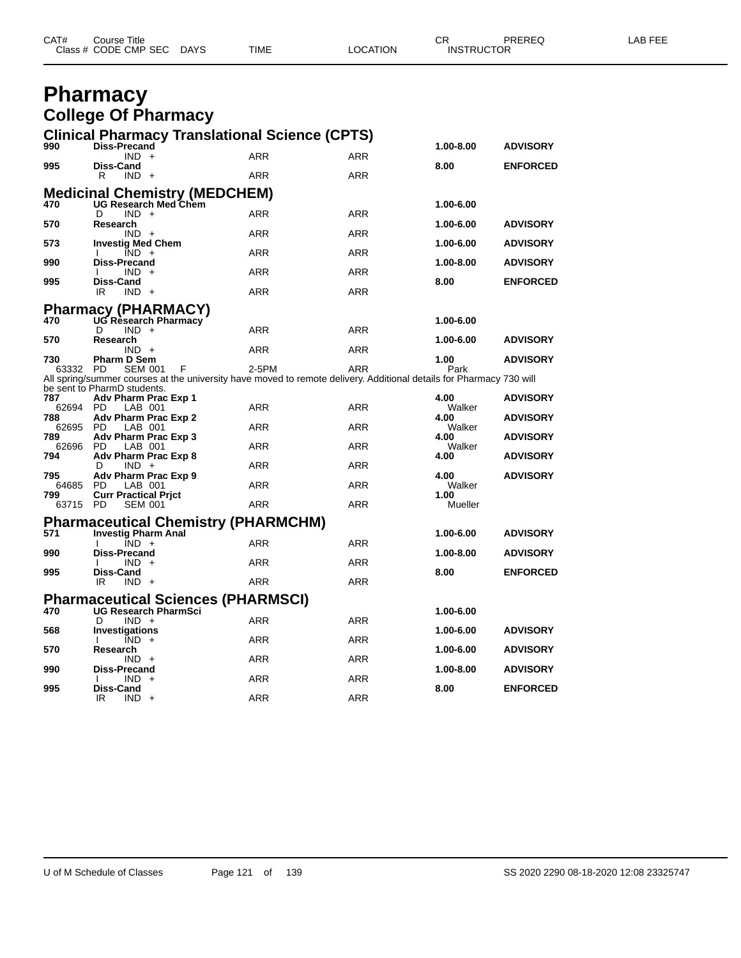| CAT# | Course Title              |      |          | ◠г<br>◡⊓          | PREREQ | <b>AB FEE</b> |
|------|---------------------------|------|----------|-------------------|--------|---------------|
|      | Class # CODE CMP SEC DAYS | TIME | LOCATION | <b>INSTRUCTOR</b> |        |               |

### **Pharmacy College Of Pharmacy**

|              |                                                           | <b>Clinical Pharmacy Translational Science (CPTS)</b>                                                               |            |                |                 |
|--------------|-----------------------------------------------------------|---------------------------------------------------------------------------------------------------------------------|------------|----------------|-----------------|
| 990          | <b>Diss-Precand</b>                                       |                                                                                                                     |            | 1.00-8.00      | <b>ADVISORY</b> |
| 995          | $IND +$<br>Diss-Cand                                      | <b>ARR</b>                                                                                                          | ARR        | 8.00           | <b>ENFORCED</b> |
|              | $IND +$<br>R                                              | <b>ARR</b>                                                                                                          | <b>ARR</b> |                |                 |
|              | <b>Medicinal Chemistry (MEDCHEM)</b>                      |                                                                                                                     |            |                |                 |
| 470          | <b>UG Research Med Chem</b>                               |                                                                                                                     |            | 1.00-6.00      |                 |
| 570          | $IND +$<br>D<br>Research                                  | <b>ARR</b>                                                                                                          | <b>ARR</b> | 1.00-6.00      | <b>ADVISORY</b> |
|              | $IND +$                                                   | <b>ARR</b>                                                                                                          | <b>ARR</b> |                |                 |
| 573          | <b>Investig Med Chem</b><br>$IND +$                       | <b>ARR</b>                                                                                                          | <b>ARR</b> | 1.00-6.00      | <b>ADVISORY</b> |
| 990          | <b>Diss-Precand</b>                                       |                                                                                                                     |            | 1.00-8.00      | <b>ADVISORY</b> |
|              | $IND +$                                                   | <b>ARR</b>                                                                                                          | <b>ARR</b> |                |                 |
| 995          | Diss-Cand<br>IR<br>$IND +$                                | ARR                                                                                                                 | <b>ARR</b> | 8.00           | <b>ENFORCED</b> |
|              |                                                           |                                                                                                                     |            |                |                 |
| 470          | <b>Pharmacy (PHARMACY)</b><br><b>UG Research Pharmacy</b> |                                                                                                                     |            | 1.00-6.00      |                 |
|              | D<br>$IND +$                                              | ARR                                                                                                                 | <b>ARR</b> |                |                 |
| 570          | Research                                                  | <b>ARR</b>                                                                                                          | <b>ARR</b> | 1.00-6.00      | <b>ADVISORY</b> |
| 730          | $IND +$<br><b>Pharm D Sem</b>                             |                                                                                                                     |            | 1.00           | <b>ADVISORY</b> |
| 63332        | <b>PD</b><br><b>SEM 001</b>                               | 2-5PM<br>F                                                                                                          | <b>ARR</b> | Park           |                 |
|              | be sent to PharmD students.                               | All spring/summer courses at the university have moved to remote delivery. Additional details for Pharmacy 730 will |            |                |                 |
| 787          | Adv Pharm Prac Exp 1                                      |                                                                                                                     |            | 4.00           | <b>ADVISORY</b> |
| 62694<br>788 | <b>PD</b><br>LAB 001<br>Adv Pharm Prac Exp 2              | ARR                                                                                                                 | <b>ARR</b> | Walker<br>4.00 | <b>ADVISORY</b> |
| 62695        | <b>PD</b><br>LAB 001                                      | ARR                                                                                                                 | <b>ARR</b> | Walker         |                 |
| 789          | Adv Pharm Prac Exp 3                                      |                                                                                                                     |            | 4.00           | <b>ADVISORY</b> |
| 62696<br>794 | <b>PD</b><br>LAB 001<br>Adv Pharm Prac Exp 8              | ARR                                                                                                                 | <b>ARR</b> | Walker<br>4.00 | <b>ADVISORY</b> |
|              | $IND +$<br>D                                              | <b>ARR</b>                                                                                                          | <b>ARR</b> |                |                 |
| 795<br>64685 | Adv Pharm Prac Exp 9<br><b>PD</b><br>LAB 001              | <b>ARR</b>                                                                                                          | <b>ARR</b> | 4.00<br>Walker | <b>ADVISORY</b> |
| 799          | <b>Curr Practical Prict</b>                               |                                                                                                                     |            | 1.00           |                 |
| 63715        | <b>PD</b><br><b>SEM 001</b>                               | ARR                                                                                                                 | ARR        | Mueller        |                 |
|              |                                                           | <b>Pharmaceutical Chemistry (PHARMCHM)</b>                                                                          |            |                |                 |
| 571          | <b>Investig Pharm Anal</b>                                |                                                                                                                     |            | 1.00-6.00      | <b>ADVISORY</b> |
| 990          | $IND +$<br><b>Diss-Precand</b>                            | <b>ARR</b>                                                                                                          | <b>ARR</b> | 1.00-8.00      | <b>ADVISORY</b> |
|              | IND.<br>$+$                                               | <b>ARR</b>                                                                                                          | <b>ARR</b> |                |                 |
| 995          | Diss-Cand<br>IR<br>$IND +$                                | <b>ARR</b>                                                                                                          | <b>ARR</b> | 8.00           | <b>ENFORCED</b> |
|              |                                                           |                                                                                                                     |            |                |                 |
| 470          | <b>UG Research PharmSci</b>                               | <b>Pharmaceutical Sciences (PHARMSCI)</b>                                                                           |            | 1.00-6.00      |                 |
|              | D<br>$IND +$                                              | <b>ARR</b>                                                                                                          | <b>ARR</b> |                |                 |
| 568          | Investigations<br>$IND +$                                 |                                                                                                                     |            | 1.00-6.00      | <b>ADVISORY</b> |
| 570          | Research                                                  | ARR                                                                                                                 | ARR        | 1.00-6.00      | <b>ADVISORY</b> |
|              | $IND +$                                                   | ARR                                                                                                                 | ARR        |                |                 |
| 990          | <b>Diss-Precand</b><br>$IND +$                            | ARR                                                                                                                 | ARR        | 1.00-8.00      | <b>ADVISORY</b> |
| 995          | Diss-Cand                                                 |                                                                                                                     |            | 8.00           | <b>ENFORCED</b> |
|              | IR<br>$IND +$                                             | <b>ARR</b>                                                                                                          | <b>ARR</b> |                |                 |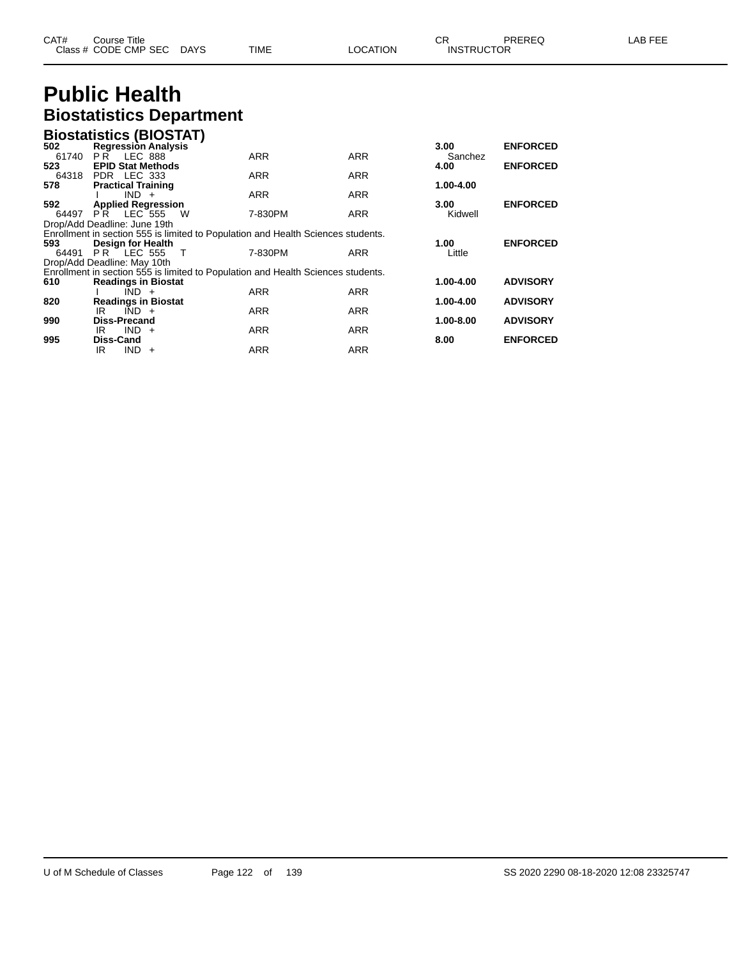| CAT# | ourse Titleٽ         |             |      |          | ⌒冖<br>◡           | <b>PREREQ</b> | . EEF<br>ΔP. |
|------|----------------------|-------------|------|----------|-------------------|---------------|--------------|
|      | Class # CODE CMP SEC | <b>DAYS</b> | TIME | _OCATION | <b>INSTRUCTOR</b> |               |              |

### **Public Health Biostatistics Department**

|       | <b>Biostatistics (BIOSTAT)</b>                                                                        |            |            |           |                 |
|-------|-------------------------------------------------------------------------------------------------------|------------|------------|-----------|-----------------|
| 502   | <b>Regression Analysis</b>                                                                            |            |            | 3.00      | <b>ENFORCED</b> |
| 61740 | <b>PR LEC 888</b>                                                                                     | <b>ARR</b> | <b>ARR</b> | Sanchez   |                 |
| 523   | <b>EPID Stat Methods</b>                                                                              |            |            | 4.00      | <b>ENFORCED</b> |
|       | 64318 PDR LEC 333                                                                                     | <b>ARR</b> | <b>ARR</b> |           |                 |
| 578   | <b>Practical Training</b>                                                                             |            |            | 1.00-4.00 |                 |
|       | $IND +$                                                                                               | <b>ARR</b> | <b>ARR</b> |           |                 |
| 592   | <b>Applied Regression</b>                                                                             |            |            | 3.00      | <b>ENFORCED</b> |
| 64497 | $\overline{PR}$ LEC 555<br>W<br>Drop/Add Deadline: June 19th                                          | 7-830PM    | <b>ARR</b> | Kidwell   |                 |
|       |                                                                                                       |            |            |           |                 |
| 593   | Enrollment in section 555 is limited to Population and Health Sciences students.<br>Design for Health |            |            | 1.00      | <b>ENFORCED</b> |
| 64491 | <b>PR</b> LEC 555<br>$\top$                                                                           | 7-830PM    | <b>ARR</b> | Little    |                 |
|       | Drop/Add Deadline: May 10th                                                                           |            |            |           |                 |
|       | Enrollment in section 555 is limited to Population and Health Sciences students.                      |            |            |           |                 |
| 610   | <b>Readings in Biostat</b>                                                                            |            |            | 1.00-4.00 | <b>ADVISORY</b> |
|       | $IND +$                                                                                               | <b>ARR</b> | <b>ARR</b> |           |                 |
| 820   | <b>Readings in Biostat</b>                                                                            |            |            | 1.00-4.00 | <b>ADVISORY</b> |
|       | $\overline{IND}$ +<br>IR                                                                              | <b>ARR</b> | <b>ARR</b> |           |                 |
| 990   | <b>Diss-Precand</b>                                                                                   |            |            | 1.00-8.00 | <b>ADVISORY</b> |
|       | $IND +$<br>IR.                                                                                        | <b>ARR</b> | <b>ARR</b> |           |                 |
| 995   | Diss-Cand                                                                                             |            |            | 8.00      | <b>ENFORCED</b> |
|       | IR<br>IND.<br>$+$                                                                                     | ARR        | ARR        |           |                 |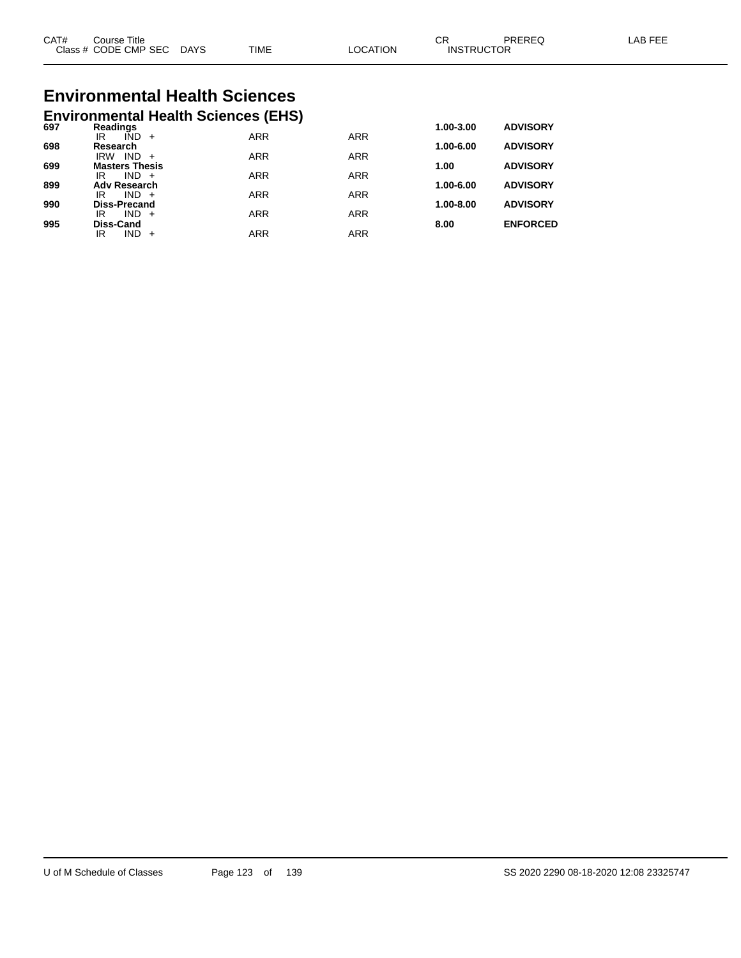| CAT#<br>$\bigcap$ acc $\bigcup$<br>טוט | Title<br>Course<br><b>CODE CMP SEC</b> | <b>DAYS</b> | <b>TIME</b> | <b>TION</b><br>C. | ⌒冖<br>◡<br>ICTOR<br><b>INSTRL</b> | ODEDE <sup>r</sup> | AP |
|----------------------------------------|----------------------------------------|-------------|-------------|-------------------|-----------------------------------|--------------------|----|
|                                        |                                        |             |             |                   |                                   |                    |    |

# **Environmental Health Sciences**

|     | <b>Environmental Health Sciences (EHS)</b> |            |            |               |                 |
|-----|--------------------------------------------|------------|------------|---------------|-----------------|
| 697 | Readings                                   |            |            | 1.00-3.00     | <b>ADVISORY</b> |
|     | IÑD<br>IR<br>$+$                           | <b>ARR</b> | <b>ARR</b> |               |                 |
| 698 | Research<br>IND.<br><b>IRW</b>             | <b>ARR</b> | <b>ARR</b> | 1.00-6.00     | <b>ADVISORY</b> |
| 699 | <b>Masters Thesis</b>                      |            |            | 1.00          | <b>ADVISORY</b> |
|     | $IND +$<br>IR                              | <b>ARR</b> | <b>ARR</b> |               |                 |
| 899 | <b>Adv Research</b>                        |            |            | 1.00-6.00     | <b>ADVISORY</b> |
| 990 | $IND +$<br>IR<br><b>Diss-Precand</b>       | <b>ARR</b> | <b>ARR</b> | $1.00 - 8.00$ | <b>ADVISORY</b> |
|     | IND.<br>IR<br>$+$                          | <b>ARR</b> | <b>ARR</b> |               |                 |
| 995 | Diss-Cand                                  |            |            | 8.00          | <b>ENFORCED</b> |
|     | IND<br>IR                                  | ARR        | <b>ARR</b> |               |                 |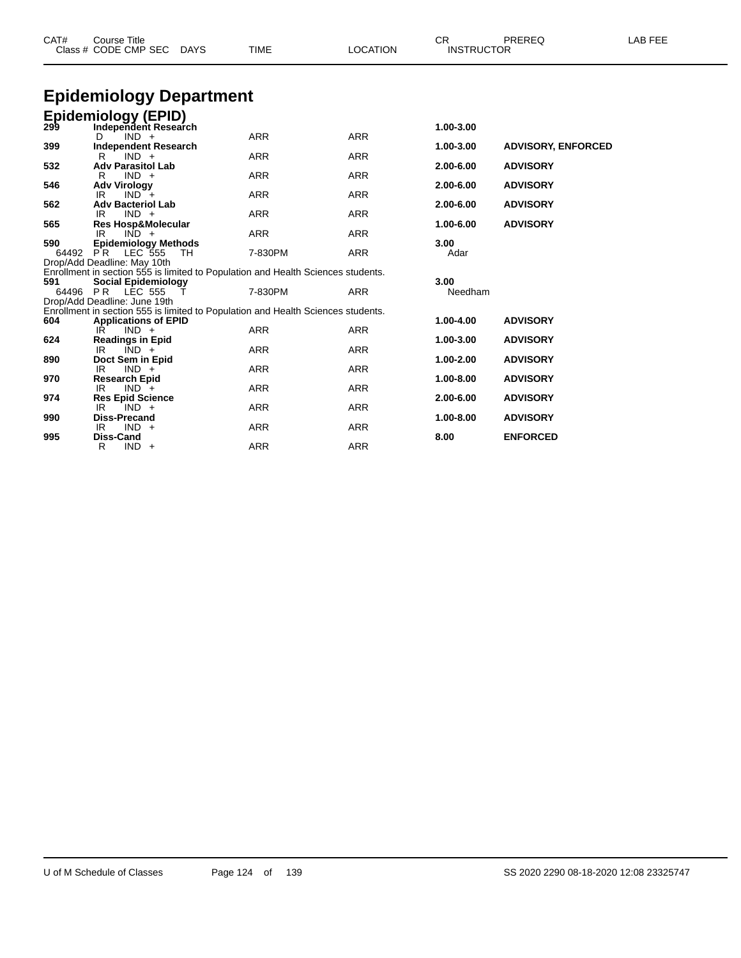| CAT#         | <b>Course Title</b><br>Class # CODE CMP SEC DAYS                                                               | <b>TIME</b> | <b>LOCATION</b> | CR.<br><b>INSTRUCTOR</b> | PREREQ                    | LAB FEE |
|--------------|----------------------------------------------------------------------------------------------------------------|-------------|-----------------|--------------------------|---------------------------|---------|
|              | <b>Epidemiology Department</b>                                                                                 |             |                 |                          |                           |         |
|              | <b>Epidemiology (EPID)</b><br>299 Independent Researd<br>Independent Research                                  |             |                 | 1.00-3.00                |                           |         |
|              | $IND +$<br>D                                                                                                   | <b>ARR</b>  | <b>ARR</b>      |                          |                           |         |
| 399          | <b>Independent Research</b><br>$IND +$<br>R                                                                    | <b>ARR</b>  | <b>ARR</b>      | 1.00-3.00                | <b>ADVISORY, ENFORCED</b> |         |
| 532          | <b>Adv Parasitol Lab</b><br>$IND +$                                                                            | <b>ARR</b>  | <b>ARR</b>      | 2.00-6.00                | <b>ADVISORY</b>           |         |
| 546          | R<br><b>Adv Virology</b><br>$IND^-+$<br>IR                                                                     | <b>ARR</b>  | <b>ARR</b>      | 2.00-6.00                | <b>ADVISORY</b>           |         |
| 562          | <b>Adv Bacteriol Lab</b>                                                                                       |             |                 | 2.00-6.00                | <b>ADVISORY</b>           |         |
|              | $IND +$<br>IR                                                                                                  | <b>ARR</b>  | <b>ARR</b>      |                          |                           |         |
| 565          | Res Hosp&Molecular                                                                                             |             |                 | 1.00-6.00                | <b>ADVISORY</b>           |         |
|              | $IND +$<br>IR                                                                                                  | <b>ARR</b>  | <b>ARR</b>      |                          |                           |         |
| 590<br>64492 | <b>Epidemiology Methods</b><br><b>PR</b> LEC 555<br>TH                                                         | 7-830PM     | <b>ARR</b>      | 3.00<br>Adar             |                           |         |
|              | Drop/Add Deadline: May 10th                                                                                    |             |                 |                          |                           |         |
| 591          | Enrollment in section 555 is limited to Population and Health Sciences students.<br><b>Social Epidemiology</b> |             |                 | 3.00                     |                           |         |
| 64496        | <b>PR LEC 555</b>                                                                                              | 7-830PM     | <b>ARR</b>      | Needham                  |                           |         |
|              | Drop/Add Deadline: June 19th                                                                                   |             |                 |                          |                           |         |
|              | Enrollment in section 555 is limited to Population and Health Sciences students.                               |             |                 |                          |                           |         |
| 604          | <b>Applications of EPID</b>                                                                                    |             |                 | 1.00-4.00                | <b>ADVISORY</b>           |         |
|              | $IND +$<br>IR                                                                                                  | <b>ARR</b>  | <b>ARR</b>      |                          |                           |         |
| 624          | <b>Readings in Epid</b>                                                                                        |             |                 | 1.00-3.00                | <b>ADVISORY</b>           |         |
| 890          | $IND +$<br>IR.                                                                                                 | <b>ARR</b>  | <b>ARR</b>      | 1.00-2.00                | <b>ADVISORY</b>           |         |
|              | Doct Sem in Epid<br>IR.<br>$IND +$                                                                             | <b>ARR</b>  | <b>ARR</b>      |                          |                           |         |
| 970          | <b>Research Epid</b>                                                                                           |             |                 | 1.00-8.00                | <b>ADVISORY</b>           |         |
|              | IR<br>$IND +$                                                                                                  | <b>ARR</b>  | <b>ARR</b>      |                          |                           |         |
| 974          | <b>Res Epid Science</b>                                                                                        |             |                 | 2.00-6.00                | <b>ADVISORY</b>           |         |
|              | IR.<br>$IND +$                                                                                                 | <b>ARR</b>  | <b>ARR</b>      |                          |                           |         |
| 990          | <b>Diss-Precand</b>                                                                                            |             |                 | 1.00-8.00                | <b>ADVISORY</b>           |         |
| 995          | $IND +$<br>IR<br><b>Diss-Cand</b>                                                                              | <b>ARR</b>  | <b>ARR</b>      | 8.00                     | <b>ENFORCED</b>           |         |
|              |                                                                                                                |             |                 |                          |                           |         |

R IND + ARR ARR ARR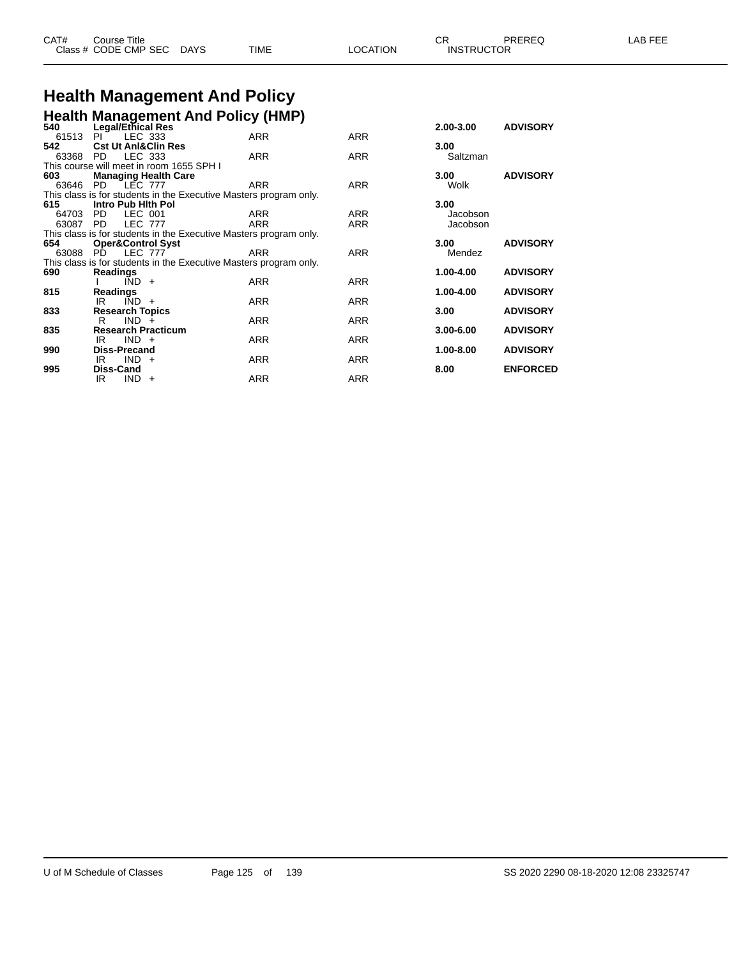| CAT# | Title<br>Course      |      |      |          | Ωn<br>◡∩          | PREREQ | . EEF<br>AR. |
|------|----------------------|------|------|----------|-------------------|--------|--------------|
|      | Class # CODE CMP SEC | DAYS | TIME | LOCATION | <b>INSTRUCTOR</b> |        |              |

## **Health Management And Policy**

|          |                                | <b>Health Management And Policy (HMP)</b>                         |            |            |               |                 |
|----------|--------------------------------|-------------------------------------------------------------------|------------|------------|---------------|-----------------|
| 540      | Legal/Ethical Res              |                                                                   |            |            | 2.00-3.00     | <b>ADVISORY</b> |
| 61513    | PL                             | LEC 333                                                           | <b>ARR</b> | <b>ARR</b> |               |                 |
| 542      | <b>Cst Ut AnI&amp;Clin Res</b> |                                                                   |            |            | 3.00          |                 |
| 63368    | PD.                            | LEC 333                                                           | <b>ARR</b> | <b>ARR</b> | Saltzman      |                 |
|          |                                | This course will meet in room 1655 SPH I                          |            |            |               |                 |
| 603      |                                | <b>Managing Health Care</b>                                       |            |            | 3.00          | <b>ADVISORY</b> |
|          | 63646 PD LEC 777               |                                                                   | <b>ARR</b> | <b>ARR</b> | Wolk          |                 |
|          |                                | This class is for students in the Executive Masters program only. |            |            |               |                 |
| 615      | Intro Pub Hith Pol             |                                                                   |            |            | 3.00          |                 |
| 64703    | PD.                            | LEC 001                                                           | ARR        | ARR        | Jacobson      |                 |
| 63087 PD | <b>LEC 777</b>                 |                                                                   | <b>ARR</b> | <b>ARR</b> | Jacobson      |                 |
|          |                                | This class is for students in the Executive Masters program only. |            |            |               |                 |
| 654      | <b>Oper&amp;Control Syst</b>   |                                                                   |            |            | 3.00          | <b>ADVISORY</b> |
| 63088 PD | <b>LEC 777</b>                 |                                                                   | <b>ARR</b> | <b>ARR</b> | Mendez        |                 |
|          |                                | This class is for students in the Executive Masters program only. |            |            |               |                 |
| 690      | <b>Readings</b>                |                                                                   |            |            | 1.00-4.00     | <b>ADVISORY</b> |
|          | $\overline{IND}$ +             |                                                                   | <b>ARR</b> | <b>ARR</b> |               |                 |
| 815      | Readings                       |                                                                   |            |            | 1.00-4.00     | <b>ADVISORY</b> |
|          | $\overline{IND}$ +<br>IR       |                                                                   | <b>ARR</b> | <b>ARR</b> |               |                 |
| 833      | <b>Research Topics</b>         |                                                                   |            |            | 3.00          | <b>ADVISORY</b> |
|          | $IND +$<br>R.                  |                                                                   | <b>ARR</b> | <b>ARR</b> |               |                 |
| 835      | <b>Research Practicum</b>      |                                                                   |            |            | $3.00 - 6.00$ | <b>ADVISORY</b> |
|          | $IND +$<br>IR                  |                                                                   | <b>ARR</b> | <b>ARR</b> |               |                 |
| 990      | <b>Diss-Precand</b>            |                                                                   |            |            | 1.00-8.00     | <b>ADVISORY</b> |
| 995      | $IND +$<br>IR<br>Diss-Cand     |                                                                   | <b>ARR</b> | ARR        |               | <b>ENFORCED</b> |
|          |                                |                                                                   |            |            | 8.00          |                 |
|          | IR<br>$IND +$                  |                                                                   | <b>ARR</b> | <b>ARR</b> |               |                 |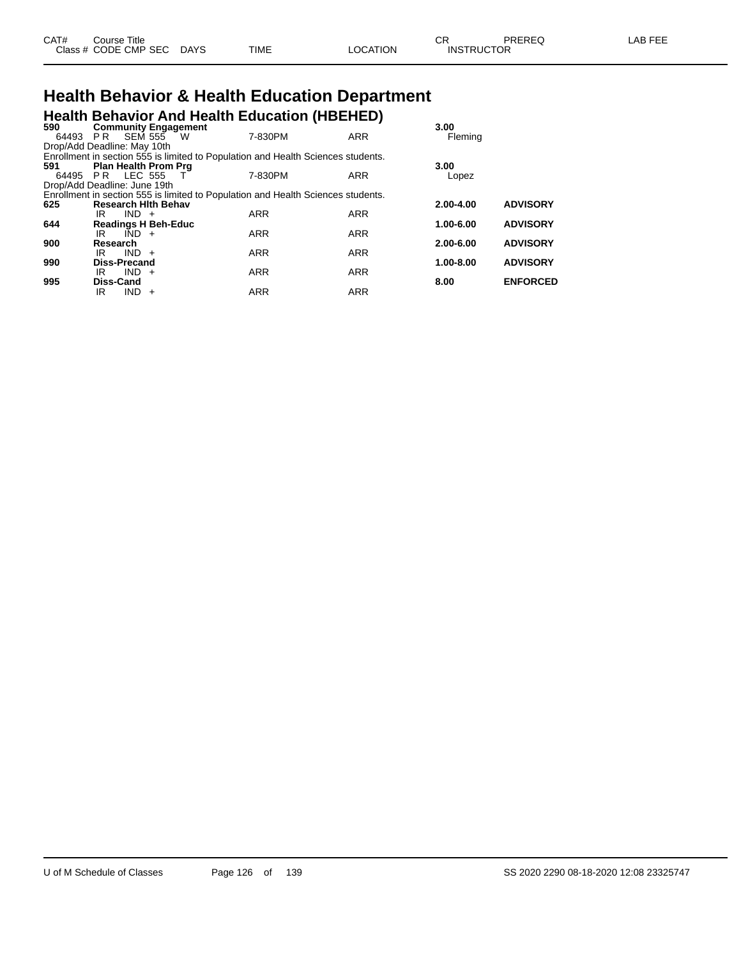| CAT# | Course Title               |             |      |          | ∼י<br>◡ጙ          | PREREQ | LAB FEE |
|------|----------------------------|-------------|------|----------|-------------------|--------|---------|
|      | Class # CODE CMP SEC $\mu$ | <b>DAYS</b> | TIME | LOCATION | <b>INSTRUCTOR</b> |        |         |

### **Health Behavior & Health Education Department Health Behavior And Health Education (HBEHED)**

| 590                          | <b>Community Engagement</b> |         |                                                                                  |            | 3.00          |                 |
|------------------------------|-----------------------------|---------|----------------------------------------------------------------------------------|------------|---------------|-----------------|
|                              | 64493 PR SEM 555 W          |         | 7-830PM                                                                          | <b>ARR</b> | Fleming       |                 |
| Drop/Add Deadline: May 10th  |                             |         |                                                                                  |            |               |                 |
|                              |                             |         | Enrollment in section 555 is limited to Population and Health Sciences students. |            |               |                 |
| 591                          | <b>Plan Health Prom Prg</b> |         |                                                                                  |            | 3.00          |                 |
|                              | 64495 PR LEC 555 T          |         | 7-830PM                                                                          | ARR        | Lopez         |                 |
| Drop/Add Deadline: June 19th |                             |         |                                                                                  |            |               |                 |
|                              |                             |         | Enrollment in section 555 is limited to Population and Health Sciences students. |            |               |                 |
| 625                          | <b>Research Hith Behav</b>  |         |                                                                                  |            | $2.00 - 4.00$ | <b>ADVISORY</b> |
|                              | IR.                         | $IND +$ | <b>ARR</b>                                                                       | <b>ARR</b> |               |                 |
| 644                          | <b>Readings H Beh-Educ</b>  |         |                                                                                  |            | 1.00-6.00     | <b>ADVISORY</b> |
|                              | IRI                         | $IND +$ | <b>ARR</b>                                                                       | <b>ARR</b> |               |                 |
| 900                          | Research                    |         |                                                                                  |            | $2.00 - 6.00$ | <b>ADVISORY</b> |
|                              | IR                          | $IND +$ | <b>ARR</b>                                                                       | <b>ARR</b> |               |                 |
| 990                          | Diss-Precand                |         |                                                                                  |            | $1.00 - 8.00$ | <b>ADVISORY</b> |
|                              | IR                          | $IND +$ | <b>ARR</b>                                                                       | <b>ARR</b> |               |                 |
| 995                          | Diss-Cand                   |         |                                                                                  |            | 8.00          | <b>ENFORCED</b> |
|                              | IR                          | $IND +$ | <b>ARR</b>                                                                       | <b>ARR</b> |               |                 |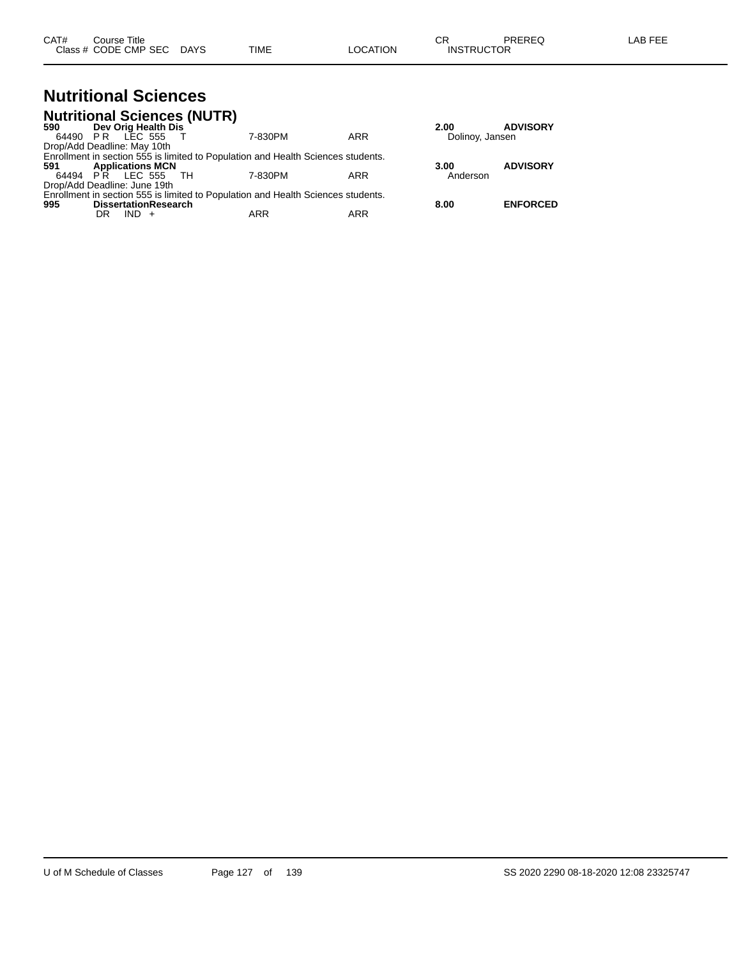| CAT# | Title<br>Course.     |      |      |          | Ωn<br>- UN        | PREREC | ---<br>AR<br>--- |
|------|----------------------|------|------|----------|-------------------|--------|------------------|
|      | Class # CODE CMP SEC | DAYS | TIME | LOCATION | <b>INSTRUCTOR</b> |        |                  |

**995 DissertationResearch 8.00 ENFORCED**

#### **Nutritional Sciences Nutritional Sciences (NUTR)**

|     |    |                              | <b>Nutritional Sciences (NUTR)</b> |                                                                                  |     |                 |                 |
|-----|----|------------------------------|------------------------------------|----------------------------------------------------------------------------------|-----|-----------------|-----------------|
| 590 |    | Dev Orig Health Dis          |                                    |                                                                                  |     | 2.00            | <b>ADVISORY</b> |
|     |    | 64490 PR LEC 555             |                                    | 7-830PM                                                                          | ARR | Dolinoy, Jansen |                 |
|     |    | Drop/Add Deadline: May 10th  |                                    |                                                                                  |     |                 |                 |
|     |    |                              |                                    | Enrollment in section 555 is limited to Population and Health Sciences students. |     |                 |                 |
| 591 |    | <b>Applications MCN</b>      |                                    |                                                                                  |     | 3.00            | <b>ADVISORY</b> |
|     |    | 64494 PR LEC 555 TH          |                                    | 7-830PM                                                                          | ARR | Anderson        |                 |
|     |    | Drop/Add Deadline: June 19th |                                    |                                                                                  |     |                 |                 |
|     |    |                              |                                    | Enrollment in section 555 is limited to Population and Health Sciences students. |     |                 |                 |
| 995 |    | <b>DissertationResearch</b>  |                                    |                                                                                  |     | 8.00            | <b>ENFORCED</b> |
|     | DR | $IND +$                      |                                    | ARR                                                                              | ARR |                 |                 |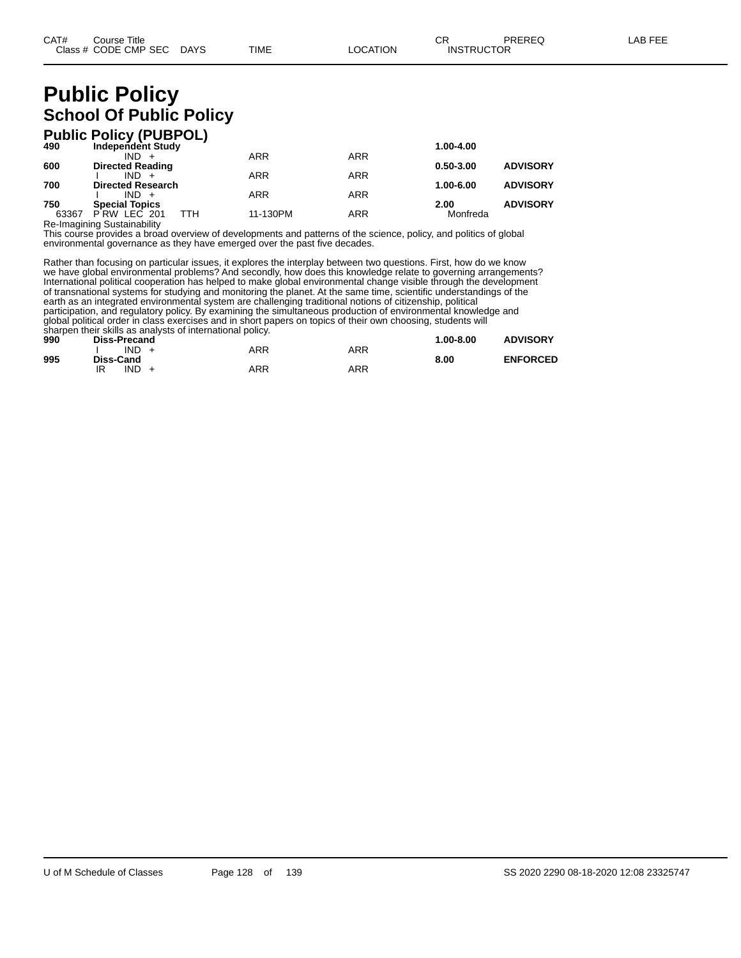### **Public Policy School Of Public Policy**

|       | <b>Public Policy (PUBPOL)</b> |            |            |               |                 |
|-------|-------------------------------|------------|------------|---------------|-----------------|
| 490   | <b>Independent Study</b>      |            |            | 1.00-4.00     |                 |
|       | $IND +$                       | <b>ARR</b> | <b>ARR</b> |               |                 |
| 600   | <b>Directed Reading</b>       |            |            | $0.50 - 3.00$ | <b>ADVISORY</b> |
|       | $IND +$                       | <b>ARR</b> | <b>ARR</b> |               |                 |
| 700   | <b>Directed Research</b>      |            |            | 1.00-6.00     | <b>ADVISORY</b> |
|       | $IND +$                       | <b>ARR</b> | <b>ARR</b> |               |                 |
| 750   | <b>Special Topics</b>         |            |            | 2.00          | <b>ADVISORY</b> |
| 63367 | ттн<br>PRW LEC 201            | 11-130PM   | <b>ARR</b> | Monfreda      |                 |

Re-Imagining Sustainability This course provides a broad overview of developments and patterns of the science, policy, and politics of global environmental governance as they have emerged over the past five decades.

Rather than focusing on particular issues, it explores the interplay between two questions. First, how do we know we have global environmental problems? And secondly, how does this knowledge relate to governing arrangements? International political cooperation has helped to make global environmental change visible through the development of transnational systems for studying and monitoring the planet. At the same time, scientific understandings of the earth as an integrated environmental system are challenging traditional notions of citizenship, political participation, and regulatory policy. By examining the simultaneous production of environmental knowledge and global political order in class exercises and in short papers on topics of their own choosing, students will sharpen their skills as analysts of international policy.

| 990 | Diss-Precand |     |     | $1.00 - 8.00$ | <b>ADVISORY</b> |
|-----|--------------|-----|-----|---------------|-----------------|
|     | $IND +$      | ARR | ARR |               |                 |
| 995 | Diss-Cand    |     |     | 8.00          | <b>ENFORCED</b> |
|     | IND<br>IR    | ARR | ARR |               |                 |
|     |              |     |     |               |                 |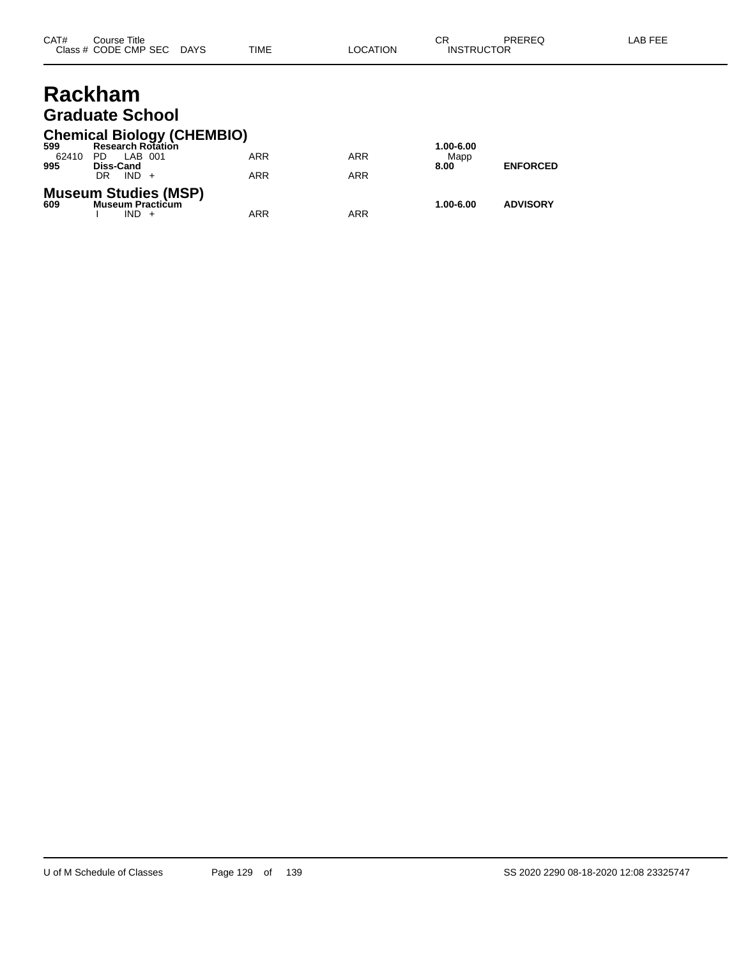### **Rackham Graduate School**

#### **Chemical Biology (CHEMBIO)**

| 599   | <b>Research Rotation</b>                                      |     |            | 1.00-6.00 |                 |
|-------|---------------------------------------------------------------|-----|------------|-----------|-----------------|
| 62410 | LAB 001<br>PD.                                                | ARR | <b>ARR</b> | Mapp      |                 |
| 995   | <b>Diss-Cand</b>                                              |     |            | 8.00      | <b>ENFORCED</b> |
|       | $IND +$<br>DR                                                 | ARR | <b>ARR</b> |           |                 |
| 609   | <b>Museum Studies (MSP)</b><br><b>Museum Practicum</b><br>IND | ARR | ARR        | 1.00-6.00 | <b>ADVISORY</b> |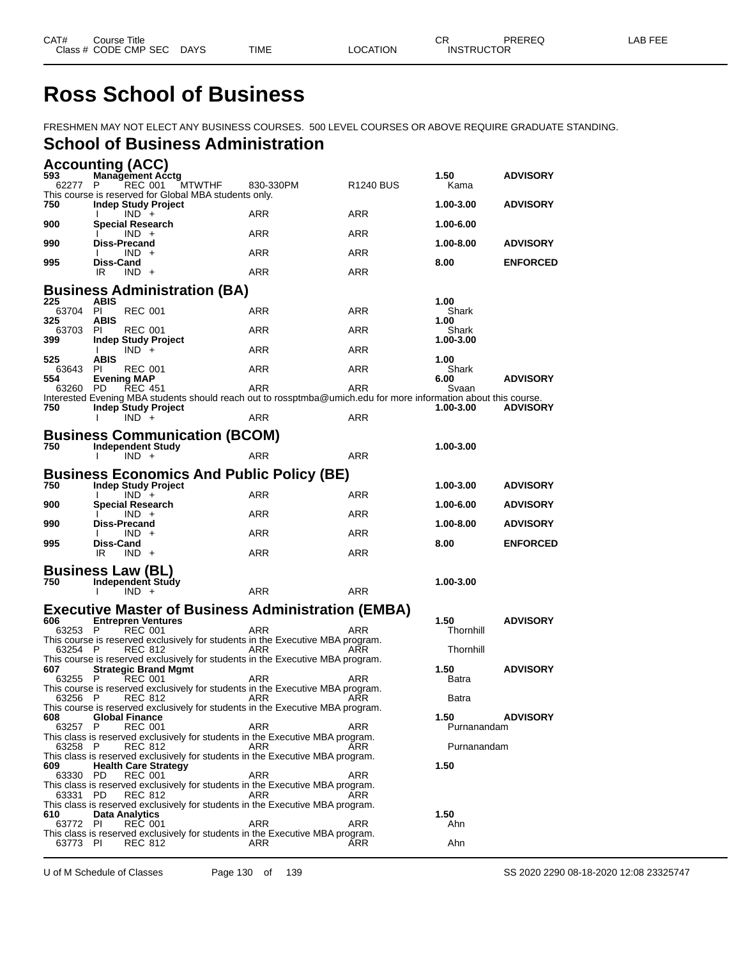### **Ross School of Business**

FRESHMEN MAY NOT ELECT ANY BUSINESS COURSES. 500 LEVEL COURSES OR ABOVE REQUIRE GRADUATE STANDING.

#### **School of Business Administration**

|                 | <b>Accounting (ACC)</b>                                          |                                                                                                                 |                       |                        |                 |
|-----------------|------------------------------------------------------------------|-----------------------------------------------------------------------------------------------------------------|-----------------------|------------------------|-----------------|
| 593<br>62277    | <b>Management Acctg</b><br>REC 001<br>P.                         | MTWTHF<br>830-330PM                                                                                             | R <sub>1240</sub> BUS | 1.50<br>Kama           | <b>ADVISORY</b> |
|                 | This course is reserved for Global MBA students only.            |                                                                                                                 |                       |                        |                 |
| 750<br>900      | <b>Indep Study Project</b><br>$IND +$<br><b>Special Research</b> | ARR                                                                                                             | <b>ARR</b>            | 1.00-3.00<br>1.00-6.00 | <b>ADVISORY</b> |
|                 | $IND +$                                                          | ARR                                                                                                             | <b>ARR</b>            |                        |                 |
| 990             | <b>Diss-Precand</b><br>$IND +$                                   | <b>ARR</b>                                                                                                      | <b>ARR</b>            | 1.00-8.00              | <b>ADVISORY</b> |
| 995             | <b>Diss-Cand</b><br>$IND +$<br>IR.                               | <b>ARR</b>                                                                                                      | <b>ARR</b>            | 8.00                   | <b>ENFORCED</b> |
|                 |                                                                  |                                                                                                                 |                       |                        |                 |
| 225             | <b>Business Administration (BA)</b><br><b>ABIS</b>               |                                                                                                                 |                       | 1.00                   |                 |
| 63704 PI<br>325 | <b>REC 001</b><br><b>ABIS</b>                                    | ARR                                                                                                             | <b>ARR</b>            | Shark<br>1.00          |                 |
| 63703 PI<br>399 | <b>REC 001</b>                                                   | ARR                                                                                                             | <b>ARR</b>            | Shark                  |                 |
|                 | <b>Indep Study Project</b><br>$IND +$<br>Ι.                      | ARR                                                                                                             | ARR                   | 1.00-3.00              |                 |
| 525<br>63643    | <b>ABIS</b><br>PI<br><b>REC 001</b>                              | <b>ARR</b>                                                                                                      | <b>ARR</b>            | 1.00<br>Shark          |                 |
| 554<br>63260 PD | <b>Evening MAP</b><br><b>REC 451</b>                             | <b>ARR</b>                                                                                                      | ARR                   | 6.00<br>Svaan          | <b>ADVISORY</b> |
|                 |                                                                  | Interested Evening MBA students should reach out to rossptmba@umich.edu for more information about this course. |                       |                        |                 |
| 750             | <b>Indep Study Project</b><br>$IND +$<br>I.                      | <b>ARR</b>                                                                                                      | <b>ARR</b>            | 1.00-3.00              | <b>ADVISORY</b> |
|                 | <b>Business Communication (BCOM)</b>                             |                                                                                                                 |                       |                        |                 |
| 750             | <b>Independent Study</b>                                         |                                                                                                                 |                       | 1.00-3.00              |                 |
|                 | $IND +$                                                          | <b>ARR</b>                                                                                                      | <b>ARR</b>            |                        |                 |
| 750             | <b>Indep Study Project</b>                                       | <b>Business Economics And Public Policy (BE)</b>                                                                |                       | 1.00-3.00              | <b>ADVISORY</b> |
|                 | $IND +$                                                          | <b>ARR</b>                                                                                                      | ARR                   |                        |                 |
| 900             | <b>Special Research</b><br>$IND +$                               | <b>ARR</b>                                                                                                      | <b>ARR</b>            | 1.00-6.00              | <b>ADVISORY</b> |
| 990             | <b>Diss-Precand</b><br>IND +                                     | ARR                                                                                                             | ARR                   | 1.00-8.00              | <b>ADVISORY</b> |
| 995             | Diss-Cand<br>IR.<br>$IND +$                                      | ARR                                                                                                             | ARR                   | 8.00                   | <b>ENFORCED</b> |
|                 |                                                                  |                                                                                                                 |                       |                        |                 |
| 750             | <b>Business Law (BL)</b><br><b>Independent Study</b>             |                                                                                                                 |                       | 1.00-3.00              |                 |
|                 | $IND +$<br>$\mathbf{I}$                                          | <b>ARR</b>                                                                                                      | <b>ARR</b>            |                        |                 |
|                 |                                                                  | <b>Executive Master of Business Administration (EMBA)</b>                                                       |                       |                        |                 |
| 606<br>63253 P  | <b>Entrepren Ventures</b><br><b>REC 001</b>                      | <b>ARR</b>                                                                                                      | ARR                   | 1.50<br>Thornhill      | <b>ADVISORY</b> |
| 63254 P         | <b>REC 812</b>                                                   | This course is reserved exclusively for students in the Executive MBA program.<br>ARR                           | ARR                   | Thornhill              |                 |
|                 |                                                                  | This course is reserved exclusively for students in the Executive MBA program.                                  |                       |                        |                 |
| 607<br>63255 P  | <b>Strategic Brand Mgmt</b><br><b>REC 001</b>                    | ARR                                                                                                             | ARR                   | 1.50<br>Batra          | <b>ADVISORY</b> |
| 63256 P         |                                                                  | This course is reserved exclusively for students in the Executive MBA program.                                  |                       | Batra                  |                 |
|                 |                                                                  | This course is reserved exclusively for students in the Executive MBA program.                                  |                       | 1.50                   |                 |
| 608<br>63257 P  | <b>Global Finance</b><br><b>REC 001</b>                          | ARR                                                                                                             | ARR                   | Purnanandam            | <b>ADVISORY</b> |
| 63258 P         | <b>REC 812</b>                                                   | This class is reserved exclusively for students in the Executive MBA program.<br>ARR                            | ARR                   | Purnanandam            |                 |
| 609             | <b>Health Care Strategy</b>                                      | This class is reserved exclusively for students in the Executive MBA program.                                   |                       | 1.50                   |                 |
| 63330 PD        | <b>REC 001</b>                                                   | <b>ARR</b>                                                                                                      | ARR                   |                        |                 |
| 63331 PD        | REC 812                                                          | This class is reserved exclusively for students in the Executive MBA program.<br>ARR                            | ARR                   |                        |                 |
| 610             | <b>Data Analytics</b>                                            | This class is reserved exclusively for students in the Executive MBA program.                                   |                       | 1.50                   |                 |
| 63772 PI        | <b>REC 001</b>                                                   | ARR                                                                                                             | <b>ARR</b>            | Ahn                    |                 |
| 63773 PI        | <b>REC 812</b>                                                   | This class is reserved exclusively for students in the Executive MBA program.<br>ARR                            | ARR                   | Ahn                    |                 |

U of M Schedule of Classes Page 130 of 139 SS 2020 2290 08-18-2020 12:08 23325747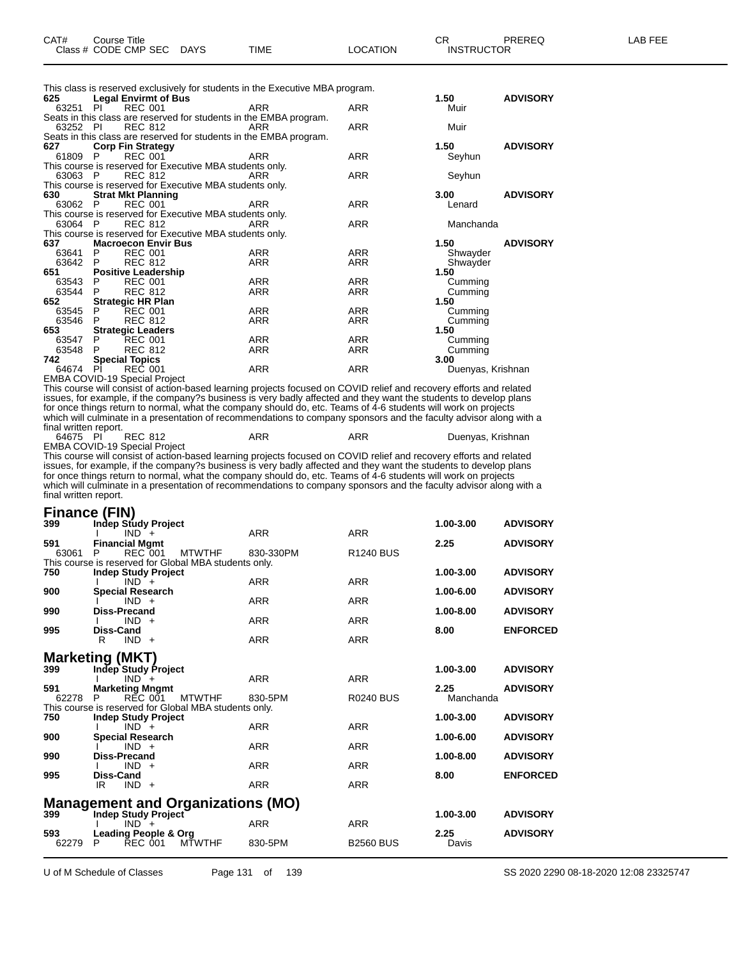| CAT# | Course Title         |             |      |          | $\cap$<br>- UN    | PREREQ | -AB FEE |
|------|----------------------|-------------|------|----------|-------------------|--------|---------|
|      | Class # CODE CMP SEC | <b>DAYS</b> | TIME | LOCATION | <b>INSTRUCTOR</b> |        |         |

This class is reserved exclusively for students in the Executive MBA program.

| 625 —    | <b>Legal Envirmt of Bus</b>   |                                                                    |            |            | 1.50              | <b>ADVISORY</b> |
|----------|-------------------------------|--------------------------------------------------------------------|------------|------------|-------------------|-----------------|
| 63251 PI |                               | REC 001                                                            | ARR        | ARR        | Muir              |                 |
|          |                               | Seats in this class are reserved for students in the EMBA program. |            |            |                   |                 |
| 63252 PI | <b>REC 812</b>                |                                                                    | ARR        | <b>ARR</b> | Muir              |                 |
|          |                               | Seats in this class are reserved for students in the EMBA program. |            |            |                   |                 |
| 627      | <b>Corp Fin Strategy</b>      |                                                                    |            |            | 1.50              | <b>ADVISORY</b> |
| 61809 P  |                               | REC 001                                                            | <b>ARR</b> | <b>ARR</b> | Seyhun            |                 |
|          |                               | This course is reserved for Executive MBA students only.           |            |            |                   |                 |
| 63063 P  |                               | <b>REC 812</b>                                                     | ARR        | ARR        | Seyhun            |                 |
|          |                               | This course is reserved for Executive MBA students only.           |            |            |                   |                 |
| 630      | <b>Strat Mkt Planning</b>     |                                                                    |            |            | 3.00              | <b>ADVISORY</b> |
| 63062 P  | <b>REC 001</b>                |                                                                    | <b>ARR</b> | ARR        | Lenard            |                 |
|          |                               | This course is reserved for Executive MBA students only.           |            |            |                   |                 |
| 63064 P  |                               | REC 812                                                            | ARR        | <b>ARR</b> | Manchanda         |                 |
|          |                               | This course is reserved for Executive MBA students only.           |            |            |                   |                 |
| 637 —    | <b>Macroecon Envir Bus</b>    |                                                                    |            |            | 1.50              | <b>ADVISORY</b> |
| 63641 P  | <b>REC 001</b>                |                                                                    | <b>ARR</b> | ARR        | Shwayder          |                 |
| 63642 P  | <b>REC 812</b>                |                                                                    | ARR        | ARR        | Shwayder          |                 |
| 651      | <b>Positive Leadership</b>    |                                                                    |            |            | 1.50              |                 |
| 63543 P  | <b>REC 001</b>                |                                                                    | ARR        | ARR        | Cumming           |                 |
| 63544 P  | <b>REC 812</b>                |                                                                    | ARR        | ARR        | Cumming           |                 |
| 652 — 10 | <b>Strategic HR Plan</b>      |                                                                    |            |            | 1.50              |                 |
| 63545 P  | <b>REC 001</b>                |                                                                    | ARR        | ARR        | Cumming           |                 |
| 63546 P  | <b>REC 812</b>                |                                                                    | ARR        | ARR        | Cumming           |                 |
| 653      | <b>Strategic Leaders</b>      |                                                                    |            |            | 1.50              |                 |
| 63547 P  | <b>REC 001</b>                |                                                                    | ARR        | ARR        | Cumming           |                 |
| 63548    | <b>REC 812</b><br>P           |                                                                    | ARR        | ARR        | Cumming           |                 |
| 742      | <b>Special Topics</b>         |                                                                    |            |            | 3.00              |                 |
| 64674 PI | <b>REC 001</b>                |                                                                    | ARR        | ARR        | Duenyas, Krishnan |                 |
|          | EMBA COVID-19 Special Project |                                                                    |            |            |                   |                 |

This course will consist of action-based learning projects focused on COVID relief and recovery efforts and related issues, for example, if the company?s business is very badly affected and they want the students to develop plans for once things return to normal, what the company should do, etc. Teams of 4-6 students will work on projects which will culminate in a presentation of recommendations to company sponsors and the faculty advisor along with a final written report.

64675 PI REC 812 ARR ARR Duenyas, Krishnan

EMBA COVID-19 Special Project

This course will consist of action-based learning projects focused on COVID relief and recovery efforts and related issues, for example, if the company?s business is very badly affected and they want the students to develop plans for once things return to normal, what the company should do, etc. Teams of 4-6 students will work on projects which will culminate in a presentation of recommendations to company sponsors and the faculty advisor along with a final written report.

#### **Finance (FIN)**

| 399          | <b>Indep Study Project</b>                             |                                                       |            |                  | 1.00-3.00     | <b>ADVISORY</b> |
|--------------|--------------------------------------------------------|-------------------------------------------------------|------------|------------------|---------------|-----------------|
|              | $IND +$                                                |                                                       | <b>ARR</b> | <b>ARR</b>       |               |                 |
| 591          | <b>Financial Mgmt</b>                                  |                                                       |            |                  | 2.25          | <b>ADVISORY</b> |
| 63061        | <b>REC 001</b>                                         | <b>MTWTHF</b>                                         | 830-330PM  | <b>R1240 BUS</b> |               |                 |
| 750          |                                                        | This course is reserved for Global MBA students only. |            |                  | 1.00-3.00     | <b>ADVISORY</b> |
|              | <b>Indep Study Project</b><br>$IND +$                  |                                                       | <b>ARR</b> | <b>ARR</b>       |               |                 |
| 900          | <b>Special Research</b>                                |                                                       |            |                  | 1.00-6.00     | <b>ADVISORY</b> |
|              | $IND +$                                                |                                                       | <b>ARR</b> | <b>ARR</b>       |               |                 |
| 990          | <b>Diss-Precand</b>                                    |                                                       |            |                  | 1.00-8.00     | <b>ADVISORY</b> |
|              | $IND +$                                                |                                                       | <b>ARR</b> | <b>ARR</b>       |               |                 |
| 995          | Diss-Cand                                              |                                                       |            |                  | 8.00          | <b>ENFORCED</b> |
|              | $IND +$<br>R                                           |                                                       | <b>ARR</b> | <b>ARR</b>       |               |                 |
|              |                                                        |                                                       |            |                  |               |                 |
|              | <b>Marketing (MKT)</b>                                 |                                                       |            |                  |               |                 |
| 399          | Indep Study Project                                    |                                                       |            |                  | 1.00-3.00     | <b>ADVISORY</b> |
|              | $IND^+$                                                |                                                       | <b>ARR</b> | <b>ARR</b>       |               |                 |
| 591          | <b>Marketing Mngmt</b>                                 |                                                       |            |                  | 2.25          | <b>ADVISORY</b> |
|              | <b>REC 001</b><br>P                                    |                                                       |            |                  |               |                 |
| 62278        |                                                        | <b>MTWTHF</b>                                         | 830-5PM    | <b>R0240 BUS</b> | Manchanda     |                 |
|              |                                                        | This course is reserved for Global MBA students only. |            |                  |               |                 |
| 750          | <b>Indep Study Project</b>                             |                                                       |            |                  | 1.00-3.00     | <b>ADVISORY</b> |
|              | $IND +$                                                |                                                       | <b>ARR</b> | <b>ARR</b>       |               |                 |
| 900          | <b>Special Research</b>                                |                                                       |            |                  | 1.00-6.00     | <b>ADVISORY</b> |
|              | $IND +$                                                |                                                       | <b>ARR</b> | <b>ARR</b>       |               |                 |
| 990          | Diss-Precand                                           |                                                       |            |                  | 1.00-8.00     | <b>ADVISORY</b> |
|              | $IND +$                                                |                                                       | <b>ARR</b> | <b>ARR</b>       |               |                 |
| 995          | <b>Diss-Cand</b>                                       |                                                       |            |                  | 8.00          | <b>ENFORCED</b> |
|              | IR.<br>$IND +$                                         |                                                       | <b>ARR</b> | <b>ARR</b>       |               |                 |
|              |                                                        |                                                       |            |                  |               |                 |
|              |                                                        | <b>Management and Organizations (MO)</b>              |            |                  |               |                 |
| 399          | Indep Study Project                                    |                                                       |            |                  | 1.00-3.00     | <b>ADVISORY</b> |
|              | $IND +$                                                |                                                       | <b>ARR</b> | <b>ARR</b>       |               |                 |
| 593<br>62279 | <b>Leading People &amp; Org</b><br><b>REC 001</b><br>P | <b>MTWTHF</b>                                         | 830-5PM    | <b>B2560 BUS</b> | 2.25<br>Davis | <b>ADVISORY</b> |

U of M Schedule of Classes Page 131 of 139 SS 2020 2290 08-18-2020 12:08 23325747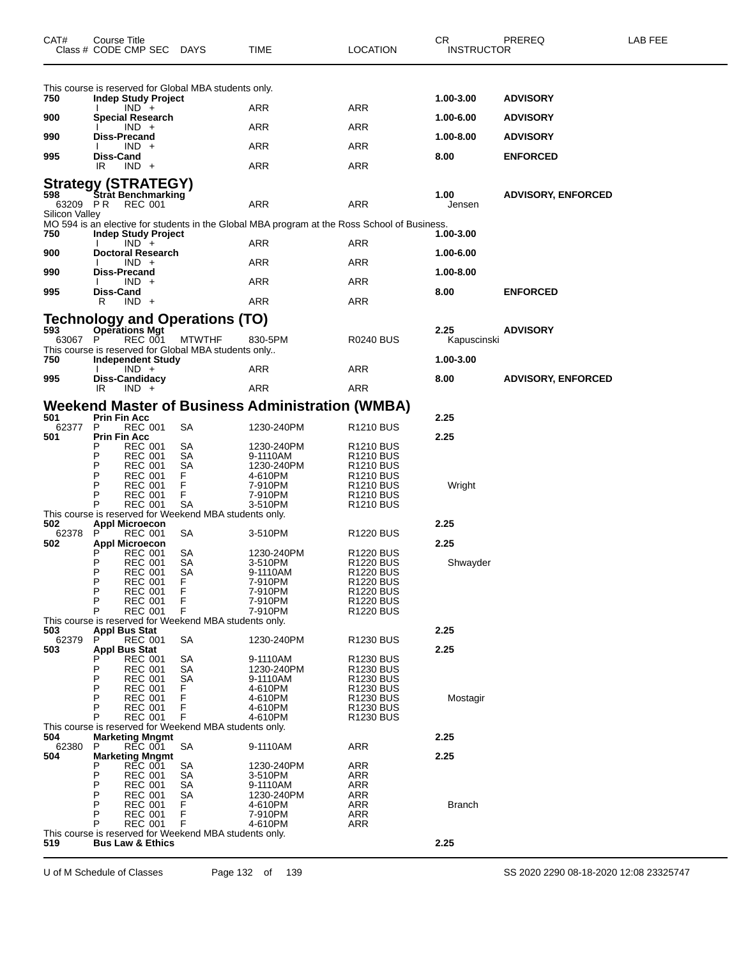| CAT#           | Course Title      | Class # CODE CMP SEC DAYS                                       |                                                             | <b>TIME</b>                                                                                  | <b>LOCATION</b>                      | СR<br><b>INSTRUCTOR</b> | PREREQ                    | LAB FEE |
|----------------|-------------------|-----------------------------------------------------------------|-------------------------------------------------------------|----------------------------------------------------------------------------------------------|--------------------------------------|-------------------------|---------------------------|---------|
|                |                   |                                                                 | This course is reserved for Global MBA students only.       |                                                                                              |                                      |                         |                           |         |
| 750            |                   | <b>Indep Study Project</b><br>$IND +$                           |                                                             | ARR                                                                                          | ARR                                  | 1.00-3.00               | <b>ADVISORY</b>           |         |
| 900            |                   | <b>Special Research</b><br>$IND +$                              |                                                             | ARR                                                                                          | ARR                                  | 1.00-6.00               | <b>ADVISORY</b>           |         |
| 990            |                   | Diss-Precand                                                    |                                                             | ARR                                                                                          | ARR                                  | 1.00-8.00               | <b>ADVISORY</b>           |         |
| 995            | Diss-Cand         | $IND +$                                                         |                                                             |                                                                                              |                                      | 8.00                    | <b>ENFORCED</b>           |         |
|                | IR                | $IND +$                                                         |                                                             | ARR                                                                                          | ARR                                  |                         |                           |         |
| 63209 PR       |                   | Strategy (STRATEGY)<br>598 Strat Benchmarking<br><b>REC 001</b> |                                                             | ARR                                                                                          | <b>ARR</b>                           | 1.00<br>Jensen          | <b>ADVISORY, ENFORCED</b> |         |
| Silicon Valley |                   |                                                                 |                                                             | MO 594 is an elective for students in the Global MBA program at the Ross School of Business. |                                      |                         |                           |         |
| 750            |                   | <b>Indep Study Project</b><br>$IND +$                           |                                                             | ARR                                                                                          | ARR                                  | 1.00-3.00               |                           |         |
| 900            |                   | <b>Doctoral Research</b><br>$IND +$                             |                                                             | ARR                                                                                          | ARR                                  | 1.00-6.00               |                           |         |
| 990            |                   | <b>Diss-Precand</b>                                             |                                                             |                                                                                              |                                      | 1.00-8.00               |                           |         |
| 995            | Diss-Cand         | $IND +$                                                         |                                                             | ARR                                                                                          | ARR                                  | 8.00                    | <b>ENFORCED</b>           |         |
|                | R                 | $IND +$                                                         |                                                             | ARR                                                                                          | ARR                                  |                         |                           |         |
| 593            |                   | <b>Operations Mgt</b>                                           | <b>Technology and Operations (TO)</b>                       |                                                                                              |                                      | 2.25                    | <b>ADVISORY</b>           |         |
| 63067 P        |                   | <b>REC 001</b>                                                  | <b>MTWTHF</b>                                               | 830-5PM                                                                                      | R0240 BUS                            | Kapuscinski             |                           |         |
| 750            |                   | <b>Independent Study</b>                                        | This course is reserved for Global MBA students only        |                                                                                              |                                      | 1.00-3.00               |                           |         |
| 995            |                   | $IND +$<br>Diss-Candidacy                                       |                                                             | ARR                                                                                          | ARR                                  | 8.00                    | <b>ADVISORY, ENFORCED</b> |         |
|                | IR.               | $IND +$                                                         |                                                             | ARR                                                                                          | ARR                                  |                         |                           |         |
|                |                   |                                                                 |                                                             | Weekend Master of Business Administration (WMBA)                                             |                                      |                         |                           |         |
| 501<br>62377   | Prin Fin Acc<br>P | <b>REC 001</b>                                                  | SA                                                          | 1230-240PM                                                                                   | R1210 BUS                            | 2.25                    |                           |         |
| 501            | Prin Fin Acc      |                                                                 |                                                             |                                                                                              |                                      | 2.25                    |                           |         |
|                | Р                 | <b>REC 001</b><br><b>REC 001</b>                                | SА<br>SA                                                    | 1230-240PM<br>9-1110AM                                                                       | R1210 BUS<br>R1210 BUS               |                         |                           |         |
|                | Р<br>Р            | REC 001<br><b>REC 001</b>                                       | SА<br>F.                                                    | 1230-240PM<br>4-610PM                                                                        | R1210 BUS<br><b>R1210 BUS</b>        |                         |                           |         |
|                | P                 | <b>REC 001</b>                                                  | F                                                           | 7-910PM                                                                                      | R1210 BUS                            | Wright                  |                           |         |
|                | P<br>P            | <b>REC 001</b><br><b>REC 001</b>                                | F<br>SA                                                     | 7-910PM<br>3-510PM                                                                           | <b>R1210 BUS</b><br><b>R1210 BUS</b> |                         |                           |         |
| 502            |                   | <b>Appl Microecon</b>                                           | This course is reserved for Weekend MBA students only.      |                                                                                              |                                      | 2.25                    |                           |         |
| 62378<br>502   |                   | <b>REC 001</b>                                                  | SА                                                          | 3-510PM                                                                                      | R1220 BUS                            | 2.25                    |                           |         |
|                |                   | <b>Appl Microecon</b><br>REC 001                                | SА                                                          | 1230-240PM                                                                                   | R1220 BUS                            |                         |                           |         |
|                | P<br>P            | <b>REC 001</b><br><b>REC 001</b>                                | SА<br><b>SA</b>                                             | 3-510PM<br>9-1110AM                                                                          | R1220 BUS<br><b>R1220 BUS</b>        | Shwayder                |                           |         |
|                | Ρ<br>P            | <b>REC 001</b>                                                  | F                                                           | 7-910PM                                                                                      | R1220 BUS                            |                         |                           |         |
|                | P                 | <b>REC 001</b><br><b>REC 001</b>                                | F<br>F                                                      | 7-910PM<br>7-910PM                                                                           | <b>R1220 BUS</b><br>R1220 BUS        |                         |                           |         |
|                | P                 | <b>REC 001</b>                                                  | F<br>This course is reserved for Weekend MBA students only. | 7-910PM                                                                                      | <b>R1220 BUS</b>                     |                         |                           |         |
| 503            | P                 | Appl Bus Stat                                                   | SА                                                          |                                                                                              | <b>R1230 BUS</b>                     | 2.25                    |                           |         |
| 62379<br>503   |                   | <b>REC 001</b><br>Appl Bus Stat                                 |                                                             | 1230-240PM                                                                                   |                                      | 2.25                    |                           |         |
|                | P                 | <b>REC 001</b><br><b>REC 001</b>                                | SА<br>SА                                                    | 9-1110AM<br>1230-240PM                                                                       | <b>R1230 BUS</b><br>R1230 BUS        |                         |                           |         |
|                | P<br>P            | <b>REC 001</b>                                                  | SА                                                          | 9-1110AM                                                                                     | R1230 BUS                            |                         |                           |         |
|                | P                 | <b>REC 001</b><br><b>REC 001</b>                                | F<br>F                                                      | 4-610PM<br>4-610PM                                                                           | R1230 BUS<br>R1230 BUS               | Mostagir                |                           |         |
|                | P<br>P            | <b>REC 001</b><br><b>REC 001</b>                                | F<br>F                                                      | 4-610PM<br>4-610PM                                                                           | R1230 BUS<br>R1230 BUS               |                         |                           |         |
|                |                   |                                                                 | This course is reserved for Weekend MBA students only.      |                                                                                              |                                      |                         |                           |         |
| 504<br>62380   | P                 | <b>Marketing Mngmt</b><br>REC 001                               | SA                                                          | 9-1110AM                                                                                     | <b>ARR</b>                           | 2.25                    |                           |         |
| 504            |                   | <b>Marketing Mngmt</b><br><b>REC 001</b>                        | SА                                                          | 1230-240PM                                                                                   | <b>ARR</b>                           | 2.25                    |                           |         |
|                | P                 | <b>REC 001</b>                                                  | SА                                                          | 3-510PM                                                                                      | ARR                                  |                         |                           |         |
|                | P<br>P            | <b>REC 001</b><br><b>REC 001</b>                                | SА<br>SА                                                    | 9-1110AM<br>1230-240PM                                                                       | ARR<br>ARR                           |                         |                           |         |
|                | P<br>Р            | <b>REC 001</b>                                                  | F                                                           | 4-610PM                                                                                      | <b>ARR</b>                           | <b>Branch</b>           |                           |         |
|                | Р                 | <b>REC 001</b><br><b>REC 001</b>                                | F<br>F                                                      | 7-910PM<br>4-610PM                                                                           | <b>ARR</b><br><b>ARR</b>             |                         |                           |         |
| 519            |                   | <b>Bus Law &amp; Ethics</b>                                     | This course is reserved for Weekend MBA students only.      |                                                                                              |                                      | 2.25                    |                           |         |

U of M Schedule of Classes Page 132 of 139 SS 2020 2290 08-18-2020 12:08 23325747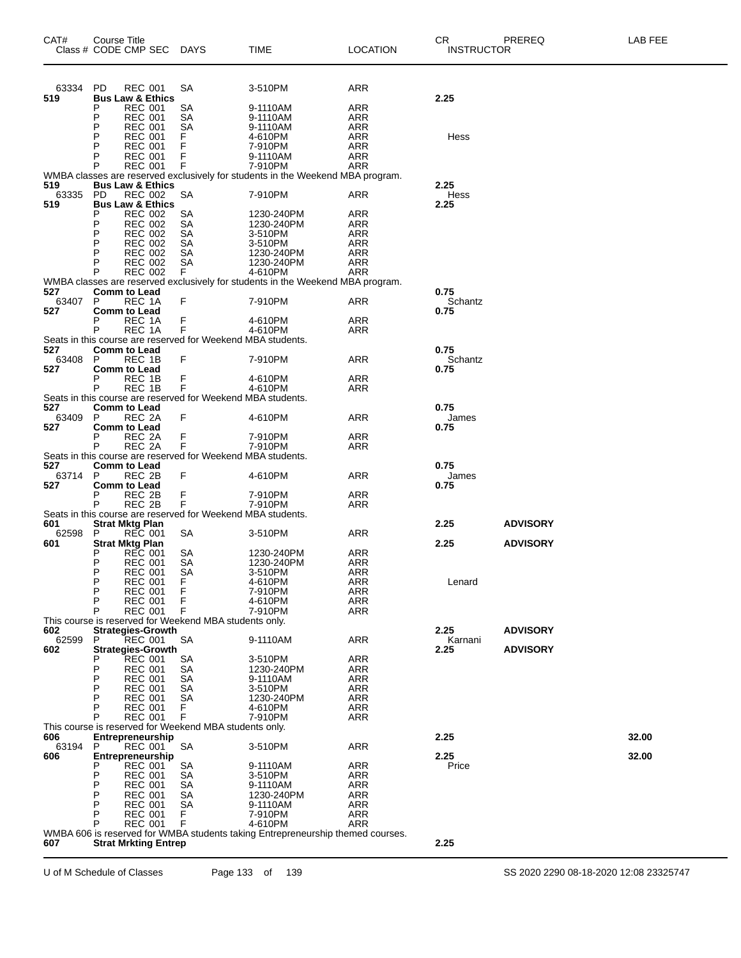| CAT#         | Course Title<br>Class # CODE CMP SEC                                               | <b>DAYS</b> | <b>TIME</b>                                                                    | <b>LOCATION</b>          | CR<br><b>INSTRUCTOR</b> | PREREQ          | LAB FEE |
|--------------|------------------------------------------------------------------------------------|-------------|--------------------------------------------------------------------------------|--------------------------|-------------------------|-----------------|---------|
| 63334        | PD.<br><b>REC 001</b>                                                              | SA          | 3-510PM                                                                        | <b>ARR</b>               |                         |                 |         |
| 519          | <b>Bus Law &amp; Ethics</b>                                                        |             |                                                                                |                          | 2.25                    |                 |         |
|              | <b>REC 001</b><br>P                                                                | SA          | 9-1110AM                                                                       | ARR                      |                         |                 |         |
|              | P<br><b>REC 001</b>                                                                | SA          | 9-1110AM                                                                       | <b>ARR</b>               |                         |                 |         |
|              | <b>REC 001</b><br>P<br>P                                                           | SА          | 9-1110AM                                                                       | ARR                      |                         |                 |         |
|              | <b>REC 001</b><br><b>REC 001</b><br>P                                              | F<br>F      | 4-610PM<br>7-910PM                                                             | <b>ARR</b><br><b>ARR</b> | Hess                    |                 |         |
|              | <b>REC 001</b><br>P                                                                | F           | 9-1110AM                                                                       | ARR                      |                         |                 |         |
|              | P<br><b>REC 001</b>                                                                | F           | 7-910PM                                                                        | ARR                      |                         |                 |         |
|              |                                                                                    |             | WMBA classes are reserved exclusively for students in the Weekend MBA program. |                          |                         |                 |         |
| 519          | <b>Bus Law &amp; Ethics</b>                                                        |             |                                                                                |                          | 2.25                    |                 |         |
| 63335<br>519 | <b>REC 002</b><br>PD.<br><b>Bus Law &amp; Ethics</b>                               | SA          | 7-910PM                                                                        | ARR                      | Hess                    |                 |         |
|              | <b>REC 002</b><br>P                                                                | SA          | 1230-240PM                                                                     | ARR                      | 2.25                    |                 |         |
|              | P<br><b>REC 002</b>                                                                | SA          | 1230-240PM                                                                     | ARR                      |                         |                 |         |
|              | P<br><b>REC 002</b>                                                                | <b>SA</b>   | 3-510PM                                                                        | <b>ARR</b>               |                         |                 |         |
|              | P<br><b>REC 002</b>                                                                | SА          | 3-510PM                                                                        | ARR                      |                         |                 |         |
|              | P<br><b>REC 002</b>                                                                | <b>SA</b>   | 1230-240PM                                                                     | <b>ARR</b>               |                         |                 |         |
|              | <b>REC 002</b><br>P<br><b>REC 002</b><br>P                                         | SA<br>F.    | 1230-240PM<br>4-610PM                                                          | ARR<br>ARR               |                         |                 |         |
|              |                                                                                    |             | WMBA classes are reserved exclusively for students in the Weekend MBA program. |                          |                         |                 |         |
| 527          | <b>Comm to Lead</b>                                                                |             |                                                                                |                          | 0.75                    |                 |         |
| 63407        | P<br>REC 1A                                                                        | F           | 7-910PM                                                                        | ARR                      | Schantz                 |                 |         |
| 527          | <b>Comm to Lead</b>                                                                |             |                                                                                |                          | 0.75                    |                 |         |
|              | REC 1A<br>Р                                                                        | F<br>F      | 4-610PM                                                                        | <b>ARR</b>               |                         |                 |         |
|              | P<br>REC 1A<br>Seats in this course are reserved for Weekend MBA students.         |             | 4-610PM                                                                        | ARR                      |                         |                 |         |
| 527          | <b>Comm to Lead</b>                                                                |             |                                                                                |                          | 0.75                    |                 |         |
| 63408        | P<br>REC 1B                                                                        | F           | 7-910PM                                                                        | ARR                      | Schantz                 |                 |         |
| 527          | <b>Comm to Lead</b>                                                                |             |                                                                                |                          | 0.75                    |                 |         |
|              | REC 1B<br>Р                                                                        | F           | 4-610PM                                                                        | <b>ARR</b>               |                         |                 |         |
|              | P<br>REC 1B                                                                        | F           | 4-610PM                                                                        | ARR                      |                         |                 |         |
| 527          | Seats in this course are reserved for Weekend MBA students.<br><b>Comm to Lead</b> |             |                                                                                |                          | 0.75                    |                 |         |
| 63409        | P<br>REC 2A                                                                        | F           | 4-610PM                                                                        | ARR                      | James                   |                 |         |
| 527          | <b>Comm to Lead</b>                                                                |             |                                                                                |                          | 0.75                    |                 |         |
|              | REC 2A<br>Р                                                                        | F           | 7-910PM                                                                        | <b>ARR</b>               |                         |                 |         |
|              | P<br>REC 2A                                                                        | F           | 7-910PM                                                                        | ARR                      |                         |                 |         |
|              | Seats in this course are reserved for Weekend MBA students.                        |             |                                                                                |                          |                         |                 |         |
| 527<br>63714 | <b>Comm to Lead</b><br>P<br>REC 2B                                                 | F           | 4-610PM                                                                        | ARR                      | 0.75<br>James           |                 |         |
| 527          | <b>Comm to Lead</b>                                                                |             |                                                                                |                          | 0.75                    |                 |         |
|              | REC 2B<br>Р                                                                        |             | 7-910PM                                                                        | <b>ARR</b>               |                         |                 |         |
|              | P<br>REC <sub>2B</sub>                                                             | F<br>F      | 7-910PM                                                                        | ARR                      |                         |                 |         |
|              | Seats in this course are reserved for Weekend MBA students.                        |             |                                                                                |                          |                         |                 |         |
| 601          | <b>Strat Mktg Plan</b>                                                             |             |                                                                                |                          | 2.25                    | <b>ADVISORY</b> |         |
| 62598<br>601 | <b>REC 001</b><br>P<br><b>Strat Mktg Plan</b>                                      | SA          | 3-510PM                                                                        | ARR                      | 2.25                    | <b>ADVISORY</b> |         |
|              | <b>REC 001</b><br>Р                                                                | SА          | 1230-240PM                                                                     | <b>ARR</b>               |                         |                 |         |
|              | Р<br><b>REC 001</b>                                                                | SА          | 1230-240PM                                                                     | ARR                      |                         |                 |         |
|              | P<br><b>REC 001</b>                                                                | SА          | 3-510PM                                                                        | <b>ARR</b>               |                         |                 |         |
|              | Р<br><b>REC 001</b>                                                                | ۳           | 4-610PM                                                                        | ARR                      | Lenard                  |                 |         |
|              | P<br><b>REC 001</b><br>P                                                           | F<br>F      | 7-910PM                                                                        | ARR                      |                         |                 |         |
|              | <b>REC 001</b><br>P<br><b>REC 001</b>                                              | F           | 4-610PM<br>7-910PM                                                             | <b>ARR</b><br><b>ARR</b> |                         |                 |         |
|              | This course is reserved for Weekend MBA students only.                             |             |                                                                                |                          |                         |                 |         |
| 602          | <b>Strategies-Growth</b>                                                           |             |                                                                                |                          | 2.25                    | <b>ADVISORY</b> |         |
| 62599        | REC 001<br>P                                                                       | SA          | 9-1110AM                                                                       | <b>ARR</b>               | Karnani                 |                 |         |
| 602          | <b>Strategies-Growth</b>                                                           |             |                                                                                |                          | 2.25                    | <b>ADVISORY</b> |         |
|              | <b>REC 001</b>                                                                     | SА          | 3-510PM                                                                        | <b>ARR</b>               |                         |                 |         |
|              | P<br><b>REC 001</b><br>P<br><b>REC 001</b>                                         | SА<br>SА    | 1230-240PM<br>9-1110AM                                                         | ARR<br>ARR               |                         |                 |         |
|              | P<br><b>REC 001</b>                                                                | SА          | 3-510PM                                                                        | <b>ARR</b>               |                         |                 |         |
|              | P<br><b>REC 001</b>                                                                | SА          | 1230-240PM                                                                     | <b>ARR</b>               |                         |                 |         |
|              | P<br><b>REC 001</b>                                                                | F           | 4-610PM                                                                        | ARR                      |                         |                 |         |
|              | <b>REC 001</b>                                                                     | F           | 7-910PM                                                                        | <b>ARR</b>               |                         |                 |         |
|              | This course is reserved for Weekend MBA students only.                             |             |                                                                                |                          |                         |                 |         |
| 606          | Entrepreneurship                                                                   |             |                                                                                |                          | 2.25                    |                 | 32.00   |
| 63194<br>606 | P<br><b>REC 001</b><br>Entrepreneurship                                            | SA          | 3-510PM                                                                        | <b>ARR</b>               | 2.25                    |                 | 32.00   |
|              | <b>REC 001</b>                                                                     | SА          | 9-1110AM                                                                       | ARR                      | Price                   |                 |         |
|              | P<br><b>REC 001</b>                                                                | SА          | 3-510PM                                                                        | <b>ARR</b>               |                         |                 |         |
|              | P<br><b>REC 001</b>                                                                | SА          | 9-1110AM                                                                       | <b>ARR</b>               |                         |                 |         |
|              | P<br><b>REC 001</b>                                                                | SА          | 1230-240PM                                                                     | ARR                      |                         |                 |         |
|              | P<br><b>REC 001</b>                                                                | SА          | 9-1110AM                                                                       | <b>ARR</b>               |                         |                 |         |
|              | P<br><b>REC 001</b><br>P<br><b>REC 001</b>                                         | F<br>F      | 7-910PM<br>4-610PM                                                             | <b>ARR</b><br>ARR        |                         |                 |         |
|              |                                                                                    |             | WMBA 606 is reserved for WMBA students taking Entrepreneurship themed courses. |                          |                         |                 |         |
| 607          | <b>Strat Mrkting Entrep</b>                                                        |             |                                                                                |                          | 2.25                    |                 |         |
|              |                                                                                    |             |                                                                                |                          |                         |                 |         |

U of M Schedule of Classes Page 133 of 139 SS 2020 2290 08-18-2020 12:08 23325747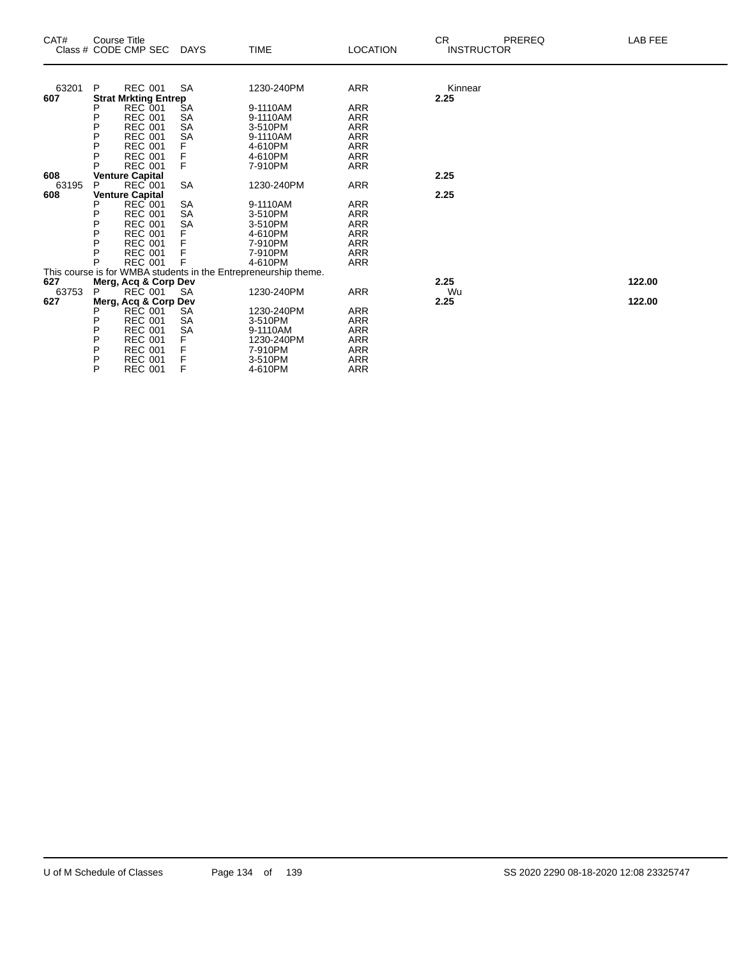| CAT#  | <b>Course Title</b> | Class # CODE CMP SEC                     | <b>DAYS</b>            | <b>TIME</b>                                                     | <b>LOCATION</b>   | CR.<br>PREREQ<br><b>INSTRUCTOR</b> | LAB FEE |
|-------|---------------------|------------------------------------------|------------------------|-----------------------------------------------------------------|-------------------|------------------------------------|---------|
|       |                     |                                          |                        |                                                                 |                   |                                    |         |
| 63201 | P                   | <b>REC 001</b>                           | <b>SA</b>              | 1230-240PM                                                      | <b>ARR</b>        | Kinnear                            |         |
| 607   |                     | <b>Strat Mrkting Entrep</b>              |                        |                                                                 |                   | 2.25                               |         |
|       |                     | <b>REC 001</b>                           | ŠА                     | 9-1110AM                                                        | ARR               |                                    |         |
|       | Ρ<br>P              | <b>REC 001</b>                           | SA                     | 9-1110AM                                                        | <b>ARR</b>        |                                    |         |
|       | P                   | <b>REC 001</b><br><b>REC 001</b>         | <b>SA</b><br><b>SA</b> | 3-510PM                                                         | <b>ARR</b>        |                                    |         |
|       |                     | <b>REC 001</b>                           |                        | 9-1110AM                                                        | ARR               |                                    |         |
|       | Ρ<br>P              |                                          | F                      | 4-610PM<br>4-610PM                                              | ARR<br><b>ARR</b> |                                    |         |
|       | P                   | <b>REC 001</b><br><b>REC 001</b>         | F<br>F                 | 7-910PM                                                         | <b>ARR</b>        |                                    |         |
| 608   |                     |                                          |                        |                                                                 |                   | 2.25                               |         |
| 63195 | P                   | <b>Venture Capital</b><br><b>REC 001</b> | <b>SA</b>              | 1230-240PM                                                      | <b>ARR</b>        |                                    |         |
| 608   |                     | <b>Venture Capital</b>                   |                        |                                                                 |                   | 2.25                               |         |
|       | Р                   | <b>REC 001</b>                           | <b>SA</b>              | 9-1110AM                                                        | <b>ARR</b>        |                                    |         |
|       | Ρ                   | <b>REC 001</b>                           | <b>SA</b>              | 3-510PM                                                         | ARR               |                                    |         |
|       | P                   | <b>REC 001</b>                           | <b>SA</b>              | 3-510PM                                                         | <b>ARR</b>        |                                    |         |
|       | P                   | <b>REC 001</b>                           | F                      | 4-610PM                                                         | <b>ARR</b>        |                                    |         |
|       | P                   | <b>REC 001</b>                           |                        | 7-910PM                                                         | <b>ARR</b>        |                                    |         |
|       | P                   | <b>REC 001</b>                           | F                      | 7-910PM                                                         | <b>ARR</b>        |                                    |         |
|       | P                   | <b>REC 001</b>                           | F                      | 4-610PM                                                         | <b>ARR</b>        |                                    |         |
|       |                     |                                          |                        | This course is for WMBA students in the Entrepreneurship theme. |                   |                                    |         |
| 627   |                     | Merg, Acq & Corp Dev                     |                        |                                                                 |                   | 2.25                               | 122.00  |
| 63753 | P                   | <b>REC 001</b>                           | <b>SA</b>              | 1230-240PM                                                      | <b>ARR</b>        | Wu                                 |         |
| 627   |                     | Merg, Acq & Corp Dev                     |                        |                                                                 |                   | 2.25                               | 122.00  |
|       |                     | <b>REC 001</b>                           | <b>SA</b>              | 1230-240PM                                                      | ARR               |                                    |         |
|       | P                   | <b>REC 001</b>                           | SA                     | 3-510PM                                                         | <b>ARR</b>        |                                    |         |
|       | P                   | <b>REC 001</b>                           | <b>SA</b>              | 9-1110AM                                                        | <b>ARR</b>        |                                    |         |
|       | P                   | <b>REC 001</b>                           | F                      | 1230-240PM                                                      | ARR               |                                    |         |
|       | P                   | <b>REC 001</b>                           | F                      | 7-910PM                                                         | <b>ARR</b>        |                                    |         |
|       | P                   | <b>REC 001</b>                           | F                      | 3-510PM                                                         | <b>ARR</b>        |                                    |         |
|       | P                   | <b>REC 001</b>                           | F                      | 4-610PM                                                         | ARR               |                                    |         |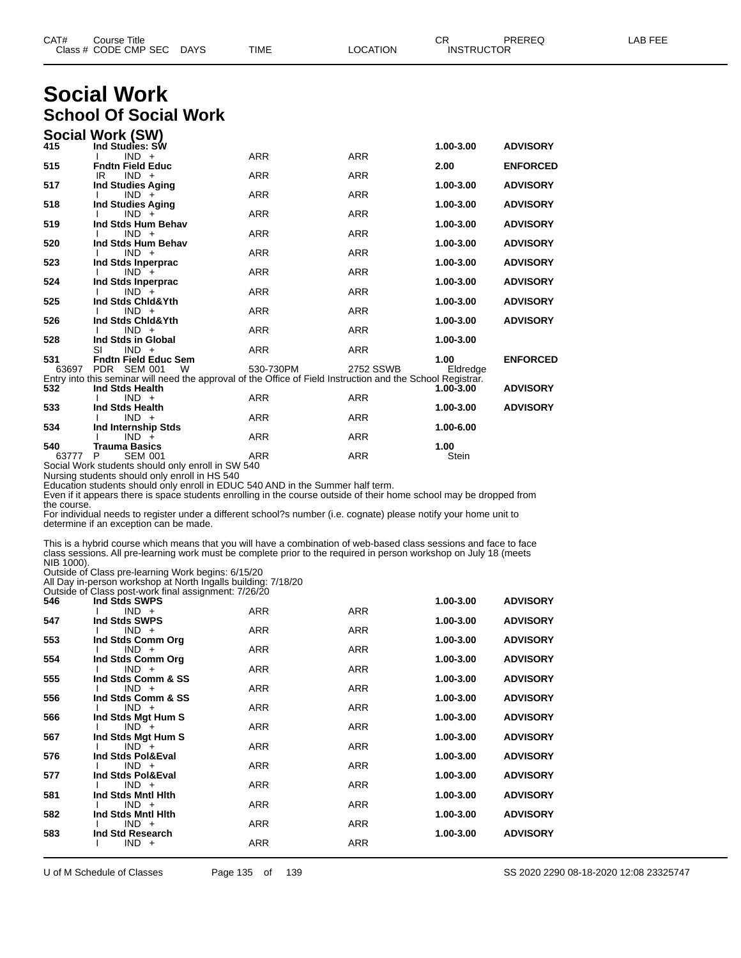| CAT# | Title<br>Sourse                    |                       |             |          | ~~<br>◡⊓                           | <b>PREREC</b> | $- - -$<br>ΔR<br>--- |
|------|------------------------------------|-----------------------|-------------|----------|------------------------------------|---------------|----------------------|
|      | Class # CODE CMP SEC<br>__<br>____ | <b>DAYS</b><br>$\sim$ | <b>TIME</b> | _OCATION | TRUCTOR<br><b>INST</b><br>________ |               |                      |

### **Social Work School Of Social Work**

|              | Social Work (SW)                                                                                            |            |            |                  |                 |
|--------------|-------------------------------------------------------------------------------------------------------------|------------|------------|------------------|-----------------|
| 415          | Ind Studies: SW                                                                                             |            |            | 1.00-3.00        | <b>ADVISORY</b> |
|              | $IND +$                                                                                                     | <b>ARR</b> | <b>ARR</b> |                  |                 |
| 515          | <b>Fndtn Field Educ</b><br>$IND +$<br>IR                                                                    | <b>ARR</b> | <b>ARR</b> | 2.00             | <b>ENFORCED</b> |
| 517          | <b>Ind Studies Aging</b>                                                                                    |            |            | 1.00-3.00        | <b>ADVISORY</b> |
|              | $IND +$                                                                                                     | <b>ARR</b> | <b>ARR</b> |                  |                 |
| 518          | <b>Ind Studies Aging</b>                                                                                    |            |            | 1.00-3.00        | <b>ADVISORY</b> |
|              | $IND +$                                                                                                     | <b>ARR</b> | <b>ARR</b> |                  |                 |
| 519          | Ind Stds Hum Behav                                                                                          |            |            | 1.00-3.00        | <b>ADVISORY</b> |
| 520          | $IND +$<br>Ind Stds Hum Behav                                                                               | <b>ARR</b> | <b>ARR</b> | 1.00-3.00        | <b>ADVISORY</b> |
|              | $IND +$                                                                                                     | <b>ARR</b> | <b>ARR</b> |                  |                 |
| 523          | Ind Stds Inperprac                                                                                          |            |            | 1.00-3.00        | <b>ADVISORY</b> |
|              | $IND +$                                                                                                     | <b>ARR</b> | <b>ARR</b> |                  |                 |
| 524          | Ind Stds Inperprac                                                                                          |            |            | 1.00-3.00        | <b>ADVISORY</b> |
| 525          | $IND +$<br>Ind Stds Chid&Yth                                                                                | <b>ARR</b> | <b>ARR</b> | 1.00-3.00        | <b>ADVISORY</b> |
|              | $IND +$                                                                                                     | <b>ARR</b> | <b>ARR</b> |                  |                 |
| 526          | Ind Stds Chid&Yth                                                                                           |            |            | 1.00-3.00        | <b>ADVISORY</b> |
|              | $IND +$                                                                                                     | <b>ARR</b> | <b>ARR</b> |                  |                 |
| 528          | Ind Stds in Global                                                                                          |            |            | 1.00-3.00        |                 |
|              | SI<br>$IND +$                                                                                               | <b>ARR</b> | <b>ARR</b> |                  |                 |
| 531<br>63697 | <b>Fndtn Field Educ Sem</b><br>PDR SEM 001<br>W                                                             | 530-730PM  | 2752 SSWB  | 1.00<br>Eldredge | <b>ENFORCED</b> |
|              | Entry into this seminar will need the approval of the Office of Field Instruction and the School Registrar. |            |            |                  |                 |
| 532          | Ind Stds Health                                                                                             |            |            | $1.00 - 3.00$    | <b>ADVISORY</b> |
|              | $IND +$                                                                                                     | <b>ARR</b> | <b>ARR</b> |                  |                 |
| 533          | Ind Stds Health                                                                                             |            |            | 1.00-3.00        | <b>ADVISORY</b> |
|              | $IND +$                                                                                                     | <b>ARR</b> | <b>ARR</b> |                  |                 |
| 534          | Ind Internship Stds<br>$IND +$                                                                              | <b>ARR</b> | <b>ARR</b> | 1.00-6.00        |                 |
| 540          | <b>Trauma Basics</b>                                                                                        |            |            | 1.00             |                 |
| 63777        | <b>SEM 001</b><br>P                                                                                         | <b>ARR</b> | <b>ARR</b> | Stein            |                 |
|              | Social Wark students should only optall in SW 540                                                           |            |            |                  |                 |

ial Work students should only enroll in SW 540

Nursing students should only enroll in HS 540

Education students should only enroll in EDUC 540 AND in the Summer half term.

Even if it appears there is space students enrolling in the course outside of their home school may be dropped from the course.

For individual needs to register under a different school?s number (i.e. cognate) please notify your home unit to determine if an exception can be made.

This is a hybrid course which means that you will have a combination of web-based class sessions and face to face class sessions. All pre-learning work must be complete prior to the required in person workshop on July 18 (meets NIB 1000).

Outside of Class pre-learning Work begins: 6/15/20

All Day in-person workshop at North Ingalls building: 7/18/20 Outside of Class post-work final assignment: 7/26/20

| 546 | Ind Stds SWPS                |            |            | 1.00-3.00 | <b>ADVISORY</b> |
|-----|------------------------------|------------|------------|-----------|-----------------|
|     | $IND +$                      | <b>ARR</b> | <b>ARR</b> |           |                 |
| 547 | Ind Stds SWPS                |            |            | 1.00-3.00 | <b>ADVISORY</b> |
|     | $IND +$                      | <b>ARR</b> | <b>ARR</b> |           |                 |
| 553 | Ind Stds Comm Org<br>$IND +$ | <b>ARR</b> | ARR        | 1.00-3.00 | <b>ADVISORY</b> |
| 554 | Ind Stds Comm Org            |            |            | 1.00-3.00 | <b>ADVISORY</b> |
|     | $IND +$                      | ARR        | ARR        |           |                 |
| 555 | Ind Stds Comm & SS           |            |            | 1.00-3.00 | <b>ADVISORY</b> |
|     | $IND +$                      | <b>ARR</b> | <b>ARR</b> |           |                 |
| 556 | Ind Stds Comm & SS           |            |            | 1.00-3.00 | <b>ADVISORY</b> |
|     | $IND +$                      | ARR        | ARR        |           |                 |
| 566 | Ind Stds Mgt Hum S           |            |            | 1.00-3.00 | <b>ADVISORY</b> |
|     | $IND +$                      | <b>ARR</b> | <b>ARR</b> |           |                 |
| 567 | Ind Stds Mgt Hum S           |            |            | 1.00-3.00 | <b>ADVISORY</b> |
|     | $IND^-+$                     | <b>ARR</b> | ARR        |           |                 |
| 576 | Ind Stds Pol&Eval            |            |            | 1.00-3.00 | <b>ADVISORY</b> |
| 577 | $IND +$<br>Ind Stds Pol&Eval | <b>ARR</b> | ARR        | 1.00-3.00 | <b>ADVISORY</b> |
|     | $IND +$                      | <b>ARR</b> | ARR        |           |                 |
| 581 | Ind Stds Mntl Hith           |            |            | 1.00-3.00 | <b>ADVISORY</b> |
|     | $IND +$                      | <b>ARR</b> | ARR        |           |                 |
| 582 | Ind Stds Mntl Hith           |            |            | 1.00-3.00 | <b>ADVISORY</b> |
|     | $IND +$                      | <b>ARR</b> | <b>ARR</b> |           |                 |
| 583 | Ind Std Research             |            |            | 1.00-3.00 | <b>ADVISORY</b> |
|     | $IND +$                      | <b>ARR</b> | <b>ARR</b> |           |                 |
|     |                              |            |            |           |                 |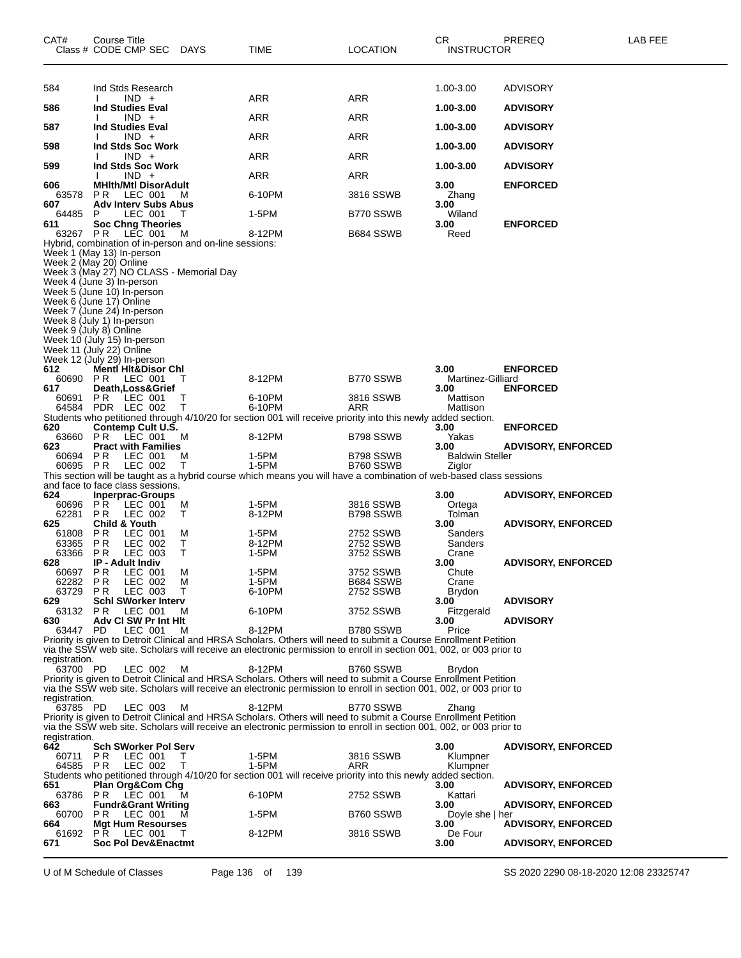| CAT#                 | Course Title<br>Class # CODE CMP SEC                        | DAYS                                                   | TIME                                                                                                                        | <b>LOCATION</b>        | CR.<br><b>INSTRUCTOR</b>       | PREREQ                    | LAB FEE |
|----------------------|-------------------------------------------------------------|--------------------------------------------------------|-----------------------------------------------------------------------------------------------------------------------------|------------------------|--------------------------------|---------------------------|---------|
| 584                  | Ind Stds Research                                           |                                                        |                                                                                                                             |                        | 1.00-3.00                      | <b>ADVISORY</b>           |         |
| 586                  | $IND +$<br><b>Ind Studies Eval</b>                          |                                                        | ARR                                                                                                                         | ARR                    | 1.00-3.00                      | <b>ADVISORY</b>           |         |
|                      | $IND +$                                                     |                                                        | ARR                                                                                                                         | ARR                    |                                |                           |         |
| 587                  | <b>Ind Studies Eval</b><br>$IND +$                          |                                                        | ARR                                                                                                                         | ARR                    | 1.00-3.00                      | <b>ADVISORY</b>           |         |
| 598                  | Ind Stds Soc Work<br>$IND +$                                |                                                        | ARR                                                                                                                         | ARR                    | 1.00-3.00                      | <b>ADVISORY</b>           |         |
| 599                  | Ind Stds Soc Work<br>$IND +$                                |                                                        | <b>ARR</b>                                                                                                                  |                        | 1.00-3.00                      | <b>ADVISORY</b>           |         |
| 606                  | <b>MHIth/Mtl DisorAdult</b>                                 |                                                        |                                                                                                                             | ARR                    | 3.00                           | <b>ENFORCED</b>           |         |
| 63578<br>607         | P R<br>LEC 001<br><b>Adv Interv Subs Abus</b>               | M                                                      | 6-10PM                                                                                                                      | 3816 SSWB              | Zhang<br>3.00                  |                           |         |
| 64485<br>611         | P<br>LEC 001<br><b>Soc Chng Theories</b>                    |                                                        | 1-5PM                                                                                                                       | B770 SSWB              | Wiland<br>3.00                 | <b>ENFORCED</b>           |         |
|                      | 63267 PR LEC 001                                            | M                                                      | 8-12PM                                                                                                                      | B684 SSWB              | Reed                           |                           |         |
|                      | Week 1 (May 13) In-person                                   | Hybrid, combination of in-person and on-line sessions: |                                                                                                                             |                        |                                |                           |         |
|                      | Week 2 (May 20) Online                                      | Week 3 (May 27) NO CLASS - Memorial Day                |                                                                                                                             |                        |                                |                           |         |
|                      | Week 4 (June 3) In-person<br>Week 5 (June 10) In-person     |                                                        |                                                                                                                             |                        |                                |                           |         |
|                      | Week 6 (June 17) Online                                     |                                                        |                                                                                                                             |                        |                                |                           |         |
|                      | Week 7 (June 24) In-person<br>Week 8 (July 1) In-person     |                                                        |                                                                                                                             |                        |                                |                           |         |
|                      | Week 9 (July 8) Online<br>Week 10 (July 15) In-person       |                                                        |                                                                                                                             |                        |                                |                           |         |
|                      | Week 11 (July 22) Online<br>Week 12 (July 29) In-person     |                                                        |                                                                                                                             |                        |                                |                           |         |
| 612                  | <b>Mentl Hit&amp;Disor Chl</b>                              |                                                        |                                                                                                                             |                        | 3.00                           | <b>ENFORCED</b>           |         |
| 617                  | 60690 PR LEC 001<br>Death, Loss& Grief                      | T                                                      | 8-12PM                                                                                                                      | B770 SSWB              | Martinez-Gilliard<br>3.00      | <b>ENFORCED</b>           |         |
| 60691                | PR.<br>LEC 001<br>64584 PDR LEC 002                         | Τ<br>Τ                                                 | 6-10PM<br>6-10PM                                                                                                            | 3816 SSWB<br>ARR       | Mattison<br>Mattison           |                           |         |
| 620                  | Contemp Cult U.S.                                           |                                                        | Students who petitioned through 4/10/20 for section 001 will receive priority into this newly added section.                |                        | 3.00                           | <b>ENFORCED</b>           |         |
| 63660                | <b>PR LEC 001</b>                                           | M                                                      | 8-12PM                                                                                                                      | B798 SSWB              | Yakas                          |                           |         |
| 623<br>60694 PR      | <b>Pract with Families</b><br>LEC 001                       | M                                                      | 1-5PM                                                                                                                       | B798 SSWB              | 3.00<br><b>Baldwin Steller</b> | <b>ADVISORY, ENFORCED</b> |         |
| 60695 PR             | LEC 002                                                     | Τ                                                      | 1-5PM<br>This section will be taught as a hybrid course which means you will have a combination of web-based class sessions | B760 SSWB              | Ziglor                         |                           |         |
| 624                  | and face to face class sessions.<br><b>Inperprac-Groups</b> |                                                        |                                                                                                                             |                        | 3.00                           | <b>ADVISORY, ENFORCED</b> |         |
| 60696<br>62281       | ΡR<br>LEC 001<br>P R<br>LEC 002                             | M<br>Τ                                                 | 1-5PM<br>8-12PM                                                                                                             | 3816 SSWB<br>B798 SSWB | Ortega<br>Tolman               |                           |         |
| 625                  | <b>Child &amp; Youth</b>                                    |                                                        |                                                                                                                             |                        | 3.00                           | <b>ADVISORY, ENFORCED</b> |         |
| 61808<br>63365       | P R<br>LEC 001<br>P R<br>LEC 002                            | M<br>Т                                                 | 1-5PM<br>8-12PM                                                                                                             | 2752 SSWB<br>2752 SSWB | Sanders<br>Sanders             |                           |         |
| 63366<br>628         | LEC 003<br>P R<br>IP - Adult Indiv                          | Τ                                                      | 1-5PM                                                                                                                       | 3752 SSWB              | Crane<br>3.00                  | <b>ADVISORY, ENFORCED</b> |         |
| 60697                | <b>PR LEC 001</b><br>P R<br>LEC 002                         | м                                                      | 1-5PM<br>1-5PM                                                                                                              | 3752 SSWB<br>B684 SSWB | Chute                          |                           |         |
| 62282<br>63729       | P R<br>LEC 003                                              | M<br>т                                                 | 6-10PM                                                                                                                      | 2752 SSWB              | Crane<br>Brydon                |                           |         |
| 629<br>63132         | <b>Schl SWorker Interv</b><br>LEC 001<br>PR.                | м                                                      | 6-10PM                                                                                                                      | 3752 SSWB              | 3.00<br>Fitzgerald             | <b>ADVISORY</b>           |         |
| 630<br>63447 PD      | Adv CI SW Pr Int Hit<br>LEC 001                             | м                                                      | 8-12PM                                                                                                                      | B780 SSWB              | 3.00<br>Price                  | <b>ADVISORY</b>           |         |
|                      |                                                             |                                                        | Priority is given to Detroit Clinical and HRSA Scholars. Others will need to submit a Course Enrollment Petition            |                        |                                |                           |         |
| registration.        |                                                             |                                                        | via the SSW web site. Scholars will receive an electronic permission to enroll in section 001, 002, or 003 prior to         |                        |                                |                           |         |
| 63700 PD             | LEC 002                                                     | M                                                      | 8-12PM<br>Priority is given to Detroit Clinical and HRSA Scholars. Others will need to submit a Course Enrollment Petition  | B760 SSWB              | <b>Brydon</b>                  |                           |         |
| registration.        |                                                             |                                                        | via the SSW web site. Scholars will receive an electronic permission to enroll in section 001, 002, or 003 prior to         |                        |                                |                           |         |
| 63785 PD             | LEC 003                                                     | м                                                      | 8-12PM<br>Priority is given to Detroit Clinical and HRSA Scholars. Others will need to submit a Course Enrollment Petition  | B770 SSWB              | Zhang                          |                           |         |
|                      |                                                             |                                                        | via the SSW web site. Scholars will receive an electronic permission to enroll in section 001, 002, or 003 prior to         |                        |                                |                           |         |
| registration.<br>642 | <b>Sch SWorker Pol Serv</b>                                 |                                                        |                                                                                                                             |                        | 3.00                           | <b>ADVISORY, ENFORCED</b> |         |
| 60711                | LEC 001<br>P R<br>64585 PR LEC 002                          | T.<br>T                                                | 1-5PM<br>1-5PM                                                                                                              | 3816 SSWB<br>ARR       | Klumpner<br>Klumpner           |                           |         |
|                      |                                                             |                                                        | Students who petitioned through 4/10/20 for section 001 will receive priority into this newly added section.                |                        |                                |                           |         |
| 651<br>63786         | Plan Org&Com Chg<br><b>PR LEC 001</b>                       | м                                                      | 6-10PM                                                                                                                      | 2752 SSWB              | 3.00<br>Kattari                | <b>ADVISORY, ENFORCED</b> |         |
| 663<br>60700         | <b>Fundr&amp;Grant Writing</b><br><b>PR LEC 001</b>         | м                                                      | 1-5PM                                                                                                                       | B760 SSWB              | 3.00<br>Doyle she   her        | <b>ADVISORY, ENFORCED</b> |         |
| 664<br>61692         | Mgt Hum Resourses<br><b>PR LEC 001</b>                      | T                                                      | 8-12PM                                                                                                                      | 3816 SSWB              | 3.00<br>De Four                | <b>ADVISORY, ENFORCED</b> |         |
| 671                  | Soc Pol Dev&Enactmt                                         |                                                        |                                                                                                                             |                        | 3.00                           | <b>ADVISORY, ENFORCED</b> |         |
|                      |                                                             |                                                        |                                                                                                                             |                        |                                |                           |         |

U of M Schedule of Classes Page 136 of 139 SS 2020 2290 08-18-2020 12:08 23325747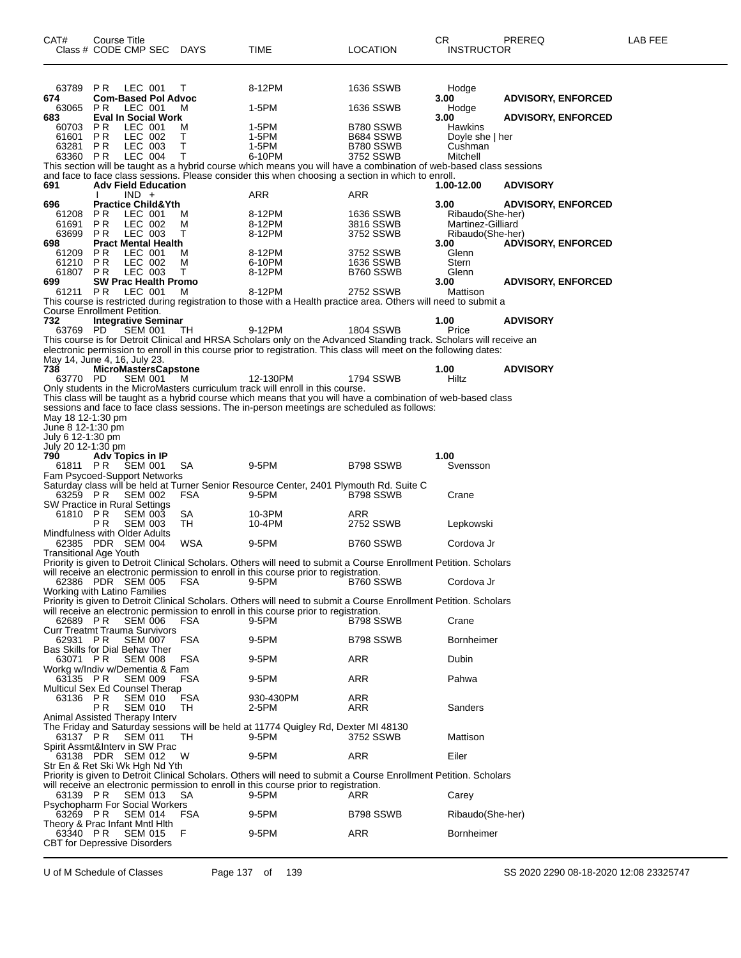| CAT#<br>Class # CODE CMP SEC                        | Course Title                         |                    | DAYS       | <b>TIME</b>                                                                                                                                                                                                                               | <b>LOCATION</b>        | CR<br><b>INSTRUCTOR</b>  | PREREQ                    | LAB FEE |
|-----------------------------------------------------|--------------------------------------|--------------------|------------|-------------------------------------------------------------------------------------------------------------------------------------------------------------------------------------------------------------------------------------------|------------------------|--------------------------|---------------------------|---------|
| 63789                                               | P R                                  | LEC 001            | т          | 8-12PM                                                                                                                                                                                                                                    | 1636 SSWB              | Hodge                    |                           |         |
| 674<br>63065                                        | <b>Com-Based Pol Advoc</b><br>PR.    | LEC 001            | м          | 1-5PM                                                                                                                                                                                                                                     | 1636 SSWB              | 3.00<br>Hodge            | <b>ADVISORY, ENFORCED</b> |         |
| 683<br>60703                                        | <b>Eval In Social Work</b><br>P R    | LEC 001            | м          | 1-5PM                                                                                                                                                                                                                                     | B780 SSWB              | 3.00<br>Hawkins          | <b>ADVISORY, ENFORCED</b> |         |
| 61601                                               | PR.                                  | LEC 002            | T.         | 1-5PM                                                                                                                                                                                                                                     | B684 SSWB              | Doyle she   her          |                           |         |
| 63281<br>63360 PR                                   | PR.                                  | LEC 003<br>LEC 004 | Τ<br>Τ     | 1-5PM<br>6-10PM                                                                                                                                                                                                                           | B780 SSWB<br>3752 SSWB | Cushman<br>Mitchell      |                           |         |
|                                                     |                                      |                    |            | This section will be taught as a hybrid course which means you will have a combination of web-based class sessions<br>and face to face class sessions. Please consider this when choosing a section in which to enroll.                   |                        |                          |                           |         |
| 691                                                 | <b>Adv Field Education</b>           | $IND +$            |            | <b>ARR</b>                                                                                                                                                                                                                                | <b>ARR</b>             | 1.00-12.00               | <b>ADVISORY</b>           |         |
| 696<br>61208                                        | <b>Practice Child&amp;Yth</b><br>P R | LEC 001            | м          | 8-12PM                                                                                                                                                                                                                                    | 1636 SSWB              | 3.00<br>Ribaudo(She-her) | <b>ADVISORY, ENFORCED</b> |         |
| 61691                                               | PR.                                  | LEC 002            | м          | 8-12PM                                                                                                                                                                                                                                    | 3816 SSWB              | Martinez-Gilliard        |                           |         |
| 63699<br>698                                        | PR.<br><b>Pract Mental Health</b>    | LEC 003            | т          | 8-12PM                                                                                                                                                                                                                                    | 3752 SSWB              | Ribaudo(She-her)<br>3.00 | <b>ADVISORY, ENFORCED</b> |         |
| 61209<br>61210                                      | PR.<br>P <sub>R</sub>                | LEC 001<br>LEC 002 | м<br>м     | 8-12PM<br>6-10PM                                                                                                                                                                                                                          | 3752 SSWB<br>1636 SSWB | Glenn<br>Stern           |                           |         |
| 61807<br>699                                        | P R<br><b>SW Prac Health Promo</b>   | LEC 003            | Т          | 8-12PM                                                                                                                                                                                                                                    | B760 SSWB              | Glenn<br>3.00            | <b>ADVISORY, ENFORCED</b> |         |
| 61211 PR                                            |                                      | LEC 001            | M          | 8-12PM                                                                                                                                                                                                                                    | 2752 SSWB              | Mattison                 |                           |         |
| Course Enrollment Petition.                         |                                      |                    |            | This course is restricted during registration to those with a Health practice area. Others will need to submit a                                                                                                                          |                        |                          |                           |         |
| 732<br>63769 PD                                     | <b>Integrative Seminar</b>           | SEM 001            | TH.        | 9-12PM                                                                                                                                                                                                                                    | 1804 SSWB              | 1.00<br>Price            | <b>ADVISORY</b>           |         |
|                                                     |                                      |                    |            | This course is for Detroit Clinical and HRSA Scholars only on the Advanced Standing track. Scholars will receive an<br>electronic permission to enroll in this course prior to registration. This class will meet on the following dates: |                        |                          |                           |         |
| May 14, June 4, 16, July 23.<br>738                 | <b>MicroMastersCapstone</b>          |                    |            |                                                                                                                                                                                                                                           |                        | 1.00                     | <b>ADVISORY</b>           |         |
| 63770 PD                                            |                                      | <b>SEM 001</b>     | м          | 12-130PM                                                                                                                                                                                                                                  | 1794 SSWB              | Hiltz                    |                           |         |
|                                                     |                                      |                    |            | Only students in the MicroMasters curriculum track will enroll in this course.<br>This class will be taught as a hybrid course which means that you will have a combination of web-based class                                            |                        |                          |                           |         |
| May 18 12-1:30 pm                                   |                                      |                    |            | sessions and face to face class sessions. The in-person meetings are scheduled as follows:                                                                                                                                                |                        |                          |                           |         |
| June 8 12-1:30 pm<br>July 6 12-1:30 pm              |                                      |                    |            |                                                                                                                                                                                                                                           |                        |                          |                           |         |
| July 20 12-1:30 pm<br>790                           | Adv Topics in IP                     |                    |            |                                                                                                                                                                                                                                           |                        | 1.00                     |                           |         |
| 61811 PR                                            |                                      | <b>SEM 001</b>     | SA         | 9-5PM                                                                                                                                                                                                                                     | B798 SSWB              | Svensson                 |                           |         |
| Fam Psycoed-Support Networks<br>63259 PR            |                                      | <b>SEM 002</b>     | <b>FSA</b> | Saturday class will be held at Turner Senior Resource Center, 2401 Plymouth Rd. Suite C<br>9-5PM                                                                                                                                          | B798 SSWB              | Crane                    |                           |         |
| SW Practice in Rural Settings<br>61810 PR           |                                      | <b>SEM 003</b>     | SA         | 10-3PM                                                                                                                                                                                                                                    | ARR                    |                          |                           |         |
| Mindfulness with Older Adults                       | РR                                   | <b>SEM 003</b>     | TН         | 10-4PM                                                                                                                                                                                                                                    | 2752 SSWB              | Lepkowski                |                           |         |
| 62385 PDR SEM 004<br><b>Transitional Age Youth</b>  |                                      |                    | WSA        | 9-5PM                                                                                                                                                                                                                                     | B760 SSWB              | Cordova Jr               |                           |         |
| 62386 PDR SEM 005                                   |                                      |                    | <b>FSA</b> | Priority is given to Detroit Clinical Scholars. Others will need to submit a Course Enrollment Petition. Scholars<br>will receive an electronic permission to enroll in this course prior to registration.<br>9-5PM                       | B760 SSWB              | Cordova Jr               |                           |         |
| Working with Latino Families                        |                                      |                    |            | Priority is given to Detroit Clinical Scholars. Others will need to submit a Course Enrollment Petition. Scholars                                                                                                                         |                        |                          |                           |         |
|                                                     |                                      |                    |            | will receive an electronic permission to enroll in this course prior to registration.                                                                                                                                                     |                        |                          |                           |         |
| 62689 PR<br><b>Curr Treatmt Trauma Survivors</b>    |                                      | SEM 006            | FSA        | 9-5PM                                                                                                                                                                                                                                     | B798 SSWB              | Crane                    |                           |         |
| 62931 PR<br>Bas Skills for Dial Behav Ther          |                                      | <b>SEM 007</b>     | FSA        | 9-5PM                                                                                                                                                                                                                                     | B798 SSWB              | <b>Bornheimer</b>        |                           |         |
| 63071 PR<br>Workg w/Indiv w/Dementia & Fam          |                                      | <b>SEM 008</b>     | FSA        | 9-5PM                                                                                                                                                                                                                                     | ARR                    | Dubin                    |                           |         |
| 63135 PR                                            |                                      | <b>SEM 009</b>     | FSA        | 9-5PM                                                                                                                                                                                                                                     | ARR                    | Pahwa                    |                           |         |
| Multicul Sex Ed Counsel Therap<br>63136 PR          |                                      | <b>SEM 010</b>     | <b>FSA</b> | 930-430PM                                                                                                                                                                                                                                 | ARR                    |                          |                           |         |
| Animal Assisted Therapy Interv                      | P R                                  | <b>SEM 010</b>     | TH         | 2-5PM                                                                                                                                                                                                                                     | ARR                    | Sanders                  |                           |         |
| 63137 PR<br>Spirit Assmt&Interv in SW Prac          |                                      | <b>SEM 011</b>     | TH.        | The Friday and Saturday sessions will be held at 11774 Quigley Rd, Dexter MI 48130<br>9-5PM                                                                                                                                               | 3752 SSWB              | Mattison                 |                           |         |
| 63138 PDR SEM 012<br>Str En & Ret Ski Wk Hgh Nd Yth |                                      |                    | W          | 9-5PM                                                                                                                                                                                                                                     | ARR                    | Eiler                    |                           |         |
|                                                     |                                      |                    |            | Priority is given to Detroit Clinical Scholars. Others will need to submit a Course Enrollment Petition. Scholars                                                                                                                         |                        |                          |                           |         |
| 63139 PR                                            |                                      | <b>SEM 013</b>     | <b>SA</b>  | will receive an electronic permission to enroll in this course prior to registration.<br>9-5PM                                                                                                                                            | ARR                    | Carey                    |                           |         |
| <b>Psychopharm For Social Workers</b><br>63269 PR   |                                      | <b>SEM 014</b>     | FSA        | 9-5PM                                                                                                                                                                                                                                     | B798 SSWB              | Ribaudo(She-her)         |                           |         |
| Theory & Prac Infant Mntl Hith<br>63340 PR          |                                      | <b>SEM 015</b>     | F          | 9-5PM                                                                                                                                                                                                                                     | ARR                    | <b>Bornheimer</b>        |                           |         |
| <b>CBT</b> for Depressive Disorders                 |                                      |                    |            |                                                                                                                                                                                                                                           |                        |                          |                           |         |

U of M Schedule of Classes Page 137 of 139 SS 2020 2290 08-18-2020 12:08 23325747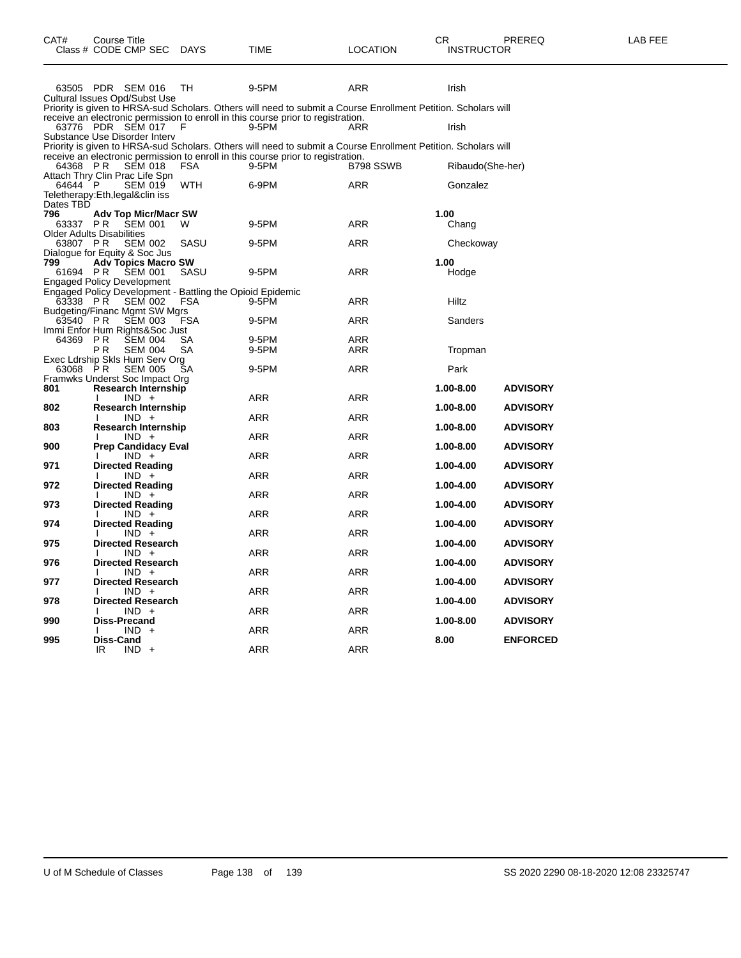| CAT#                 | Course Title<br>Class # CODE CMP SEC                                              | <b>DAYS</b>       | TIME                                                                                                           | LOCATION          | CR<br><b>INSTRUCTOR</b> | PREREQ                             | LAB FEE |
|----------------------|-----------------------------------------------------------------------------------|-------------------|----------------------------------------------------------------------------------------------------------------|-------------------|-------------------------|------------------------------------|---------|
|                      | 63505 PDR SEM 016<br>Cultural Issues Opd/Subst Use                                | TH                | 9-5PM                                                                                                          | ARR               | Irish                   |                                    |         |
|                      |                                                                                   |                   | Priority is given to HRSA-sud Scholars. Others will need to submit a Course Enrollment Petition. Scholars will |                   |                         |                                    |         |
|                      | 63776 PDR SEM 017<br>Substance Use Disorder Interv                                | F                 | receive an electronic permission to enroll in this course prior to registration.<br>9-5PM                      | ARR               | Irish                   |                                    |         |
|                      |                                                                                   |                   | Priority is given to HRSA-sud Scholars. Others will need to submit a Course Enrollment Petition. Scholars will |                   |                         |                                    |         |
| 64368 PR             | <b>SEM 018</b><br>Attach Thry Clin Prac Life Spn                                  | FSA               | receive an electronic permission to enroll in this course prior to registration.<br>9-5PM                      | B798 SSWB         | Ribaudo(She-her)        |                                    |         |
| 64644 P              | <b>SEM 019</b><br>Teletherapy:Eth,legal&clin iss                                  | <b>WTH</b>        | 6-9PM                                                                                                          | <b>ARR</b>        | Gonzalez                |                                    |         |
| Dates TBD            |                                                                                   |                   |                                                                                                                |                   |                         |                                    |         |
| 796<br>63337 PR      | <b>Adv Top Micr/Macr SW</b><br><b>SEM 001</b><br><b>Older Adults Disabilities</b> | W                 | 9-5PM                                                                                                          | <b>ARR</b>        | 1.00<br>Chang           |                                    |         |
| 63807 PR             | <b>SEM 002</b><br>Dialogue for Equity & Soc Jus                                   | SASU              | 9-5PM                                                                                                          | ARR               | Checkoway               |                                    |         |
| 799<br>61694 PR      | <b>Adv Topics Macro SW</b><br><b>SEM 001</b><br><b>Engaged Policy Development</b> | SASU              | 9-5PM                                                                                                          | ARR               | 1.00<br>Hodge           |                                    |         |
|                      | Engaged Policy Development - Battling the Opioid Epidemic                         |                   |                                                                                                                |                   |                         |                                    |         |
| 63338 PR<br>63540 PR | <b>SEM 002</b><br><b>Budgeting/Financ Mgmt SW Mgrs</b><br><b>SEM 003</b>          | FSA<br><b>FSA</b> | 9-5PM<br>9-5PM                                                                                                 | <b>ARR</b><br>ARR | Hiltz<br>Sanders        |                                    |         |
|                      | Immi Enfor Hum Rights&Soc Just                                                    |                   |                                                                                                                |                   |                         |                                    |         |
| 64369 PR             | <b>ŠEM 004</b><br>ΡR<br><b>SEM 004</b><br>Exec Ldrship Skls Hum Serv Org          | SA<br>SA          | 9-5PM<br>9-5PM                                                                                                 | ARR<br><b>ARR</b> | Tropman                 |                                    |         |
| 63068                | <b>SEM 005</b><br>P R<br>Framwks Underst Soc Impact Org                           | SА                | 9-5PM                                                                                                          | <b>ARR</b>        | Park                    |                                    |         |
| 801                  | Research Internship<br>$IND +$                                                    |                   | <b>ARR</b>                                                                                                     | <b>ARR</b>        | 1.00-8.00               | <b>ADVISORY</b>                    |         |
| 802<br>803           | <b>Research Internship</b><br>$IND +$<br><b>Research Internship</b>               |                   | ARR                                                                                                            | ARR               | 1.00-8.00<br>1.00-8.00  | <b>ADVISORY</b><br><b>ADVISORY</b> |         |
|                      | $IND +$                                                                           |                   | <b>ARR</b>                                                                                                     | <b>ARR</b>        |                         |                                    |         |
| 900<br>971           | <b>Prep Candidacy Eval</b><br>$IND +$<br><b>Directed Reading</b>                  |                   | ARR                                                                                                            | ARR               | 1.00-8.00<br>1.00-4.00  | <b>ADVISORY</b><br><b>ADVISORY</b> |         |
|                      | $IND +$                                                                           |                   | <b>ARR</b>                                                                                                     | <b>ARR</b>        |                         |                                    |         |
| 972                  | <b>Directed Reading</b><br>$IND +$                                                |                   | ARR                                                                                                            | ARR               | 1.00-4.00               | <b>ADVISORY</b>                    |         |
| 973                  | <b>Directed Reading</b><br>$IND +$                                                |                   | ARR                                                                                                            | <b>ARR</b>        | 1.00-4.00               | <b>ADVISORY</b>                    |         |
| 974                  | <b>Directed Reading</b><br>$IND +$                                                |                   | <b>ARR</b>                                                                                                     | <b>ARR</b>        | 1.00-4.00               | <b>ADVISORY</b>                    |         |
| 975                  | <b>Directed Research</b>                                                          |                   |                                                                                                                |                   | 1.00-4.00               | <b>ADVISORY</b>                    |         |
| 976                  | $IND +$<br><b>Directed Research</b><br>$IND +$                                    |                   | ARR<br>ARR                                                                                                     | ARR<br>ARR        | 1.00-4.00               | <b>ADVISORY</b>                    |         |
| 977                  | <b>Directed Research</b>                                                          |                   |                                                                                                                |                   | 1.00-4.00               | <b>ADVISORY</b>                    |         |
| 978                  | $IND +$<br><b>Directed Research</b>                                               |                   | <b>ARR</b>                                                                                                     | <b>ARR</b>        | 1.00-4.00               | <b>ADVISORY</b>                    |         |
| 990                  | $IND +$<br><b>Diss-Precand</b><br>$IND +$                                         |                   | <b>ARR</b><br>ARR                                                                                              | <b>ARR</b><br>ARR | 1.00-8.00               | <b>ADVISORY</b>                    |         |
| 995                  | Diss-Cand<br>$IND +$<br>IR                                                        |                   | <b>ARR</b>                                                                                                     | ARR               | 8.00                    | <b>ENFORCED</b>                    |         |
|                      |                                                                                   |                   |                                                                                                                |                   |                         |                                    |         |